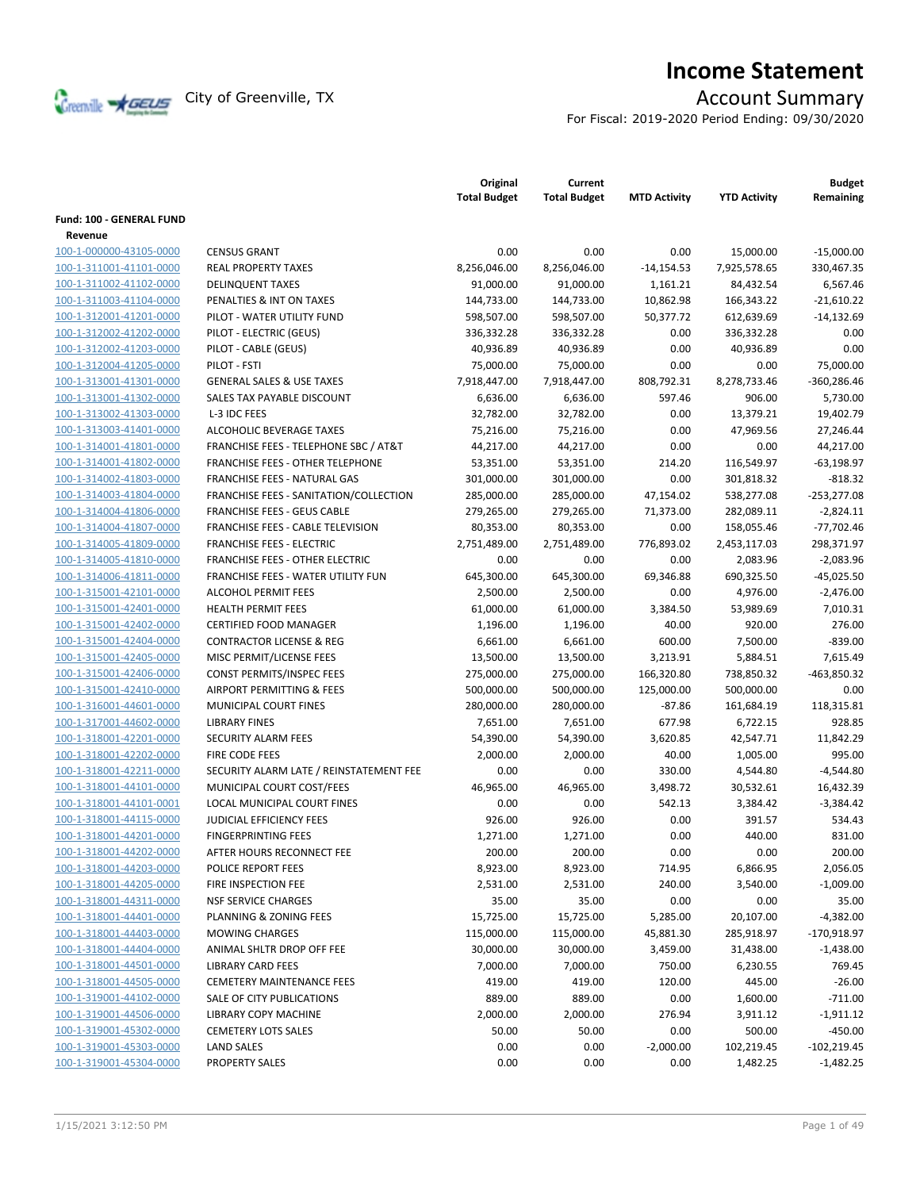Creenville Strategies City of Greenville, TX Account Summary

# **Income Statement**

For Fiscal: 2019-2020 Period Ending: 09/30/2020

|                                    |                                                  | Original<br><b>Total Budget</b> | Current<br><b>Total Budget</b> | <b>MTD Activity</b> | <b>YTD Activity</b> | <b>Budget</b><br>Remaining |
|------------------------------------|--------------------------------------------------|---------------------------------|--------------------------------|---------------------|---------------------|----------------------------|
| <b>Fund: 100 - GENERAL FUND</b>    |                                                  |                                 |                                |                     |                     |                            |
| Revenue<br>100-1-000000-43105-0000 | <b>CENSUS GRANT</b>                              | 0.00                            | 0.00                           | 0.00                | 15.000.00           |                            |
|                                    | <b>REAL PROPERTY TAXES</b>                       |                                 |                                |                     | 7,925,578.65        | $-15,000.00$               |
| 100-1-311001-41101-0000            |                                                  | 8,256,046.00                    | 8,256,046.00                   | $-14,154.53$        |                     | 330,467.35                 |
| 100-1-311002-41102-0000            | <b>DELINQUENT TAXES</b>                          | 91,000.00                       | 91,000.00                      | 1,161.21            | 84,432.54           | 6,567.46                   |
| 100-1-311003-41104-0000            | PENALTIES & INT ON TAXES                         | 144,733.00                      | 144,733.00                     | 10,862.98           | 166,343.22          | $-21,610.22$               |
| 100-1-312001-41201-0000            | PILOT - WATER UTILITY FUND                       | 598,507.00                      | 598,507.00                     | 50,377.72           | 612,639.69          | $-14,132.69$               |
| 100-1-312002-41202-0000            | PILOT - ELECTRIC (GEUS)                          | 336,332.28                      | 336,332.28                     | 0.00                | 336,332.28          | 0.00                       |
| 100-1-312002-41203-0000            | PILOT - CABLE (GEUS)                             | 40,936.89                       | 40,936.89                      | 0.00                | 40,936.89           | 0.00                       |
| 100-1-312004-41205-0000            | PILOT - FSTI                                     | 75,000.00                       | 75,000.00                      | 0.00                | 0.00                | 75,000.00                  |
| 100-1-313001-41301-0000            | <b>GENERAL SALES &amp; USE TAXES</b>             | 7,918,447.00                    | 7,918,447.00                   | 808,792.31          | 8,278,733.46        | $-360,286.46$              |
| 100-1-313001-41302-0000            | SALES TAX PAYABLE DISCOUNT                       | 6,636.00                        | 6,636.00                       | 597.46              | 906.00              | 5,730.00                   |
| 100-1-313002-41303-0000            | L-3 IDC FEES                                     | 32,782.00                       | 32,782.00                      | 0.00                | 13,379.21           | 19,402.79                  |
| 100-1-313003-41401-0000            | ALCOHOLIC BEVERAGE TAXES                         | 75,216.00                       | 75,216.00                      | 0.00                | 47,969.56           | 27,246.44                  |
| 100-1-314001-41801-0000            | <b>FRANCHISE FEES - TELEPHONE SBC / AT&amp;T</b> | 44,217.00                       | 44,217.00                      | 0.00                | 0.00                | 44,217.00                  |
| 100-1-314001-41802-0000            | FRANCHISE FEES - OTHER TELEPHONE                 | 53,351.00                       | 53,351.00                      | 214.20              | 116,549.97          | $-63,198.97$               |
| 100-1-314002-41803-0000            | FRANCHISE FEES - NATURAL GAS                     | 301,000.00                      | 301,000.00                     | 0.00                | 301,818.32          | $-818.32$                  |
| 100-1-314003-41804-0000            | FRANCHISE FEES - SANITATION/COLLECTION           | 285,000.00                      | 285,000.00                     | 47,154.02           | 538,277.08          | $-253,277.08$              |
| 100-1-314004-41806-0000            | <b>FRANCHISE FEES - GEUS CABLE</b>               | 279,265.00                      | 279,265.00                     | 71,373.00           | 282,089.11          | $-2,824.11$                |
| 100-1-314004-41807-0000            | <b>FRANCHISE FEES - CABLE TELEVISION</b>         | 80,353.00                       | 80,353.00                      | 0.00                | 158,055.46          | $-77,702.46$               |
| 100-1-314005-41809-0000            | <b>FRANCHISE FEES - ELECTRIC</b>                 | 2,751,489.00                    | 2,751,489.00                   | 776,893.02          | 2,453,117.03        | 298,371.97                 |
| 100-1-314005-41810-0000            | <b>FRANCHISE FEES - OTHER ELECTRIC</b>           | 0.00                            | 0.00                           | 0.00                | 2,083.96            | $-2,083.96$                |
| 100-1-314006-41811-0000            | FRANCHISE FEES - WATER UTILITY FUN               | 645,300.00                      | 645,300.00                     | 69,346.88           | 690,325.50          | $-45,025.50$               |
| 100-1-315001-42101-0000            | <b>ALCOHOL PERMIT FEES</b>                       | 2,500.00                        | 2,500.00                       | 0.00                | 4,976.00            | $-2,476.00$                |
| 100-1-315001-42401-0000            | <b>HEALTH PERMIT FEES</b>                        | 61,000.00                       | 61,000.00                      | 3,384.50            | 53,989.69           | 7,010.31                   |
| 100-1-315001-42402-0000            | <b>CERTIFIED FOOD MANAGER</b>                    | 1,196.00                        | 1,196.00                       | 40.00               | 920.00              | 276.00                     |
| 100-1-315001-42404-0000            | <b>CONTRACTOR LICENSE &amp; REG</b>              | 6,661.00                        | 6,661.00                       | 600.00              | 7,500.00            | $-839.00$                  |
| 100-1-315001-42405-0000            | MISC PERMIT/LICENSE FEES                         | 13,500.00                       | 13,500.00                      | 3,213.91            | 5,884.51            | 7,615.49                   |
| 100-1-315001-42406-0000            | CONST PERMITS/INSPEC FEES                        | 275,000.00                      | 275,000.00                     | 166,320.80          | 738,850.32          | $-463,850.32$              |
| 100-1-315001-42410-0000            | AIRPORT PERMITTING & FEES                        | 500,000.00                      | 500,000.00                     | 125,000.00          | 500,000.00          | 0.00                       |
| 100-1-316001-44601-0000            | MUNICIPAL COURT FINES                            | 280,000.00                      | 280,000.00                     | $-87.86$            | 161,684.19          | 118,315.81                 |
| 100-1-317001-44602-0000            | <b>LIBRARY FINES</b>                             | 7,651.00                        | 7,651.00                       | 677.98              | 6,722.15            | 928.85                     |
| 100-1-318001-42201-0000            | <b>SECURITY ALARM FEES</b>                       | 54,390.00                       | 54,390.00                      | 3,620.85            | 42,547.71           | 11,842.29                  |
| 100-1-318001-42202-0000            | <b>FIRE CODE FEES</b>                            | 2,000.00                        | 2,000.00                       | 40.00               | 1,005.00            | 995.00                     |
| 100-1-318001-42211-0000            | SECURITY ALARM LATE / REINSTATEMENT FEE          | 0.00                            | 0.00                           | 330.00              | 4,544.80            | $-4,544.80$                |
| 100-1-318001-44101-0000            | MUNICIPAL COURT COST/FEES                        | 46,965.00                       | 46,965.00                      | 3,498.72            | 30,532.61           | 16,432.39                  |
| 100-1-318001-44101-0001            | LOCAL MUNICIPAL COURT FINES                      | 0.00                            | 0.00                           | 542.13              | 3,384.42            | $-3,384.42$                |
| 100-1-318001-44115-0000            | JUDICIAL EFFICIENCY FEES                         | 926.00                          | 926.00                         | 0.00                | 391.57              | 534.43                     |
| 100-1-318001-44201-0000            | <b>FINGERPRINTING FEES</b>                       | 1,271.00                        | 1,271.00                       | 0.00                | 440.00              | 831.00                     |
| 100-1-318001-44202-0000            | AFTER HOURS RECONNECT FEE                        | 200.00                          | 200.00                         | 0.00                | 0.00                | 200.00                     |
| 100-1-318001-44203-0000            | POLICE REPORT FEES                               | 8,923.00                        | 8,923.00                       | 714.95              | 6,866.95            | 2,056.05                   |
| 100-1-318001-44205-0000            | FIRE INSPECTION FEE                              | 2,531.00                        | 2,531.00                       | 240.00              | 3,540.00            | $-1,009.00$                |
| 100-1-318001-44311-0000            | <b>NSF SERVICE CHARGES</b>                       | 35.00                           | 35.00                          | 0.00                | 0.00                | 35.00                      |
| 100-1-318001-44401-0000            | PLANNING & ZONING FEES                           | 15,725.00                       | 15,725.00                      | 5,285.00            | 20,107.00           | $-4,382.00$                |
| 100-1-318001-44403-0000            | <b>MOWING CHARGES</b>                            | 115,000.00                      | 115,000.00                     | 45,881.30           | 285,918.97          | -170,918.97                |
| 100-1-318001-44404-0000            | ANIMAL SHLTR DROP OFF FEE                        | 30,000.00                       | 30,000.00                      | 3,459.00            | 31,438.00           | $-1,438.00$                |
| 100-1-318001-44501-0000            | <b>LIBRARY CARD FEES</b>                         | 7,000.00                        | 7,000.00                       | 750.00              | 6,230.55            | 769.45                     |
| 100-1-318001-44505-0000            | <b>CEMETERY MAINTENANCE FEES</b>                 | 419.00                          | 419.00                         | 120.00              | 445.00              | $-26.00$                   |
| 100-1-319001-44102-0000            | SALE OF CITY PUBLICATIONS                        | 889.00                          | 889.00                         | 0.00                | 1,600.00            | $-711.00$                  |
| 100-1-319001-44506-0000            | <b>LIBRARY COPY MACHINE</b>                      | 2,000.00                        | 2,000.00                       | 276.94              | 3,911.12            | $-1,911.12$                |
| 100-1-319001-45302-0000            | <b>CEMETERY LOTS SALES</b>                       | 50.00                           | 50.00                          | 0.00                | 500.00              | $-450.00$                  |
| 100-1-319001-45303-0000            | <b>LAND SALES</b>                                | 0.00                            | 0.00                           | $-2,000.00$         | 102,219.45          | $-102,219.45$              |
| 100-1-319001-45304-0000            | <b>PROPERTY SALES</b>                            | 0.00                            | 0.00                           | 0.00                | 1,482.25            | $-1,482.25$                |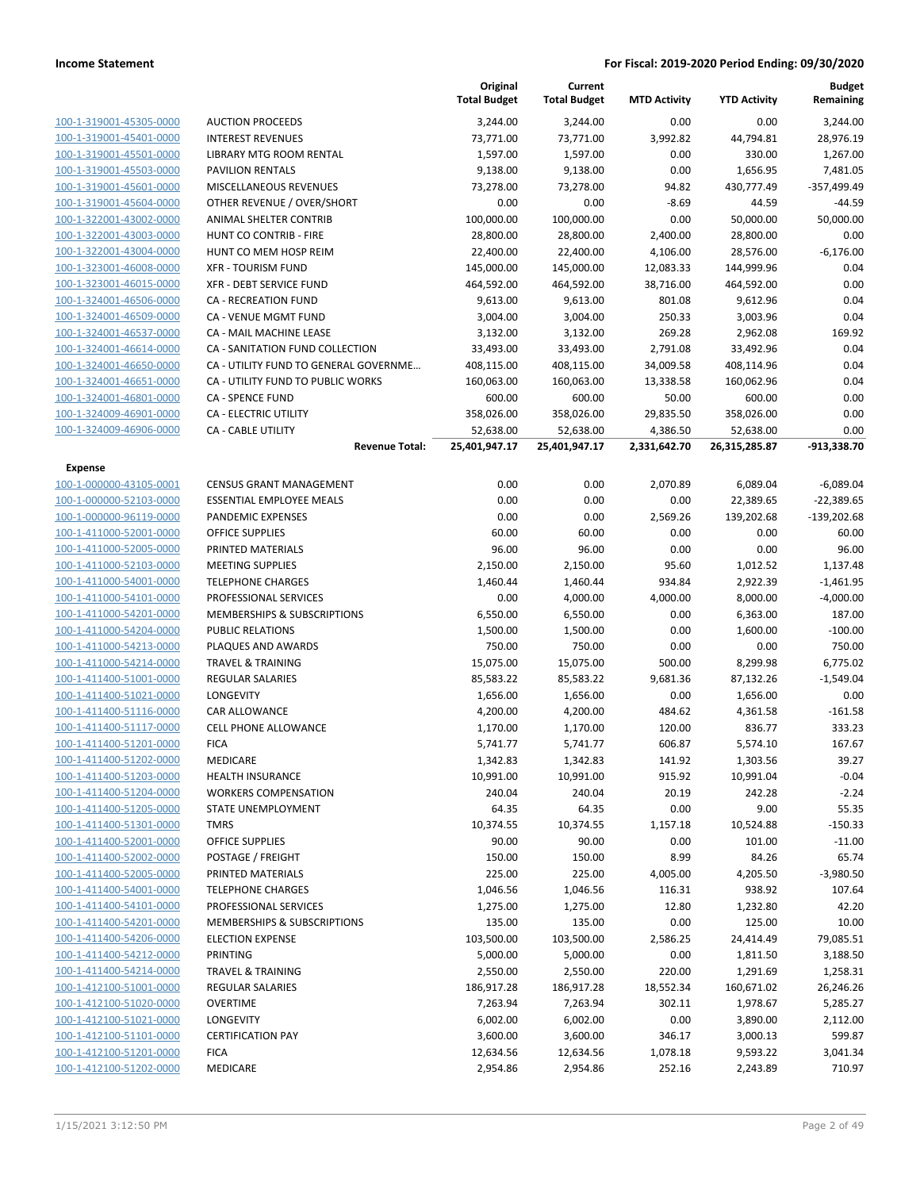|                                                    |                                       | Original<br><b>Total Budget</b> | Current<br><b>Total Budget</b> | <b>MTD Activity</b> | <b>YTD Activity</b> | <b>Budget</b><br>Remaining |
|----------------------------------------------------|---------------------------------------|---------------------------------|--------------------------------|---------------------|---------------------|----------------------------|
| 100-1-319001-45305-0000                            | <b>AUCTION PROCEEDS</b>               | 3,244.00                        | 3,244.00                       | 0.00                | 0.00                | 3,244.00                   |
| 100-1-319001-45401-0000                            | <b>INTEREST REVENUES</b>              | 73,771.00                       | 73,771.00                      | 3,992.82            | 44,794.81           | 28,976.19                  |
| 100-1-319001-45501-0000                            | LIBRARY MTG ROOM RENTAL               | 1,597.00                        | 1,597.00                       | 0.00                | 330.00              | 1,267.00                   |
| 100-1-319001-45503-0000                            | <b>PAVILION RENTALS</b>               | 9,138.00                        | 9,138.00                       | 0.00                | 1,656.95            | 7,481.05                   |
| 100-1-319001-45601-0000                            | MISCELLANEOUS REVENUES                | 73,278.00                       | 73,278.00                      | 94.82               | 430,777.49          | -357,499.49                |
| 100-1-319001-45604-0000                            | OTHER REVENUE / OVER/SHORT            | 0.00                            | 0.00                           | $-8.69$             | 44.59               | -44.59                     |
| 100-1-322001-43002-0000                            | ANIMAL SHELTER CONTRIB                | 100,000.00                      | 100,000.00                     | 0.00                | 50,000.00           | 50,000.00                  |
| 100-1-322001-43003-0000                            | <b>HUNT CO CONTRIB - FIRE</b>         | 28,800.00                       | 28,800.00                      | 2,400.00            | 28,800.00           | 0.00                       |
| 100-1-322001-43004-0000                            | HUNT CO MEM HOSP REIM                 | 22,400.00                       | 22,400.00                      | 4,106.00            | 28,576.00           | $-6,176.00$                |
| 100-1-323001-46008-0000                            | <b>XFR - TOURISM FUND</b>             | 145,000.00                      | 145,000.00                     | 12,083.33           | 144,999.96          | 0.04                       |
| 100-1-323001-46015-0000                            | XFR - DEBT SERVICE FUND               | 464,592.00                      | 464,592.00                     | 38,716.00           | 464,592.00          | 0.00                       |
| 100-1-324001-46506-0000                            | CA - RECREATION FUND                  | 9,613.00                        | 9,613.00                       | 801.08              | 9,612.96            | 0.04                       |
| 100-1-324001-46509-0000                            | CA - VENUE MGMT FUND                  | 3,004.00                        | 3,004.00                       | 250.33              | 3,003.96            | 0.04                       |
| 100-1-324001-46537-0000                            | CA - MAIL MACHINE LEASE               | 3,132.00                        | 3,132.00                       | 269.28              | 2,962.08            | 169.92                     |
| 100-1-324001-46614-0000                            | CA - SANITATION FUND COLLECTION       | 33,493.00                       | 33,493.00                      | 2,791.08            | 33,492.96           | 0.04                       |
| 100-1-324001-46650-0000                            | CA - UTILITY FUND TO GENERAL GOVERNME | 408,115.00                      | 408,115.00                     | 34,009.58           | 408,114.96          | 0.04                       |
| 100-1-324001-46651-0000                            | CA - UTILITY FUND TO PUBLIC WORKS     | 160,063.00                      | 160,063.00                     | 13,338.58           | 160,062.96          | 0.04                       |
| 100-1-324001-46801-0000                            | <b>CA - SPENCE FUND</b>               | 600.00                          | 600.00                         | 50.00               | 600.00              | 0.00                       |
| 100-1-324009-46901-0000                            | CA - ELECTRIC UTILITY                 | 358,026.00                      | 358,026.00                     | 29,835.50           | 358,026.00          | 0.00                       |
| 100-1-324009-46906-0000                            | <b>CA - CABLE UTILITY</b>             | 52,638.00                       | 52,638.00                      | 4,386.50            | 52,638.00           | 0.00                       |
|                                                    | <b>Revenue Total:</b>                 | 25,401,947.17                   | 25,401,947.17                  | 2,331,642.70        | 26,315,285.87       | -913,338.70                |
| <b>Expense</b>                                     |                                       |                                 |                                |                     |                     |                            |
| 100-1-000000-43105-0001                            | <b>CENSUS GRANT MANAGEMENT</b>        | 0.00                            | 0.00                           | 2,070.89            | 6,089.04            | $-6,089.04$                |
| 100-1-000000-52103-0000                            | <b>ESSENTIAL EMPLOYEE MEALS</b>       | 0.00                            | 0.00                           | 0.00                | 22,389.65           | $-22,389.65$               |
| 100-1-000000-96119-0000                            | PANDEMIC EXPENSES                     | 0.00                            | 0.00                           | 2,569.26            | 139,202.68          | $-139,202.68$              |
| 100-1-411000-52001-0000                            | <b>OFFICE SUPPLIES</b>                | 60.00                           | 60.00                          | 0.00                | 0.00                | 60.00                      |
| 100-1-411000-52005-0000                            | PRINTED MATERIALS                     | 96.00                           | 96.00                          | 0.00                | 0.00                | 96.00                      |
| 100-1-411000-52103-0000                            | <b>MEETING SUPPLIES</b>               | 2,150.00                        | 2,150.00                       | 95.60               | 1,012.52            | 1,137.48                   |
| 100-1-411000-54001-0000                            | <b>TELEPHONE CHARGES</b>              | 1,460.44                        | 1,460.44                       | 934.84              | 2,922.39            | $-1,461.95$                |
| 100-1-411000-54101-0000                            | PROFESSIONAL SERVICES                 | 0.00                            | 4,000.00                       | 4,000.00            | 8,000.00            | $-4,000.00$                |
| 100-1-411000-54201-0000                            | MEMBERSHIPS & SUBSCRIPTIONS           | 6,550.00                        | 6,550.00                       | 0.00                | 6,363.00            | 187.00                     |
| 100-1-411000-54204-0000                            | <b>PUBLIC RELATIONS</b>               | 1,500.00                        | 1,500.00                       | 0.00                | 1,600.00            | $-100.00$                  |
| 100-1-411000-54213-0000                            | PLAQUES AND AWARDS                    | 750.00                          | 750.00                         | 0.00                | 0.00                | 750.00                     |
| 100-1-411000-54214-0000                            | <b>TRAVEL &amp; TRAINING</b>          | 15,075.00                       | 15,075.00                      | 500.00              | 8,299.98            | 6,775.02                   |
| 100-1-411400-51001-0000                            | <b>REGULAR SALARIES</b>               | 85,583.22                       | 85,583.22                      | 9,681.36            | 87,132.26           | $-1,549.04$                |
| 100-1-411400-51021-0000<br>100-1-411400-51116-0000 | LONGEVITY<br><b>CAR ALLOWANCE</b>     | 1,656.00                        | 1,656.00                       | 0.00                | 1,656.00            | 0.00                       |
| 100-1-411400-51117-0000                            | <b>CELL PHONE ALLOWANCE</b>           | 4,200.00<br>1,170.00            | 4,200.00                       | 484.62<br>120.00    | 4,361.58            | $-161.58$                  |
| 100-1-411400-51201-0000                            | <b>FICA</b>                           | 5,741.77                        | 1,170.00<br>5,741.77           | 606.87              | 836.77<br>5,574.10  | 333.23<br>167.67           |
| 100-1-411400-51202-0000                            | MEDICARE                              | 1,342.83                        | 1,342.83                       | 141.92              | 1,303.56            | 39.27                      |
| 100-1-411400-51203-0000                            | <b>HEALTH INSURANCE</b>               | 10,991.00                       | 10,991.00                      | 915.92              | 10,991.04           | $-0.04$                    |
| 100-1-411400-51204-0000                            | <b>WORKERS COMPENSATION</b>           | 240.04                          | 240.04                         | 20.19               | 242.28              | $-2.24$                    |
| 100-1-411400-51205-0000                            | STATE UNEMPLOYMENT                    | 64.35                           | 64.35                          | 0.00                | 9.00                | 55.35                      |
| 100-1-411400-51301-0000                            | TMRS                                  | 10,374.55                       | 10,374.55                      | 1,157.18            | 10,524.88           | $-150.33$                  |
| 100-1-411400-52001-0000                            | <b>OFFICE SUPPLIES</b>                | 90.00                           | 90.00                          | 0.00                | 101.00              | $-11.00$                   |
| 100-1-411400-52002-0000                            | POSTAGE / FREIGHT                     | 150.00                          | 150.00                         | 8.99                | 84.26               | 65.74                      |
| 100-1-411400-52005-0000                            | PRINTED MATERIALS                     | 225.00                          | 225.00                         | 4,005.00            | 4,205.50            | $-3,980.50$                |
| 100-1-411400-54001-0000                            | <b>TELEPHONE CHARGES</b>              | 1,046.56                        | 1,046.56                       | 116.31              | 938.92              | 107.64                     |
| 100-1-411400-54101-0000                            | PROFESSIONAL SERVICES                 | 1,275.00                        | 1,275.00                       | 12.80               | 1,232.80            | 42.20                      |
| 100-1-411400-54201-0000                            | MEMBERSHIPS & SUBSCRIPTIONS           | 135.00                          | 135.00                         | 0.00                | 125.00              | 10.00                      |
| 100-1-411400-54206-0000                            | <b>ELECTION EXPENSE</b>               | 103,500.00                      | 103,500.00                     | 2,586.25            | 24,414.49           | 79,085.51                  |
| 100-1-411400-54212-0000                            | PRINTING                              | 5,000.00                        | 5,000.00                       | 0.00                | 1,811.50            | 3,188.50                   |
| 100-1-411400-54214-0000                            | <b>TRAVEL &amp; TRAINING</b>          | 2,550.00                        | 2,550.00                       | 220.00              | 1,291.69            | 1,258.31                   |
| 100-1-412100-51001-0000                            | <b>REGULAR SALARIES</b>               | 186,917.28                      | 186,917.28                     | 18,552.34           | 160,671.02          | 26,246.26                  |
| 100-1-412100-51020-0000                            | <b>OVERTIME</b>                       | 7,263.94                        | 7,263.94                       | 302.11              | 1,978.67            | 5,285.27                   |
| 100-1-412100-51021-0000                            | LONGEVITY                             | 6,002.00                        | 6,002.00                       | 0.00                | 3,890.00            | 2,112.00                   |
| 100-1-412100-51101-0000                            | <b>CERTIFICATION PAY</b>              | 3,600.00                        | 3,600.00                       | 346.17              | 3,000.13            | 599.87                     |
| 100-1-412100-51201-0000                            | <b>FICA</b>                           | 12,634.56                       | 12,634.56                      | 1,078.18            | 9,593.22            | 3,041.34                   |
| 100-1-412100-51202-0000                            | MEDICARE                              | 2,954.86                        | 2,954.86                       | 252.16              | 2,243.89            | 710.97                     |
|                                                    |                                       |                                 |                                |                     |                     |                            |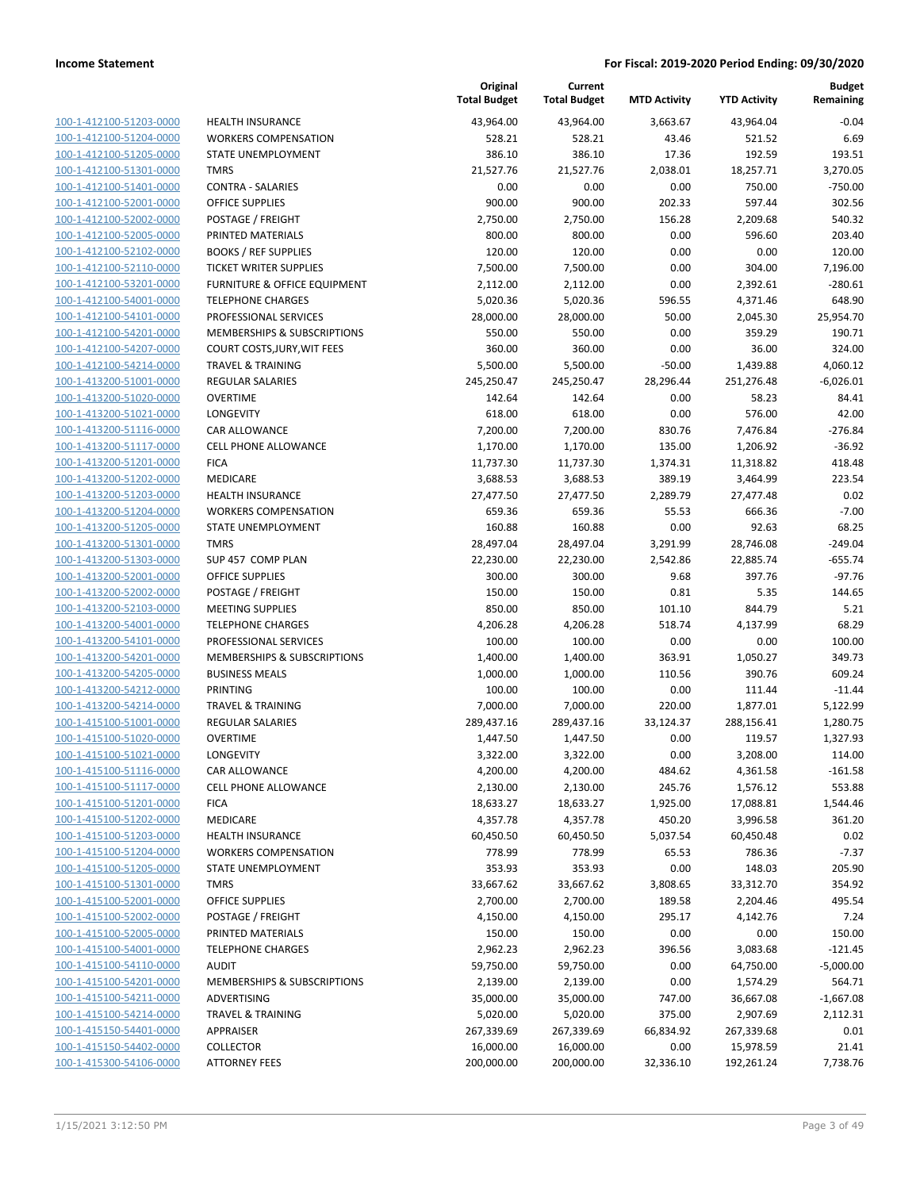| 100-1-412100-51203-0000        |
|--------------------------------|
| 100-1-412100-51204-0000        |
| 100-1-412100-51205-0000        |
| 100-1-412100-51301-0000        |
| 100-1-412100-51401-0000        |
| 100-1-412100-52001-0000        |
| 100-1-412100-52002-0000        |
| 100-1-412100-52005-0000        |
| 100-1-412100-52102-0000        |
| 100-1-412100-52110-0000        |
| 100-1-412100-53201-0000        |
| 100-1-412100-54001-0000        |
| 100-1-412100-54101-0000        |
|                                |
| 100-1-412100-54201-0000        |
| 100-1-412100-54207-0000        |
| 100-1-412100-54214-0000        |
| 100-1-413200-51001-0000        |
| 100-1-413200-51020-0000        |
| 100-1-413200-51021-0000        |
| 100-1-413200-51116-0000        |
| 100-1-413200-51117-0000        |
| 100-1-413200-51201-0000        |
| 100-1-413200-51202-0000        |
| 100-1-413200-51203-0000        |
| <u>100-1-413200-51204-0000</u> |
| 100-1-413200-51205-0000        |
| 100-1-413200-51301-0000        |
|                                |
| 100-1-413200-51303-0000        |
| 100-1-413200-52001-0000        |
| 100-1-413200-52002-0000        |
| 100-1-413200-52103-0000        |
| 100-1-413200-54001-0000        |
| 100-1-413200-54101-0000        |
| 100-1-413200-54201-0000        |
| 100-1-413200-54205-0000        |
| 100-1-413200-54212-0000        |
| 100-1-413200-54214-0000        |
| 100-1-415100-51001-0000        |
| 100-1-415100-51020-0000        |
| 100-1-415100-51021-0000        |
| 100-1-415100-51116-0000        |
| <u>100-1-415100-51117-0000</u> |
| 100-1-415100-51201-0000        |
|                                |
| <u>100-1-415100-51202-0000</u> |
| <u>100-1-415100-51203-0000</u> |
| 100-1-415100-51204-0000        |
| 100-1-415100-51205-0000        |
| 100-1-415100-51301-0000        |
| 100-1-415100-52001-0000        |
| <u>100-1-415100-52002-0000</u> |
| <u>100-1-415100-52005-0000</u> |
| 100-1-415100-54001-0000        |
| 100-1-415100-54110-0000        |
| <u>100-1-415100-54201-0000</u> |
| <u>100-1-415100-54211-0000</u> |
| <u>100-1-415100-54214-0000</u> |
| <u>100-1-415150-54401-0000</u> |
| 100-1-415150-54402-0000        |
|                                |
| 100-1-415300-54106-0000        |

|                                                    |                                         | Original<br><b>Total Budget</b> | Current<br><b>Total Budget</b> | <b>MTD Activity</b> | <b>YTD Activity</b>   | <b>Budget</b><br>Remaining |
|----------------------------------------------------|-----------------------------------------|---------------------------------|--------------------------------|---------------------|-----------------------|----------------------------|
| 100-1-412100-51203-0000                            | <b>HEALTH INSURANCE</b>                 | 43,964.00                       | 43,964.00                      | 3,663.67            | 43,964.04             | $-0.04$                    |
| 100-1-412100-51204-0000                            | <b>WORKERS COMPENSATION</b>             | 528.21                          | 528.21                         | 43.46               | 521.52                | 6.69                       |
| 100-1-412100-51205-0000                            | STATE UNEMPLOYMENT                      | 386.10                          | 386.10                         | 17.36               | 192.59                | 193.51                     |
| 100-1-412100-51301-0000                            | <b>TMRS</b>                             | 21,527.76                       | 21,527.76                      | 2,038.01            | 18,257.71             | 3,270.05                   |
| 100-1-412100-51401-0000                            | <b>CONTRA - SALARIES</b>                | 0.00                            | 0.00                           | 0.00                | 750.00                | $-750.00$                  |
| 100-1-412100-52001-0000                            | <b>OFFICE SUPPLIES</b>                  | 900.00                          | 900.00                         | 202.33              | 597.44                | 302.56                     |
| 100-1-412100-52002-0000                            | POSTAGE / FREIGHT                       | 2,750.00                        | 2,750.00                       | 156.28              | 2,209.68              | 540.32                     |
| 100-1-412100-52005-0000                            | PRINTED MATERIALS                       | 800.00                          | 800.00                         | 0.00                | 596.60                | 203.40                     |
| 100-1-412100-52102-0000                            | <b>BOOKS / REF SUPPLIES</b>             | 120.00                          | 120.00                         | 0.00                | 0.00                  | 120.00                     |
| 100-1-412100-52110-0000                            | <b>TICKET WRITER SUPPLIES</b>           | 7,500.00                        | 7,500.00                       | 0.00                | 304.00                | 7,196.00                   |
| 100-1-412100-53201-0000                            | <b>FURNITURE &amp; OFFICE EQUIPMENT</b> | 2,112.00                        | 2,112.00                       | 0.00                | 2,392.61              | $-280.61$                  |
| 100-1-412100-54001-0000                            | <b>TELEPHONE CHARGES</b>                | 5,020.36                        | 5,020.36                       | 596.55              | 4,371.46              | 648.90                     |
| 100-1-412100-54101-0000                            | PROFESSIONAL SERVICES                   | 28,000.00                       | 28,000.00                      | 50.00               | 2,045.30              | 25,954.70                  |
| 100-1-412100-54201-0000                            | MEMBERSHIPS & SUBSCRIPTIONS             | 550.00                          | 550.00                         | 0.00                | 359.29                | 190.71                     |
| 100-1-412100-54207-0000                            | COURT COSTS, JURY, WIT FEES             | 360.00                          | 360.00                         | 0.00                | 36.00                 | 324.00                     |
| 100-1-412100-54214-0000                            | <b>TRAVEL &amp; TRAINING</b>            | 5,500.00                        | 5,500.00                       | $-50.00$            | 1,439.88              | 4,060.12                   |
| 100-1-413200-51001-0000                            | REGULAR SALARIES                        | 245,250.47                      | 245,250.47                     | 28,296.44           | 251,276.48            | $-6,026.01$                |
| 100-1-413200-51020-0000                            | <b>OVERTIME</b>                         | 142.64                          | 142.64                         | 0.00                | 58.23                 | 84.41                      |
| 100-1-413200-51021-0000                            | LONGEVITY                               | 618.00                          | 618.00                         | 0.00                | 576.00                | 42.00                      |
| 100-1-413200-51116-0000                            | CAR ALLOWANCE                           | 7,200.00                        | 7,200.00                       | 830.76              | 7,476.84              | $-276.84$                  |
| 100-1-413200-51117-0000                            | <b>CELL PHONE ALLOWANCE</b>             | 1,170.00                        | 1,170.00                       | 135.00              | 1,206.92              | $-36.92$                   |
| 100-1-413200-51201-0000                            | <b>FICA</b>                             | 11,737.30                       | 11,737.30                      | 1,374.31            | 11,318.82             | 418.48                     |
| 100-1-413200-51202-0000                            | MEDICARE                                | 3,688.53                        | 3,688.53                       | 389.19              | 3,464.99              | 223.54                     |
| 100-1-413200-51203-0000                            | <b>HEALTH INSURANCE</b>                 | 27,477.50                       | 27,477.50                      | 2,289.79            | 27,477.48             | 0.02                       |
| 100-1-413200-51204-0000                            | <b>WORKERS COMPENSATION</b>             | 659.36                          | 659.36                         | 55.53               | 666.36                | $-7.00$                    |
| 100-1-413200-51205-0000                            | STATE UNEMPLOYMENT                      | 160.88                          | 160.88                         | 0.00                | 92.63                 | 68.25                      |
| 100-1-413200-51301-0000                            | <b>TMRS</b>                             | 28,497.04                       | 28,497.04                      | 3,291.99            | 28,746.08             | $-249.04$                  |
| 100-1-413200-51303-0000                            | SUP 457 COMP PLAN                       | 22,230.00                       | 22,230.00                      | 2,542.86            | 22,885.74             | $-655.74$                  |
| 100-1-413200-52001-0000                            | <b>OFFICE SUPPLIES</b>                  | 300.00                          | 300.00                         | 9.68                | 397.76                | $-97.76$                   |
| 100-1-413200-52002-0000                            | POSTAGE / FREIGHT                       | 150.00                          | 150.00                         | 0.81                | 5.35                  | 144.65                     |
| 100-1-413200-52103-0000                            | <b>MEETING SUPPLIES</b>                 | 850.00                          | 850.00                         | 101.10              | 844.79                | 5.21                       |
| 100-1-413200-54001-0000                            | <b>TELEPHONE CHARGES</b>                | 4,206.28                        | 4,206.28                       | 518.74              | 4,137.99              | 68.29                      |
| 100-1-413200-54101-0000                            | PROFESSIONAL SERVICES                   | 100.00                          | 100.00                         | 0.00                | 0.00                  | 100.00                     |
| 100-1-413200-54201-0000                            | MEMBERSHIPS & SUBSCRIPTIONS             | 1,400.00                        | 1,400.00                       | 363.91              | 1,050.27              | 349.73                     |
| 100-1-413200-54205-0000                            | <b>BUSINESS MEALS</b>                   | 1,000.00                        | 1,000.00                       | 110.56              | 390.76                | 609.24                     |
| 100-1-413200-54212-0000                            | PRINTING                                | 100.00                          | 100.00                         | 0.00                | 111.44                | $-11.44$                   |
| 100-1-413200-54214-0000                            | <b>TRAVEL &amp; TRAINING</b>            | 7,000.00                        | 7,000.00                       | 220.00              | 1,877.01              | 5,122.99                   |
| 100-1-415100-51001-0000                            | <b>REGULAR SALARIES</b>                 | 289,437.16                      | 289,437.16                     | 33,124.37           | 288,156.41            | 1,280.75                   |
| 100-1-415100-51020-0000                            | <b>OVERTIME</b>                         | 1,447.50                        | 1,447.50                       | 0.00                | 119.57                | 1,327.93                   |
| 100-1-415100-51021-0000                            | LONGEVITY                               | 3,322.00                        | 3,322.00                       | 0.00                | 3,208.00              | 114.00                     |
| 100-1-415100-51116-0000                            | CAR ALLOWANCE                           | 4,200.00                        | 4,200.00                       | 484.62              | 4,361.58              | $-161.58$                  |
| 100-1-415100-51117-0000                            | <b>CELL PHONE ALLOWANCE</b>             | 2,130.00                        | 2,130.00                       | 245.76              | 1,576.12              | 553.88<br>1,544.46         |
| 100-1-415100-51201-0000<br>100-1-415100-51202-0000 | <b>FICA</b>                             | 18,633.27                       | 18,633.27                      | 1,925.00            | 17,088.81             |                            |
| 100-1-415100-51203-0000                            | MEDICARE<br><b>HEALTH INSURANCE</b>     | 4,357.78<br>60,450.50           | 4,357.78<br>60,450.50          | 450.20<br>5,037.54  | 3,996.58<br>60,450.48 | 361.20<br>0.02             |
| 100-1-415100-51204-0000                            | <b>WORKERS COMPENSATION</b>             | 778.99                          | 778.99                         | 65.53               | 786.36                | $-7.37$                    |
| 100-1-415100-51205-0000                            | STATE UNEMPLOYMENT                      | 353.93                          | 353.93                         | 0.00                | 148.03                | 205.90                     |
| 100-1-415100-51301-0000                            | <b>TMRS</b>                             | 33,667.62                       | 33,667.62                      | 3,808.65            | 33,312.70             | 354.92                     |
| 100-1-415100-52001-0000                            | OFFICE SUPPLIES                         | 2,700.00                        | 2,700.00                       | 189.58              | 2,204.46              | 495.54                     |
| 100-1-415100-52002-0000                            | POSTAGE / FREIGHT                       | 4,150.00                        | 4,150.00                       | 295.17              | 4,142.76              | 7.24                       |
| 100-1-415100-52005-0000                            | PRINTED MATERIALS                       | 150.00                          | 150.00                         | 0.00                | 0.00                  | 150.00                     |
| 100-1-415100-54001-0000                            | <b>TELEPHONE CHARGES</b>                | 2,962.23                        | 2,962.23                       | 396.56              | 3,083.68              | $-121.45$                  |
| 100-1-415100-54110-0000                            | <b>AUDIT</b>                            | 59,750.00                       | 59,750.00                      | 0.00                | 64,750.00             | $-5,000.00$                |
| 100-1-415100-54201-0000                            | MEMBERSHIPS & SUBSCRIPTIONS             | 2,139.00                        | 2,139.00                       | 0.00                | 1,574.29              | 564.71                     |
| 100-1-415100-54211-0000                            | ADVERTISING                             | 35,000.00                       | 35,000.00                      | 747.00              | 36,667.08             | $-1,667.08$                |
| 100-1-415100-54214-0000                            | <b>TRAVEL &amp; TRAINING</b>            | 5,020.00                        | 5,020.00                       | 375.00              | 2,907.69              | 2,112.31                   |
| 100-1-415150-54401-0000                            | <b>APPRAISER</b>                        | 267,339.69                      | 267,339.69                     | 66,834.92           | 267,339.68            | 0.01                       |
| 100-1-415150-54402-0000                            | <b>COLLECTOR</b>                        | 16,000.00                       | 16,000.00                      | 0.00                | 15,978.59             | 21.41                      |
| 100-1-415300-54106-0000                            |                                         |                                 |                                |                     |                       |                            |
|                                                    | <b>ATTORNEY FEES</b>                    | 200,000.00                      | 200,000.00                     | 32,336.10           | 192,261.24            | 7,738.76                   |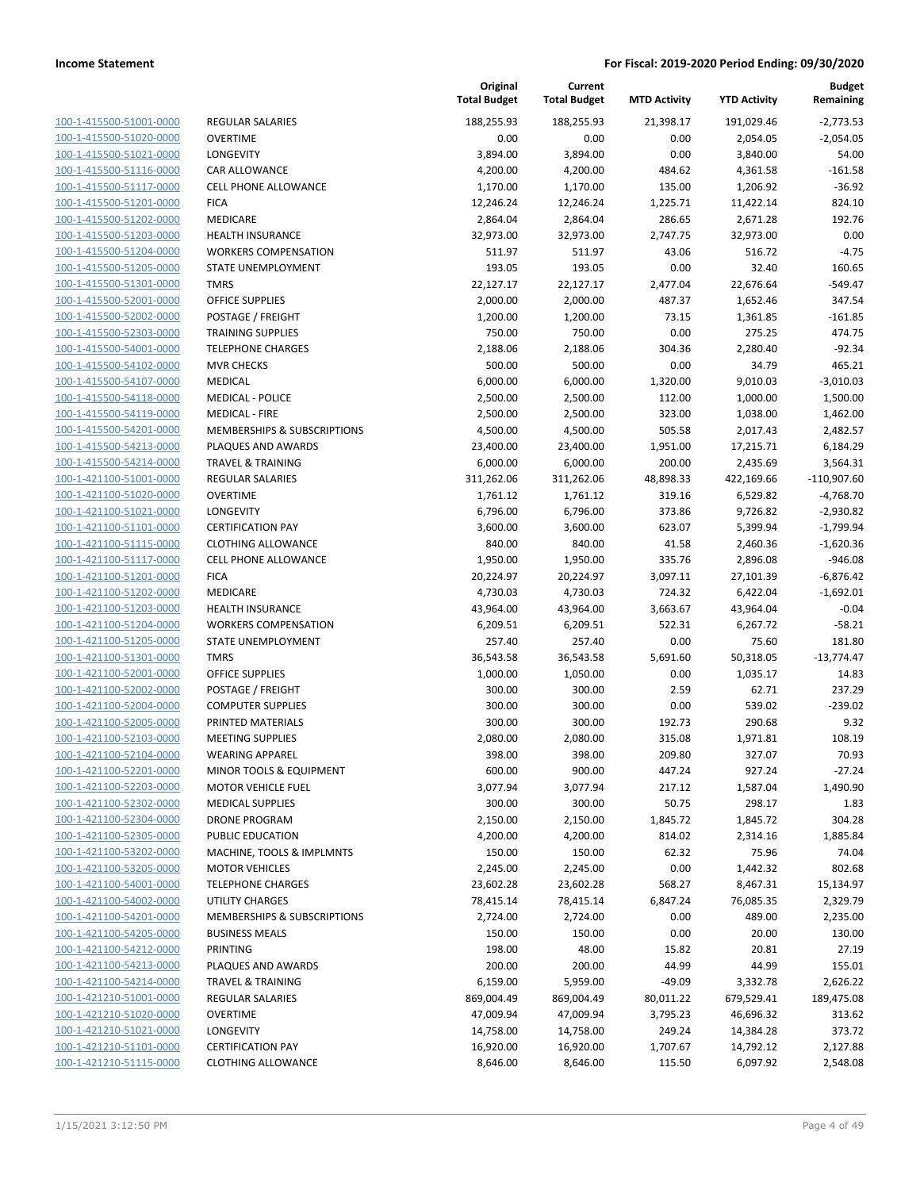| 100-1-415500-51001-0000        |
|--------------------------------|
| 100-1-415500-51020-0000        |
| 100-1-415500-51021-0000        |
| <u>100-1-415500-51116-0000</u> |
| 100-1-415500-51117-0000        |
| 100-1-415500-51201-0000        |
| 100-1-415500-51202-0000        |
| 100-1-415500-51203-0000        |
| <u>100-1-415500-51204-0000</u> |
| 100-1-415500-51205-0000        |
|                                |
| 100-1-415500-51301-<br>-0000   |
| 100-1-415500-52001-0000        |
| 100-1-415500-52002-0000        |
| <u>100-1-415500-52303-0000</u> |
| 100-1-415500-54001-0000        |
| 100-1-415500-54102-0000        |
| 100-1-415500-54107-0000        |
| 100-1-415500-54118-0000        |
| <u>100-1-415500-54119-0000</u> |
| 100-1-415500-54201-0000        |
| 100-1-415500-54213-0000        |
| 100-1-415500-54214-0000        |
| 100-1-421100-51001-0000        |
| <u>100-1-421100-51020-0000</u> |
| 100-1-421100-51021-0000        |
|                                |
| 100-1-421100-51101-0000        |
| 100-1-421100-51115-0000        |
| 100-1-421100-51117-0000        |
| <u>100-1-421100-51201-0000</u> |
| 100-1-421100-51202-0000        |
| 100-1-421100-51203-0000        |
| 100-1-421100-51204-0000        |
| 100-1-421100-51205-0000        |
| <u>100-1-421100-51301-0000</u> |
| 100-1-421100-52001-0000        |
| 100-1-421100-52002-0000        |
| 100-1-421100-52004-0000        |
| 100-1-421100-52005-0000        |
| 100-1-421100-52103-0000        |
| 100-1-421100-52104-0000        |
| 100-1-421100-52201-0000        |
| <u>100-1-421100-52203-0000</u> |
|                                |
| <u>100-1-421100-52302-0000</u> |
| <u>100-1-421100-52304-0000</u> |
| 100-1-421100-52305-0000        |
| 100-1-421100-53202-0000        |
| 100-1-421100-53205-0000        |
| 100-1-421100-54001-0000        |
| <u>100-1-421100-54002-0000</u> |
| <u>100-1-421100-54201-0000</u> |
| 100-1-421100-54205-0000        |
| 100-1-421100-54212-0000        |
| 100-1-421100-54213-0000        |
| <u>100-1-421100-54214-0000</u> |
| 100-1-421210-51001-0000        |
| <u>100-1-421210-51020-0000</u> |
| <u>100-1-421210-51021-0000</u> |
|                                |
| 100-1-421210-51101-0000        |
| <u>100-1-421210-51115-0000</u> |

| EGULAR SALARIES<br>VERTIME<br>ONGEVITY                |
|-------------------------------------------------------|
| AR ALLOWANCE                                          |
| ELL PHONE ALLOWANCE<br>ICA                            |
| 1EDICARE                                              |
| <b>EALTH INSURANCE</b>                                |
| VORKERS COMPENSATION                                  |
| TATE UNEMPLOYMENT                                     |
| MRS                                                   |
| <b>FFICE SUPPLIES</b>                                 |
| OSTAGE / FREIGHT                                      |
| RAINING SUPPLIES                                      |
| ELEPHONE CHARGES                                      |
| <b>IVR CHECKS</b>                                     |
| 1EDICAL                                               |
| 1EDICAL - POLICE                                      |
| 1EDICAL - FIRE                                        |
| 1EMBERSHIPS & SUBSCRIPTIONS                           |
| LAQUES AND AWARDS                                     |
| RAVEL & TRAINING                                      |
| EGULAR SALARIES                                       |
| VERTIME                                               |
| ONGEVITY                                              |
| ERTIFICATION PAY                                      |
| LOTHING ALLOWANCE                                     |
| ELL PHONE ALLOWANCE                                   |
| ICA                                                   |
| 1EDICARE                                              |
| <b>EALTH INSURANCE</b><br><b>VORKERS COMPENSATION</b> |
| TATE UNEMPLOYMENT                                     |
| MRS                                                   |
| <b>FFICE SUPPLIES</b>                                 |
| OSTAGE / FREIGHT                                      |
| OMPUTER SUPPLIES                                      |
| RINTED MATERIALS                                      |
| <b>IEETING SUPPLIES</b>                               |
| VEARING APPAREL                                       |
| 1INOR TOOLS & EQUIPMENT                               |
| <b>1OTOR VEHICLE FUEL</b>                             |
| <b>IEDICAL SUPPLIES</b>                               |
| RONE PROGRAM                                          |
| <b>UBLIC EDUCATION</b>                                |
| <b>IACHINE, TOOLS &amp; IMPLMNTS</b>                  |
| <b>IOTOR VEHICLES</b>                                 |
| ELEPHONE CHARGES                                      |
| <b>TILITY CHARGES</b>                                 |
| <b>IEMBERSHIPS &amp; SUBSCRIPTIONS</b>                |
| <b>USINESS MEALS</b>                                  |
| RINTING                                               |
| LAQUES AND AWARDS<br>RAVEL & TRAINING                 |
| <b>EGULAR SALARIES</b>                                |
| VERTIME                                               |
| ONGEVITY                                              |
| <b>ERTIFICATION PAY</b>                               |
|                                                       |

|                         |                              | Original<br><b>Total Budget</b> | Current<br><b>Total Budget</b> | <b>MTD Activity</b> | <b>YTD Activity</b> | <b>Budget</b><br>Remaining |
|-------------------------|------------------------------|---------------------------------|--------------------------------|---------------------|---------------------|----------------------------|
| 100-1-415500-51001-0000 | REGULAR SALARIES             | 188,255.93                      | 188,255.93                     | 21,398.17           | 191,029.46          | $-2,773.53$                |
| 100-1-415500-51020-0000 | <b>OVERTIME</b>              | 0.00                            | 0.00                           | 0.00                | 2,054.05            | $-2,054.05$                |
| 100-1-415500-51021-0000 | <b>LONGEVITY</b>             | 3,894.00                        | 3,894.00                       | 0.00                | 3,840.00            | 54.00                      |
| 100-1-415500-51116-0000 | CAR ALLOWANCE                | 4,200.00                        | 4,200.00                       | 484.62              | 4,361.58            | $-161.58$                  |
| 100-1-415500-51117-0000 | <b>CELL PHONE ALLOWANCE</b>  | 1,170.00                        | 1,170.00                       | 135.00              | 1,206.92            | $-36.92$                   |
| 100-1-415500-51201-0000 | <b>FICA</b>                  | 12,246.24                       | 12,246.24                      | 1,225.71            | 11,422.14           | 824.10                     |
| 100-1-415500-51202-0000 | MEDICARE                     | 2,864.04                        | 2,864.04                       | 286.65              | 2,671.28            | 192.76                     |
| 100-1-415500-51203-0000 | <b>HEALTH INSURANCE</b>      | 32,973.00                       | 32,973.00                      | 2,747.75            | 32,973.00           | 0.00                       |
| 100-1-415500-51204-0000 | <b>WORKERS COMPENSATION</b>  | 511.97                          | 511.97                         | 43.06               | 516.72              | $-4.75$                    |
| 100-1-415500-51205-0000 | STATE UNEMPLOYMENT           | 193.05                          | 193.05                         | 0.00                | 32.40               | 160.65                     |
| 100-1-415500-51301-0000 | <b>TMRS</b>                  | 22,127.17                       | 22,127.17                      | 2,477.04            | 22,676.64           | $-549.47$                  |
| 100-1-415500-52001-0000 | <b>OFFICE SUPPLIES</b>       | 2,000.00                        | 2,000.00                       | 487.37              | 1,652.46            | 347.54                     |
| 100-1-415500-52002-0000 | POSTAGE / FREIGHT            | 1,200.00                        | 1,200.00                       | 73.15               | 1,361.85            | $-161.85$                  |
| 100-1-415500-52303-0000 | <b>TRAINING SUPPLIES</b>     | 750.00                          | 750.00                         | 0.00                | 275.25              | 474.75                     |
| 100-1-415500-54001-0000 | <b>TELEPHONE CHARGES</b>     | 2,188.06                        | 2,188.06                       | 304.36              | 2,280.40            | $-92.34$                   |
| 100-1-415500-54102-0000 | <b>MVR CHECKS</b>            | 500.00                          | 500.00                         | 0.00                | 34.79               | 465.21                     |
| 100-1-415500-54107-0000 | <b>MEDICAL</b>               | 6,000.00                        | 6,000.00                       | 1,320.00            | 9,010.03            | $-3,010.03$                |
| 100-1-415500-54118-0000 | <b>MEDICAL - POLICE</b>      | 2,500.00                        | 2,500.00                       | 112.00              | 1,000.00            | 1,500.00                   |
| 100-1-415500-54119-0000 | <b>MEDICAL - FIRE</b>        | 2,500.00                        | 2,500.00                       | 323.00              | 1,038.00            | 1,462.00                   |
| 100-1-415500-54201-0000 | MEMBERSHIPS & SUBSCRIPTIONS  | 4,500.00                        | 4,500.00                       | 505.58              | 2,017.43            | 2,482.57                   |
| 100-1-415500-54213-0000 | PLAQUES AND AWARDS           | 23,400.00                       | 23,400.00                      | 1,951.00            | 17,215.71           | 6,184.29                   |
| 100-1-415500-54214-0000 | <b>TRAVEL &amp; TRAINING</b> | 6,000.00                        | 6,000.00                       | 200.00              | 2,435.69            | 3,564.31                   |
| 100-1-421100-51001-0000 | REGULAR SALARIES             | 311,262.06                      | 311,262.06                     | 48,898.33           | 422,169.66          | $-110,907.60$              |
| 100-1-421100-51020-0000 | <b>OVERTIME</b>              | 1,761.12                        | 1,761.12                       | 319.16              | 6,529.82            | $-4,768.70$                |
| 100-1-421100-51021-0000 | <b>LONGEVITY</b>             | 6,796.00                        | 6,796.00                       | 373.86              | 9,726.82            | $-2,930.82$                |
| 100-1-421100-51101-0000 | <b>CERTIFICATION PAY</b>     | 3,600.00                        | 3,600.00                       | 623.07              | 5,399.94            | $-1,799.94$                |
| 100-1-421100-51115-0000 | <b>CLOTHING ALLOWANCE</b>    | 840.00                          | 840.00                         | 41.58               | 2,460.36            | $-1,620.36$                |
| 100-1-421100-51117-0000 | CELL PHONE ALLOWANCE         | 1,950.00                        | 1,950.00                       | 335.76              | 2,896.08            | $-946.08$                  |
| 100-1-421100-51201-0000 | <b>FICA</b>                  | 20,224.97                       | 20,224.97                      | 3,097.11            | 27,101.39           | $-6,876.42$                |
| 100-1-421100-51202-0000 | MEDICARE                     | 4,730.03                        | 4,730.03                       | 724.32              | 6,422.04            | $-1,692.01$                |
| 100-1-421100-51203-0000 | <b>HEALTH INSURANCE</b>      | 43,964.00                       | 43,964.00                      | 3,663.67            | 43,964.04           | $-0.04$                    |
| 100-1-421100-51204-0000 | <b>WORKERS COMPENSATION</b>  | 6,209.51                        | 6,209.51                       | 522.31              | 6,267.72            | $-58.21$                   |
| 100-1-421100-51205-0000 | STATE UNEMPLOYMENT           | 257.40                          | 257.40                         | 0.00                | 75.60               | 181.80                     |
| 100-1-421100-51301-0000 | <b>TMRS</b>                  | 36,543.58                       | 36,543.58                      | 5,691.60            | 50,318.05           | $-13,774.47$               |
| 100-1-421100-52001-0000 | <b>OFFICE SUPPLIES</b>       | 1,000.00                        | 1,050.00                       | 0.00                | 1,035.17            | 14.83                      |
| 100-1-421100-52002-0000 | POSTAGE / FREIGHT            | 300.00                          | 300.00                         | 2.59                | 62.71               | 237.29                     |
| 100-1-421100-52004-0000 | <b>COMPUTER SUPPLIES</b>     | 300.00                          | 300.00                         | 0.00                | 539.02              | $-239.02$                  |
| 100-1-421100-52005-0000 | PRINTED MATERIALS            | 300.00                          | 300.00                         | 192.73              | 290.68              | 9.32                       |
| 100-1-421100-52103-0000 | <b>MEETING SUPPLIES</b>      | 2,080.00                        | 2,080.00                       | 315.08              | 1,971.81            | 108.19                     |
| 100-1-421100-52104-0000 | <b>WEARING APPAREL</b>       | 398.00                          | 398.00                         | 209.80              | 327.07              | 70.93                      |
| 100-1-421100-52201-0000 | MINOR TOOLS & EQUIPMENT      | 600.00                          | 900.00                         | 447.24              | 927.24              | $-27.24$                   |
| 100-1-421100-52203-0000 | <b>MOTOR VEHICLE FUEL</b>    | 3,077.94                        | 3,077.94                       | 217.12              | 1,587.04            | 1,490.90                   |
| 100-1-421100-52302-0000 | <b>MEDICAL SUPPLIES</b>      | 300.00                          | 300.00                         | 50.75               | 298.17              | 1.83                       |
| 100-1-421100-52304-0000 | <b>DRONE PROGRAM</b>         | 2,150.00                        | 2,150.00                       | 1,845.72            | 1,845.72            | 304.28                     |
| 100-1-421100-52305-0000 | PUBLIC EDUCATION             | 4,200.00                        | 4,200.00                       | 814.02              | 2,314.16            | 1,885.84                   |
| 100-1-421100-53202-0000 | MACHINE, TOOLS & IMPLMNTS    | 150.00                          | 150.00                         | 62.32               | 75.96               | 74.04                      |
| 100-1-421100-53205-0000 | <b>MOTOR VEHICLES</b>        | 2,245.00                        | 2,245.00                       | 0.00                | 1,442.32            | 802.68                     |
| 100-1-421100-54001-0000 | <b>TELEPHONE CHARGES</b>     | 23,602.28                       | 23,602.28                      | 568.27              | 8,467.31            | 15,134.97                  |
| 100-1-421100-54002-0000 | UTILITY CHARGES              | 78,415.14                       | 78,415.14                      | 6,847.24            | 76,085.35           | 2,329.79                   |
| 100-1-421100-54201-0000 | MEMBERSHIPS & SUBSCRIPTIONS  | 2,724.00                        | 2,724.00                       | 0.00                | 489.00              | 2,235.00                   |
| 100-1-421100-54205-0000 | <b>BUSINESS MEALS</b>        | 150.00                          | 150.00                         | 0.00                | 20.00               | 130.00                     |
| 100-1-421100-54212-0000 | PRINTING                     | 198.00                          | 48.00                          | 15.82               | 20.81               | 27.19                      |
| 100-1-421100-54213-0000 | PLAQUES AND AWARDS           | 200.00                          | 200.00                         | 44.99               | 44.99               | 155.01                     |
| 100-1-421100-54214-0000 | <b>TRAVEL &amp; TRAINING</b> | 6,159.00                        | 5,959.00                       | $-49.09$            | 3,332.78            | 2,626.22                   |
| 100-1-421210-51001-0000 | REGULAR SALARIES             | 869,004.49                      | 869,004.49                     | 80,011.22           | 679,529.41          | 189,475.08                 |
| 100-1-421210-51020-0000 | <b>OVERTIME</b>              | 47,009.94                       | 47,009.94                      | 3,795.23            | 46,696.32           | 313.62                     |
| 100-1-421210-51021-0000 | <b>LONGEVITY</b>             | 14,758.00                       | 14,758.00                      | 249.24              | 14,384.28           | 373.72                     |
| 100-1-421210-51101-0000 | <b>CERTIFICATION PAY</b>     | 16,920.00                       | 16,920.00                      | 1,707.67            | 14,792.12           | 2,127.88                   |
| 100-1-421210-51115-0000 | <b>CLOTHING ALLOWANCE</b>    | 8,646.00                        | 8,646.00                       | 115.50              | 6,097.92            | 2,548.08                   |
|                         |                              |                                 |                                |                     |                     |                            |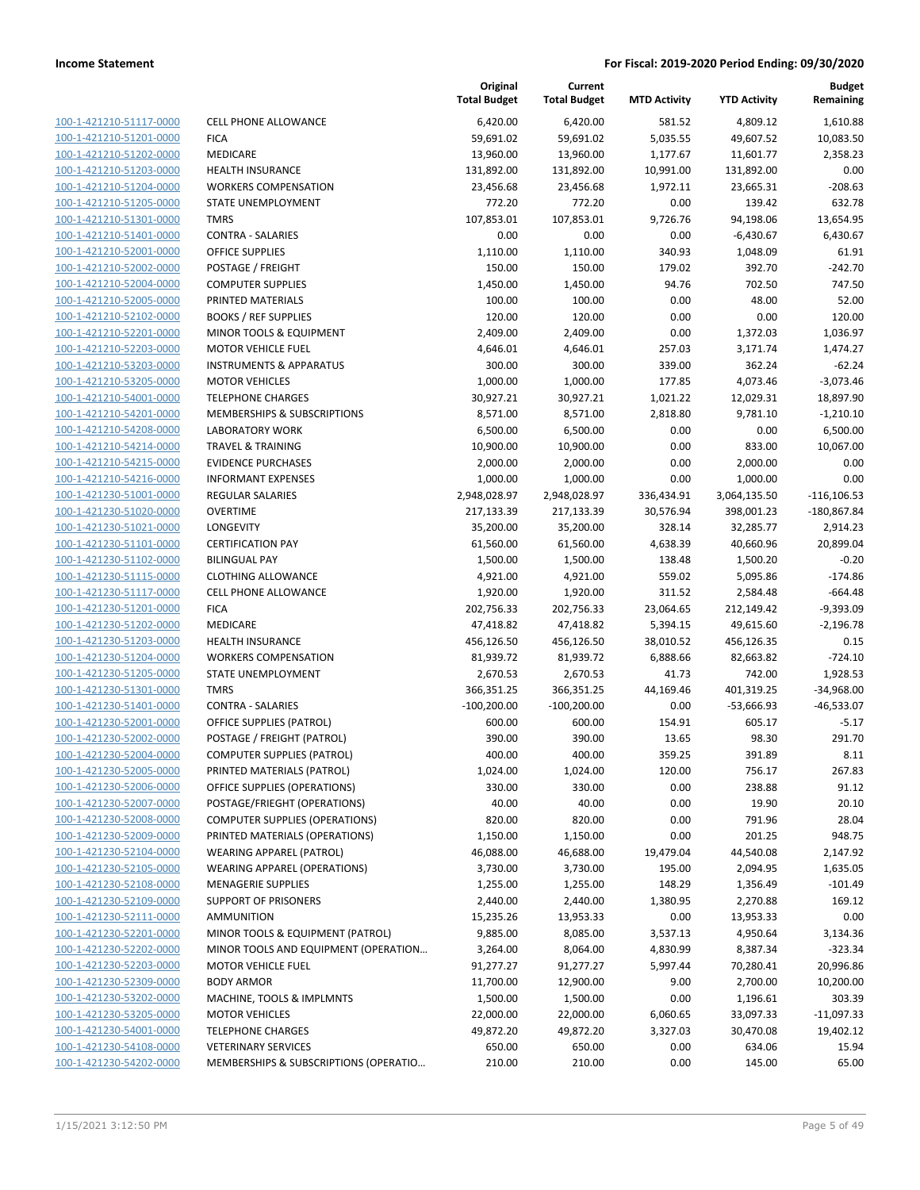| 100-1-421210-51117-0000        | <b>CELL PHONE A</b>     |
|--------------------------------|-------------------------|
| 100-1-421210-51201-0000        | <b>FICA</b>             |
| 100-1-421210-51202-0000        | MEDICARE                |
| 100-1-421210-51203-0000        | <b>HEALTH INSUR</b>     |
| 100-1-421210-51204-0000        | <b>WORKERS CON</b>      |
| 100-1-421210-51205-0000        | STATE UNEMP             |
|                                | <b>TMRS</b>             |
| 100-1-421210-51301-0000        | <b>CONTRA - SAL</b>     |
| 100-1-421210-51401-0000        |                         |
| 100-1-421210-52001-0000        | OFFICE SUPPLI           |
| 100-1-421210-52002-0000        | POSTAGE / FRI           |
| 100-1-421210-52004-0000        | COMPUTER SU             |
| 100-1-421210-52005-0000        | PRINTED MATI            |
| 100-1-421210-52102-0000        | <b>BOOKS / REF S</b>    |
| 100-1-421210-52201-0000        | <b>MINOR TOOLS</b>      |
| 100-1-421210-52203-0000        | <b>MOTOR VEHIC</b>      |
| 100-1-421210-53203-0000        | INSTRUMENTS             |
| 100-1-421210-53205-0000        | <b>MOTOR VEHIC</b>      |
| 100-1-421210-54001-0000        | <b>TELEPHONE CH</b>     |
| 100-1-421210-54201-0000        | <b>MEMBERSHIPS</b>      |
| 100-1-421210-54208-0000        | LABORATORY <sup>'</sup> |
| 100-1-421210-54214-0000        | TRAVEL & TRA            |
| 100-1-421210-54215-0000        | <b>EVIDENCE PUR</b>     |
| 100-1-421210-54216-0000        | <b>INFORMANT E</b>      |
| 100-1-421230-51001-0000        | REGULAR SALA            |
| 100-1-421230-51020-0000        | <b>OVERTIME</b>         |
| 100-1-421230-51021-0000        | LONGEVITY               |
| 100-1-421230-51101-0000        | <b>CERTIFICATION</b>    |
| 100-1-421230-51102-0000        | <b>BILINGUAL PAY</b>    |
| 100-1-421230-51115-0000        | <b>CLOTHING ALL</b>     |
| 100-1-421230-51117-0000        | <b>CELL PHONE A</b>     |
| 100-1-421230-51201-0000        | <b>FICA</b>             |
| 100-1-421230-51202-0000        | MEDICARE                |
| 100-1-421230-51203-0000        | <b>HEALTH INSUR</b>     |
| 100-1-421230-51204-0000        | <b>WORKERS CON</b>      |
| 100-1-421230-51205-0000        | <b>STATE UNEMP</b>      |
| 100-1-421230-51301-0000        | TMRS                    |
| 100-1-421230-51401-0000        | CONTRA - SAL            |
| 100-1-421230-52001-0000        | <b>OFFICE SUPPLI</b>    |
| 100-1-421230-52002-0000        | POSTAGE / FRI           |
| 100-1-421230-52004-0000        | <b>COMPUTER SL</b>      |
| 100-1-421230-52005-0000        | PRINTED MATI            |
| 100-1-421230-52006-0000        | OFFICE SUPPLI           |
| <u>100-1-421230-52007-0000</u> | POSTAGE/FRIE            |
| 100-1-421230-52008-0000        | <b>COMPUTER SL</b>      |
| 100-1-421230-52009-0000        | PRINTED MATI            |
| 100-1-421230-52104-0000        | <b>WEARING APP</b>      |
| 100-1-421230-52105-0000        | <b>WEARING APP</b>      |
| 100-1-421230-52108-0000        | <b>MENAGERIE SI</b>     |
| 100-1-421230-52109-0000        | <b>SUPPORT OF P</b>     |
| 100-1-421230-52111-0000        | AMMUNITION              |
| 100-1-421230-52201-0000        | <b>MINOR TOOLS</b>      |
| 100-1-421230-52202-0000        | <b>MINOR TOOLS</b>      |
|                                |                         |
| 100-1-421230-52203-0000        | <b>MOTOR VEHIC</b>      |
| 100-1-421230-52309-0000        | <b>BODY ARMOR</b>       |
| 100-1-421230-53202-0000        | MACHINE, TO             |
| 100-1-421230-53205-0000        | <b>MOTOR VEHIC</b>      |
| 100-1-421230-54001-0000        | <b>TELEPHONE CH</b>     |
| <u>100-1-421230-54108-0000</u> | <b>VETERINARY S</b>     |
| 100-1-421230-54202-0000        | <b>MEMBERSHIPS</b>      |
|                                |                         |

|                                                    |                                                       | Original<br><b>Total Budget</b> | Current<br><b>Total Budget</b> | <b>MTD Activity</b> | <b>YTD Activity</b>     | <b>Budget</b><br>Remaining |
|----------------------------------------------------|-------------------------------------------------------|---------------------------------|--------------------------------|---------------------|-------------------------|----------------------------|
| 100-1-421210-51117-0000                            | <b>CELL PHONE ALLOWANCE</b>                           | 6,420.00                        | 6,420.00                       | 581.52              | 4,809.12                | 1,610.88                   |
| 100-1-421210-51201-0000                            | <b>FICA</b>                                           | 59,691.02                       | 59,691.02                      | 5,035.55            | 49,607.52               | 10,083.50                  |
| 100-1-421210-51202-0000                            | <b>MEDICARE</b>                                       | 13,960.00                       | 13,960.00                      | 1,177.67            | 11,601.77               | 2,358.23                   |
| 100-1-421210-51203-0000                            | <b>HEALTH INSURANCE</b>                               | 131,892.00                      | 131,892.00                     | 10,991.00           | 131,892.00              | 0.00                       |
| 100-1-421210-51204-0000                            | <b>WORKERS COMPENSATION</b>                           | 23,456.68                       | 23,456.68                      | 1,972.11            | 23,665.31               | $-208.63$                  |
| 100-1-421210-51205-0000                            | STATE UNEMPLOYMENT                                    | 772.20                          | 772.20                         | 0.00                | 139.42                  | 632.78                     |
| 100-1-421210-51301-0000                            | <b>TMRS</b>                                           | 107,853.01                      | 107,853.01                     | 9,726.76            | 94,198.06               | 13,654.95                  |
| 100-1-421210-51401-0000                            | <b>CONTRA - SALARIES</b>                              | 0.00                            | 0.00                           | 0.00                | $-6,430.67$             | 6,430.67                   |
| 100-1-421210-52001-0000                            | <b>OFFICE SUPPLIES</b>                                | 1,110.00                        | 1,110.00                       | 340.93              | 1,048.09                | 61.91                      |
| 100-1-421210-52002-0000                            | POSTAGE / FREIGHT                                     | 150.00                          | 150.00                         | 179.02              | 392.70                  | $-242.70$                  |
| 100-1-421210-52004-0000                            | <b>COMPUTER SUPPLIES</b>                              | 1,450.00                        | 1,450.00                       | 94.76               | 702.50                  | 747.50                     |
| 100-1-421210-52005-0000                            | PRINTED MATERIALS                                     | 100.00                          | 100.00                         | 0.00                | 48.00                   | 52.00                      |
| 100-1-421210-52102-0000                            | <b>BOOKS / REF SUPPLIES</b>                           | 120.00                          | 120.00                         | 0.00                | 0.00                    | 120.00                     |
| 100-1-421210-52201-0000                            | MINOR TOOLS & EQUIPMENT                               | 2,409.00                        | 2,409.00                       | 0.00                | 1,372.03                | 1,036.97                   |
| 100-1-421210-52203-0000                            | <b>MOTOR VEHICLE FUEL</b>                             | 4,646.01                        | 4,646.01                       | 257.03              | 3,171.74                | 1,474.27                   |
| 100-1-421210-53203-0000                            | <b>INSTRUMENTS &amp; APPARATUS</b>                    | 300.00                          | 300.00                         | 339.00              | 362.24                  | $-62.24$                   |
| 100-1-421210-53205-0000                            | <b>MOTOR VEHICLES</b>                                 | 1,000.00                        | 1,000.00                       | 177.85              | 4,073.46                | $-3,073.46$                |
| 100-1-421210-54001-0000<br>100-1-421210-54201-0000 | <b>TELEPHONE CHARGES</b>                              | 30,927.21                       | 30,927.21                      | 1,021.22            | 12,029.31               | 18,897.90                  |
|                                                    | MEMBERSHIPS & SUBSCRIPTIONS<br><b>LABORATORY WORK</b> | 8,571.00                        | 8,571.00                       | 2,818.80            | 9,781.10                | $-1,210.10$                |
| 100-1-421210-54208-0000                            | <b>TRAVEL &amp; TRAINING</b>                          | 6,500.00                        | 6,500.00<br>10,900.00          | 0.00                | 0.00                    | 6,500.00                   |
| 100-1-421210-54214-0000                            | <b>EVIDENCE PURCHASES</b>                             | 10,900.00                       | 2,000.00                       | 0.00                | 833.00                  | 10,067.00<br>0.00          |
| 100-1-421210-54215-0000<br>100-1-421210-54216-0000 | <b>INFORMANT EXPENSES</b>                             | 2,000.00                        |                                | 0.00                | 2,000.00                | 0.00                       |
|                                                    |                                                       | 1,000.00                        | 1,000.00                       | 0.00                | 1,000.00                |                            |
| 100-1-421230-51001-0000                            | REGULAR SALARIES<br><b>OVERTIME</b>                   | 2,948,028.97                    | 2,948,028.97                   | 336,434.91          | 3,064,135.50            | $-116, 106.53$             |
| 100-1-421230-51020-0000<br>100-1-421230-51021-0000 | LONGEVITY                                             | 217,133.39<br>35,200.00         | 217,133.39<br>35,200.00        | 30,576.94<br>328.14 | 398,001.23<br>32,285.77 | $-180,867.84$<br>2,914.23  |
| 100-1-421230-51101-0000                            | <b>CERTIFICATION PAY</b>                              | 61,560.00                       | 61,560.00                      | 4,638.39            | 40,660.96               | 20,899.04                  |
| 100-1-421230-51102-0000                            | <b>BILINGUAL PAY</b>                                  | 1,500.00                        | 1,500.00                       | 138.48              | 1,500.20                | $-0.20$                    |
| 100-1-421230-51115-0000                            | <b>CLOTHING ALLOWANCE</b>                             | 4,921.00                        | 4,921.00                       | 559.02              | 5,095.86                | $-174.86$                  |
| 100-1-421230-51117-0000                            | <b>CELL PHONE ALLOWANCE</b>                           | 1,920.00                        | 1,920.00                       | 311.52              | 2,584.48                | $-664.48$                  |
| 100-1-421230-51201-0000                            | <b>FICA</b>                                           | 202,756.33                      | 202,756.33                     | 23,064.65           | 212,149.42              | $-9,393.09$                |
| 100-1-421230-51202-0000                            | MEDICARE                                              | 47,418.82                       | 47,418.82                      | 5,394.15            | 49,615.60               | $-2,196.78$                |
| 100-1-421230-51203-0000                            | <b>HEALTH INSURANCE</b>                               | 456,126.50                      | 456,126.50                     | 38,010.52           | 456,126.35              | 0.15                       |
| 100-1-421230-51204-0000                            | <b>WORKERS COMPENSATION</b>                           | 81,939.72                       | 81,939.72                      | 6,888.66            | 82,663.82               | $-724.10$                  |
| 100-1-421230-51205-0000                            | STATE UNEMPLOYMENT                                    | 2,670.53                        | 2,670.53                       | 41.73               | 742.00                  | 1,928.53                   |
| 100-1-421230-51301-0000                            | <b>TMRS</b>                                           | 366,351.25                      | 366,351.25                     | 44,169.46           | 401,319.25              | $-34,968.00$               |
| 100-1-421230-51401-0000                            | <b>CONTRA - SALARIES</b>                              | $-100,200.00$                   | $-100,200.00$                  | 0.00                | $-53,666.93$            | $-46,533.07$               |
| 100-1-421230-52001-0000                            | <b>OFFICE SUPPLIES (PATROL)</b>                       | 600.00                          | 600.00                         | 154.91              | 605.17                  | $-5.17$                    |
| 100-1-421230-52002-0000                            | POSTAGE / FREIGHT (PATROL)                            | 390.00                          | 390.00                         | 13.65               | 98.30                   | 291.70                     |
| 100-1-421230-52004-0000                            | <b>COMPUTER SUPPLIES (PATROL)</b>                     | 400.00                          | 400.00                         | 359.25              | 391.89                  | 8.11                       |
| 100-1-421230-52005-0000                            | PRINTED MATERIALS (PATROL)                            | 1,024.00                        | 1,024.00                       | 120.00              | 756.17                  | 267.83                     |
| 100-1-421230-52006-0000                            | OFFICE SUPPLIES (OPERATIONS)                          | 330.00                          | 330.00                         | 0.00                | 238.88                  | 91.12                      |
| 100-1-421230-52007-0000                            | POSTAGE/FRIEGHT (OPERATIONS)                          | 40.00                           | 40.00                          | 0.00                | 19.90                   | 20.10                      |
| 100-1-421230-52008-0000                            | <b>COMPUTER SUPPLIES (OPERATIONS)</b>                 | 820.00                          | 820.00                         | 0.00                | 791.96                  | 28.04                      |
| 100-1-421230-52009-0000                            | PRINTED MATERIALS (OPERATIONS)                        | 1,150.00                        | 1,150.00                       | 0.00                | 201.25                  | 948.75                     |
| 100-1-421230-52104-0000                            | WEARING APPAREL (PATROL)                              | 46,088.00                       | 46,688.00                      | 19,479.04           | 44,540.08               | 2,147.92                   |
| 100-1-421230-52105-0000                            | <b>WEARING APPAREL (OPERATIONS)</b>                   | 3,730.00                        | 3,730.00                       | 195.00              | 2,094.95                | 1,635.05                   |
| 100-1-421230-52108-0000                            | <b>MENAGERIE SUPPLIES</b>                             | 1,255.00                        | 1,255.00                       | 148.29              | 1,356.49                | $-101.49$                  |
| 100-1-421230-52109-0000                            | <b>SUPPORT OF PRISONERS</b>                           | 2,440.00                        | 2,440.00                       | 1,380.95            | 2,270.88                | 169.12                     |
| 100-1-421230-52111-0000                            | AMMUNITION                                            | 15,235.26                       | 13,953.33                      | 0.00                | 13,953.33               | 0.00                       |
| 100-1-421230-52201-0000                            | MINOR TOOLS & EQUIPMENT (PATROL)                      | 9,885.00                        | 8,085.00                       | 3,537.13            | 4,950.64                | 3,134.36                   |
| 100-1-421230-52202-0000                            | MINOR TOOLS AND EQUIPMENT (OPERATION                  | 3,264.00                        | 8,064.00                       | 4,830.99            | 8,387.34                | $-323.34$                  |
| 100-1-421230-52203-0000                            | <b>MOTOR VEHICLE FUEL</b>                             | 91,277.27                       | 91,277.27                      | 5,997.44            | 70,280.41               | 20,996.86                  |
| 100-1-421230-52309-0000                            | <b>BODY ARMOR</b>                                     | 11,700.00                       | 12,900.00                      | 9.00                | 2,700.00                | 10,200.00                  |
| 100-1-421230-53202-0000                            | MACHINE, TOOLS & IMPLMNTS                             | 1,500.00                        | 1,500.00                       | 0.00                | 1,196.61                | 303.39                     |
| 100-1-421230-53205-0000                            | <b>MOTOR VEHICLES</b>                                 | 22,000.00                       | 22,000.00                      | 6,060.65            | 33,097.33               | $-11,097.33$               |
| 100-1-421230-54001-0000                            | <b>TELEPHONE CHARGES</b>                              | 49,872.20                       | 49,872.20                      | 3,327.03            | 30,470.08               | 19,402.12                  |
| 100-1-421230-54108-0000                            | <b>VETERINARY SERVICES</b>                            | 650.00                          | 650.00                         | 0.00                | 634.06                  | 15.94                      |
| 100-1-421230-54202-0000                            | MEMBERSHIPS & SUBSCRIPTIONS (OPERATIO                 | 210.00                          | 210.00                         | 0.00                | 145.00                  | 65.00                      |
|                                                    |                                                       |                                 |                                |                     |                         |                            |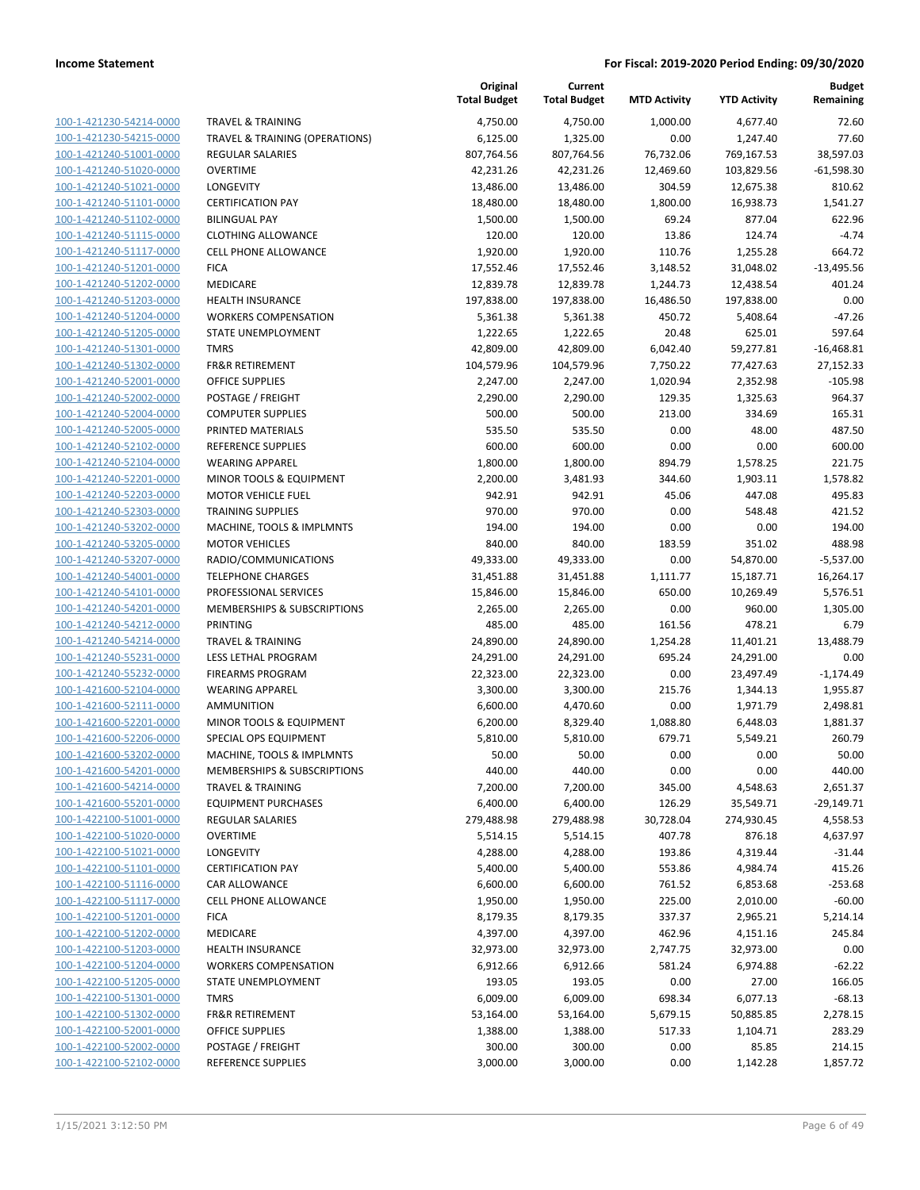| 100-1-421230-54214-0000        |
|--------------------------------|
| 100-1-421230-54215-0000        |
| <u>100-1-421240-51001-0000</u> |
| <u>100-1-421240-51020-0000</u> |
| 100-1-421240-51021-0000        |
| 100-1-421240-51101-0000        |
| 100-1-421240-51102-0000        |
| 100-1-421240-51115-0000        |
| <u>100-1-421240-51117-0000</u> |
| 100-1-421240-51201-0000        |
| 100-1-421240-51202-0000        |
| 100-1-421240-51203-0000        |
| <u>100-1-421240-51204-0000</u> |
| <u>100-1-421240-51205-0000</u> |
| 100-1-421240-51301-0000        |
| 100-1-421240-51302-0000        |
|                                |
| 100-1-421240-52001-0000        |
| 100-1-421240-52002-0000        |
| 100-1-421240-52004-0000        |
| 100-1-421240-52005-0000        |
| 100-1-421240-52102-0000        |
| 100-1-421240-52104-0000        |
| 100-1-421240-52201-0000        |
| <u>100-1-421240-52203-0000</u> |
| 100-1-421240-52303-0000        |
| 100-1-421240-53202-0000        |
| 100-1-421240-53205-0000        |
| <u>100-1-421240-53207-0000</u> |
| <u>100-1-421240-54001-0000</u> |
| 100-1-421240-54101-0000        |
| 100-1-421240-54201-0000        |
| 100-1-421240-54212-0000        |
| <u>100-1-421240-54214-0000</u> |
| <u>100-1-421240-55231-0000</u> |
| 100-1-421240-55232-0000        |
| 100-1-421600-52104-0000        |
| 100-1-421600-52111-0000        |
| 100-1-421600-52201-0000        |
|                                |
| <u>100-1-421600-52206-0000</u> |
| 100-1-421600-53202-0000        |
| 100-1-421600-54201-0000        |
| 100-1-421600-54214-0000        |
| <u>100-1-421600-55201-0000</u> |
| 100-1-422100-51001-0000        |
| <u>100-1-422100-51020-0000</u> |
| 100-1-422100-51021-0000        |
| 100-1-422100-51101-0000        |
| 100-1-422100-51116-0000        |
| <u>100-1-422100-51117-0000</u> |
| <u>100-1-422100-51201-0000</u> |
| 100-1-422100-51202-0000        |
| 100-1-422100-51203-0000        |
| <u>100-1-422100-51204-0000</u> |
| 100-1-422100-51205-0000        |
| <u>100-1-422100-51301-0000</u> |
| <u>100-1-422100-51302-0000</u> |
| 100-1-422100-52001-0000        |
| <u>100-1-422100-52002-0000</u> |
| <u>100-1-422100-52102-0000</u> |
|                                |

|                                                    |                                                  | Original<br><b>Total Budget</b> | Current<br><b>Total Budget</b> | <b>MTD Activity</b> | <b>YTD Activity</b>  | <b>Budget</b><br>Remaining |
|----------------------------------------------------|--------------------------------------------------|---------------------------------|--------------------------------|---------------------|----------------------|----------------------------|
| 100-1-421230-54214-0000                            | <b>TRAVEL &amp; TRAINING</b>                     | 4,750.00                        | 4,750.00                       | 1,000.00            | 4,677.40             | 72.60                      |
| 100-1-421230-54215-0000                            | TRAVEL & TRAINING (OPERATIONS)                   | 6,125.00                        | 1,325.00                       | 0.00                | 1,247.40             | 77.60                      |
| 100-1-421240-51001-0000                            | <b>REGULAR SALARIES</b>                          | 807,764.56                      | 807,764.56                     | 76,732.06           | 769,167.53           | 38,597.03                  |
| 100-1-421240-51020-0000                            | <b>OVERTIME</b>                                  | 42,231.26                       | 42,231.26                      | 12,469.60           | 103,829.56           | $-61,598.30$               |
| 100-1-421240-51021-0000                            | LONGEVITY                                        | 13,486.00                       | 13,486.00                      | 304.59              | 12,675.38            | 810.62                     |
| 100-1-421240-51101-0000                            | <b>CERTIFICATION PAY</b>                         | 18,480.00                       | 18,480.00                      | 1,800.00            | 16,938.73            | 1,541.27                   |
| 100-1-421240-51102-0000                            | <b>BILINGUAL PAY</b>                             | 1,500.00                        | 1,500.00                       | 69.24               | 877.04               | 622.96                     |
| 100-1-421240-51115-0000                            | <b>CLOTHING ALLOWANCE</b>                        | 120.00                          | 120.00                         | 13.86               | 124.74               | $-4.74$                    |
| 100-1-421240-51117-0000                            | <b>CELL PHONE ALLOWANCE</b>                      | 1,920.00                        | 1,920.00                       | 110.76              | 1,255.28             | 664.72                     |
| 100-1-421240-51201-0000                            | <b>FICA</b>                                      | 17,552.46                       | 17,552.46                      | 3,148.52            | 31,048.02            | $-13,495.56$               |
| 100-1-421240-51202-0000                            | MEDICARE                                         | 12,839.78                       | 12,839.78                      | 1,244.73            | 12,438.54            | 401.24                     |
| 100-1-421240-51203-0000                            | <b>HEALTH INSURANCE</b>                          | 197,838.00                      | 197,838.00                     | 16,486.50           | 197,838.00           | 0.00                       |
| 100-1-421240-51204-0000                            | <b>WORKERS COMPENSATION</b>                      | 5,361.38                        | 5,361.38                       | 450.72              | 5,408.64             | $-47.26$                   |
| 100-1-421240-51205-0000                            | STATE UNEMPLOYMENT                               | 1,222.65                        | 1,222.65                       | 20.48               | 625.01               | 597.64                     |
| 100-1-421240-51301-0000                            | <b>TMRS</b>                                      | 42,809.00                       | 42,809.00                      | 6,042.40            | 59,277.81            | $-16,468.81$               |
| 100-1-421240-51302-0000                            | <b>FR&amp;R RETIREMENT</b>                       | 104,579.96                      | 104,579.96                     | 7,750.22            | 77,427.63            | 27,152.33                  |
| 100-1-421240-52001-0000                            | <b>OFFICE SUPPLIES</b>                           | 2,247.00                        | 2,247.00                       | 1,020.94            | 2,352.98             | $-105.98$                  |
| 100-1-421240-52002-0000                            | POSTAGE / FREIGHT                                | 2,290.00                        | 2,290.00                       | 129.35              | 1,325.63             | 964.37                     |
| 100-1-421240-52004-0000                            | <b>COMPUTER SUPPLIES</b>                         | 500.00                          | 500.00                         | 213.00              | 334.69               | 165.31                     |
| 100-1-421240-52005-0000                            | PRINTED MATERIALS                                | 535.50                          | 535.50                         | 0.00                | 48.00                | 487.50                     |
| 100-1-421240-52102-0000                            | <b>REFERENCE SUPPLIES</b>                        | 600.00                          | 600.00                         | 0.00                | 0.00                 | 600.00                     |
| 100-1-421240-52104-0000                            | <b>WEARING APPAREL</b>                           | 1,800.00                        | 1,800.00                       | 894.79              | 1,578.25             | 221.75                     |
| 100-1-421240-52201-0000                            | MINOR TOOLS & EQUIPMENT                          | 2,200.00                        | 3,481.93                       | 344.60              | 1,903.11             | 1,578.82                   |
| 100-1-421240-52203-0000                            | <b>MOTOR VEHICLE FUEL</b>                        | 942.91                          | 942.91                         | 45.06               | 447.08               | 495.83                     |
| 100-1-421240-52303-0000                            | <b>TRAINING SUPPLIES</b>                         | 970.00                          | 970.00                         | 0.00                | 548.48               | 421.52                     |
| 100-1-421240-53202-0000                            | MACHINE, TOOLS & IMPLMNTS                        | 194.00                          | 194.00                         | 0.00                | 0.00                 | 194.00                     |
| 100-1-421240-53205-0000                            | <b>MOTOR VEHICLES</b>                            | 840.00                          | 840.00                         | 183.59              | 351.02               | 488.98                     |
| 100-1-421240-53207-0000                            | RADIO/COMMUNICATIONS                             | 49,333.00                       | 49,333.00                      | 0.00                | 54,870.00            | $-5,537.00$                |
| 100-1-421240-54001-0000                            | <b>TELEPHONE CHARGES</b>                         | 31,451.88                       | 31,451.88                      | 1,111.77            | 15,187.71            | 16,264.17                  |
| 100-1-421240-54101-0000                            | PROFESSIONAL SERVICES                            | 15,846.00                       | 15,846.00                      | 650.00              | 10,269.49            | 5,576.51                   |
| 100-1-421240-54201-0000                            | MEMBERSHIPS & SUBSCRIPTIONS                      | 2,265.00                        | 2,265.00                       | 0.00                | 960.00               | 1,305.00                   |
| 100-1-421240-54212-0000                            | PRINTING                                         | 485.00                          | 485.00                         | 161.56              | 478.21               | 6.79                       |
| 100-1-421240-54214-0000                            | <b>TRAVEL &amp; TRAINING</b>                     | 24,890.00                       | 24,890.00                      | 1,254.28            | 11,401.21            | 13,488.79                  |
| 100-1-421240-55231-0000                            | LESS LETHAL PROGRAM                              | 24,291.00                       | 24,291.00                      | 695.24              | 24,291.00            | 0.00                       |
| 100-1-421240-55232-0000                            | <b>FIREARMS PROGRAM</b>                          | 22,323.00                       | 22,323.00                      | 0.00                | 23,497.49            | $-1,174.49$                |
| 100-1-421600-52104-0000                            | <b>WEARING APPAREL</b>                           | 3,300.00                        | 3,300.00                       | 215.76              | 1,344.13             | 1,955.87<br>2,498.81       |
| 100-1-421600-52111-0000                            | AMMUNITION                                       | 6,600.00                        | 4,470.60                       | 0.00                | 1,971.79             |                            |
| 100-1-421600-52201-0000<br>100-1-421600-52206-0000 | MINOR TOOLS & EQUIPMENT<br>SPECIAL OPS EQUIPMENT | 6,200.00<br>5,810.00            | 8,329.40<br>5,810.00           | 1,088.80<br>679.71  | 6,448.03<br>5,549.21 | 1,881.37<br>260.79         |
| 100-1-421600-53202-0000                            | MACHINE, TOOLS & IMPLMNTS                        | 50.00                           | 50.00                          | 0.00                | 0.00                 | 50.00                      |
| 100-1-421600-54201-0000                            | MEMBERSHIPS & SUBSCRIPTIONS                      | 440.00                          | 440.00                         | 0.00                | 0.00                 | 440.00                     |
| 100-1-421600-54214-0000                            | <b>TRAVEL &amp; TRAINING</b>                     | 7,200.00                        | 7,200.00                       | 345.00              | 4,548.63             | 2,651.37                   |
| 100-1-421600-55201-0000                            | <b>EQUIPMENT PURCHASES</b>                       | 6,400.00                        | 6,400.00                       | 126.29              | 35,549.71            | $-29,149.71$               |
| 100-1-422100-51001-0000                            | <b>REGULAR SALARIES</b>                          | 279,488.98                      | 279,488.98                     | 30,728.04           | 274,930.45           | 4,558.53                   |
| 100-1-422100-51020-0000                            | <b>OVERTIME</b>                                  | 5,514.15                        | 5,514.15                       | 407.78              | 876.18               | 4,637.97                   |
| 100-1-422100-51021-0000                            | LONGEVITY                                        | 4,288.00                        | 4,288.00                       | 193.86              | 4,319.44             | $-31.44$                   |
| 100-1-422100-51101-0000                            | <b>CERTIFICATION PAY</b>                         | 5,400.00                        | 5,400.00                       | 553.86              | 4,984.74             | 415.26                     |
| 100-1-422100-51116-0000                            | <b>CAR ALLOWANCE</b>                             | 6,600.00                        | 6,600.00                       | 761.52              | 6,853.68             | $-253.68$                  |
| 100-1-422100-51117-0000                            | <b>CELL PHONE ALLOWANCE</b>                      | 1,950.00                        | 1,950.00                       | 225.00              | 2,010.00             | $-60.00$                   |
| 100-1-422100-51201-0000                            | <b>FICA</b>                                      | 8,179.35                        | 8,179.35                       | 337.37              | 2,965.21             | 5,214.14                   |
| 100-1-422100-51202-0000                            | <b>MEDICARE</b>                                  | 4,397.00                        | 4,397.00                       | 462.96              | 4,151.16             | 245.84                     |
| 100-1-422100-51203-0000                            | <b>HEALTH INSURANCE</b>                          | 32,973.00                       | 32,973.00                      | 2,747.75            | 32,973.00            | 0.00                       |
| 100-1-422100-51204-0000                            | <b>WORKERS COMPENSATION</b>                      | 6,912.66                        | 6,912.66                       | 581.24              | 6,974.88             | $-62.22$                   |
| 100-1-422100-51205-0000                            | STATE UNEMPLOYMENT                               | 193.05                          | 193.05                         | 0.00                | 27.00                | 166.05                     |
| 100-1-422100-51301-0000                            | <b>TMRS</b>                                      | 6,009.00                        | 6,009.00                       | 698.34              | 6,077.13             | $-68.13$                   |
| 100-1-422100-51302-0000                            | <b>FR&amp;R RETIREMENT</b>                       | 53,164.00                       | 53,164.00                      | 5,679.15            | 50,885.85            | 2,278.15                   |
| 100-1-422100-52001-0000                            | OFFICE SUPPLIES                                  | 1,388.00                        | 1,388.00                       | 517.33              | 1,104.71             | 283.29                     |
| 100-1-422100-52002-0000                            | POSTAGE / FREIGHT                                | 300.00                          | 300.00                         | 0.00                | 85.85                | 214.15                     |
| 100-1-422100-52102-0000                            | REFERENCE SUPPLIES                               | 3,000.00                        | 3,000.00                       | 0.00                | 1,142.28             | 1,857.72                   |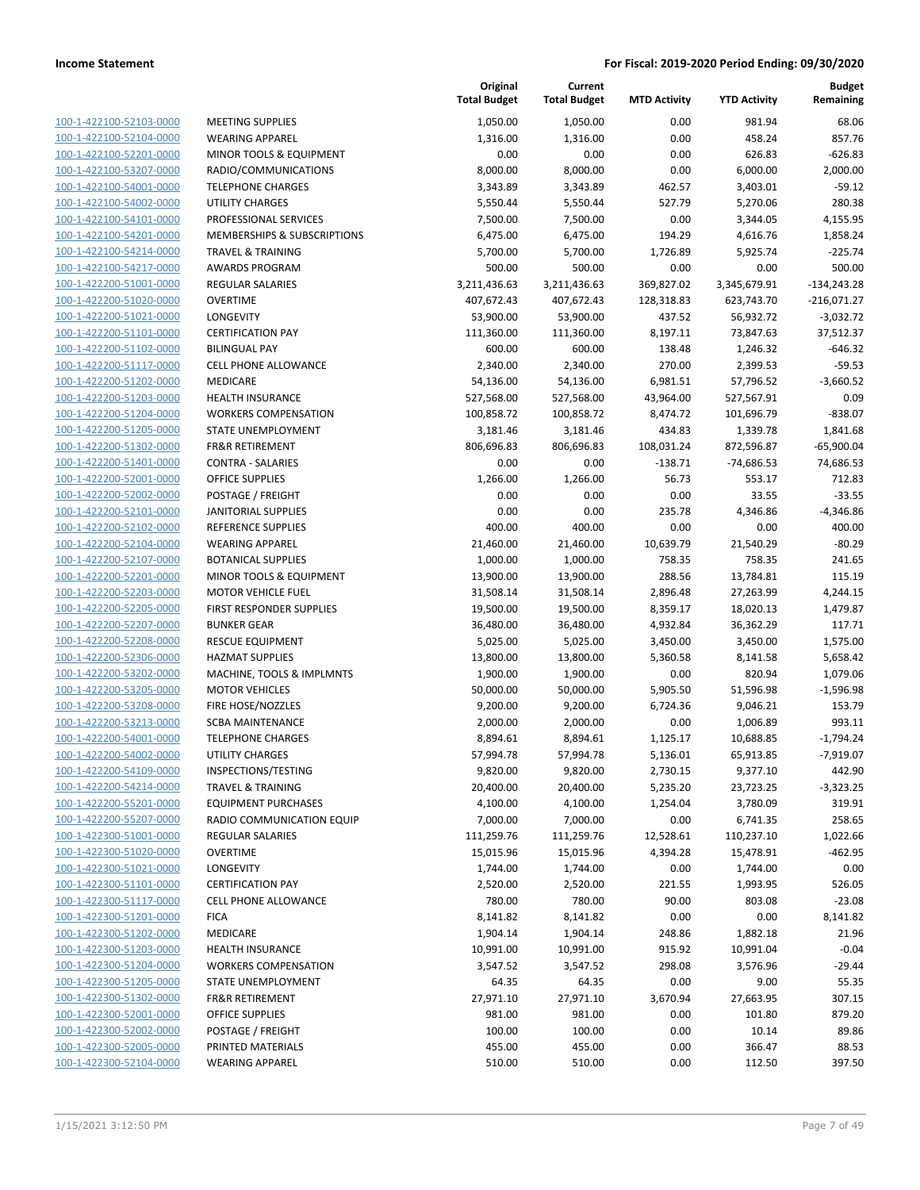| 100-1-422100-52103-0000<br>100-1-422100-52104-0000<br>100-1-422100-52201-0000<br>100-1-422100-53207-0000<br><b>TELEPH</b><br>100-1-422100-54001-0000<br>100-1-422100-54002-0000<br>UTILITY<br>100-1-422100-54101-0000<br>100-1-422100-54201-0000<br>100-1-422100-54214-0000<br><b>TRAVEI</b><br>100-1-422100-54217-0000<br>100-1-422200-51001-0000<br>100-1-422200-51020-0000<br>100-1-422200-51021-0000<br>100-1-422200-51101-0000<br>100-1-422200-51102-0000<br>100-1-422200-51117-0000<br>100-1-422200-51202-0000<br>100-1-422200-51203-0000<br>100-1-422200-51204-0000<br>100-1-422200-51205-0000<br>100-1-422200-51302-0000<br>100-1-422200-51401-0000<br>100-1-422200-52001-0000<br>100-1-422200-52002-0000<br>100-1-422200-52101-0000<br><b>JANITO</b><br>100-1-422200-52102-0000<br>100-1-422200-52104-0000<br>100-1-422200-52107-0000<br>100-1-422200-52201-0000<br>100-1-422200-52203-0000<br>100-1-422200-52205-0000<br>100-1-422200-52207-0000<br>100-1-422200-52208-0000<br>100-1-422200-52306-0000<br>100-1-422200-53202-0000<br>100-1-422200-53205-0000<br>100-1-422200-53208-0000<br>100-1-422200-53213-0000<br>100-1-422200-54001-0000<br>100-1-422200-54002-0000<br>100-1-422200-54109-0000<br><b>INSPEC</b><br>100-1-422200-54214-0000<br>100-1-422200-55201-0000<br><b>EQUIPI</b><br>100-1-422200-55207-0000<br>RADIO<br>100-1-422300-51001-0000<br>REGUL<br>100-1-422300-51020-0000<br><b>OVERT</b><br>100-1-422300-51021-0000<br>LONGE<br>100-1-422300-51101-0000<br><b>CERTIF</b><br>100-1-422300-51117-0000<br>CELL PI<br>100-1-422300-51201-0000<br><b>FICA</b><br>100-1-422300-51202-0000<br>MEDIC,<br><b>HEALTI</b><br>100-1-422300-51203-0000<br>100-1-422300-51204-0000<br><b>WORKE</b> | MEETIN<br>WEARI<br><b>MINOR</b><br>RADIO |
|----------------------------------------------------------------------------------------------------------------------------------------------------------------------------------------------------------------------------------------------------------------------------------------------------------------------------------------------------------------------------------------------------------------------------------------------------------------------------------------------------------------------------------------------------------------------------------------------------------------------------------------------------------------------------------------------------------------------------------------------------------------------------------------------------------------------------------------------------------------------------------------------------------------------------------------------------------------------------------------------------------------------------------------------------------------------------------------------------------------------------------------------------------------------------------------------------------------------------------------------------------------------------------------------------------------------------------------------------------------------------------------------------------------------------------------------------------------------------------------------------------------------------------------------------------------------------------------------------------------------------------------------------------------------------------------------------------------------|------------------------------------------|
|                                                                                                                                                                                                                                                                                                                                                                                                                                                                                                                                                                                                                                                                                                                                                                                                                                                                                                                                                                                                                                                                                                                                                                                                                                                                                                                                                                                                                                                                                                                                                                                                                                                                                                                      |                                          |
|                                                                                                                                                                                                                                                                                                                                                                                                                                                                                                                                                                                                                                                                                                                                                                                                                                                                                                                                                                                                                                                                                                                                                                                                                                                                                                                                                                                                                                                                                                                                                                                                                                                                                                                      |                                          |
|                                                                                                                                                                                                                                                                                                                                                                                                                                                                                                                                                                                                                                                                                                                                                                                                                                                                                                                                                                                                                                                                                                                                                                                                                                                                                                                                                                                                                                                                                                                                                                                                                                                                                                                      |                                          |
|                                                                                                                                                                                                                                                                                                                                                                                                                                                                                                                                                                                                                                                                                                                                                                                                                                                                                                                                                                                                                                                                                                                                                                                                                                                                                                                                                                                                                                                                                                                                                                                                                                                                                                                      |                                          |
|                                                                                                                                                                                                                                                                                                                                                                                                                                                                                                                                                                                                                                                                                                                                                                                                                                                                                                                                                                                                                                                                                                                                                                                                                                                                                                                                                                                                                                                                                                                                                                                                                                                                                                                      |                                          |
|                                                                                                                                                                                                                                                                                                                                                                                                                                                                                                                                                                                                                                                                                                                                                                                                                                                                                                                                                                                                                                                                                                                                                                                                                                                                                                                                                                                                                                                                                                                                                                                                                                                                                                                      |                                          |
|                                                                                                                                                                                                                                                                                                                                                                                                                                                                                                                                                                                                                                                                                                                                                                                                                                                                                                                                                                                                                                                                                                                                                                                                                                                                                                                                                                                                                                                                                                                                                                                                                                                                                                                      | PROFES                                   |
|                                                                                                                                                                                                                                                                                                                                                                                                                                                                                                                                                                                                                                                                                                                                                                                                                                                                                                                                                                                                                                                                                                                                                                                                                                                                                                                                                                                                                                                                                                                                                                                                                                                                                                                      | <b>MEMB</b>                              |
|                                                                                                                                                                                                                                                                                                                                                                                                                                                                                                                                                                                                                                                                                                                                                                                                                                                                                                                                                                                                                                                                                                                                                                                                                                                                                                                                                                                                                                                                                                                                                                                                                                                                                                                      |                                          |
|                                                                                                                                                                                                                                                                                                                                                                                                                                                                                                                                                                                                                                                                                                                                                                                                                                                                                                                                                                                                                                                                                                                                                                                                                                                                                                                                                                                                                                                                                                                                                                                                                                                                                                                      | AWARI                                    |
|                                                                                                                                                                                                                                                                                                                                                                                                                                                                                                                                                                                                                                                                                                                                                                                                                                                                                                                                                                                                                                                                                                                                                                                                                                                                                                                                                                                                                                                                                                                                                                                                                                                                                                                      | REGUL                                    |
|                                                                                                                                                                                                                                                                                                                                                                                                                                                                                                                                                                                                                                                                                                                                                                                                                                                                                                                                                                                                                                                                                                                                                                                                                                                                                                                                                                                                                                                                                                                                                                                                                                                                                                                      | <b>OVERT</b>                             |
|                                                                                                                                                                                                                                                                                                                                                                                                                                                                                                                                                                                                                                                                                                                                                                                                                                                                                                                                                                                                                                                                                                                                                                                                                                                                                                                                                                                                                                                                                                                                                                                                                                                                                                                      | LONGE                                    |
|                                                                                                                                                                                                                                                                                                                                                                                                                                                                                                                                                                                                                                                                                                                                                                                                                                                                                                                                                                                                                                                                                                                                                                                                                                                                                                                                                                                                                                                                                                                                                                                                                                                                                                                      | <b>CERTIF</b>                            |
|                                                                                                                                                                                                                                                                                                                                                                                                                                                                                                                                                                                                                                                                                                                                                                                                                                                                                                                                                                                                                                                                                                                                                                                                                                                                                                                                                                                                                                                                                                                                                                                                                                                                                                                      | <b>BILING</b>                            |
|                                                                                                                                                                                                                                                                                                                                                                                                                                                                                                                                                                                                                                                                                                                                                                                                                                                                                                                                                                                                                                                                                                                                                                                                                                                                                                                                                                                                                                                                                                                                                                                                                                                                                                                      | <b>CELL PI</b>                           |
|                                                                                                                                                                                                                                                                                                                                                                                                                                                                                                                                                                                                                                                                                                                                                                                                                                                                                                                                                                                                                                                                                                                                                                                                                                                                                                                                                                                                                                                                                                                                                                                                                                                                                                                      | <b>MEDIC</b>                             |
|                                                                                                                                                                                                                                                                                                                                                                                                                                                                                                                                                                                                                                                                                                                                                                                                                                                                                                                                                                                                                                                                                                                                                                                                                                                                                                                                                                                                                                                                                                                                                                                                                                                                                                                      | <b>HEALTI</b>                            |
|                                                                                                                                                                                                                                                                                                                                                                                                                                                                                                                                                                                                                                                                                                                                                                                                                                                                                                                                                                                                                                                                                                                                                                                                                                                                                                                                                                                                                                                                                                                                                                                                                                                                                                                      | <b>WORKE</b>                             |
|                                                                                                                                                                                                                                                                                                                                                                                                                                                                                                                                                                                                                                                                                                                                                                                                                                                                                                                                                                                                                                                                                                                                                                                                                                                                                                                                                                                                                                                                                                                                                                                                                                                                                                                      | STATE I                                  |
|                                                                                                                                                                                                                                                                                                                                                                                                                                                                                                                                                                                                                                                                                                                                                                                                                                                                                                                                                                                                                                                                                                                                                                                                                                                                                                                                                                                                                                                                                                                                                                                                                                                                                                                      | FR&R R                                   |
|                                                                                                                                                                                                                                                                                                                                                                                                                                                                                                                                                                                                                                                                                                                                                                                                                                                                                                                                                                                                                                                                                                                                                                                                                                                                                                                                                                                                                                                                                                                                                                                                                                                                                                                      | <b>CONTR</b>                             |
|                                                                                                                                                                                                                                                                                                                                                                                                                                                                                                                                                                                                                                                                                                                                                                                                                                                                                                                                                                                                                                                                                                                                                                                                                                                                                                                                                                                                                                                                                                                                                                                                                                                                                                                      | OFFICE                                   |
|                                                                                                                                                                                                                                                                                                                                                                                                                                                                                                                                                                                                                                                                                                                                                                                                                                                                                                                                                                                                                                                                                                                                                                                                                                                                                                                                                                                                                                                                                                                                                                                                                                                                                                                      | <b>POSTA</b>                             |
|                                                                                                                                                                                                                                                                                                                                                                                                                                                                                                                                                                                                                                                                                                                                                                                                                                                                                                                                                                                                                                                                                                                                                                                                                                                                                                                                                                                                                                                                                                                                                                                                                                                                                                                      |                                          |
|                                                                                                                                                                                                                                                                                                                                                                                                                                                                                                                                                                                                                                                                                                                                                                                                                                                                                                                                                                                                                                                                                                                                                                                                                                                                                                                                                                                                                                                                                                                                                                                                                                                                                                                      | REFERE                                   |
|                                                                                                                                                                                                                                                                                                                                                                                                                                                                                                                                                                                                                                                                                                                                                                                                                                                                                                                                                                                                                                                                                                                                                                                                                                                                                                                                                                                                                                                                                                                                                                                                                                                                                                                      | WEARI                                    |
|                                                                                                                                                                                                                                                                                                                                                                                                                                                                                                                                                                                                                                                                                                                                                                                                                                                                                                                                                                                                                                                                                                                                                                                                                                                                                                                                                                                                                                                                                                                                                                                                                                                                                                                      | <b>BOTAN</b>                             |
|                                                                                                                                                                                                                                                                                                                                                                                                                                                                                                                                                                                                                                                                                                                                                                                                                                                                                                                                                                                                                                                                                                                                                                                                                                                                                                                                                                                                                                                                                                                                                                                                                                                                                                                      | <b>MINOR</b>                             |
|                                                                                                                                                                                                                                                                                                                                                                                                                                                                                                                                                                                                                                                                                                                                                                                                                                                                                                                                                                                                                                                                                                                                                                                                                                                                                                                                                                                                                                                                                                                                                                                                                                                                                                                      | MOTOI                                    |
|                                                                                                                                                                                                                                                                                                                                                                                                                                                                                                                                                                                                                                                                                                                                                                                                                                                                                                                                                                                                                                                                                                                                                                                                                                                                                                                                                                                                                                                                                                                                                                                                                                                                                                                      | <b>FIRST R</b>                           |
|                                                                                                                                                                                                                                                                                                                                                                                                                                                                                                                                                                                                                                                                                                                                                                                                                                                                                                                                                                                                                                                                                                                                                                                                                                                                                                                                                                                                                                                                                                                                                                                                                                                                                                                      | <b>BUNKE</b>                             |
|                                                                                                                                                                                                                                                                                                                                                                                                                                                                                                                                                                                                                                                                                                                                                                                                                                                                                                                                                                                                                                                                                                                                                                                                                                                                                                                                                                                                                                                                                                                                                                                                                                                                                                                      | <b>RESCUI</b>                            |
|                                                                                                                                                                                                                                                                                                                                                                                                                                                                                                                                                                                                                                                                                                                                                                                                                                                                                                                                                                                                                                                                                                                                                                                                                                                                                                                                                                                                                                                                                                                                                                                                                                                                                                                      | HAZM/                                    |
|                                                                                                                                                                                                                                                                                                                                                                                                                                                                                                                                                                                                                                                                                                                                                                                                                                                                                                                                                                                                                                                                                                                                                                                                                                                                                                                                                                                                                                                                                                                                                                                                                                                                                                                      | MACHI                                    |
|                                                                                                                                                                                                                                                                                                                                                                                                                                                                                                                                                                                                                                                                                                                                                                                                                                                                                                                                                                                                                                                                                                                                                                                                                                                                                                                                                                                                                                                                                                                                                                                                                                                                                                                      | MOTOI                                    |
|                                                                                                                                                                                                                                                                                                                                                                                                                                                                                                                                                                                                                                                                                                                                                                                                                                                                                                                                                                                                                                                                                                                                                                                                                                                                                                                                                                                                                                                                                                                                                                                                                                                                                                                      | FIRE HO                                  |
|                                                                                                                                                                                                                                                                                                                                                                                                                                                                                                                                                                                                                                                                                                                                                                                                                                                                                                                                                                                                                                                                                                                                                                                                                                                                                                                                                                                                                                                                                                                                                                                                                                                                                                                      | SCBA <sub>N</sub>                        |
|                                                                                                                                                                                                                                                                                                                                                                                                                                                                                                                                                                                                                                                                                                                                                                                                                                                                                                                                                                                                                                                                                                                                                                                                                                                                                                                                                                                                                                                                                                                                                                                                                                                                                                                      | TELEPH                                   |
|                                                                                                                                                                                                                                                                                                                                                                                                                                                                                                                                                                                                                                                                                                                                                                                                                                                                                                                                                                                                                                                                                                                                                                                                                                                                                                                                                                                                                                                                                                                                                                                                                                                                                                                      | UTILITY                                  |
|                                                                                                                                                                                                                                                                                                                                                                                                                                                                                                                                                                                                                                                                                                                                                                                                                                                                                                                                                                                                                                                                                                                                                                                                                                                                                                                                                                                                                                                                                                                                                                                                                                                                                                                      |                                          |
|                                                                                                                                                                                                                                                                                                                                                                                                                                                                                                                                                                                                                                                                                                                                                                                                                                                                                                                                                                                                                                                                                                                                                                                                                                                                                                                                                                                                                                                                                                                                                                                                                                                                                                                      | TRAVEI                                   |
|                                                                                                                                                                                                                                                                                                                                                                                                                                                                                                                                                                                                                                                                                                                                                                                                                                                                                                                                                                                                                                                                                                                                                                                                                                                                                                                                                                                                                                                                                                                                                                                                                                                                                                                      |                                          |
|                                                                                                                                                                                                                                                                                                                                                                                                                                                                                                                                                                                                                                                                                                                                                                                                                                                                                                                                                                                                                                                                                                                                                                                                                                                                                                                                                                                                                                                                                                                                                                                                                                                                                                                      |                                          |
|                                                                                                                                                                                                                                                                                                                                                                                                                                                                                                                                                                                                                                                                                                                                                                                                                                                                                                                                                                                                                                                                                                                                                                                                                                                                                                                                                                                                                                                                                                                                                                                                                                                                                                                      |                                          |
|                                                                                                                                                                                                                                                                                                                                                                                                                                                                                                                                                                                                                                                                                                                                                                                                                                                                                                                                                                                                                                                                                                                                                                                                                                                                                                                                                                                                                                                                                                                                                                                                                                                                                                                      |                                          |
|                                                                                                                                                                                                                                                                                                                                                                                                                                                                                                                                                                                                                                                                                                                                                                                                                                                                                                                                                                                                                                                                                                                                                                                                                                                                                                                                                                                                                                                                                                                                                                                                                                                                                                                      |                                          |
|                                                                                                                                                                                                                                                                                                                                                                                                                                                                                                                                                                                                                                                                                                                                                                                                                                                                                                                                                                                                                                                                                                                                                                                                                                                                                                                                                                                                                                                                                                                                                                                                                                                                                                                      |                                          |
|                                                                                                                                                                                                                                                                                                                                                                                                                                                                                                                                                                                                                                                                                                                                                                                                                                                                                                                                                                                                                                                                                                                                                                                                                                                                                                                                                                                                                                                                                                                                                                                                                                                                                                                      |                                          |
|                                                                                                                                                                                                                                                                                                                                                                                                                                                                                                                                                                                                                                                                                                                                                                                                                                                                                                                                                                                                                                                                                                                                                                                                                                                                                                                                                                                                                                                                                                                                                                                                                                                                                                                      |                                          |
|                                                                                                                                                                                                                                                                                                                                                                                                                                                                                                                                                                                                                                                                                                                                                                                                                                                                                                                                                                                                                                                                                                                                                                                                                                                                                                                                                                                                                                                                                                                                                                                                                                                                                                                      |                                          |
|                                                                                                                                                                                                                                                                                                                                                                                                                                                                                                                                                                                                                                                                                                                                                                                                                                                                                                                                                                                                                                                                                                                                                                                                                                                                                                                                                                                                                                                                                                                                                                                                                                                                                                                      |                                          |
|                                                                                                                                                                                                                                                                                                                                                                                                                                                                                                                                                                                                                                                                                                                                                                                                                                                                                                                                                                                                                                                                                                                                                                                                                                                                                                                                                                                                                                                                                                                                                                                                                                                                                                                      |                                          |
| 100-1-422300-51205-0000                                                                                                                                                                                                                                                                                                                                                                                                                                                                                                                                                                                                                                                                                                                                                                                                                                                                                                                                                                                                                                                                                                                                                                                                                                                                                                                                                                                                                                                                                                                                                                                                                                                                                              | <b>STATE</b>                             |
| 100-1-422300-51302-0000                                                                                                                                                                                                                                                                                                                                                                                                                                                                                                                                                                                                                                                                                                                                                                                                                                                                                                                                                                                                                                                                                                                                                                                                                                                                                                                                                                                                                                                                                                                                                                                                                                                                                              | FR&R R                                   |
| <u>100-1-422300-52001-0000</u>                                                                                                                                                                                                                                                                                                                                                                                                                                                                                                                                                                                                                                                                                                                                                                                                                                                                                                                                                                                                                                                                                                                                                                                                                                                                                                                                                                                                                                                                                                                                                                                                                                                                                       | OFFICE                                   |
| 100-1-422300-52002-0000                                                                                                                                                                                                                                                                                                                                                                                                                                                                                                                                                                                                                                                                                                                                                                                                                                                                                                                                                                                                                                                                                                                                                                                                                                                                                                                                                                                                                                                                                                                                                                                                                                                                                              | <b>POSTA</b>                             |
|                                                                                                                                                                                                                                                                                                                                                                                                                                                                                                                                                                                                                                                                                                                                                                                                                                                                                                                                                                                                                                                                                                                                                                                                                                                                                                                                                                                                                                                                                                                                                                                                                                                                                                                      |                                          |
| 100-1-422300-52005-0000<br>PRINTE<br>100-1-422300-52104-0000                                                                                                                                                                                                                                                                                                                                                                                                                                                                                                                                                                                                                                                                                                                                                                                                                                                                                                                                                                                                                                                                                                                                                                                                                                                                                                                                                                                                                                                                                                                                                                                                                                                         | WEARI                                    |

|                         |                              | Original<br><b>Total Budget</b> | Current<br><b>Total Budget</b> | <b>MTD Activity</b> | <b>YTD Activity</b> | <b>Budget</b><br>Remaining |
|-------------------------|------------------------------|---------------------------------|--------------------------------|---------------------|---------------------|----------------------------|
| 100-1-422100-52103-0000 | <b>MEETING SUPPLIES</b>      | 1,050.00                        | 1,050.00                       | 0.00                | 981.94              | 68.06                      |
| 100-1-422100-52104-0000 | <b>WEARING APPAREL</b>       | 1,316.00                        | 1,316.00                       | 0.00                | 458.24              | 857.76                     |
| 100-1-422100-52201-0000 | MINOR TOOLS & EQUIPMENT      | 0.00                            | 0.00                           | 0.00                | 626.83              | $-626.83$                  |
| 100-1-422100-53207-0000 | RADIO/COMMUNICATIONS         | 8,000.00                        | 8,000.00                       | 0.00                | 6,000.00            | 2,000.00                   |
| 100-1-422100-54001-0000 | <b>TELEPHONE CHARGES</b>     | 3,343.89                        | 3,343.89                       | 462.57              | 3,403.01            | $-59.12$                   |
| 100-1-422100-54002-0000 | <b>UTILITY CHARGES</b>       | 5,550.44                        | 5,550.44                       | 527.79              | 5,270.06            | 280.38                     |
| 100-1-422100-54101-0000 | PROFESSIONAL SERVICES        | 7,500.00                        | 7,500.00                       | 0.00                | 3,344.05            | 4,155.95                   |
| 100-1-422100-54201-0000 | MEMBERSHIPS & SUBSCRIPTIONS  | 6,475.00                        | 6,475.00                       | 194.29              | 4,616.76            | 1,858.24                   |
| 100-1-422100-54214-0000 | <b>TRAVEL &amp; TRAINING</b> | 5,700.00                        | 5,700.00                       | 1,726.89            | 5,925.74            | $-225.74$                  |
| 100-1-422100-54217-0000 | <b>AWARDS PROGRAM</b>        | 500.00                          | 500.00                         | 0.00                | 0.00                | 500.00                     |
| 100-1-422200-51001-0000 | REGULAR SALARIES             | 3,211,436.63                    | 3,211,436.63                   | 369,827.02          | 3,345,679.91        | $-134,243.28$              |
| 100-1-422200-51020-0000 | <b>OVERTIME</b>              | 407,672.43                      | 407,672.43                     | 128,318.83          | 623,743.70          | $-216,071.27$              |
| 100-1-422200-51021-0000 | LONGEVITY                    | 53,900.00                       | 53,900.00                      | 437.52              | 56,932.72           | $-3,032.72$                |
| 100-1-422200-51101-0000 | <b>CERTIFICATION PAY</b>     | 111,360.00                      | 111,360.00                     | 8,197.11            | 73,847.63           | 37,512.37                  |
| 100-1-422200-51102-0000 | <b>BILINGUAL PAY</b>         | 600.00                          | 600.00                         | 138.48              | 1,246.32            | $-646.32$                  |
| 100-1-422200-51117-0000 | CELL PHONE ALLOWANCE         | 2,340.00                        | 2,340.00                       | 270.00              | 2,399.53            | $-59.53$                   |
| 100-1-422200-51202-0000 | MEDICARE                     | 54,136.00                       | 54,136.00                      | 6,981.51            | 57,796.52           | $-3,660.52$                |
| 100-1-422200-51203-0000 | <b>HEALTH INSURANCE</b>      | 527,568.00                      | 527,568.00                     | 43,964.00           | 527,567.91          | 0.09                       |
| 100-1-422200-51204-0000 | <b>WORKERS COMPENSATION</b>  | 100,858.72                      | 100,858.72                     | 8,474.72            | 101,696.79          | $-838.07$                  |
| 100-1-422200-51205-0000 | STATE UNEMPLOYMENT           | 3,181.46                        | 3,181.46                       | 434.83              | 1,339.78            | 1,841.68                   |
| 100-1-422200-51302-0000 | <b>FR&amp;R RETIREMENT</b>   | 806,696.83                      | 806,696.83                     | 108,031.24          | 872,596.87          | $-65,900.04$               |
| 100-1-422200-51401-0000 | <b>CONTRA - SALARIES</b>     | 0.00                            | 0.00                           | $-138.71$           | $-74,686.53$        | 74,686.53                  |
| 100-1-422200-52001-0000 | <b>OFFICE SUPPLIES</b>       | 1,266.00                        | 1,266.00                       | 56.73               | 553.17              | 712.83                     |
| 100-1-422200-52002-0000 | POSTAGE / FREIGHT            | 0.00                            | 0.00                           | 0.00                | 33.55               | $-33.55$                   |
| 100-1-422200-52101-0000 | <b>JANITORIAL SUPPLIES</b>   | 0.00                            | 0.00                           | 235.78              | 4,346.86            | $-4,346.86$                |
| 100-1-422200-52102-0000 | REFERENCE SUPPLIES           | 400.00                          | 400.00                         | 0.00                | 0.00                | 400.00                     |
| 100-1-422200-52104-0000 | <b>WEARING APPAREL</b>       | 21,460.00                       | 21,460.00                      | 10,639.79           | 21,540.29           | $-80.29$                   |
| 100-1-422200-52107-0000 | <b>BOTANICAL SUPPLIES</b>    | 1,000.00                        | 1,000.00                       | 758.35              | 758.35              | 241.65                     |
| 100-1-422200-52201-0000 | MINOR TOOLS & EQUIPMENT      | 13,900.00                       | 13,900.00                      | 288.56              | 13,784.81           | 115.19                     |
| 100-1-422200-52203-0000 | <b>MOTOR VEHICLE FUEL</b>    | 31,508.14                       | 31,508.14                      | 2,896.48            | 27,263.99           | 4,244.15                   |
| 100-1-422200-52205-0000 | FIRST RESPONDER SUPPLIES     | 19,500.00                       | 19,500.00                      | 8,359.17            | 18,020.13           | 1,479.87                   |
| 100-1-422200-52207-0000 | <b>BUNKER GEAR</b>           | 36,480.00                       | 36,480.00                      | 4,932.84            | 36,362.29           | 117.71                     |
| 100-1-422200-52208-0000 | <b>RESCUE EQUIPMENT</b>      | 5,025.00                        | 5,025.00                       | 3,450.00            | 3,450.00            | 1,575.00                   |
| 100-1-422200-52306-0000 | <b>HAZMAT SUPPLIES</b>       | 13,800.00                       | 13,800.00                      | 5,360.58            | 8,141.58            | 5,658.42                   |
| 100-1-422200-53202-0000 | MACHINE, TOOLS & IMPLMNTS    | 1,900.00                        | 1,900.00                       | 0.00                | 820.94              | 1,079.06                   |
| 100-1-422200-53205-0000 | <b>MOTOR VEHICLES</b>        | 50,000.00                       | 50,000.00                      | 5,905.50            | 51,596.98           | $-1,596.98$                |
| 100-1-422200-53208-0000 | FIRE HOSE/NOZZLES            | 9,200.00                        | 9,200.00                       | 6,724.36            | 9,046.21            | 153.79                     |
| 100-1-422200-53213-0000 | <b>SCBA MAINTENANCE</b>      | 2,000.00                        | 2,000.00                       | 0.00                | 1,006.89            | 993.11                     |
| 100-1-422200-54001-0000 | <b>TELEPHONE CHARGES</b>     | 8,894.61                        | 8,894.61                       | 1,125.17            | 10,688.85           | -1,794.24                  |
| 100-1-422200-54002-0000 | UTILITY CHARGES              | 57,994.78                       | 57,994.78                      | 5,136.01            | 65,913.85           | $-7,919.07$                |
| 100-1-422200-54109-0000 | INSPECTIONS/TESTING          | 9,820.00                        | 9,820.00                       | 2,730.15            | 9,377.10            | 442.90                     |
| 100-1-422200-54214-0000 | <b>TRAVEL &amp; TRAINING</b> | 20,400.00                       | 20,400.00                      | 5,235.20            | 23,723.25           | $-3,323.25$                |
| 100-1-422200-55201-0000 | <b>EQUIPMENT PURCHASES</b>   | 4,100.00                        | 4,100.00                       | 1,254.04            | 3,780.09            | 319.91                     |
| 100-1-422200-55207-0000 | RADIO COMMUNICATION EQUIP    | 7,000.00                        | 7,000.00                       | 0.00                | 6,741.35            | 258.65                     |
| 100-1-422300-51001-0000 | REGULAR SALARIES             | 111,259.76                      | 111,259.76                     | 12,528.61           | 110,237.10          | 1,022.66                   |
| 100-1-422300-51020-0000 | <b>OVERTIME</b>              | 15,015.96                       | 15,015.96                      | 4,394.28            | 15,478.91           | $-462.95$                  |
| 100-1-422300-51021-0000 | LONGEVITY                    | 1,744.00                        | 1,744.00                       | 0.00                | 1,744.00            | 0.00                       |
| 100-1-422300-51101-0000 | <b>CERTIFICATION PAY</b>     | 2,520.00                        | 2,520.00                       | 221.55              | 1,993.95            | 526.05                     |
| 100-1-422300-51117-0000 | <b>CELL PHONE ALLOWANCE</b>  | 780.00                          | 780.00                         | 90.00               | 803.08              | $-23.08$                   |
| 100-1-422300-51201-0000 | <b>FICA</b>                  | 8,141.82                        | 8,141.82                       | 0.00                | 0.00                | 8,141.82                   |
| 100-1-422300-51202-0000 | MEDICARE                     | 1,904.14                        | 1,904.14                       | 248.86              | 1,882.18            | 21.96                      |
| 100-1-422300-51203-0000 | <b>HEALTH INSURANCE</b>      | 10,991.00                       | 10,991.00                      | 915.92              | 10,991.04           | $-0.04$                    |
| 100-1-422300-51204-0000 | <b>WORKERS COMPENSATION</b>  | 3,547.52                        | 3,547.52                       | 298.08              | 3,576.96            | $-29.44$                   |
| 100-1-422300-51205-0000 | STATE UNEMPLOYMENT           | 64.35                           | 64.35                          | 0.00                | 9.00                | 55.35                      |
| 100-1-422300-51302-0000 | <b>FR&amp;R RETIREMENT</b>   | 27,971.10                       | 27,971.10                      | 3,670.94            | 27,663.95           | 307.15                     |
| 100-1-422300-52001-0000 | OFFICE SUPPLIES              | 981.00                          | 981.00                         | 0.00                | 101.80              | 879.20                     |
| 100-1-422300-52002-0000 | POSTAGE / FREIGHT            | 100.00                          | 100.00                         | 0.00                | 10.14               | 89.86                      |
| 100-1-422300-52005-0000 | PRINTED MATERIALS            | 455.00                          | 455.00                         | 0.00                | 366.47              | 88.53                      |
| 100-1-422300-52104-0000 | <b>WEARING APPAREL</b>       | 510.00                          | 510.00                         | 0.00                | 112.50              | 397.50                     |
|                         |                              |                                 |                                |                     |                     |                            |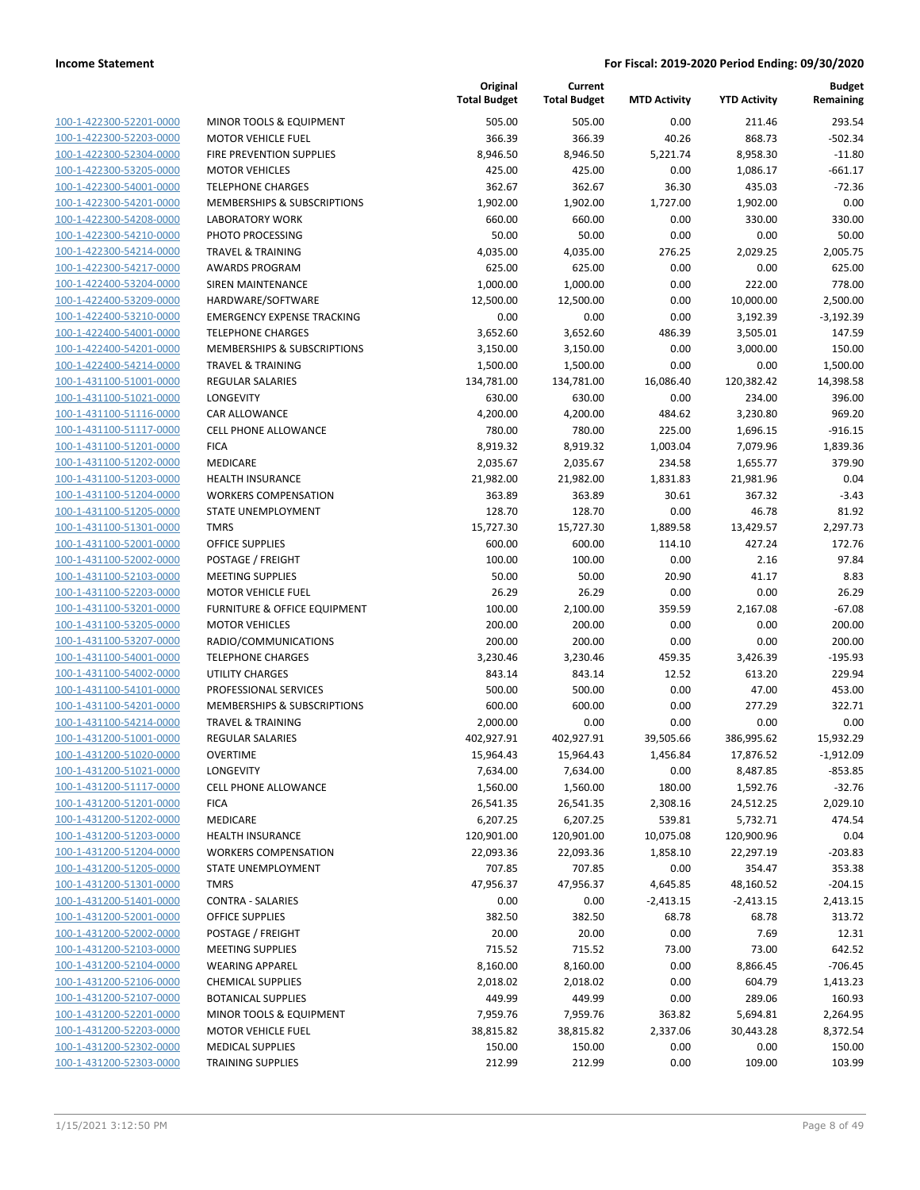| 100-1-422300-52201-0000        |
|--------------------------------|
| <u>100-1-422300-52203-0000</u> |
| 100-1-422300-52304-0000        |
|                                |
| 100-1-422300-53205-0000        |
| 100-1-422300-54001-0000        |
| 100-1-422300-54201-0000        |
| 100-1-422300-54208-0000        |
| 100-1-422300-54210-0000        |
| 100-1-422300-54214-0000        |
|                                |
| 100-1-422300-54217-0000        |
| 100-1-422400-53204-0000        |
| <u>100-1-422400-53209-0000</u> |
| 100-1-422400-53210-0000        |
| 100-1-422400-54001-0000        |
| 100-1-422400-54201-0000        |
| 100-1-422400-54214-0000        |
|                                |
| <u>100-1-431100-51001-0000</u> |
| 100-1-431100-51021-0000        |
| 100-1-431100-51116-0000        |
| 100-1-431100-51117-0000        |
| 100-1-431100-51201-0000        |
| <u>100-1-431100-51202-0000</u> |
|                                |
| 100-1-431100-51203-0000        |
| 100-1-431100-51204-0000        |
| 100-1-431100-51205-0000        |
| 100-1-431100-51301-0000        |
| <u>100-1-431100-52001-0000</u> |
| 100-1-431100-52002-0000        |
| 100-1-431100-52103-0000        |
| 100-1-431100-52203-0000        |
| 100-1-431100-53201-0000        |
| <u>100-1-431100-53205-0000</u> |
|                                |
| 100-1-431100-53207-0000        |
| 100-1-431100-54001-0000        |
| 100-1-431100-54002-0000        |
| 100-1-431100-54101-0000        |
| <u>100-1-431100-54201-0000</u> |
| 100-1-431100-54214-0000        |
| 100-1-431200-51001-0000        |
| 100-1-431200-51020-0000        |
| 100-1-431200-51021-0000        |
| <u>100-1-431200-51117-0000</u> |
|                                |
| <u>100-1-431200-51201-0000</u> |
| 100-1-431200-51202-0000        |
| 100-1-431200-51203-0000        |
| <u>100-1-431200-51204-0000</u> |
| <u>100-1-431200-51205-0000</u> |
| <u>100-1-431200-51301-0000</u> |
| 100-1-431200-51401-0000        |
| 100-1-431200-52001-0000        |
| 100-1-431200-52002-0000        |
|                                |
| 100-1-431200-52103-0000        |
| <u>100-1-431200-52104-0000</u> |
| 100-1-431200-52106-0000        |
| 100-1-431200-52107-0000        |
| <u>100-1-431200-52201-0000</u> |
|                                |
| <u>100-1-431200-52203-0000</u> |
| <u>100-1-431200-52302-0000</u> |
| 100-1-431200-52303-0000        |

|                                                    |                                                    | Original<br><b>Total Budget</b> | Current<br><b>Total Budget</b> | <b>MTD Activity</b> | <b>YTD Activity</b> | <b>Budget</b><br>Remaining |
|----------------------------------------------------|----------------------------------------------------|---------------------------------|--------------------------------|---------------------|---------------------|----------------------------|
| 100-1-422300-52201-0000                            | <b>MINOR TOOLS &amp; EQUIPMENT</b>                 | 505.00                          | 505.00                         | 0.00                | 211.46              | 293.54                     |
| 100-1-422300-52203-0000                            | <b>MOTOR VEHICLE FUEL</b>                          | 366.39                          | 366.39                         | 40.26               | 868.73              | $-502.34$                  |
| 100-1-422300-52304-0000                            | FIRE PREVENTION SUPPLIES                           | 8,946.50                        | 8,946.50                       | 5,221.74            | 8,958.30            | $-11.80$                   |
| 100-1-422300-53205-0000                            | <b>MOTOR VEHICLES</b>                              | 425.00                          | 425.00                         | 0.00                | 1,086.17            | $-661.17$                  |
| 100-1-422300-54001-0000                            | <b>TELEPHONE CHARGES</b>                           | 362.67                          | 362.67                         | 36.30               | 435.03              | $-72.36$                   |
| 100-1-422300-54201-0000                            | <b>MEMBERSHIPS &amp; SUBSCRIPTIONS</b>             | 1,902.00                        | 1,902.00                       | 1,727.00            | 1,902.00            | 0.00                       |
| 100-1-422300-54208-0000                            | <b>LABORATORY WORK</b>                             | 660.00                          | 660.00                         | 0.00                | 330.00              | 330.00                     |
| 100-1-422300-54210-0000                            | PHOTO PROCESSING                                   | 50.00                           | 50.00                          | 0.00                | 0.00                | 50.00                      |
| 100-1-422300-54214-0000                            | <b>TRAVEL &amp; TRAINING</b>                       | 4,035.00                        | 4,035.00                       | 276.25              | 2,029.25            | 2,005.75                   |
| 100-1-422300-54217-0000                            | <b>AWARDS PROGRAM</b>                              | 625.00                          | 625.00                         | 0.00                | 0.00                | 625.00                     |
| 100-1-422400-53204-0000                            | <b>SIREN MAINTENANCE</b>                           | 1,000.00                        | 1,000.00                       | 0.00                | 222.00              | 778.00                     |
| 100-1-422400-53209-0000                            | HARDWARE/SOFTWARE                                  | 12,500.00                       | 12,500.00                      | 0.00                | 10,000.00           | 2,500.00                   |
| 100-1-422400-53210-0000                            | <b>EMERGENCY EXPENSE TRACKING</b>                  | 0.00                            | 0.00                           | 0.00                | 3,192.39            | $-3,192.39$                |
| 100-1-422400-54001-0000                            | <b>TELEPHONE CHARGES</b>                           | 3,652.60                        | 3,652.60                       | 486.39              | 3,505.01            | 147.59                     |
| 100-1-422400-54201-0000                            | MEMBERSHIPS & SUBSCRIPTIONS                        | 3,150.00                        | 3,150.00                       | 0.00                | 3,000.00            | 150.00                     |
| 100-1-422400-54214-0000                            | <b>TRAVEL &amp; TRAINING</b>                       | 1,500.00                        | 1,500.00                       | 0.00                | 0.00                | 1,500.00                   |
| 100-1-431100-51001-0000                            | <b>REGULAR SALARIES</b>                            | 134,781.00                      | 134,781.00                     | 16,086.40           | 120,382.42          | 14,398.58                  |
| 100-1-431100-51021-0000                            | LONGEVITY                                          | 630.00                          | 630.00                         | 0.00                | 234.00              | 396.00                     |
| 100-1-431100-51116-0000                            | CAR ALLOWANCE                                      | 4,200.00                        | 4,200.00                       | 484.62              | 3,230.80            | 969.20                     |
| 100-1-431100-51117-0000                            | <b>CELL PHONE ALLOWANCE</b>                        | 780.00                          | 780.00                         | 225.00              | 1,696.15            | $-916.15$                  |
| 100-1-431100-51201-0000                            | <b>FICA</b>                                        | 8,919.32                        | 8,919.32                       | 1,003.04            | 7,079.96            | 1,839.36                   |
| 100-1-431100-51202-0000                            | MEDICARE                                           | 2,035.67                        | 2,035.67                       | 234.58              | 1,655.77            | 379.90                     |
| 100-1-431100-51203-0000                            | <b>HEALTH INSURANCE</b>                            | 21,982.00                       | 21,982.00                      | 1,831.83            | 21,981.96           | 0.04                       |
| 100-1-431100-51204-0000                            | <b>WORKERS COMPENSATION</b>                        | 363.89                          | 363.89                         | 30.61               | 367.32              | $-3.43$                    |
| 100-1-431100-51205-0000                            | STATE UNEMPLOYMENT                                 | 128.70                          | 128.70                         | 0.00                | 46.78               | 81.92                      |
| 100-1-431100-51301-0000                            | <b>TMRS</b>                                        | 15,727.30                       | 15,727.30                      | 1,889.58            | 13,429.57           | 2,297.73                   |
| 100-1-431100-52001-0000                            | <b>OFFICE SUPPLIES</b>                             | 600.00                          | 600.00                         | 114.10              | 427.24              | 172.76                     |
| 100-1-431100-52002-0000                            | POSTAGE / FREIGHT                                  | 100.00                          | 100.00                         | 0.00                | 2.16                | 97.84                      |
| 100-1-431100-52103-0000                            | <b>MEETING SUPPLIES</b>                            | 50.00                           | 50.00                          | 20.90               | 41.17               | 8.83                       |
| 100-1-431100-52203-0000                            | <b>MOTOR VEHICLE FUEL</b>                          | 26.29                           | 26.29                          | 0.00                | 0.00                | 26.29                      |
| 100-1-431100-53201-0000                            | FURNITURE & OFFICE EQUIPMENT                       | 100.00                          | 2,100.00                       | 359.59              | 2,167.08            | $-67.08$                   |
| 100-1-431100-53205-0000                            | <b>MOTOR VEHICLES</b>                              | 200.00                          | 200.00                         | 0.00                | 0.00                | 200.00                     |
| 100-1-431100-53207-0000                            | RADIO/COMMUNICATIONS                               | 200.00                          | 200.00                         | 0.00                | 0.00                | 200.00                     |
| 100-1-431100-54001-0000                            | <b>TELEPHONE CHARGES</b><br><b>UTILITY CHARGES</b> | 3,230.46                        | 3,230.46                       | 459.35              | 3,426.39            | $-195.93$                  |
| 100-1-431100-54002-0000<br>100-1-431100-54101-0000 | PROFESSIONAL SERVICES                              | 843.14<br>500.00                | 843.14<br>500.00               | 12.52<br>0.00       | 613.20<br>47.00     | 229.94<br>453.00           |
| 100-1-431100-54201-0000                            | MEMBERSHIPS & SUBSCRIPTIONS                        | 600.00                          | 600.00                         | 0.00                | 277.29              | 322.71                     |
| 100-1-431100-54214-0000                            | <b>TRAVEL &amp; TRAINING</b>                       | 2,000.00                        | 0.00                           | 0.00                | 0.00                | 0.00                       |
| 100-1-431200-51001-0000                            | <b>REGULAR SALARIES</b>                            | 402,927.91                      | 402,927.91                     | 39,505.66           | 386,995.62          | 15,932.29                  |
| 100-1-431200-51020-0000                            | <b>OVERTIME</b>                                    | 15,964.43                       | 15,964.43                      | 1,456.84            | 17,876.52           | $-1,912.09$                |
| 100-1-431200-51021-0000                            | <b>LONGEVITY</b>                                   | 7,634.00                        | 7,634.00                       | 0.00                | 8,487.85            | $-853.85$                  |
| 100-1-431200-51117-0000                            | <b>CELL PHONE ALLOWANCE</b>                        | 1,560.00                        | 1,560.00                       | 180.00              | 1,592.76            | $-32.76$                   |
| 100-1-431200-51201-0000                            | <b>FICA</b>                                        | 26,541.35                       | 26,541.35                      | 2,308.16            | 24,512.25           | 2,029.10                   |
| 100-1-431200-51202-0000                            | MEDICARE                                           | 6,207.25                        | 6,207.25                       | 539.81              | 5,732.71            | 474.54                     |
| 100-1-431200-51203-0000                            | HEALTH INSURANCE                                   | 120,901.00                      | 120,901.00                     | 10,075.08           | 120,900.96          | 0.04                       |
| 100-1-431200-51204-0000                            | <b>WORKERS COMPENSATION</b>                        | 22,093.36                       | 22,093.36                      | 1,858.10            | 22,297.19           | $-203.83$                  |
| 100-1-431200-51205-0000                            | <b>STATE UNEMPLOYMENT</b>                          | 707.85                          | 707.85                         | 0.00                | 354.47              | 353.38                     |
| 100-1-431200-51301-0000                            | <b>TMRS</b>                                        | 47,956.37                       | 47,956.37                      | 4,645.85            | 48,160.52           | $-204.15$                  |
| 100-1-431200-51401-0000                            | <b>CONTRA - SALARIES</b>                           | 0.00                            | 0.00                           | $-2,413.15$         | $-2,413.15$         | 2,413.15                   |
| 100-1-431200-52001-0000                            | <b>OFFICE SUPPLIES</b>                             | 382.50                          | 382.50                         | 68.78               | 68.78               | 313.72                     |
| 100-1-431200-52002-0000                            | POSTAGE / FREIGHT                                  | 20.00                           | 20.00                          | 0.00                | 7.69                | 12.31                      |
| 100-1-431200-52103-0000                            | <b>MEETING SUPPLIES</b>                            | 715.52                          | 715.52                         | 73.00               | 73.00               | 642.52                     |
| 100-1-431200-52104-0000                            | <b>WEARING APPAREL</b>                             | 8,160.00                        | 8,160.00                       | 0.00                | 8,866.45            | $-706.45$                  |
| 100-1-431200-52106-0000                            | <b>CHEMICAL SUPPLIES</b>                           | 2,018.02                        | 2,018.02                       | 0.00                | 604.79              | 1,413.23                   |
| 100-1-431200-52107-0000                            | <b>BOTANICAL SUPPLIES</b>                          | 449.99                          | 449.99                         | 0.00                | 289.06              | 160.93                     |
| 100-1-431200-52201-0000                            | MINOR TOOLS & EQUIPMENT                            | 7,959.76                        | 7,959.76                       | 363.82              | 5,694.81            | 2,264.95                   |
| 100-1-431200-52203-0000                            | <b>MOTOR VEHICLE FUEL</b>                          | 38,815.82                       | 38,815.82                      | 2,337.06            | 30,443.28           | 8,372.54                   |
| 100-1-431200-52302-0000                            | <b>MEDICAL SUPPLIES</b>                            | 150.00                          | 150.00                         | 0.00                | 0.00                | 150.00                     |
| 100-1-431200-52303-0000                            | <b>TRAINING SUPPLIES</b>                           | 212.99                          | 212.99                         | 0.00                | 109.00              | 103.99                     |
|                                                    |                                                    |                                 |                                |                     |                     |                            |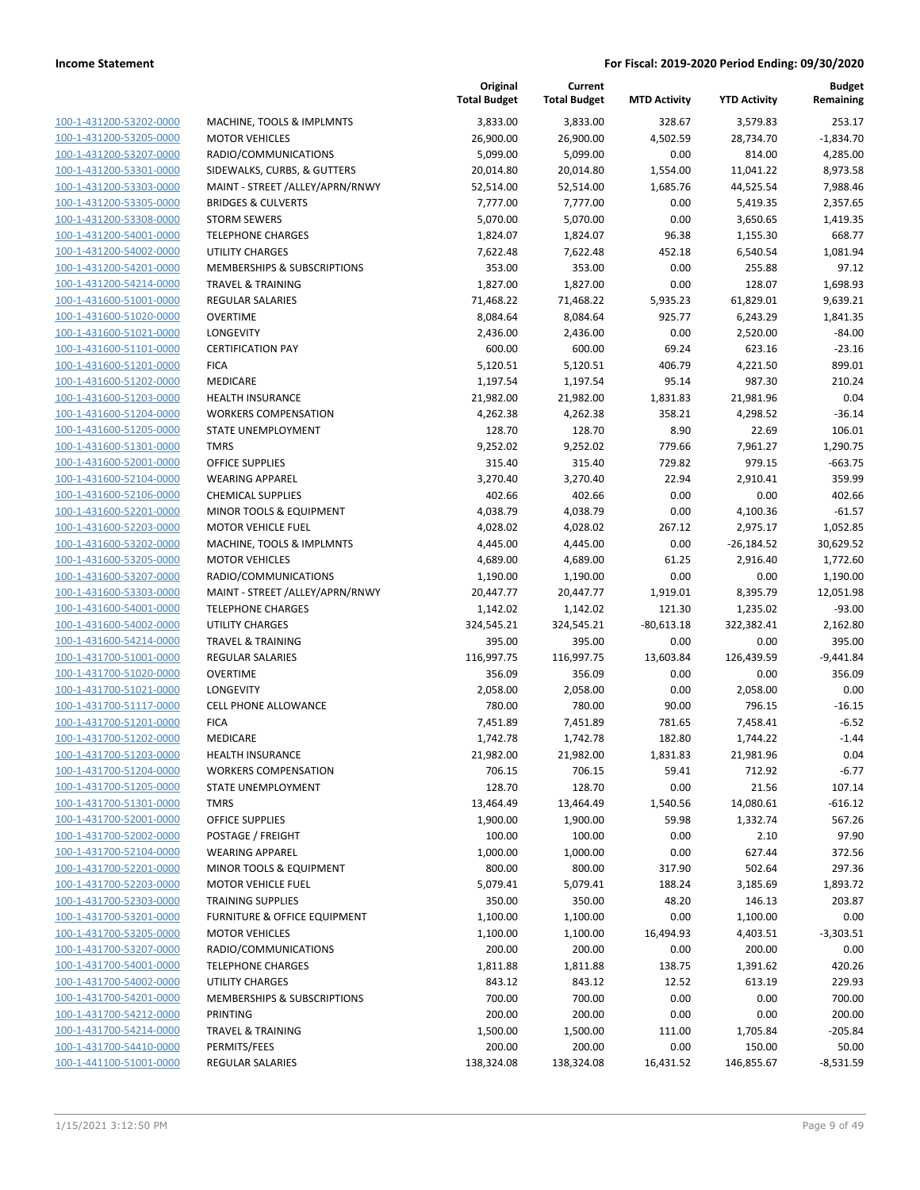| 100-1-431200-53202-0000        |
|--------------------------------|
| 100-1-431200-53205-0000        |
| 100-1-431200-53207-0000        |
| 100-1-431200-53301-0000        |
| 100-1-431200-53303-0000        |
| 100-1-431200-53305-0000        |
| 100-1-431200-53308-0000        |
| 100-1-431200-54001-0000        |
| 100-1-431200-54002-0000        |
| 100-1-431200-54201-0000        |
| 100-1-431200-54214-0000        |
| 100-1-431600-51001-0000        |
| <u>100-1-431600-51020-0000</u> |
| 100-1-431600-51021-0000        |
| 100-1-431600-51101-0000        |
| 100-1-431600-51201-0000        |
| 100-1-431600-51202-0000        |
| 100-1-431600-51203-0000        |
| 100-1-431600-51204-0000        |
| 100-1-431600-51205-0000        |
| 100-1-431600-51301-0000        |
| 100-1-431600-52001-0000        |
| 100-1-431600-52104-0000        |
| 100-1-431600-52106-0000        |
| 100-1-431600-52201-0000        |
| 100-1-431600-52203-0000        |
| 100-1-431600-53202-0000        |
| 100-1-431600-53205-0000        |
| 100-1-431600-53207-0000        |
| 100-1-431600-53303-0000        |
| 100-1-431600-54001-0000        |
| 100-1-431600-54002-0000        |
| <u>100-1-431600-54214-0000</u> |
| 100-1-431700-51001-0000        |
| 100-1-431700-51020-0000        |
| 100-1-431700-51021-0000        |
| 100-1-431700-51117-0000        |
| 100-1-431700-51201-0000        |
| 100-1-431700-51202-0000        |
| 100-1-431700-51203-0000        |
| 100-1-431700-51204-0000        |
| 100-1-431700-51205-0000        |
| <u>100-1-431700-51301-0000</u> |
| 100-1-431700-52001-0000        |
| 100-1-431700-52002-0000        |
| 100-1-431700-52104-0000        |
| 100-1-431700-52201-0000        |
| <u>100-1-431700-52203-0000</u> |
| 100-1-431700-52303-0000        |
| 100-1-431700-53201-0000        |
| 100-1-431700-53205-0000        |
| 100-1-431700-53207-0000        |
| <u>100-1-431700-54001-0000</u> |
| 100-1-431700-54002-0000        |
| 100-1-431700-54201-0000        |
| 100-1-431700-54212-0000        |
| <u>100-1-431700-54214-0000</u> |
| <u>100-1-431700-54410-0000</u> |
| 100-1-441100-51001-0000        |
|                                |

|                                                    |                                            | Original<br><b>Total Budget</b> | Current<br><b>Total Budget</b> | <b>MTD Activity</b> | <b>YTD Activity</b> | <b>Budget</b><br>Remaining |
|----------------------------------------------------|--------------------------------------------|---------------------------------|--------------------------------|---------------------|---------------------|----------------------------|
| 100-1-431200-53202-0000                            | MACHINE, TOOLS & IMPLMNTS                  | 3,833.00                        | 3,833.00                       | 328.67              | 3,579.83            | 253.17                     |
| 100-1-431200-53205-0000                            | <b>MOTOR VEHICLES</b>                      | 26,900.00                       | 26,900.00                      | 4,502.59            | 28,734.70           | $-1,834.70$                |
| 100-1-431200-53207-0000                            | RADIO/COMMUNICATIONS                       | 5,099.00                        | 5,099.00                       | 0.00                | 814.00              | 4,285.00                   |
| 100-1-431200-53301-0000                            | SIDEWALKS, CURBS, & GUTTERS                | 20,014.80                       | 20,014.80                      | 1,554.00            | 11,041.22           | 8,973.58                   |
| 100-1-431200-53303-0000                            | MAINT - STREET / ALLEY/APRN/RNWY           | 52,514.00                       | 52,514.00                      | 1,685.76            | 44,525.54           | 7,988.46                   |
| 100-1-431200-53305-0000                            | <b>BRIDGES &amp; CULVERTS</b>              | 7,777.00                        | 7,777.00                       | 0.00                | 5,419.35            | 2,357.65                   |
| 100-1-431200-53308-0000                            | <b>STORM SEWERS</b>                        | 5,070.00                        | 5,070.00                       | 0.00                | 3,650.65            | 1,419.35                   |
| 100-1-431200-54001-0000                            | <b>TELEPHONE CHARGES</b>                   | 1,824.07                        | 1,824.07                       | 96.38               | 1,155.30            | 668.77                     |
| 100-1-431200-54002-0000                            | <b>UTILITY CHARGES</b>                     | 7,622.48                        | 7,622.48                       | 452.18              | 6,540.54            | 1,081.94                   |
| 100-1-431200-54201-0000                            | MEMBERSHIPS & SUBSCRIPTIONS                | 353.00                          | 353.00                         | 0.00                | 255.88              | 97.12                      |
| 100-1-431200-54214-0000                            | <b>TRAVEL &amp; TRAINING</b>               | 1,827.00                        | 1,827.00                       | 0.00                | 128.07              | 1,698.93                   |
| 100-1-431600-51001-0000                            | <b>REGULAR SALARIES</b>                    | 71,468.22                       | 71,468.22                      | 5,935.23            | 61,829.01           | 9,639.21                   |
| 100-1-431600-51020-0000                            | <b>OVERTIME</b>                            | 8,084.64                        | 8,084.64                       | 925.77              | 6,243.29            | 1,841.35                   |
| 100-1-431600-51021-0000                            | LONGEVITY                                  | 2,436.00                        | 2,436.00                       | 0.00                | 2,520.00            | $-84.00$                   |
| 100-1-431600-51101-0000                            | <b>CERTIFICATION PAY</b>                   | 600.00                          | 600.00                         | 69.24               | 623.16              | $-23.16$                   |
| 100-1-431600-51201-0000                            | <b>FICA</b>                                | 5,120.51                        | 5,120.51                       | 406.79              | 4,221.50            | 899.01                     |
| 100-1-431600-51202-0000                            | MEDICARE                                   | 1,197.54                        | 1,197.54                       | 95.14               | 987.30              | 210.24                     |
| 100-1-431600-51203-0000                            | <b>HEALTH INSURANCE</b>                    | 21,982.00                       | 21,982.00                      | 1,831.83            | 21,981.96           | 0.04                       |
| 100-1-431600-51204-0000                            | <b>WORKERS COMPENSATION</b>                | 4,262.38                        | 4,262.38                       | 358.21              | 4,298.52            | $-36.14$                   |
| 100-1-431600-51205-0000                            | STATE UNEMPLOYMENT                         | 128.70                          | 128.70                         | 8.90                | 22.69               | 106.01                     |
| 100-1-431600-51301-0000                            | <b>TMRS</b>                                | 9,252.02                        | 9,252.02                       | 779.66              | 7,961.27            | 1,290.75                   |
| 100-1-431600-52001-0000                            | <b>OFFICE SUPPLIES</b>                     | 315.40                          | 315.40                         | 729.82              | 979.15              | $-663.75$                  |
| 100-1-431600-52104-0000                            | <b>WEARING APPAREL</b>                     | 3,270.40                        | 3,270.40                       | 22.94               | 2,910.41            | 359.99                     |
| 100-1-431600-52106-0000                            | <b>CHEMICAL SUPPLIES</b>                   | 402.66                          | 402.66                         | 0.00                | 0.00                | 402.66                     |
| 100-1-431600-52201-0000                            | MINOR TOOLS & EQUIPMENT                    | 4,038.79                        | 4,038.79                       | 0.00                | 4,100.36            | $-61.57$                   |
| 100-1-431600-52203-0000                            | <b>MOTOR VEHICLE FUEL</b>                  | 4,028.02                        | 4,028.02                       | 267.12              | 2,975.17            | 1,052.85                   |
| 100-1-431600-53202-0000                            | MACHINE, TOOLS & IMPLMNTS                  | 4,445.00                        | 4,445.00                       | 0.00                | $-26,184.52$        | 30,629.52                  |
| 100-1-431600-53205-0000                            | <b>MOTOR VEHICLES</b>                      | 4,689.00                        | 4,689.00                       | 61.25               | 2,916.40            | 1,772.60                   |
| 100-1-431600-53207-0000                            | RADIO/COMMUNICATIONS                       | 1,190.00                        | 1,190.00                       | 0.00                | 0.00                | 1,190.00                   |
| 100-1-431600-53303-0000                            | MAINT - STREET / ALLEY/APRN/RNWY           | 20,447.77                       | 20,447.77                      | 1,919.01            | 8,395.79            | 12,051.98                  |
| 100-1-431600-54001-0000                            | <b>TELEPHONE CHARGES</b>                   | 1,142.02                        | 1,142.02                       | 121.30              | 1,235.02            | -93.00                     |
| 100-1-431600-54002-0000                            | <b>UTILITY CHARGES</b>                     | 324,545.21                      | 324,545.21                     | $-80,613.18$        | 322,382.41          | 2,162.80                   |
| 100-1-431600-54214-0000<br>100-1-431700-51001-0000 | <b>TRAVEL &amp; TRAINING</b>               | 395.00                          | 395.00                         | 0.00                | 0.00                | 395.00                     |
| 100-1-431700-51020-0000                            | <b>REGULAR SALARIES</b><br><b>OVERTIME</b> | 116,997.75<br>356.09            | 116,997.75<br>356.09           | 13,603.84<br>0.00   | 126,439.59<br>0.00  | $-9,441.84$<br>356.09      |
| 100-1-431700-51021-0000                            | LONGEVITY                                  | 2,058.00                        | 2,058.00                       | 0.00                | 2,058.00            | 0.00                       |
| 100-1-431700-51117-0000                            | <b>CELL PHONE ALLOWANCE</b>                | 780.00                          | 780.00                         | 90.00               | 796.15              | $-16.15$                   |
| 100-1-431700-51201-0000                            | <b>FICA</b>                                | 7,451.89                        | 7,451.89                       | 781.65              | 7,458.41            | $-6.52$                    |
| 100-1-431700-51202-0000                            | <b>MEDICARE</b>                            | 1,742.78                        | 1,742.78                       | 182.80              | 1,744.22            | $-1.44$                    |
| 100-1-431700-51203-0000                            | <b>HEALTH INSURANCE</b>                    | 21,982.00                       | 21,982.00                      | 1,831.83            | 21,981.96           | 0.04                       |
| 100-1-431700-51204-0000                            | <b>WORKERS COMPENSATION</b>                | 706.15                          | 706.15                         | 59.41               | 712.92              | $-6.77$                    |
| 100-1-431700-51205-0000                            | STATE UNEMPLOYMENT                         | 128.70                          | 128.70                         | 0.00                | 21.56               | 107.14                     |
| 100-1-431700-51301-0000                            | <b>TMRS</b>                                | 13,464.49                       | 13,464.49                      | 1,540.56            | 14,080.61           | $-616.12$                  |
| 100-1-431700-52001-0000                            | <b>OFFICE SUPPLIES</b>                     | 1,900.00                        | 1,900.00                       | 59.98               | 1,332.74            | 567.26                     |
| 100-1-431700-52002-0000                            | POSTAGE / FREIGHT                          | 100.00                          | 100.00                         | 0.00                | 2.10                | 97.90                      |
| 100-1-431700-52104-0000                            | <b>WEARING APPAREL</b>                     | 1,000.00                        | 1,000.00                       | 0.00                | 627.44              | 372.56                     |
| 100-1-431700-52201-0000                            | MINOR TOOLS & EQUIPMENT                    | 800.00                          | 800.00                         | 317.90              | 502.64              | 297.36                     |
| 100-1-431700-52203-0000                            | <b>MOTOR VEHICLE FUEL</b>                  | 5,079.41                        | 5,079.41                       | 188.24              | 3,185.69            | 1,893.72                   |
| 100-1-431700-52303-0000                            | <b>TRAINING SUPPLIES</b>                   | 350.00                          | 350.00                         | 48.20               | 146.13              | 203.87                     |
| 100-1-431700-53201-0000                            | <b>FURNITURE &amp; OFFICE EQUIPMENT</b>    | 1,100.00                        | 1,100.00                       | 0.00                | 1,100.00            | 0.00                       |
| 100-1-431700-53205-0000                            | <b>MOTOR VEHICLES</b>                      | 1,100.00                        | 1,100.00                       | 16,494.93           | 4,403.51            | $-3,303.51$                |
| 100-1-431700-53207-0000                            | RADIO/COMMUNICATIONS                       | 200.00                          | 200.00                         | 0.00                | 200.00              | 0.00                       |
| 100-1-431700-54001-0000                            | <b>TELEPHONE CHARGES</b>                   | 1,811.88                        | 1,811.88                       | 138.75              | 1,391.62            | 420.26                     |
| 100-1-431700-54002-0000                            | <b>UTILITY CHARGES</b>                     | 843.12                          | 843.12                         | 12.52               | 613.19              | 229.93                     |
| 100-1-431700-54201-0000                            | MEMBERSHIPS & SUBSCRIPTIONS                | 700.00                          | 700.00                         | 0.00                | 0.00                | 700.00                     |
| 100-1-431700-54212-0000                            | PRINTING                                   | 200.00                          | 200.00                         | 0.00                | 0.00                | 200.00                     |
| 100-1-431700-54214-0000                            | <b>TRAVEL &amp; TRAINING</b>               | 1,500.00                        | 1,500.00                       | 111.00              | 1,705.84            | $-205.84$                  |
| 100-1-431700-54410-0000                            | PERMITS/FEES                               | 200.00                          | 200.00                         | 0.00                | 150.00              | 50.00                      |
| 100-1-441100-51001-0000                            | REGULAR SALARIES                           | 138,324.08                      | 138,324.08                     | 16,431.52           | 146,855.67          | $-8,531.59$                |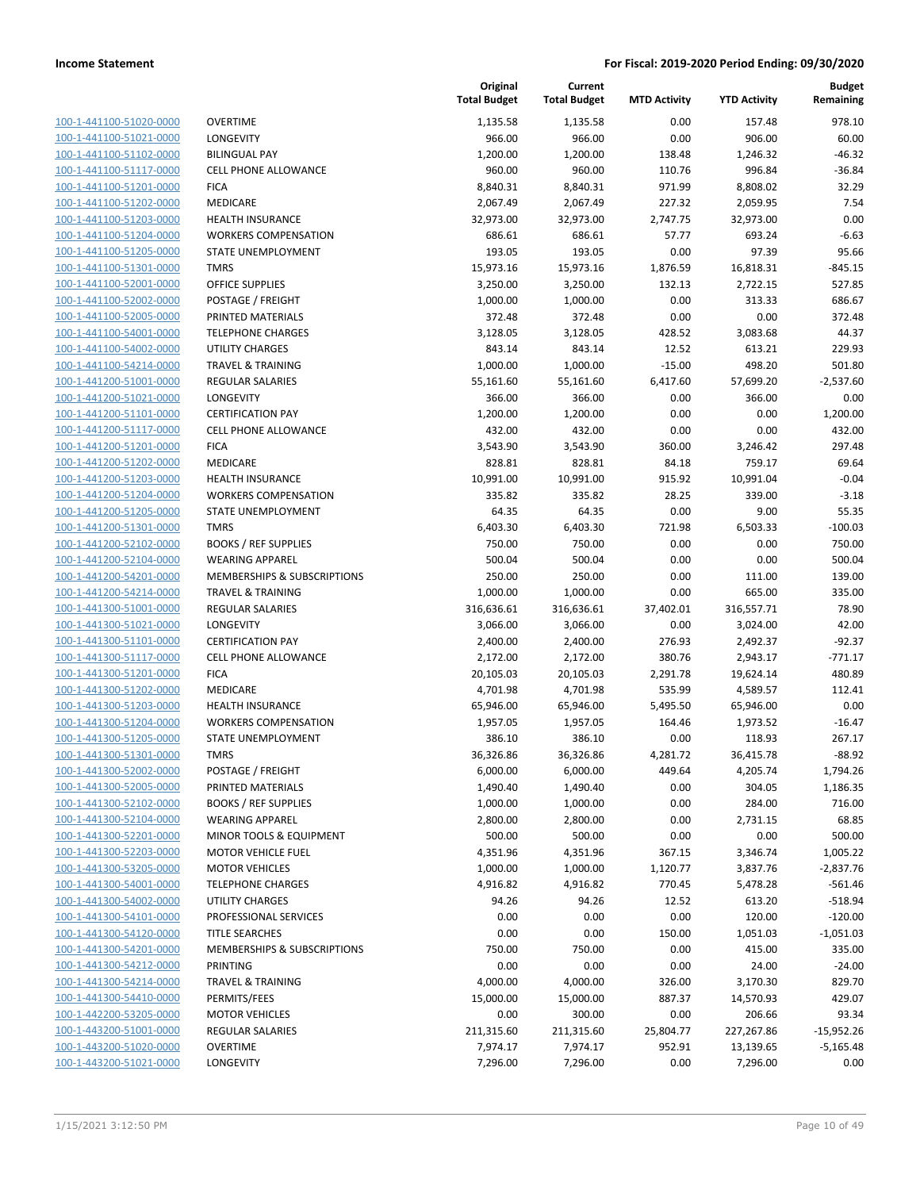| 100-1-441100-51020-0000        |
|--------------------------------|
| 100-1-441100-51021-0000        |
| 100-1-441100-51102-0000        |
| <u>100-1-441100-51117-0000</u> |
| 100-1-441100-51201-0000        |
| 100-1-441100-51202-0000        |
| 100-1-441100-51203-0000        |
| 100-1-441100-51204-0000        |
| 100-1-441100-51205-0000        |
| 100-1-441100-51301-0000        |
| 100-1-441100-52001-0000        |
| 100-1-441100-52002-0000        |
| 100-1-441100-52005-0000        |
| <u>100-1-441100-54001-0000</u> |
| 100-1-441100-54002-0000        |
| 100-1-441100-54214-0000        |
| 100-1-441200-51001-0000        |
| 100-1-441200-51021-0000        |
| 100-1-441200-51101-0000        |
| 100-1-441200-51117-0000        |
| 100-1-441200-51201-0000        |
| 100-1-441200-51202-0000        |
| 100-1-441200-51203-0000        |
| 100-1-441200-51204-0000        |
| 100-1-441200-51205-0000        |
| 100-1-441200-51301-0000        |
| 100-1-441200-52102-0000        |
| 100-1-441200-52104-0000        |
| 100-1-441200-54201-0000        |
| 100-1-441200-54214-0000        |
| 100-1-441300-51001-0000        |
| 100-1-441300-51021-0000        |
| 100-1-441300-51101-0000        |
| <u>100-1-441300-51117-0000</u> |
| 100-1-441300-51201-0000        |
| 100-1-441300-51202-0000        |
| 100-1-441300-51203-0000        |
|                                |
| 100-1-441300-51204-0000        |
| 100-1-441300-51205-0000        |
| 100-1-441300-51301-0000        |
| 100-1-441300-52002-0000        |
| <u>100-1-441300-52005-0000</u> |
| <u>100-1-441300-52102-0000</u> |
| <u>100-1-441300-52104-0000</u> |
| <u>100-1-441300-52201-0000</u> |
| 100-1-441300-52203-0000        |
| 100-1-441300-53205-0000        |
| <u>100-1-441300-54001-0000</u> |
| <u>100-1-441300-54002-0000</u> |
| 100-1-441300-54101-0000        |
| 100-1-441300-54120-0000        |
| 100-1-441300-54201-0000        |
| 100-1-441300-54212-0000        |
| <u>100-1-441300-54214-0000</u> |
| <u>100-1-441300-54410-0000</u> |
| <u>100-1-442200-53205-0000</u> |
| <u>100-1-443200-51001-0000</u> |
| <u>100-1-443200-51020-0000</u> |
| <u>100-1-443200-51021-0000</u> |
|                                |

|                                                    |                                                  | Original<br><b>Total Budget</b> | Current<br><b>Total Budget</b> | <b>MTD Activity</b> | <b>YTD Activity</b> | <b>Budget</b><br>Remaining |
|----------------------------------------------------|--------------------------------------------------|---------------------------------|--------------------------------|---------------------|---------------------|----------------------------|
| 100-1-441100-51020-0000                            | <b>OVERTIME</b>                                  | 1,135.58                        | 1,135.58                       | 0.00                | 157.48              | 978.10                     |
| 100-1-441100-51021-0000                            | LONGEVITY                                        | 966.00                          | 966.00                         | 0.00                | 906.00              | 60.00                      |
| 100-1-441100-51102-0000                            | <b>BILINGUAL PAY</b>                             | 1,200.00                        | 1,200.00                       | 138.48              | 1,246.32            | $-46.32$                   |
| 100-1-441100-51117-0000                            | <b>CELL PHONE ALLOWANCE</b>                      | 960.00                          | 960.00                         | 110.76              | 996.84              | $-36.84$                   |
| 100-1-441100-51201-0000                            | <b>FICA</b>                                      | 8,840.31                        | 8,840.31                       | 971.99              | 8,808.02            | 32.29                      |
| 100-1-441100-51202-0000                            | MEDICARE                                         | 2,067.49                        | 2,067.49                       | 227.32              | 2,059.95            | 7.54                       |
| 100-1-441100-51203-0000                            | <b>HEALTH INSURANCE</b>                          | 32,973.00                       | 32,973.00                      | 2,747.75            | 32,973.00           | 0.00                       |
| 100-1-441100-51204-0000                            | <b>WORKERS COMPENSATION</b>                      | 686.61                          | 686.61                         | 57.77               | 693.24              | $-6.63$                    |
| 100-1-441100-51205-0000                            | STATE UNEMPLOYMENT                               | 193.05                          | 193.05                         | 0.00                | 97.39               | 95.66                      |
| 100-1-441100-51301-0000                            | <b>TMRS</b>                                      | 15,973.16                       | 15,973.16                      | 1,876.59            | 16,818.31           | $-845.15$                  |
| 100-1-441100-52001-0000                            | <b>OFFICE SUPPLIES</b>                           | 3,250.00                        | 3,250.00                       | 132.13              | 2,722.15            | 527.85                     |
| 100-1-441100-52002-0000                            | POSTAGE / FREIGHT                                | 1,000.00                        | 1,000.00                       | 0.00                | 313.33              | 686.67                     |
| 100-1-441100-52005-0000                            | PRINTED MATERIALS                                | 372.48                          | 372.48                         | 0.00                | 0.00                | 372.48                     |
| 100-1-441100-54001-0000                            | <b>TELEPHONE CHARGES</b>                         | 3,128.05                        | 3,128.05                       | 428.52              | 3,083.68            | 44.37                      |
| 100-1-441100-54002-0000                            | <b>UTILITY CHARGES</b>                           | 843.14                          | 843.14                         | 12.52               | 613.21              | 229.93                     |
| 100-1-441100-54214-0000                            | <b>TRAVEL &amp; TRAINING</b>                     | 1,000.00                        | 1,000.00                       | $-15.00$            | 498.20              | 501.80                     |
| 100-1-441200-51001-0000                            | <b>REGULAR SALARIES</b>                          | 55,161.60                       | 55,161.60                      | 6,417.60            | 57,699.20           | $-2,537.60$                |
| 100-1-441200-51021-0000                            | <b>LONGEVITY</b>                                 | 366.00                          | 366.00                         | 0.00                | 366.00              | 0.00                       |
| 100-1-441200-51101-0000                            | <b>CERTIFICATION PAY</b>                         | 1,200.00                        | 1,200.00                       | 0.00                | 0.00                | 1,200.00                   |
| 100-1-441200-51117-0000                            | <b>CELL PHONE ALLOWANCE</b>                      | 432.00                          | 432.00                         | 0.00                | 0.00                | 432.00                     |
| 100-1-441200-51201-0000                            | <b>FICA</b>                                      | 3,543.90                        | 3,543.90                       | 360.00              | 3,246.42            | 297.48                     |
| 100-1-441200-51202-0000                            | MEDICARE                                         | 828.81                          | 828.81                         | 84.18               | 759.17              | 69.64                      |
| 100-1-441200-51203-0000                            | HEALTH INSURANCE                                 | 10,991.00                       | 10,991.00                      | 915.92              | 10,991.04           | $-0.04$                    |
| 100-1-441200-51204-0000                            | <b>WORKERS COMPENSATION</b>                      | 335.82                          | 335.82                         | 28.25               | 339.00              | $-3.18$                    |
| 100-1-441200-51205-0000                            | STATE UNEMPLOYMENT                               | 64.35                           | 64.35                          | 0.00                | 9.00                | 55.35                      |
| 100-1-441200-51301-0000                            | <b>TMRS</b>                                      | 6,403.30                        | 6,403.30                       | 721.98              | 6,503.33            | $-100.03$                  |
| 100-1-441200-52102-0000                            | <b>BOOKS / REF SUPPLIES</b>                      | 750.00                          | 750.00                         | 0.00                | 0.00                | 750.00                     |
| 100-1-441200-52104-0000                            | <b>WEARING APPAREL</b>                           | 500.04                          | 500.04                         | 0.00                | 0.00                | 500.04                     |
| 100-1-441200-54201-0000                            | MEMBERSHIPS & SUBSCRIPTIONS                      | 250.00                          | 250.00                         | 0.00                | 111.00              | 139.00                     |
| 100-1-441200-54214-0000                            | <b>TRAVEL &amp; TRAINING</b>                     | 1,000.00                        | 1,000.00                       | 0.00                | 665.00              | 335.00                     |
| 100-1-441300-51001-0000                            | <b>REGULAR SALARIES</b>                          | 316,636.61                      | 316,636.61                     | 37,402.01           | 316,557.71          | 78.90                      |
| 100-1-441300-51021-0000                            | LONGEVITY                                        | 3,066.00                        | 3,066.00                       | 0.00                | 3,024.00            | 42.00                      |
| 100-1-441300-51101-0000                            | <b>CERTIFICATION PAY</b>                         | 2,400.00                        | 2,400.00                       | 276.93              | 2,492.37            | $-92.37$                   |
| 100-1-441300-51117-0000                            | <b>CELL PHONE ALLOWANCE</b>                      | 2,172.00                        | 2,172.00                       | 380.76              | 2,943.17            | $-771.17$                  |
| 100-1-441300-51201-0000                            | <b>FICA</b>                                      | 20,105.03                       | 20,105.03                      | 2,291.78            | 19,624.14           | 480.89                     |
| 100-1-441300-51202-0000                            | <b>MEDICARE</b>                                  | 4,701.98                        | 4,701.98                       | 535.99              | 4,589.57            | 112.41                     |
| 100-1-441300-51203-0000                            | <b>HEALTH INSURANCE</b>                          | 65,946.00                       | 65,946.00                      | 5,495.50            | 65,946.00           | 0.00                       |
| 100-1-441300-51204-0000                            | <b>WORKERS COMPENSATION</b>                      | 1,957.05                        | 1,957.05                       | 164.46              | 1,973.52            | $-16.47$                   |
| 100-1-441300-51205-0000                            | STATE UNEMPLOYMENT                               | 386.10                          | 386.10                         | 0.00                | 118.93              | 267.17                     |
| 100-1-441300-51301-0000                            | <b>TMRS</b>                                      | 36,326.86<br>6,000.00           | 36,326.86                      | 4,281.72            | 36,415.78           | $-88.92$                   |
| 100-1-441300-52002-0000<br>100-1-441300-52005-0000 | POSTAGE / FREIGHT                                |                                 | 6,000.00                       | 449.64              | 4,205.74            | 1,794.26                   |
|                                                    | PRINTED MATERIALS<br><b>BOOKS / REF SUPPLIES</b> | 1,490.40                        | 1,490.40                       | 0.00                | 304.05              | 1,186.35                   |
| 100-1-441300-52102-0000<br>100-1-441300-52104-0000 | <b>WEARING APPAREL</b>                           | 1,000.00                        | 1,000.00                       | 0.00                | 284.00              | 716.00<br>68.85            |
| 100-1-441300-52201-0000                            | MINOR TOOLS & EQUIPMENT                          | 2,800.00<br>500.00              | 2,800.00<br>500.00             | 0.00<br>0.00        | 2,731.15<br>0.00    | 500.00                     |
| 100-1-441300-52203-0000                            | <b>MOTOR VEHICLE FUEL</b>                        | 4,351.96                        | 4,351.96                       | 367.15              | 3,346.74            | 1,005.22                   |
| 100-1-441300-53205-0000                            | <b>MOTOR VEHICLES</b>                            | 1,000.00                        | 1,000.00                       | 1,120.77            | 3,837.76            | $-2,837.76$                |
| 100-1-441300-54001-0000                            | <b>TELEPHONE CHARGES</b>                         | 4,916.82                        | 4,916.82                       | 770.45              | 5,478.28            | $-561.46$                  |
| 100-1-441300-54002-0000                            | <b>UTILITY CHARGES</b>                           | 94.26                           | 94.26                          | 12.52               | 613.20              | $-518.94$                  |
| 100-1-441300-54101-0000                            | PROFESSIONAL SERVICES                            | 0.00                            | 0.00                           | 0.00                | 120.00              | $-120.00$                  |
| 100-1-441300-54120-0000                            | <b>TITLE SEARCHES</b>                            | 0.00                            | 0.00                           | 150.00              | 1,051.03            | $-1,051.03$                |
| 100-1-441300-54201-0000                            | MEMBERSHIPS & SUBSCRIPTIONS                      | 750.00                          | 750.00                         | 0.00                | 415.00              | 335.00                     |
| 100-1-441300-54212-0000                            | PRINTING                                         | 0.00                            | 0.00                           | 0.00                | 24.00               | $-24.00$                   |
| 100-1-441300-54214-0000                            | <b>TRAVEL &amp; TRAINING</b>                     | 4,000.00                        | 4,000.00                       | 326.00              | 3,170.30            | 829.70                     |
| 100-1-441300-54410-0000                            | PERMITS/FEES                                     | 15,000.00                       | 15,000.00                      | 887.37              | 14,570.93           | 429.07                     |
| 100-1-442200-53205-0000                            | <b>MOTOR VEHICLES</b>                            | 0.00                            | 300.00                         | 0.00                | 206.66              | 93.34                      |
| 100-1-443200-51001-0000                            | <b>REGULAR SALARIES</b>                          | 211,315.60                      | 211,315.60                     | 25,804.77           | 227,267.86          | $-15,952.26$               |
| 100-1-443200-51020-0000                            | <b>OVERTIME</b>                                  | 7,974.17                        | 7,974.17                       | 952.91              | 13,139.65           | $-5,165.48$                |
| 100-1-443200-51021-0000                            | LONGEVITY                                        | 7,296.00                        | 7,296.00                       | 0.00                | 7,296.00            | 0.00                       |
|                                                    |                                                  |                                 |                                |                     |                     |                            |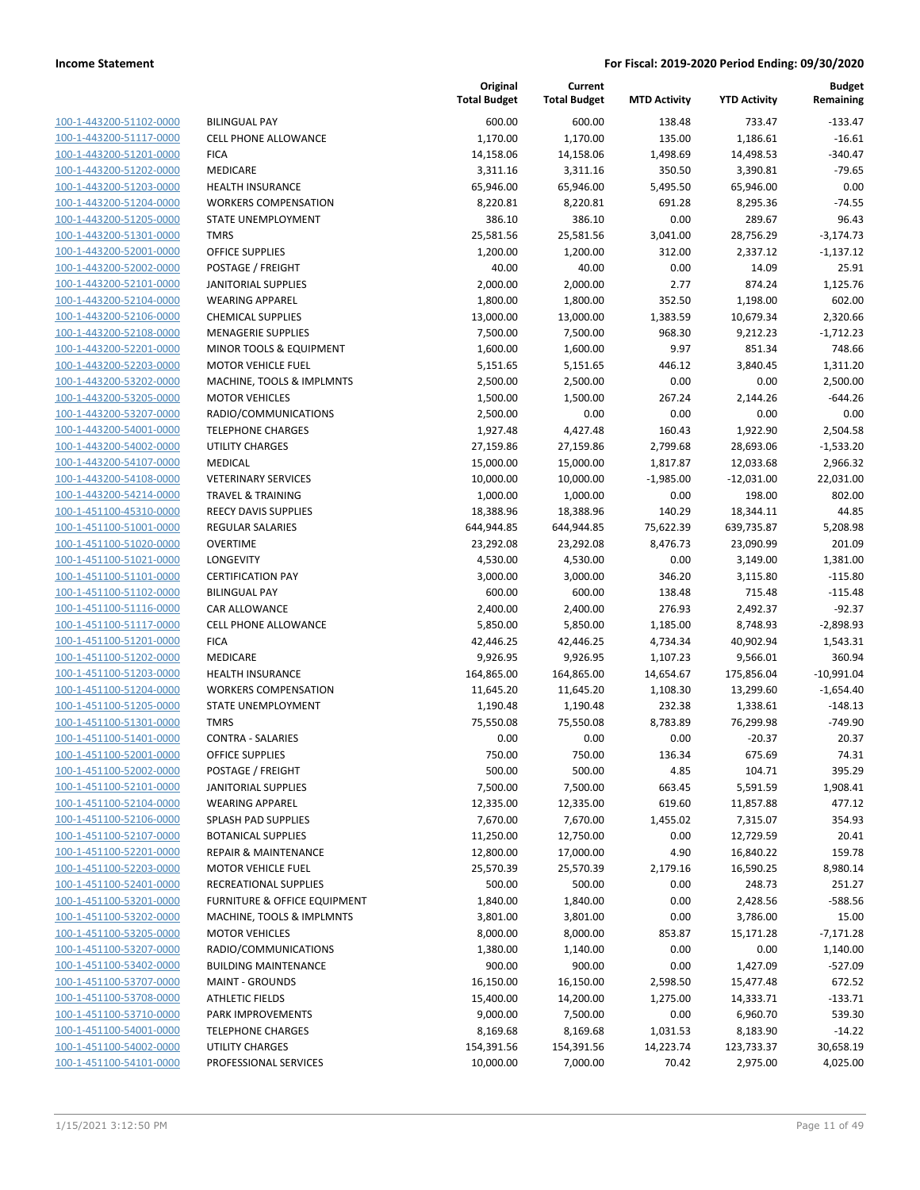| 100-1-443200-51102-0000        |
|--------------------------------|
| 100-1-443200-51117-0000        |
| 100-1-443200-51201-0000        |
| <u>100-1-443200-51202-0000</u> |
| 100-1-443200-51203-0000        |
| 100-1-443200-51204-0000        |
| 100-1-443200-51205-0000        |
| 100-1-443200-51301-0000        |
| <u>100-1-443200-52001-0000</u> |
| <u>100-1-443200-52002-0000</u> |
| 100-1-443200-52101-0000        |
| 100-1-443200-52104-0000        |
| 100-1-443200-52106-0000        |
| <u>100-1-443200-52108-0000</u> |
| 100-1-443200-52201-0000        |
| 100-1-443200-52203-0000        |
| 100-1-443200-53202-0000        |
| 100-1-443200-53205-0000        |
| 100-1-443200-53207-0000        |
| <u>100-1-443200-54001-0000</u> |
| <u>100-1-443200-54002-0000</u> |
| 100-1-443200-54107-0000        |
| 100-1-443200-54108-0000        |
| <u>100-1-443200-54214-0000</u> |
| 100-1-451100-45310-0000        |
| 100-1-451100-51001-0000        |
| 100-1-451100-51020-0000        |
| 100-1-451100-51021-0000        |
| 100-1-451100-51101-0000        |
| 100-1-451100-51102-0000        |
| 100-1-451100-51116-0000        |
| 100-1-451100-51117-0000        |
| 100-1-451100-51201-0000        |
| <u>100-1-451100-51202-0000</u> |
| 100-1-451100-51203-0000        |
| 100-1-451100-51204-0000        |
| 100-1-451100-51205-0000        |
| 100-1-451100-51301-0000        |
|                                |
| 100-1-451100-51401-0000        |
| 100-1-451100-52001-0000        |
| 100-1-451100-52002-0000        |
| <u>100-1-451100-52101-0000</u> |
| 100-1-451100-52104-0000        |
| 100-1-451100-52106-0000        |
| <u>100-1-451100-52107-0000</u> |
| <u>100-1-451100-52201-0000</u> |
| 100-1-451100-52203-0000        |
| 100-1-451100-52401-0000        |
| 100-1-451100-53201-0000        |
| <u>100-1-451100-53202-0000</u> |
| <u>100-1-451100-53205-0000</u> |
| 100-1-451100-53207-0000        |
| 100-1-451100-53402-0000        |
| 100-1-451100-53707-0000        |
| <u>100-1-451100-53708-0000</u> |
| 100-1-451100-53710-0000        |
| 100-1-451100-54001-0000        |
| 100-1-451100-54002-0000        |
| <u>100-1-451100-54101-0000</u> |

| <b>BILINGUAL PAY</b>                    |
|-----------------------------------------|
| <b>CELL PHONE ALLOWANCE</b>             |
| <b>FICA</b>                             |
| <b>MEDICARE</b>                         |
| <b>HEALTH INSURANCE</b>                 |
| <b>WORKERS COMPENSATION</b>             |
| <b>STATE UNEMPLOYMENT</b>               |
| <b>TMRS</b>                             |
| <b>OFFICE SUPPLIES</b>                  |
| POSTAGE / FREIGHT                       |
| <b>JANITORIAL SUPPLIES</b>              |
| <b>WEARING APPAREL</b>                  |
| <b>CHEMICAL SUPPLIES</b>                |
| <b>MENAGERIE SUPPLIES</b>               |
| <b>MINOR TOOLS &amp; EQUIPMENT</b>      |
| <b>MOTOR VEHICLE FUEL</b>               |
| MACHINE, TOOLS & IMPLMNTS               |
| <b>MOTOR VEHICLES</b>                   |
| RADIO/COMMUNICATIONS                    |
| <b>TELEPHONE CHARGES</b>                |
| <b>UTILITY CHARGES</b>                  |
| <b>MEDICAL</b>                          |
| <b>VETERINARY SERVICES</b>              |
| <b>TRAVEL &amp; TRAINING</b>            |
| <b>REECY DAVIS SUPPLIES</b>             |
| <b>REGULAR SALARIES</b>                 |
| <b>OVERTIME</b>                         |
| <b>LONGEVITY</b>                        |
| <b>CERTIFICATION PAY</b>                |
| <b>BILINGUAL PAY</b>                    |
| CAR ALLOWANCE                           |
| <b>CELL PHONE ALLOWANCE</b>             |
| <b>FICA</b>                             |
| <b>MEDICARE</b>                         |
| <b>HEALTH INSURANCE</b>                 |
| <b>WORKERS COMPENSATION</b>             |
| <b>STATE UNEMPLOYMENT</b>               |
| <b>TMRS</b>                             |
| <b>CONTRA - SALARIES</b>                |
| OFFICE SUPPLIES                         |
| POSTAGE / FREIGHT                       |
| <b>JANITORIAL SUPPLIES</b>              |
| <b>WEARING APPAREL</b>                  |
| <b>SPLASH PAD SUPPLIES</b>              |
| <b>BOTANICAL SUPPLIES</b>               |
| <b>REPAIR &amp; MAINTENANCE</b>         |
| <b>MOTOR VEHICLE FUEL</b>               |
| <b>RECREATIONAL SUPPLIES</b>            |
| <b>FURNITURE &amp; OFFICE EQUIPMENT</b> |
| MACHINE, TOOLS & IMPLMNTS               |
| <b>MOTOR VEHICLES</b>                   |
| RADIO/COMMUNICATIONS                    |
| <b>BUILDING MAINTENANCE</b>             |
| <b>MAINT - GROUNDS</b>                  |
| <b>ATHLETIC FIELDS</b>                  |
| <b>PARK IMPROVEMENTS</b>                |
| <b>TELEPHONE CHARGES</b>                |
| <b>UTILITY CHARGES</b>                  |
| PROFESSIONAL SERVICES                   |

|                         |                                         | Original<br><b>Total Budget</b> | Current<br><b>Total Budget</b> | <b>MTD Activity</b> | <b>YTD Activity</b> | <b>Budget</b><br>Remaining |
|-------------------------|-----------------------------------------|---------------------------------|--------------------------------|---------------------|---------------------|----------------------------|
| 100-1-443200-51102-0000 | <b>BILINGUAL PAY</b>                    | 600.00                          | 600.00                         | 138.48              | 733.47              | $-133.47$                  |
| 100-1-443200-51117-0000 | <b>CELL PHONE ALLOWANCE</b>             | 1,170.00                        | 1,170.00                       | 135.00              | 1,186.61            | $-16.61$                   |
| 100-1-443200-51201-0000 | <b>FICA</b>                             | 14,158.06                       | 14,158.06                      | 1,498.69            | 14,498.53           | $-340.47$                  |
| 100-1-443200-51202-0000 | MEDICARE                                | 3,311.16                        | 3,311.16                       | 350.50              | 3,390.81            | $-79.65$                   |
| 100-1-443200-51203-0000 | <b>HEALTH INSURANCE</b>                 | 65,946.00                       | 65,946.00                      | 5,495.50            | 65,946.00           | 0.00                       |
| 100-1-443200-51204-0000 | <b>WORKERS COMPENSATION</b>             | 8,220.81                        | 8,220.81                       | 691.28              | 8,295.36            | $-74.55$                   |
| 100-1-443200-51205-0000 | STATE UNEMPLOYMENT                      | 386.10                          | 386.10                         | 0.00                | 289.67              | 96.43                      |
| 100-1-443200-51301-0000 | <b>TMRS</b>                             | 25,581.56                       | 25,581.56                      | 3,041.00            | 28,756.29           | $-3,174.73$                |
| 100-1-443200-52001-0000 | <b>OFFICE SUPPLIES</b>                  | 1,200.00                        | 1,200.00                       | 312.00              | 2,337.12            | $-1,137.12$                |
| 100-1-443200-52002-0000 | POSTAGE / FREIGHT                       | 40.00                           | 40.00                          | 0.00                | 14.09               | 25.91                      |
| 100-1-443200-52101-0000 | <b>JANITORIAL SUPPLIES</b>              | 2,000.00                        | 2,000.00                       | 2.77                | 874.24              | 1,125.76                   |
| 100-1-443200-52104-0000 | <b>WEARING APPAREL</b>                  | 1,800.00                        | 1,800.00                       | 352.50              | 1,198.00            | 602.00                     |
| 100-1-443200-52106-0000 | <b>CHEMICAL SUPPLIES</b>                | 13,000.00                       | 13,000.00                      | 1,383.59            | 10,679.34           | 2,320.66                   |
| 100-1-443200-52108-0000 | <b>MENAGERIE SUPPLIES</b>               | 7,500.00                        | 7,500.00                       | 968.30              | 9,212.23            | $-1,712.23$                |
| 100-1-443200-52201-0000 | MINOR TOOLS & EQUIPMENT                 | 1,600.00                        | 1,600.00                       | 9.97                | 851.34              | 748.66                     |
| 100-1-443200-52203-0000 | <b>MOTOR VEHICLE FUEL</b>               | 5,151.65                        | 5,151.65                       | 446.12              | 3,840.45            | 1,311.20                   |
| 100-1-443200-53202-0000 | MACHINE, TOOLS & IMPLMNTS               | 2,500.00                        | 2,500.00                       | 0.00                | 0.00                | 2,500.00                   |
| 100-1-443200-53205-0000 | <b>MOTOR VEHICLES</b>                   | 1,500.00                        | 1,500.00                       | 267.24              | 2,144.26            | $-644.26$                  |
| 100-1-443200-53207-0000 | RADIO/COMMUNICATIONS                    | 2,500.00                        | 0.00                           | 0.00                | 0.00                | 0.00                       |
| 100-1-443200-54001-0000 | <b>TELEPHONE CHARGES</b>                | 1,927.48                        | 4,427.48                       | 160.43              | 1,922.90            | 2,504.58                   |
| 100-1-443200-54002-0000 | <b>UTILITY CHARGES</b>                  | 27,159.86                       | 27,159.86                      | 2,799.68            | 28,693.06           | $-1,533.20$                |
| 100-1-443200-54107-0000 | MEDICAL                                 | 15,000.00                       | 15,000.00                      | 1,817.87            | 12,033.68           | 2,966.32                   |
| 100-1-443200-54108-0000 | <b>VETERINARY SERVICES</b>              | 10,000.00                       | 10,000.00                      | $-1,985.00$         | $-12,031.00$        | 22,031.00                  |
| 100-1-443200-54214-0000 | <b>TRAVEL &amp; TRAINING</b>            | 1,000.00                        | 1,000.00                       | 0.00                | 198.00              | 802.00                     |
| 100-1-451100-45310-0000 | <b>REECY DAVIS SUPPLIES</b>             | 18,388.96                       | 18,388.96                      | 140.29              | 18,344.11           | 44.85                      |
| 100-1-451100-51001-0000 | <b>REGULAR SALARIES</b>                 | 644,944.85                      | 644,944.85                     | 75,622.39           | 639,735.87          | 5,208.98                   |
| 100-1-451100-51020-0000 | <b>OVERTIME</b>                         | 23,292.08                       | 23,292.08                      | 8,476.73            | 23,090.99           | 201.09                     |
| 100-1-451100-51021-0000 | LONGEVITY                               | 4,530.00                        | 4,530.00                       | 0.00                | 3,149.00            | 1,381.00                   |
| 100-1-451100-51101-0000 | <b>CERTIFICATION PAY</b>                | 3,000.00                        | 3,000.00                       | 346.20              | 3,115.80            | $-115.80$                  |
| 100-1-451100-51102-0000 | <b>BILINGUAL PAY</b>                    | 600.00                          | 600.00                         | 138.48              | 715.48              | $-115.48$                  |
| 100-1-451100-51116-0000 | CAR ALLOWANCE                           | 2,400.00                        | 2,400.00                       | 276.93              | 2,492.37            | $-92.37$                   |
| 100-1-451100-51117-0000 | CELL PHONE ALLOWANCE                    | 5,850.00                        | 5,850.00                       | 1,185.00            | 8,748.93            | $-2,898.93$                |
| 100-1-451100-51201-0000 | <b>FICA</b>                             | 42,446.25                       | 42,446.25                      | 4,734.34            | 40,902.94           | 1,543.31                   |
| 100-1-451100-51202-0000 | MEDICARE                                | 9,926.95                        | 9,926.95                       | 1,107.23            | 9,566.01            | 360.94                     |
| 100-1-451100-51203-0000 | <b>HEALTH INSURANCE</b>                 | 164,865.00                      | 164,865.00                     | 14,654.67           | 175,856.04          | $-10,991.04$               |
| 100-1-451100-51204-0000 | <b>WORKERS COMPENSATION</b>             | 11,645.20                       | 11,645.20                      | 1,108.30            | 13,299.60           | $-1,654.40$                |
| 100-1-451100-51205-0000 | STATE UNEMPLOYMENT                      | 1,190.48                        | 1,190.48                       | 232.38              | 1,338.61            | $-148.13$                  |
| 100-1-451100-51301-0000 | <b>TMRS</b>                             | 75,550.08                       | 75,550.08                      | 8,783.89            | 76,299.98           | -749.90                    |
| 100-1-451100-51401-0000 | <b>CONTRA - SALARIES</b>                | 0.00                            | 0.00                           | 0.00                | $-20.37$            | 20.37                      |
| 100-1-451100-52001-0000 | <b>OFFICE SUPPLIES</b>                  | 750.00                          | 750.00                         | 136.34              | 675.69              | 74.31                      |
| 100-1-451100-52002-0000 | POSTAGE / FREIGHT                       | 500.00                          | 500.00                         | 4.85                | 104.71              | 395.29                     |
| 100-1-451100-52101-0000 | <b>JANITORIAL SUPPLIES</b>              | 7,500.00                        | 7,500.00                       | 663.45              | 5,591.59            | 1,908.41                   |
| 100-1-451100-52104-0000 | <b>WEARING APPAREL</b>                  | 12,335.00                       | 12,335.00                      | 619.60              | 11,857.88           | 477.12                     |
| 100-1-451100-52106-0000 | <b>SPLASH PAD SUPPLIES</b>              | 7,670.00                        | 7,670.00                       | 1,455.02            | 7,315.07            | 354.93                     |
| 100-1-451100-52107-0000 | <b>BOTANICAL SUPPLIES</b>               | 11,250.00                       | 12,750.00                      | 0.00                | 12,729.59           | 20.41                      |
| 100-1-451100-52201-0000 | <b>REPAIR &amp; MAINTENANCE</b>         | 12,800.00                       | 17,000.00                      | 4.90                | 16,840.22           | 159.78                     |
| 100-1-451100-52203-0000 | <b>MOTOR VEHICLE FUEL</b>               | 25,570.39                       | 25,570.39                      | 2,179.16            | 16,590.25           | 8,980.14                   |
| 100-1-451100-52401-0000 | <b>RECREATIONAL SUPPLIES</b>            | 500.00                          | 500.00                         | 0.00                | 248.73              | 251.27                     |
| 100-1-451100-53201-0000 | <b>FURNITURE &amp; OFFICE EQUIPMENT</b> | 1,840.00                        | 1,840.00                       | 0.00                | 2,428.56            | $-588.56$                  |
| 100-1-451100-53202-0000 | MACHINE, TOOLS & IMPLMNTS               | 3,801.00                        | 3,801.00                       | 0.00                | 3,786.00            | 15.00                      |
| 100-1-451100-53205-0000 | <b>MOTOR VEHICLES</b>                   | 8,000.00                        | 8,000.00                       | 853.87              | 15,171.28           | $-7,171.28$                |
| 100-1-451100-53207-0000 | RADIO/COMMUNICATIONS                    | 1,380.00                        | 1,140.00                       | 0.00                | 0.00                | 1,140.00                   |
| 100-1-451100-53402-0000 | <b>BUILDING MAINTENANCE</b>             | 900.00                          | 900.00                         | 0.00                | 1,427.09            | $-527.09$                  |
| 100-1-451100-53707-0000 | <b>MAINT - GROUNDS</b>                  | 16,150.00                       | 16,150.00                      | 2,598.50            | 15,477.48           | 672.52                     |
| 100-1-451100-53708-0000 | <b>ATHLETIC FIELDS</b>                  | 15,400.00                       | 14,200.00                      | 1,275.00            | 14,333.71           | $-133.71$                  |
| 100-1-451100-53710-0000 | PARK IMPROVEMENTS                       | 9,000.00                        | 7,500.00                       | 0.00                | 6,960.70            | 539.30                     |
| 100-1-451100-54001-0000 | <b>TELEPHONE CHARGES</b>                | 8,169.68                        | 8,169.68                       | 1,031.53            | 8,183.90            | $-14.22$                   |
| 100-1-451100-54002-0000 | UTILITY CHARGES                         | 154,391.56                      | 154,391.56                     | 14,223.74           | 123,733.37          | 30,658.19                  |
| 100-1-451100-54101-0000 | PROFESSIONAL SERVICES                   | 10,000.00                       | 7,000.00                       | 70.42               | 2,975.00            | 4,025.00                   |
|                         |                                         |                                 |                                |                     |                     |                            |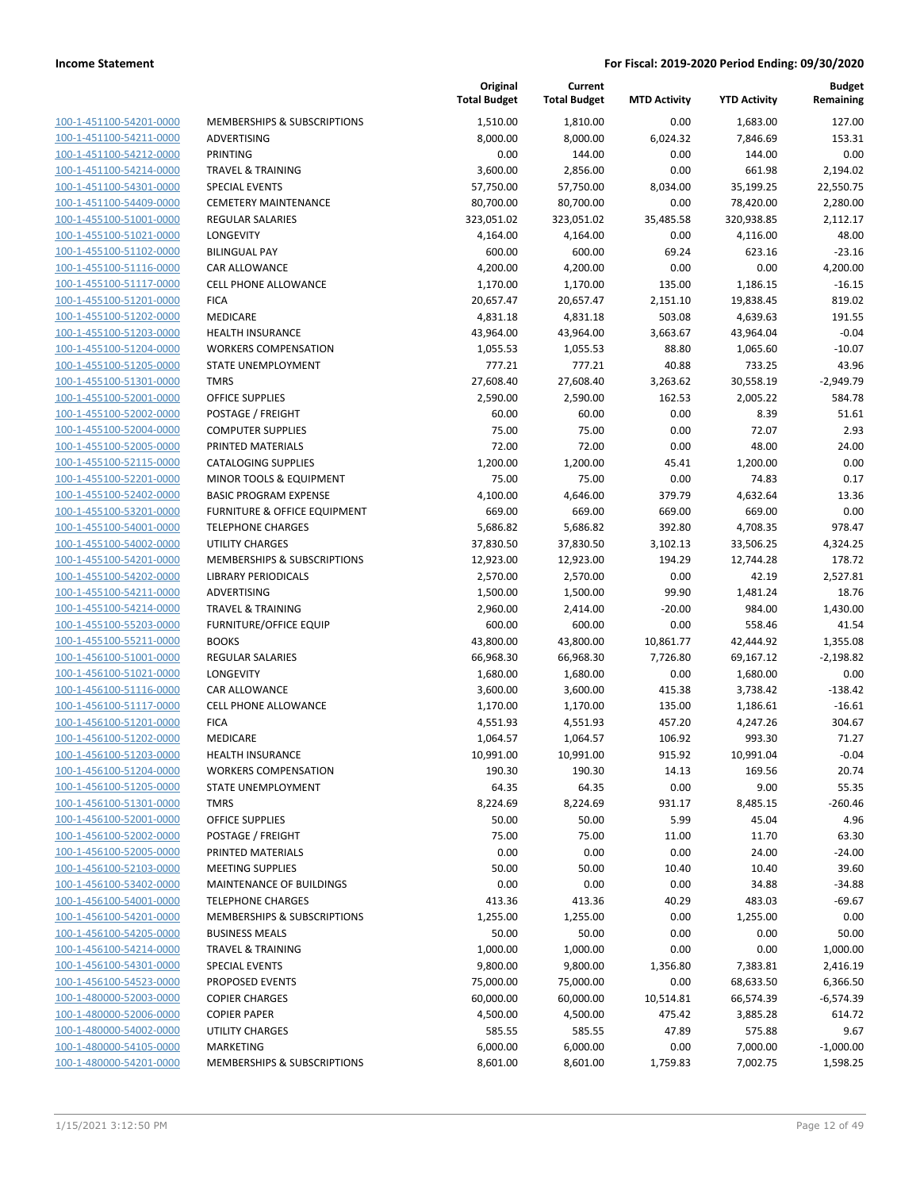| 100-1-451100-54201-0000        |
|--------------------------------|
| 100-1-451100-54211-0000        |
| 100-1-451100-54212-0000        |
| 100-1-451100-54214-0000        |
| 100-1-451100-54301-0000        |
| 100-1-451100-54409-0000        |
| 100-1-455100-51001-0000        |
| 100-1-455100-51021-0000        |
| 100-1-455100-51102-0000        |
| 100-1-455100-51116-0000        |
| 100-1-455100-51117-0000        |
| 100-1-455100-51201-0000        |
| 100-1-455100-51202-0000        |
| 100-1-455100-51203-0000        |
| 100-1-455100-51204-0000        |
| 100-1-455100-51205-0000        |
| 100-1-455100-51301-0000        |
| 100-1-455100-52001-0000        |
| 100-1-455100-52002-0000        |
| 100-1-455100-52004-0000        |
| 100-1-455100-52005-0000        |
| 100-1-455100-52115-0000        |
| 100-1-455100-52201-0000        |
| 100-1-455100-52402-0000        |
| 100-1-455100-53201-0000        |
|                                |
| 100-1-455100-54001-0000        |
| 100-1-455100-54002-0000        |
| 100-1-455100-54201-0000        |
| 100-1-455100-54202-0000        |
| 100-1-455100-54211-0000        |
| 100-1-455100-54214-0000        |
| 100-1-455100-55203-0000        |
| 100-1-455100-55211-0000        |
| 100-1-456100-51001-0000        |
| 100-1-456100-51021-0000        |
| 100-1-456100-51116-0000        |
| 100-1-456100-51117-0000        |
| 100-1-456100-51201-0000        |
| 100-1-456100-51202-0000        |
| 100-1-456100-51203-0000        |
| 100-1-456100-51204-0000        |
| <u>100-1-456100-51205-0000</u> |
| 100-1-456100-51301-0000        |
| 100-1-456100-52001-0000        |
| 100-1-456100-52002-0000        |
| <u>100-1-456100-52005-0000</u> |
| <u>100-1-456100-52103-0000</u> |
| <u>100-1-456100-53402-0000</u> |
| 100-1-456100-54001-0000        |
| <u>100-1-456100-54201-0000</u> |
| <u>100-1-456100-54205-0000</u> |
| <u>100-1-456100-54214-0000</u> |
| 100-1-456100-54301-0000        |
| 100-1-456100-54523-0000        |
|                                |
| <u>100-1-480000-52003-0000</u> |
| 100-1-480000-52006-0000        |
| <u>100-1-480000-54002-0000</u> |
| 100-1-480000-54105-0000        |
| 100-1-480000-54201-0000        |

|                         |                                         | Original<br><b>Total Budget</b> | Current<br><b>Total Budget</b> | <b>MTD Activity</b> | <b>YTD Activity</b> | <b>Budget</b><br>Remaining |
|-------------------------|-----------------------------------------|---------------------------------|--------------------------------|---------------------|---------------------|----------------------------|
| 100-1-451100-54201-0000 | <b>MEMBERSHIPS &amp; SUBSCRIPTIONS</b>  | 1,510.00                        | 1,810.00                       | 0.00                | 1,683.00            | 127.00                     |
| 100-1-451100-54211-0000 | ADVERTISING                             | 8,000.00                        | 8,000.00                       | 6,024.32            | 7,846.69            | 153.31                     |
| 100-1-451100-54212-0000 | <b>PRINTING</b>                         | 0.00                            | 144.00                         | 0.00                | 144.00              | 0.00                       |
| 100-1-451100-54214-0000 | <b>TRAVEL &amp; TRAINING</b>            | 3,600.00                        | 2,856.00                       | 0.00                | 661.98              | 2,194.02                   |
| 100-1-451100-54301-0000 | <b>SPECIAL EVENTS</b>                   | 57,750.00                       | 57,750.00                      | 8,034.00            | 35,199.25           | 22,550.75                  |
| 100-1-451100-54409-0000 | <b>CEMETERY MAINTENANCE</b>             | 80,700.00                       | 80,700.00                      | 0.00                | 78,420.00           | 2,280.00                   |
| 100-1-455100-51001-0000 | <b>REGULAR SALARIES</b>                 | 323,051.02                      | 323,051.02                     | 35,485.58           | 320,938.85          | 2,112.17                   |
| 100-1-455100-51021-0000 | LONGEVITY                               | 4,164.00                        | 4,164.00                       | 0.00                | 4,116.00            | 48.00                      |
| 100-1-455100-51102-0000 | <b>BILINGUAL PAY</b>                    | 600.00                          | 600.00                         | 69.24               | 623.16              | $-23.16$                   |
| 100-1-455100-51116-0000 | CAR ALLOWANCE                           | 4,200.00                        | 4,200.00                       | 0.00                | 0.00                | 4,200.00                   |
| 100-1-455100-51117-0000 | <b>CELL PHONE ALLOWANCE</b>             | 1,170.00                        | 1,170.00                       | 135.00              | 1,186.15            | $-16.15$                   |
| 100-1-455100-51201-0000 | <b>FICA</b>                             | 20,657.47                       | 20,657.47                      | 2,151.10            | 19,838.45           | 819.02                     |
| 100-1-455100-51202-0000 | MEDICARE                                | 4,831.18                        | 4,831.18                       | 503.08              | 4,639.63            | 191.55                     |
| 100-1-455100-51203-0000 | <b>HEALTH INSURANCE</b>                 | 43,964.00                       | 43,964.00                      | 3,663.67            | 43,964.04           | $-0.04$                    |
| 100-1-455100-51204-0000 | <b>WORKERS COMPENSATION</b>             | 1,055.53                        | 1,055.53                       | 88.80               | 1,065.60            | $-10.07$                   |
| 100-1-455100-51205-0000 | STATE UNEMPLOYMENT                      | 777.21                          | 777.21                         | 40.88               | 733.25              | 43.96                      |
| 100-1-455100-51301-0000 | <b>TMRS</b>                             | 27,608.40                       | 27,608.40                      | 3,263.62            | 30,558.19           | $-2,949.79$                |
| 100-1-455100-52001-0000 | <b>OFFICE SUPPLIES</b>                  | 2,590.00                        | 2,590.00                       | 162.53              | 2,005.22            | 584.78                     |
| 100-1-455100-52002-0000 | POSTAGE / FREIGHT                       | 60.00                           | 60.00                          | 0.00                | 8.39                | 51.61                      |
| 100-1-455100-52004-0000 | <b>COMPUTER SUPPLIES</b>                | 75.00                           | 75.00                          | 0.00                | 72.07               | 2.93                       |
| 100-1-455100-52005-0000 | PRINTED MATERIALS                       | 72.00                           | 72.00                          | 0.00                | 48.00               | 24.00                      |
| 100-1-455100-52115-0000 | <b>CATALOGING SUPPLIES</b>              | 1,200.00                        | 1,200.00                       | 45.41               | 1,200.00            | 0.00                       |
| 100-1-455100-52201-0000 | MINOR TOOLS & EQUIPMENT                 | 75.00                           | 75.00                          | 0.00                | 74.83               | 0.17                       |
| 100-1-455100-52402-0000 | <b>BASIC PROGRAM EXPENSE</b>            | 4,100.00                        | 4,646.00                       | 379.79              | 4,632.64            | 13.36                      |
| 100-1-455100-53201-0000 | <b>FURNITURE &amp; OFFICE EQUIPMENT</b> | 669.00                          | 669.00                         | 669.00              | 669.00              | 0.00                       |
| 100-1-455100-54001-0000 | <b>TELEPHONE CHARGES</b>                | 5,686.82                        | 5,686.82                       | 392.80              | 4,708.35            | 978.47                     |
| 100-1-455100-54002-0000 | <b>UTILITY CHARGES</b>                  | 37,830.50                       | 37,830.50                      | 3,102.13            | 33,506.25           | 4,324.25                   |
| 100-1-455100-54201-0000 | MEMBERSHIPS & SUBSCRIPTIONS             | 12,923.00                       | 12,923.00                      | 194.29              | 12,744.28           | 178.72                     |
| 100-1-455100-54202-0000 | <b>LIBRARY PERIODICALS</b>              | 2,570.00                        | 2,570.00                       | 0.00                | 42.19               | 2,527.81                   |
| 100-1-455100-54211-0000 | ADVERTISING                             | 1,500.00                        | 1,500.00                       | 99.90               | 1,481.24            | 18.76                      |
| 100-1-455100-54214-0000 | <b>TRAVEL &amp; TRAINING</b>            | 2,960.00                        | 2,414.00                       | $-20.00$            | 984.00              | 1,430.00                   |
| 100-1-455100-55203-0000 | <b>FURNITURE/OFFICE EQUIP</b>           | 600.00                          | 600.00                         | 0.00                | 558.46              | 41.54                      |
| 100-1-455100-55211-0000 | <b>BOOKS</b>                            | 43,800.00                       | 43,800.00                      | 10,861.77           | 42,444.92           | 1,355.08                   |
| 100-1-456100-51001-0000 | <b>REGULAR SALARIES</b>                 | 66,968.30                       | 66,968.30                      | 7,726.80            | 69,167.12           | $-2,198.82$                |
| 100-1-456100-51021-0000 | LONGEVITY                               | 1,680.00                        | 1,680.00                       | 0.00                | 1,680.00            | 0.00                       |
| 100-1-456100-51116-0000 | CAR ALLOWANCE                           | 3,600.00                        | 3,600.00                       | 415.38              | 3,738.42            | $-138.42$                  |
| 100-1-456100-51117-0000 | <b>CELL PHONE ALLOWANCE</b>             | 1,170.00                        | 1,170.00                       | 135.00              | 1,186.61            | $-16.61$                   |
| 100-1-456100-51201-0000 | <b>FICA</b>                             | 4,551.93                        | 4,551.93                       | 457.20              | 4,247.26            | 304.67                     |
| 100-1-456100-51202-0000 | <b>MEDICARE</b>                         | 1,064.57                        | 1,064.57                       | 106.92              | 993.30              | 71.27                      |
| 100-1-456100-51203-0000 | <b>HEALTH INSURANCE</b>                 | 10,991.00                       | 10,991.00                      | 915.92              | 10,991.04           | $-0.04$                    |
| 100-1-456100-51204-0000 | <b>WORKERS COMPENSATION</b>             | 190.30                          | 190.30                         | 14.13               | 169.56              | 20.74                      |
| 100-1-456100-51205-0000 | <b>STATE UNEMPLOYMENT</b>               | 64.35                           | 64.35                          | 0.00                | 9.00                | 55.35                      |
| 100-1-456100-51301-0000 | TMRS                                    | 8,224.69                        | 8,224.69                       | 931.17              | 8,485.15            | $-260.46$                  |
| 100-1-456100-52001-0000 | <b>OFFICE SUPPLIES</b>                  | 50.00                           | 50.00                          | 5.99                | 45.04               | 4.96                       |
| 100-1-456100-52002-0000 | POSTAGE / FREIGHT                       | 75.00                           | 75.00                          | 11.00               | 11.70               | 63.30                      |
| 100-1-456100-52005-0000 | PRINTED MATERIALS                       | 0.00                            | 0.00                           | 0.00                | 24.00               | $-24.00$                   |
| 100-1-456100-52103-0000 | <b>MEETING SUPPLIES</b>                 | 50.00                           | 50.00                          | 10.40               | 10.40               | 39.60                      |
| 100-1-456100-53402-0000 | MAINTENANCE OF BUILDINGS                | 0.00                            | 0.00                           | 0.00                | 34.88               | $-34.88$                   |
| 100-1-456100-54001-0000 | <b>TELEPHONE CHARGES</b>                | 413.36                          | 413.36                         | 40.29               | 483.03              | $-69.67$                   |
| 100-1-456100-54201-0000 | MEMBERSHIPS & SUBSCRIPTIONS             | 1,255.00                        | 1,255.00                       | 0.00                | 1,255.00            | 0.00                       |
| 100-1-456100-54205-0000 | <b>BUSINESS MEALS</b>                   | 50.00                           | 50.00                          | 0.00                | 0.00                | 50.00                      |
| 100-1-456100-54214-0000 | <b>TRAVEL &amp; TRAINING</b>            | 1,000.00                        | 1,000.00                       | 0.00                | 0.00                | 1,000.00                   |
| 100-1-456100-54301-0000 | <b>SPECIAL EVENTS</b>                   | 9,800.00                        | 9,800.00                       | 1,356.80            | 7,383.81            | 2,416.19                   |
| 100-1-456100-54523-0000 | PROPOSED EVENTS                         | 75,000.00                       | 75,000.00                      | 0.00                | 68,633.50           | 6,366.50                   |
| 100-1-480000-52003-0000 | <b>COPIER CHARGES</b>                   | 60,000.00                       | 60,000.00                      | 10,514.81           | 66,574.39           | $-6,574.39$                |
| 100-1-480000-52006-0000 | <b>COPIER PAPER</b>                     | 4,500.00                        | 4,500.00                       | 475.42              | 3,885.28            | 614.72                     |
| 100-1-480000-54002-0000 | UTILITY CHARGES                         | 585.55                          | 585.55                         | 47.89               | 575.88              | 9.67                       |
| 100-1-480000-54105-0000 | MARKETING                               | 6,000.00                        | 6,000.00                       | 0.00                | 7,000.00            | $-1,000.00$                |
| 100-1-480000-54201-0000 | MEMBERSHIPS & SUBSCRIPTIONS             | 8,601.00                        | 8,601.00                       | 1,759.83            | 7,002.75            | 1,598.25                   |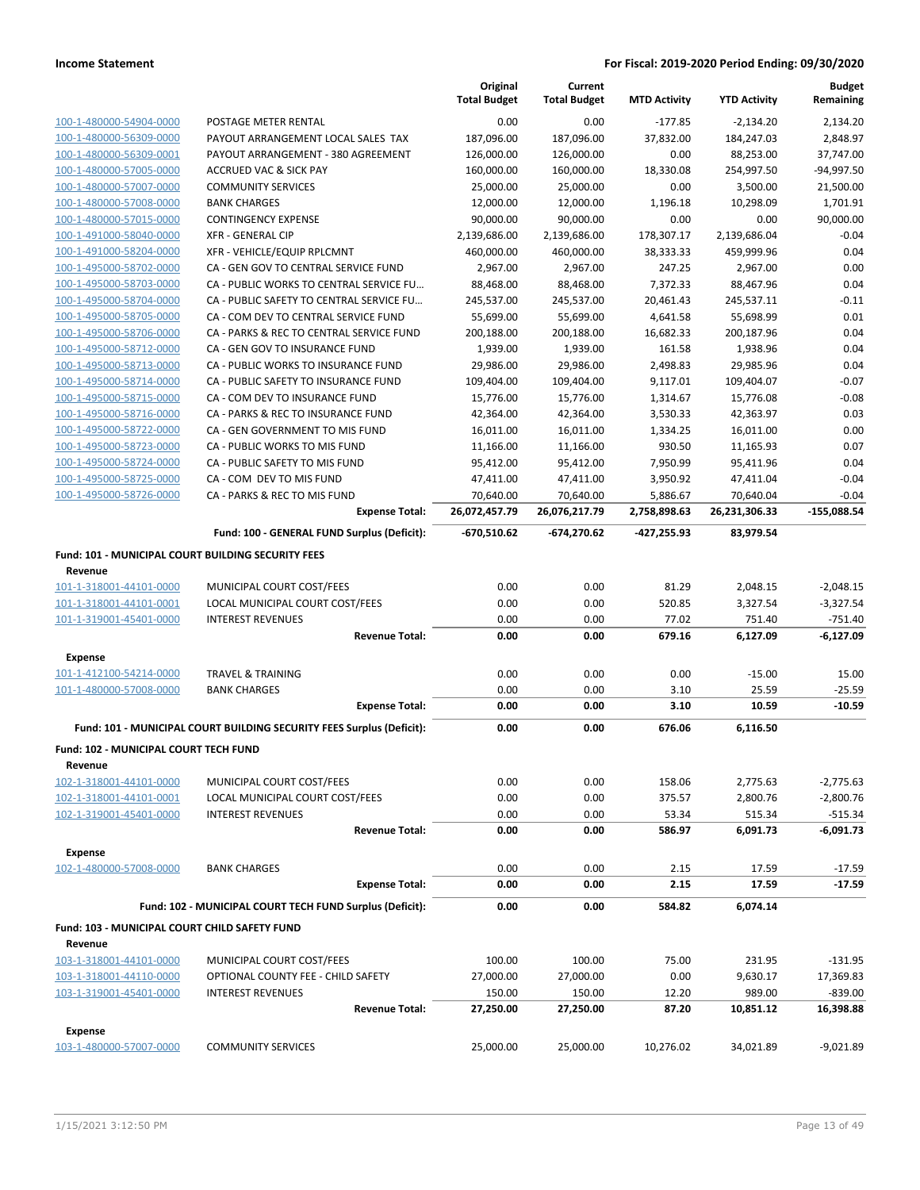|                                                               |                                                                       | Original<br><b>Total Budget</b> | Current<br><b>Total Budget</b> | <b>MTD Activity</b> | <b>YTD Activity</b> | <b>Budget</b><br>Remaining |
|---------------------------------------------------------------|-----------------------------------------------------------------------|---------------------------------|--------------------------------|---------------------|---------------------|----------------------------|
| 100-1-480000-54904-0000                                       | POSTAGE METER RENTAL                                                  | 0.00                            | 0.00                           | $-177.85$           | $-2,134.20$         | 2,134.20                   |
| 100-1-480000-56309-0000                                       | PAYOUT ARRANGEMENT LOCAL SALES TAX                                    | 187,096.00                      | 187,096.00                     | 37,832.00           | 184,247.03          | 2,848.97                   |
| 100-1-480000-56309-0001                                       | PAYOUT ARRANGEMENT - 380 AGREEMENT                                    | 126,000.00                      | 126,000.00                     | 0.00                | 88,253.00           | 37,747.00                  |
| 100-1-480000-57005-0000                                       | <b>ACCRUED VAC &amp; SICK PAY</b>                                     | 160,000.00                      | 160,000.00                     | 18,330.08           | 254,997.50          | $-94,997.50$               |
| 100-1-480000-57007-0000                                       | <b>COMMUNITY SERVICES</b>                                             | 25,000.00                       | 25,000.00                      | 0.00                | 3,500.00            | 21,500.00                  |
| 100-1-480000-57008-0000                                       | <b>BANK CHARGES</b>                                                   | 12,000.00                       | 12,000.00                      | 1,196.18            | 10,298.09           | 1,701.91                   |
| 100-1-480000-57015-0000                                       | <b>CONTINGENCY EXPENSE</b>                                            | 90,000.00                       | 90,000.00                      | 0.00                | 0.00                | 90,000.00                  |
| 100-1-491000-58040-0000                                       | <b>XFR - GENERAL CIP</b>                                              | 2,139,686.00                    | 2,139,686.00                   | 178,307.17          | 2,139,686.04        | $-0.04$                    |
| 100-1-491000-58204-0000                                       | XFR - VEHICLE/EQUIP RPLCMNT                                           | 460,000.00                      | 460,000.00                     | 38,333.33           | 459,999.96          | 0.04                       |
| 100-1-495000-58702-0000                                       | CA - GEN GOV TO CENTRAL SERVICE FUND                                  | 2,967.00                        | 2,967.00                       | 247.25              | 2,967.00            | 0.00                       |
| 100-1-495000-58703-0000                                       | CA - PUBLIC WORKS TO CENTRAL SERVICE FU                               | 88,468.00                       | 88,468.00                      | 7,372.33            | 88,467.96           | 0.04                       |
| 100-1-495000-58704-0000                                       | CA - PUBLIC SAFETY TO CENTRAL SERVICE FU                              | 245,537.00                      | 245,537.00                     | 20,461.43           | 245,537.11          | $-0.11$                    |
| 100-1-495000-58705-0000                                       | CA - COM DEV TO CENTRAL SERVICE FUND                                  | 55,699.00                       | 55,699.00                      | 4,641.58            | 55,698.99           | 0.01                       |
| 100-1-495000-58706-0000                                       | CA - PARKS & REC TO CENTRAL SERVICE FUND                              | 200,188.00                      | 200,188.00                     | 16,682.33           | 200,187.96          | 0.04                       |
| 100-1-495000-58712-0000                                       | CA - GEN GOV TO INSURANCE FUND                                        | 1,939.00                        | 1,939.00                       | 161.58              | 1,938.96            | 0.04                       |
| 100-1-495000-58713-0000                                       | CA - PUBLIC WORKS TO INSURANCE FUND                                   | 29,986.00                       | 29,986.00                      | 2,498.83            | 29,985.96           | 0.04                       |
| 100-1-495000-58714-0000                                       | CA - PUBLIC SAFETY TO INSURANCE FUND                                  | 109,404.00                      | 109,404.00                     | 9,117.01            | 109,404.07          | $-0.07$                    |
| 100-1-495000-58715-0000                                       | CA - COM DEV TO INSURANCE FUND                                        | 15,776.00                       | 15,776.00                      | 1,314.67            | 15,776.08           | $-0.08$                    |
| 100-1-495000-58716-0000                                       | CA - PARKS & REC TO INSURANCE FUND                                    | 42,364.00                       | 42,364.00                      | 3,530.33            | 42,363.97           | 0.03                       |
| 100-1-495000-58722-0000                                       | CA - GEN GOVERNMENT TO MIS FUND                                       | 16,011.00                       | 16,011.00                      | 1,334.25            | 16,011.00           | 0.00                       |
| 100-1-495000-58723-0000                                       | CA - PUBLIC WORKS TO MIS FUND                                         | 11,166.00                       | 11,166.00                      | 930.50              | 11,165.93           | 0.07                       |
| 100-1-495000-58724-0000                                       | CA - PUBLIC SAFETY TO MIS FUND                                        | 95,412.00                       | 95,412.00                      | 7,950.99            | 95,411.96           | 0.04                       |
| 100-1-495000-58725-0000                                       | CA - COM DEV TO MIS FUND                                              | 47,411.00                       | 47,411.00                      | 3,950.92            | 47,411.04           | $-0.04$                    |
| 100-1-495000-58726-0000                                       | CA - PARKS & REC TO MIS FUND                                          | 70,640.00                       | 70,640.00                      | 5,886.67            | 70,640.04           | $-0.04$                    |
|                                                               | <b>Expense Total:</b>                                                 | 26,072,457.79                   | 26,076,217.79                  | 2,758,898.63        | 26,231,306.33       | $-155,088.54$              |
|                                                               | Fund: 100 - GENERAL FUND Surplus (Deficit):                           | $-670,510.62$                   | -674,270.62                    | -427,255.93         | 83,979.54           |                            |
| Fund: 101 - MUNICIPAL COURT BUILDING SECURITY FEES<br>Revenue |                                                                       |                                 |                                |                     |                     |                            |
| 101-1-318001-44101-0000                                       | MUNICIPAL COURT COST/FEES                                             | 0.00                            | 0.00                           | 81.29               | 2,048.15            | $-2,048.15$                |
| 101-1-318001-44101-0001                                       | LOCAL MUNICIPAL COURT COST/FEES                                       | 0.00                            | 0.00                           | 520.85              | 3,327.54            | $-3,327.54$                |
| 101-1-319001-45401-0000                                       | <b>INTEREST REVENUES</b>                                              | 0.00                            | 0.00                           | 77.02               | 751.40              | $-751.40$                  |
|                                                               | <b>Revenue Total:</b>                                                 | 0.00                            | 0.00                           | 679.16              | 6,127.09            | $-6,127.09$                |
| <b>Expense</b>                                                |                                                                       |                                 |                                |                     |                     |                            |
| 101-1-412100-54214-0000                                       | <b>TRAVEL &amp; TRAINING</b>                                          | 0.00                            | 0.00                           | 0.00                | $-15.00$            | 15.00                      |
| 101-1-480000-57008-0000                                       | <b>BANK CHARGES</b>                                                   | 0.00                            | 0.00                           | 3.10                | 25.59               | $-25.59$                   |
|                                                               | <b>Expense Total:</b>                                                 | 0.00                            | 0.00                           | 3.10                | 10.59               | $-10.59$                   |
|                                                               | Fund: 101 - MUNICIPAL COURT BUILDING SECURITY FEES Surplus (Deficit): | 0.00                            | 0.00                           | 676.06              | 6,116.50            |                            |
| Fund: 102 - MUNICIPAL COURT TECH FUND                         |                                                                       |                                 |                                |                     |                     |                            |
| Revenue<br>102-1-318001-44101-0000                            | MUNICIPAL COURT COST/FEES                                             | 0.00                            | 0.00                           | 158.06              | 2,775.63            | $-2,775.63$                |
| 102-1-318001-44101-0001                                       | LOCAL MUNICIPAL COURT COST/FEES                                       | 0.00                            | 0.00                           | 375.57              | 2,800.76            | $-2,800.76$                |
| 102-1-319001-45401-0000                                       | <b>INTEREST REVENUES</b>                                              | 0.00                            | 0.00                           | 53.34               | 515.34              | $-515.34$                  |
|                                                               | <b>Revenue Total:</b>                                                 | 0.00                            | 0.00                           | 586.97              | 6,091.73            | $-6,091.73$                |
|                                                               |                                                                       |                                 |                                |                     |                     |                            |
| <b>Expense</b><br>102-1-480000-57008-0000                     | <b>BANK CHARGES</b>                                                   | 0.00                            | 0.00                           | 2.15                | 17.59               | $-17.59$                   |
|                                                               | <b>Expense Total:</b>                                                 | 0.00                            | 0.00                           | 2.15                | 17.59               | $-17.59$                   |
|                                                               | Fund: 102 - MUNICIPAL COURT TECH FUND Surplus (Deficit):              | 0.00                            | 0.00                           | 584.82              | 6,074.14            |                            |
| Fund: 103 - MUNICIPAL COURT CHILD SAFETY FUND                 |                                                                       |                                 |                                |                     |                     |                            |
| Revenue                                                       |                                                                       |                                 |                                |                     |                     |                            |
| 103-1-318001-44101-0000                                       | MUNICIPAL COURT COST/FEES                                             | 100.00                          | 100.00                         | 75.00               | 231.95              | $-131.95$                  |
| 103-1-318001-44110-0000                                       | OPTIONAL COUNTY FEE - CHILD SAFETY                                    | 27,000.00                       | 27,000.00                      | 0.00                | 9,630.17            | 17,369.83                  |
| 103-1-319001-45401-0000                                       | <b>INTEREST REVENUES</b>                                              | 150.00                          | 150.00                         | 12.20               | 989.00              | $-839.00$                  |
|                                                               | <b>Revenue Total:</b>                                                 | 27,250.00                       | 27,250.00                      | 87.20               | 10,851.12           | 16,398.88                  |
| <b>Expense</b>                                                |                                                                       |                                 |                                |                     |                     |                            |
| 103-1-480000-57007-0000                                       | <b>COMMUNITY SERVICES</b>                                             | 25,000.00                       | 25,000.00                      | 10,276.02           | 34,021.89           | $-9,021.89$                |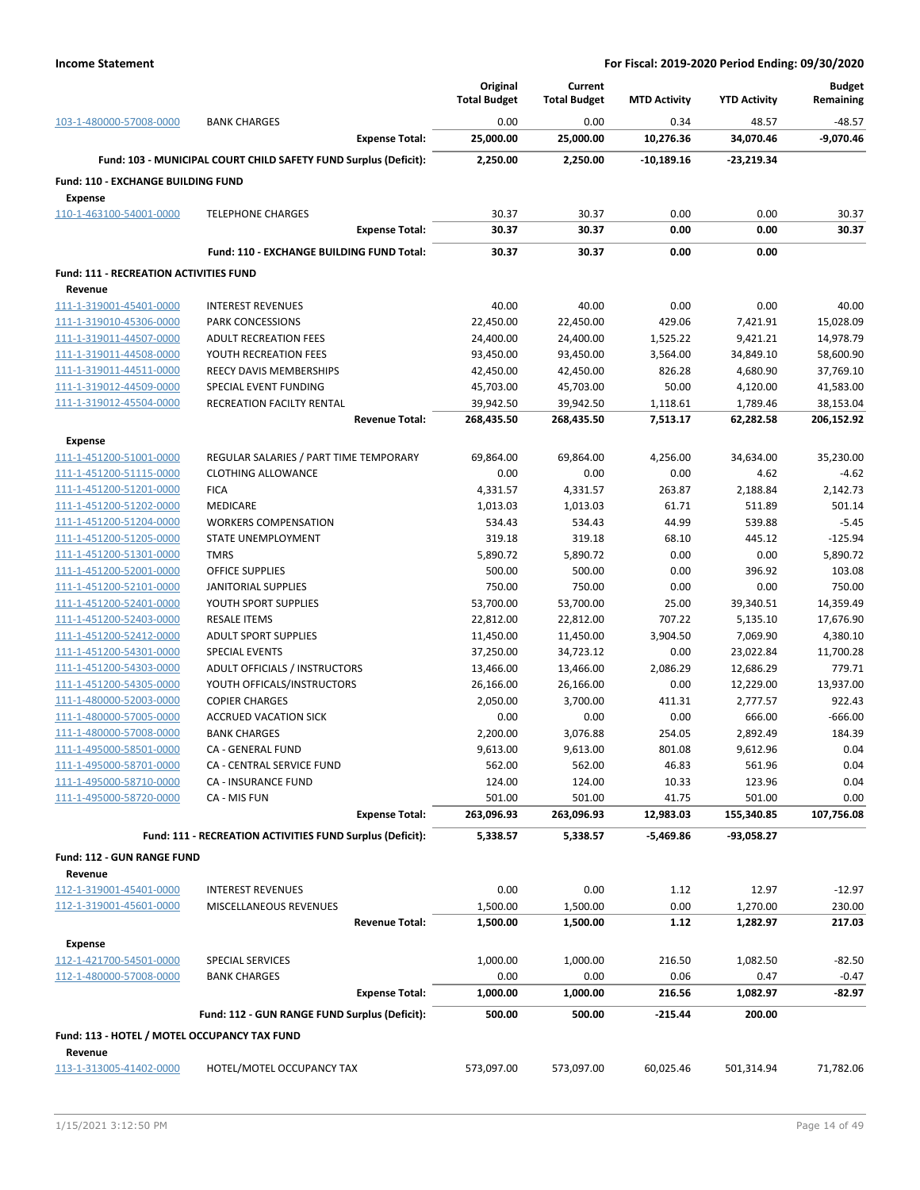|                                                      |                                                                  | Original            | Current             |                     |                     | <b>Budget</b>           |
|------------------------------------------------------|------------------------------------------------------------------|---------------------|---------------------|---------------------|---------------------|-------------------------|
|                                                      |                                                                  | <b>Total Budget</b> | <b>Total Budget</b> | <b>MTD Activity</b> | <b>YTD Activity</b> | Remaining               |
| 103-1-480000-57008-0000                              | <b>BANK CHARGES</b><br><b>Expense Total:</b>                     | 0.00<br>25,000.00   | 0.00<br>25,000.00   | 0.34<br>10,276.36   | 48.57<br>34,070.46  | $-48.57$<br>$-9,070.46$ |
|                                                      | Fund: 103 - MUNICIPAL COURT CHILD SAFETY FUND Surplus (Deficit): | 2,250.00            | 2,250.00            | $-10,189.16$        | -23,219.34          |                         |
|                                                      |                                                                  |                     |                     |                     |                     |                         |
| Fund: 110 - EXCHANGE BUILDING FUND<br><b>Expense</b> |                                                                  |                     |                     |                     |                     |                         |
| 110-1-463100-54001-0000                              | <b>TELEPHONE CHARGES</b>                                         | 30.37               | 30.37               | 0.00                | 0.00                | 30.37                   |
|                                                      | <b>Expense Total:</b>                                            | 30.37               | 30.37               | 0.00                | 0.00                | 30.37                   |
|                                                      | Fund: 110 - EXCHANGE BUILDING FUND Total:                        | 30.37               | 30.37               | 0.00                | 0.00                |                         |
| <b>Fund: 111 - RECREATION ACTIVITIES FUND</b>        |                                                                  |                     |                     |                     |                     |                         |
| Revenue                                              |                                                                  |                     |                     |                     |                     |                         |
| 111-1-319001-45401-0000                              | <b>INTEREST REVENUES</b>                                         | 40.00               | 40.00               | 0.00                | 0.00                | 40.00                   |
| 111-1-319010-45306-0000                              | PARK CONCESSIONS                                                 | 22,450.00           | 22,450.00           | 429.06              | 7,421.91            | 15,028.09               |
| 111-1-319011-44507-0000                              | <b>ADULT RECREATION FEES</b>                                     | 24,400.00           | 24,400.00           | 1,525.22            | 9,421.21            | 14,978.79               |
| 111-1-319011-44508-0000                              | YOUTH RECREATION FEES                                            | 93,450.00           | 93,450.00           | 3,564.00            | 34,849.10           | 58,600.90               |
| 111-1-319011-44511-0000                              | <b>REECY DAVIS MEMBERSHIPS</b>                                   | 42,450.00           | 42,450.00           | 826.28              | 4,680.90            | 37,769.10               |
| 111-1-319012-44509-0000                              | SPECIAL EVENT FUNDING                                            | 45,703.00           | 45,703.00           | 50.00               | 4,120.00            | 41,583.00               |
| 111-1-319012-45504-0000                              | RECREATION FACILTY RENTAL                                        | 39,942.50           | 39,942.50           | 1,118.61            | 1,789.46            | 38,153.04               |
|                                                      | <b>Revenue Total:</b>                                            | 268,435.50          | 268,435.50          | 7,513.17            | 62,282.58           | 206,152.92              |
| <b>Expense</b>                                       |                                                                  |                     |                     |                     |                     |                         |
| 111-1-451200-51001-0000                              | REGULAR SALARIES / PART TIME TEMPORARY                           | 69,864.00           | 69,864.00           | 4,256.00            | 34,634.00           | 35,230.00               |
| 111-1-451200-51115-0000                              | <b>CLOTHING ALLOWANCE</b>                                        | 0.00                | 0.00                | 0.00                | 4.62                | $-4.62$                 |
| 111-1-451200-51201-0000                              | <b>FICA</b>                                                      | 4,331.57            | 4,331.57            | 263.87              | 2,188.84            | 2,142.73                |
| 111-1-451200-51202-0000                              | <b>MEDICARE</b>                                                  | 1,013.03            | 1,013.03            | 61.71               | 511.89              | 501.14                  |
| 111-1-451200-51204-0000                              | <b>WORKERS COMPENSATION</b>                                      | 534.43              | 534.43              | 44.99               | 539.88              | $-5.45$                 |
| 111-1-451200-51205-0000                              | STATE UNEMPLOYMENT                                               | 319.18              | 319.18              | 68.10               | 445.12              | $-125.94$               |
| 111-1-451200-51301-0000                              | <b>TMRS</b>                                                      | 5,890.72            | 5,890.72            | 0.00                | 0.00                | 5,890.72                |
| 111-1-451200-52001-0000                              | <b>OFFICE SUPPLIES</b>                                           | 500.00              | 500.00              | 0.00                | 396.92              | 103.08                  |
| 111-1-451200-52101-0000                              | <b>JANITORIAL SUPPLIES</b>                                       | 750.00              | 750.00              | 0.00                | 0.00                | 750.00                  |
| 111-1-451200-52401-0000                              | YOUTH SPORT SUPPLIES                                             | 53,700.00           | 53,700.00           | 25.00               | 39,340.51           | 14,359.49               |
| 111-1-451200-52403-0000                              | <b>RESALE ITEMS</b>                                              | 22,812.00           | 22,812.00           | 707.22              | 5,135.10            | 17,676.90               |
| 111-1-451200-52412-0000                              | <b>ADULT SPORT SUPPLIES</b>                                      | 11,450.00           | 11,450.00           | 3,904.50            | 7,069.90            | 4,380.10                |
| 111-1-451200-54301-0000                              | <b>SPECIAL EVENTS</b>                                            | 37,250.00           | 34,723.12           | 0.00                | 23,022.84           | 11,700.28               |
| 111-1-451200-54303-0000                              | ADULT OFFICIALS / INSTRUCTORS                                    | 13,466.00           | 13,466.00           | 2,086.29            | 12,686.29           | 779.71                  |
| 111-1-451200-54305-0000                              | YOUTH OFFICALS/INSTRUCTORS                                       | 26,166.00           | 26,166.00           | 0.00                | 12,229.00           | 13,937.00               |
| 111-1-480000-52003-0000                              | <b>COPIER CHARGES</b>                                            | 2,050.00            | 3,700.00            | 411.31              | 2,777.57            | 922.43                  |
| 111-1-480000-57005-0000                              | <b>ACCRUED VACATION SICK</b>                                     | 0.00                | 0.00                | 0.00                | 666.00              | $-666.00$               |
| 111-1-480000-57008-0000                              | <b>BANK CHARGES</b>                                              | 2,200.00            | 3,076.88            | 254.05              | 2,892.49            | 184.39                  |
| 111-1-495000-58501-0000<br>111-1-495000-58701-0000   | CA - GENERAL FUND                                                | 9,613.00            | 9,613.00            | 801.08              | 9,612.96            | 0.04                    |
| 111-1-495000-58710-0000                              | CA - CENTRAL SERVICE FUND<br>CA - INSURANCE FUND                 | 562.00<br>124.00    | 562.00<br>124.00    | 46.83<br>10.33      | 561.96<br>123.96    | 0.04<br>0.04            |
| 111-1-495000-58720-0000                              | CA - MIS FUN                                                     | 501.00              | 501.00              | 41.75               | 501.00              | 0.00                    |
|                                                      | <b>Expense Total:</b>                                            | 263,096.93          | 263,096.93          | 12,983.03           | 155,340.85          | 107,756.08              |
|                                                      |                                                                  |                     |                     |                     |                     |                         |
|                                                      | Fund: 111 - RECREATION ACTIVITIES FUND Surplus (Deficit):        | 5,338.57            | 5,338.57            | $-5,469.86$         | -93,058.27          |                         |
| Fund: 112 - GUN RANGE FUND                           |                                                                  |                     |                     |                     |                     |                         |
| Revenue<br>112-1-319001-45401-0000                   | <b>INTEREST REVENUES</b>                                         | 0.00                | 0.00                | 1.12                | 12.97               | $-12.97$                |
| 112-1-319001-45601-0000                              | MISCELLANEOUS REVENUES                                           | 1,500.00            | 1,500.00            | 0.00                | 1,270.00            | 230.00                  |
|                                                      | <b>Revenue Total:</b>                                            | 1,500.00            | 1,500.00            | 1.12                | 1,282.97            | 217.03                  |
|                                                      |                                                                  |                     |                     |                     |                     |                         |
| <b>Expense</b>                                       |                                                                  |                     |                     |                     |                     |                         |
| 112-1-421700-54501-0000                              | SPECIAL SERVICES                                                 | 1,000.00            | 1,000.00            | 216.50              | 1,082.50            | $-82.50$                |
| 112-1-480000-57008-0000                              | <b>BANK CHARGES</b>                                              | 0.00                | 0.00                | 0.06                | 0.47                | $-0.47$                 |
|                                                      | <b>Expense Total:</b>                                            | 1,000.00            | 1,000.00            | 216.56              | 1,082.97            | $-82.97$                |
|                                                      | Fund: 112 - GUN RANGE FUND Surplus (Deficit):                    | 500.00              | 500.00              | $-215.44$           | 200.00              |                         |
| Fund: 113 - HOTEL / MOTEL OCCUPANCY TAX FUND         |                                                                  |                     |                     |                     |                     |                         |
| Revenue                                              |                                                                  |                     |                     |                     |                     |                         |
| 113-1-313005-41402-0000                              | HOTEL/MOTEL OCCUPANCY TAX                                        | 573,097.00          | 573,097.00          | 60,025.46           | 501,314.94          | 71,782.06               |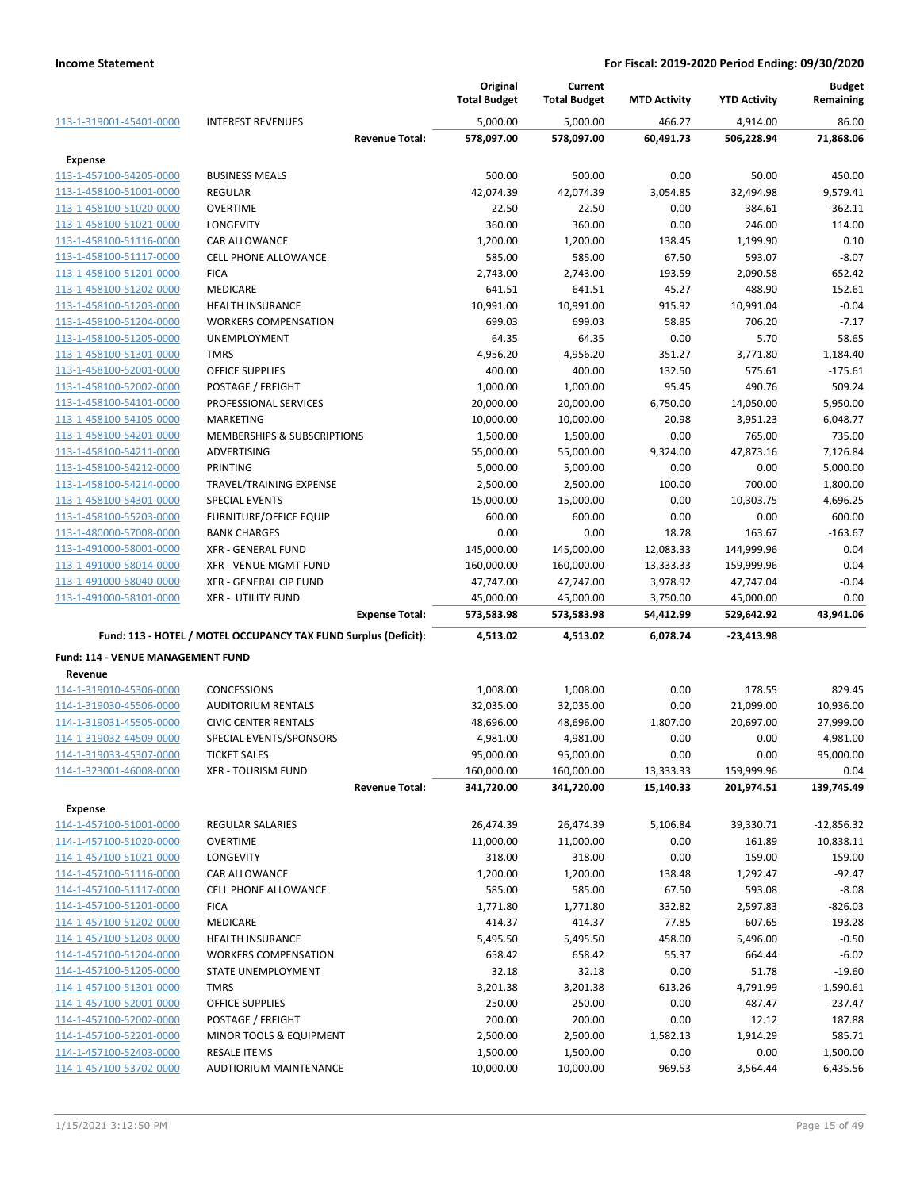|                                                    |                                                                 |                       | Original<br><b>Total Budget</b> | Current<br><b>Total Budget</b> | <b>MTD Activity</b> | <b>YTD Activity</b> | <b>Budget</b><br>Remaining |
|----------------------------------------------------|-----------------------------------------------------------------|-----------------------|---------------------------------|--------------------------------|---------------------|---------------------|----------------------------|
| 113-1-319001-45401-0000                            | <b>INTEREST REVENUES</b>                                        |                       | 5,000.00                        | 5,000.00                       | 466.27              | 4,914.00            | 86.00                      |
|                                                    |                                                                 | <b>Revenue Total:</b> | 578,097.00                      | 578,097.00                     | 60,491.73           | 506,228.94          | 71,868.06                  |
| <b>Expense</b>                                     |                                                                 |                       |                                 |                                |                     |                     |                            |
| 113-1-457100-54205-0000                            | <b>BUSINESS MEALS</b>                                           |                       | 500.00                          | 500.00                         | 0.00                | 50.00               | 450.00                     |
| 113-1-458100-51001-0000                            | <b>REGULAR</b>                                                  |                       | 42,074.39                       | 42,074.39                      | 3,054.85            | 32,494.98           | 9,579.41                   |
| 113-1-458100-51020-0000                            | <b>OVERTIME</b>                                                 |                       | 22.50                           | 22.50                          | 0.00                | 384.61              | $-362.11$                  |
| 113-1-458100-51021-0000                            | LONGEVITY                                                       |                       | 360.00                          | 360.00                         | 0.00                | 246.00              | 114.00                     |
| 113-1-458100-51116-0000                            | <b>CAR ALLOWANCE</b>                                            |                       | 1,200.00                        | 1,200.00                       | 138.45              | 1,199.90            | 0.10                       |
| 113-1-458100-51117-0000                            | <b>CELL PHONE ALLOWANCE</b>                                     |                       | 585.00                          | 585.00                         | 67.50               | 593.07              | $-8.07$                    |
| 113-1-458100-51201-0000                            | <b>FICA</b>                                                     |                       | 2,743.00                        | 2,743.00                       | 193.59              | 2,090.58            | 652.42                     |
| 113-1-458100-51202-0000                            | <b>MEDICARE</b>                                                 |                       | 641.51                          | 641.51                         | 45.27               | 488.90              | 152.61                     |
| 113-1-458100-51203-0000                            | <b>HEALTH INSURANCE</b>                                         |                       | 10,991.00                       | 10,991.00                      | 915.92              | 10,991.04           | $-0.04$                    |
| 113-1-458100-51204-0000                            | <b>WORKERS COMPENSATION</b>                                     |                       | 699.03                          | 699.03                         | 58.85               | 706.20              | $-7.17$                    |
| 113-1-458100-51205-0000                            | UNEMPLOYMENT                                                    |                       | 64.35                           | 64.35                          | 0.00                | 5.70                | 58.65                      |
| 113-1-458100-51301-0000                            | <b>TMRS</b>                                                     |                       | 4,956.20                        | 4,956.20                       | 351.27              | 3,771.80            | 1,184.40                   |
| 113-1-458100-52001-0000                            | <b>OFFICE SUPPLIES</b>                                          |                       | 400.00                          | 400.00                         | 132.50              | 575.61              | $-175.61$                  |
| 113-1-458100-52002-0000                            | POSTAGE / FREIGHT                                               |                       | 1,000.00                        | 1,000.00                       | 95.45               | 490.76              | 509.24                     |
| 113-1-458100-54101-0000                            | PROFESSIONAL SERVICES                                           |                       | 20,000.00                       | 20,000.00                      | 6,750.00            | 14,050.00           | 5,950.00                   |
| 113-1-458100-54105-0000<br>113-1-458100-54201-0000 | MARKETING<br>MEMBERSHIPS & SUBSCRIPTIONS                        |                       | 10,000.00<br>1,500.00           | 10,000.00                      | 20.98<br>0.00       | 3,951.23<br>765.00  | 6,048.77<br>735.00         |
| 113-1-458100-54211-0000                            | ADVERTISING                                                     |                       | 55,000.00                       | 1,500.00<br>55,000.00          | 9,324.00            | 47,873.16           | 7,126.84                   |
| 113-1-458100-54212-0000                            | <b>PRINTING</b>                                                 |                       | 5,000.00                        | 5,000.00                       | 0.00                | 0.00                | 5,000.00                   |
| 113-1-458100-54214-0000                            | TRAVEL/TRAINING EXPENSE                                         |                       | 2,500.00                        | 2,500.00                       | 100.00              | 700.00              | 1,800.00                   |
| 113-1-458100-54301-0000                            | <b>SPECIAL EVENTS</b>                                           |                       | 15,000.00                       | 15,000.00                      | 0.00                | 10,303.75           | 4,696.25                   |
| 113-1-458100-55203-0000                            | <b>FURNITURE/OFFICE EQUIP</b>                                   |                       | 600.00                          | 600.00                         | 0.00                | 0.00                | 600.00                     |
| 113-1-480000-57008-0000                            | <b>BANK CHARGES</b>                                             |                       | 0.00                            | 0.00                           | 18.78               | 163.67              | $-163.67$                  |
| 113-1-491000-58001-0000                            | <b>XFR - GENERAL FUND</b>                                       |                       | 145,000.00                      | 145,000.00                     | 12,083.33           | 144,999.96          | 0.04                       |
| 113-1-491000-58014-0000                            | <b>XFR - VENUE MGMT FUND</b>                                    |                       | 160,000.00                      | 160,000.00                     | 13,333.33           | 159,999.96          | 0.04                       |
| 113-1-491000-58040-0000                            | <b>XFR - GENERAL CIP FUND</b>                                   |                       | 47,747.00                       | 47,747.00                      | 3,978.92            | 47,747.04           | $-0.04$                    |
| 113-1-491000-58101-0000                            | <b>XFR - UTILITY FUND</b>                                       |                       | 45,000.00                       | 45,000.00                      | 3,750.00            | 45,000.00           | 0.00                       |
|                                                    |                                                                 | <b>Expense Total:</b> | 573,583.98                      | 573,583.98                     | 54,412.99           | 529,642.92          | 43,941.06                  |
|                                                    | Fund: 113 - HOTEL / MOTEL OCCUPANCY TAX FUND Surplus (Deficit): |                       | 4,513.02                        | 4,513.02                       | 6,078.74            | -23,413.98          |                            |
| Fund: 114 - VENUE MANAGEMENT FUND                  |                                                                 |                       |                                 |                                |                     |                     |                            |
| Revenue                                            |                                                                 |                       |                                 |                                |                     |                     |                            |
| 114-1-319010-45306-0000                            | CONCESSIONS                                                     |                       | 1,008.00                        | 1,008.00                       | 0.00                | 178.55              | 829.45                     |
| 114-1-319030-45506-0000                            | <b>AUDITORIUM RENTALS</b>                                       |                       | 32,035.00                       | 32,035.00                      | 0.00                | 21,099.00           | 10,936.00                  |
| 114-1-319031-45505-0000                            | <b>CIVIC CENTER RENTALS</b>                                     |                       | 48,696.00                       | 48,696.00                      | 1,807.00            | 20,697.00           | 27,999.00                  |
| 114-1-319032-44509-0000                            | SPECIAL EVENTS/SPONSORS                                         |                       | 4,981.00                        | 4,981.00                       | 0.00                | 0.00                | 4,981.00                   |
| 114-1-319033-45307-0000                            | <b>TICKET SALES</b>                                             |                       | 95,000.00                       | 95,000.00                      | 0.00                | 0.00                | 95,000.00                  |
| 114-1-323001-46008-0000                            | <b>XFR - TOURISM FUND</b>                                       |                       | 160,000.00                      | 160,000.00                     | 13,333.33           | 159,999.96          | 0.04                       |
|                                                    |                                                                 | <b>Revenue Total:</b> | 341,720.00                      | 341,720.00                     | 15,140.33           | 201,974.51          | 139,745.49                 |
| <b>Expense</b>                                     |                                                                 |                       |                                 |                                |                     |                     |                            |
| 114-1-457100-51001-0000                            | REGULAR SALARIES                                                |                       | 26,474.39                       | 26,474.39                      | 5,106.84            | 39,330.71           | $-12,856.32$               |
| 114-1-457100-51020-0000                            | <b>OVERTIME</b>                                                 |                       | 11,000.00                       | 11,000.00                      | 0.00                | 161.89              | 10,838.11                  |
| 114-1-457100-51021-0000                            | <b>LONGEVITY</b>                                                |                       | 318.00                          | 318.00                         | 0.00                | 159.00              | 159.00                     |
| 114-1-457100-51116-0000                            | <b>CAR ALLOWANCE</b>                                            |                       | 1,200.00                        | 1,200.00                       | 138.48              | 1,292.47            | $-92.47$                   |
| 114-1-457100-51117-0000                            | CELL PHONE ALLOWANCE                                            |                       | 585.00                          | 585.00                         | 67.50               | 593.08              | $-8.08$                    |
| 114-1-457100-51201-0000                            | <b>FICA</b>                                                     |                       | 1,771.80                        | 1,771.80                       | 332.82              | 2,597.83            | -826.03                    |
| 114-1-457100-51202-0000                            | <b>MEDICARE</b>                                                 |                       | 414.37                          | 414.37                         | 77.85               | 607.65              | $-193.28$                  |
| 114-1-457100-51203-0000                            | <b>HEALTH INSURANCE</b>                                         |                       | 5,495.50                        | 5,495.50                       | 458.00              | 5,496.00            | $-0.50$                    |
| 114-1-457100-51204-0000                            | <b>WORKERS COMPENSATION</b>                                     |                       | 658.42                          | 658.42                         | 55.37               | 664.44              | $-6.02$                    |
| 114-1-457100-51205-0000                            | STATE UNEMPLOYMENT                                              |                       | 32.18                           | 32.18                          | 0.00                | 51.78               | $-19.60$                   |
| 114-1-457100-51301-0000                            | <b>TMRS</b>                                                     |                       | 3,201.38                        | 3,201.38                       | 613.26              | 4,791.99            | $-1,590.61$                |
| 114-1-457100-52001-0000                            | <b>OFFICE SUPPLIES</b>                                          |                       | 250.00                          | 250.00                         | 0.00                | 487.47              | -237.47                    |
| 114-1-457100-52002-0000                            | POSTAGE / FREIGHT                                               |                       | 200.00                          | 200.00                         | 0.00                | 12.12               | 187.88                     |
| 114-1-457100-52201-0000                            | MINOR TOOLS & EQUIPMENT<br><b>RESALE ITEMS</b>                  |                       | 2,500.00                        | 2,500.00                       | 1,582.13<br>0.00    | 1,914.29<br>0.00    | 585.71                     |
| 114-1-457100-52403-0000<br>114-1-457100-53702-0000 | AUDTIORIUM MAINTENANCE                                          |                       | 1,500.00<br>10,000.00           | 1,500.00<br>10,000.00          | 969.53              | 3,564.44            | 1,500.00<br>6,435.56       |
|                                                    |                                                                 |                       |                                 |                                |                     |                     |                            |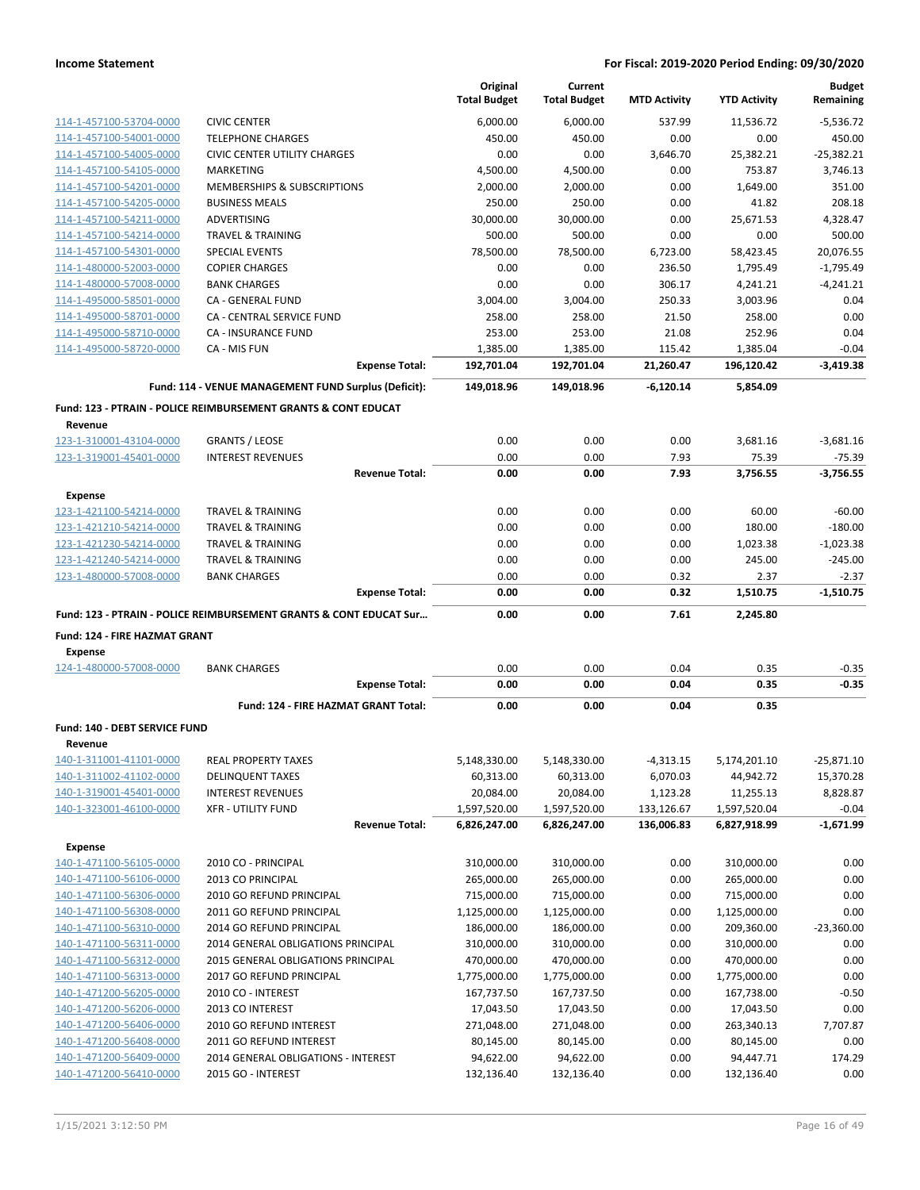|                                                    |                                                                           | Original<br><b>Total Budget</b> | Current<br><b>Total Budget</b> | <b>MTD Activity</b>    | <b>YTD Activity</b>       | <b>Budget</b><br>Remaining |
|----------------------------------------------------|---------------------------------------------------------------------------|---------------------------------|--------------------------------|------------------------|---------------------------|----------------------------|
|                                                    | <b>CIVIC CENTER</b>                                                       | 6,000.00                        | 6,000.00                       | 537.99                 | 11,536.72                 | $-5,536.72$                |
| 114-1-457100-53704-0000<br>114-1-457100-54001-0000 | <b>TELEPHONE CHARGES</b>                                                  | 450.00                          | 450.00                         | 0.00                   | 0.00                      | 450.00                     |
| 114-1-457100-54005-0000                            | <b>CIVIC CENTER UTILITY CHARGES</b>                                       | 0.00                            | 0.00                           | 3.646.70               | 25,382.21                 | $-25,382.21$               |
| 114-1-457100-54105-0000                            | <b>MARKETING</b>                                                          | 4,500.00                        | 4,500.00                       | 0.00                   | 753.87                    | 3,746.13                   |
| 114-1-457100-54201-0000                            | <b>MEMBERSHIPS &amp; SUBSCRIPTIONS</b>                                    | 2,000.00                        | 2,000.00                       | 0.00                   | 1,649.00                  | 351.00                     |
| 114-1-457100-54205-0000                            | <b>BUSINESS MEALS</b>                                                     | 250.00                          | 250.00                         | 0.00                   | 41.82                     | 208.18                     |
| 114-1-457100-54211-0000                            | ADVERTISING                                                               | 30,000.00                       | 30,000.00                      | 0.00                   | 25,671.53                 | 4,328.47                   |
| 114-1-457100-54214-0000                            | <b>TRAVEL &amp; TRAINING</b>                                              | 500.00                          | 500.00                         | 0.00                   | 0.00                      | 500.00                     |
| 114-1-457100-54301-0000                            | <b>SPECIAL EVENTS</b>                                                     | 78,500.00                       | 78,500.00                      | 6,723.00               | 58,423.45                 | 20,076.55                  |
| 114-1-480000-52003-0000                            | <b>COPIER CHARGES</b>                                                     | 0.00                            | 0.00                           | 236.50                 | 1,795.49                  | $-1,795.49$                |
| 114-1-480000-57008-0000                            | <b>BANK CHARGES</b>                                                       | 0.00                            | 0.00                           | 306.17                 | 4,241.21                  | $-4,241.21$                |
| 114-1-495000-58501-0000                            | CA - GENERAL FUND                                                         | 3,004.00                        | 3,004.00                       | 250.33                 | 3,003.96                  | 0.04                       |
| 114-1-495000-58701-0000                            | CA - CENTRAL SERVICE FUND                                                 | 258.00                          | 258.00                         | 21.50                  | 258.00                    | 0.00                       |
| 114-1-495000-58710-0000                            | <b>CA - INSURANCE FUND</b>                                                | 253.00                          | 253.00                         | 21.08                  | 252.96                    | 0.04                       |
| 114-1-495000-58720-0000                            | CA - MIS FUN                                                              | 1,385.00                        | 1,385.00                       | 115.42                 | 1,385.04                  | $-0.04$                    |
|                                                    | <b>Expense Total:</b>                                                     | 192,701.04                      | 192,701.04                     | 21,260.47              | 196,120.42                | $-3,419.38$                |
|                                                    | Fund: 114 - VENUE MANAGEMENT FUND Surplus (Deficit):                      | 149,018.96                      | 149,018.96                     | $-6,120.14$            | 5,854.09                  |                            |
|                                                    | <b>Fund: 123 - PTRAIN - POLICE REIMBURSEMENT GRANTS &amp; CONT EDUCAT</b> |                                 |                                |                        |                           |                            |
| Revenue                                            |                                                                           |                                 |                                |                        |                           |                            |
| 123-1-310001-43104-0000                            | <b>GRANTS / LEOSE</b>                                                     | 0.00                            | 0.00                           | 0.00                   | 3,681.16                  | $-3,681.16$                |
| 123-1-319001-45401-0000                            | <b>INTEREST REVENUES</b>                                                  | 0.00                            | 0.00                           | 7.93                   | 75.39                     | $-75.39$                   |
|                                                    | <b>Revenue Total:</b>                                                     | 0.00                            | 0.00                           | 7.93                   | 3,756.55                  | $-3,756.55$                |
| <b>Expense</b><br>123-1-421100-54214-0000          | <b>TRAVEL &amp; TRAINING</b>                                              | 0.00                            | 0.00                           | 0.00                   | 60.00                     | $-60.00$                   |
| 123-1-421210-54214-0000                            | <b>TRAVEL &amp; TRAINING</b>                                              | 0.00                            | 0.00                           | 0.00                   | 180.00                    | $-180.00$                  |
| 123-1-421230-54214-0000                            | <b>TRAVEL &amp; TRAINING</b>                                              | 0.00                            | 0.00                           | 0.00                   | 1,023.38                  | $-1,023.38$                |
| 123-1-421240-54214-0000                            | <b>TRAVEL &amp; TRAINING</b>                                              | 0.00                            | 0.00                           | 0.00                   | 245.00                    | $-245.00$                  |
| 123-1-480000-57008-0000                            | <b>BANK CHARGES</b>                                                       | 0.00                            | 0.00                           | 0.32                   | 2.37                      | $-2.37$                    |
|                                                    | <b>Expense Total:</b>                                                     | 0.00                            | 0.00                           | 0.32                   | 1,510.75                  | $-1,510.75$                |
|                                                    | Fund: 123 - PTRAIN - POLICE REIMBURSEMENT GRANTS & CONT EDUCAT Sur        | 0.00                            | 0.00                           | 7.61                   | 2,245.80                  |                            |
| Fund: 124 - FIRE HAZMAT GRANT                      |                                                                           |                                 |                                |                        |                           |                            |
| <b>Expense</b>                                     |                                                                           |                                 |                                |                        |                           |                            |
| 124-1-480000-57008-0000                            | <b>BANK CHARGES</b>                                                       | 0.00                            | 0.00                           | 0.04                   | 0.35                      | $-0.35$                    |
|                                                    | <b>Expense Total:</b>                                                     | 0.00                            | 0.00                           | 0.04                   | 0.35                      | $-0.35$                    |
|                                                    | Fund: 124 - FIRE HAZMAT GRANT Total:                                      | 0.00                            | 0.00                           | 0.04                   | 0.35                      |                            |
| Fund: 140 - DEBT SERVICE FUND                      |                                                                           |                                 |                                |                        |                           |                            |
| Revenue<br>140-1-311001-41101-0000                 |                                                                           |                                 |                                |                        |                           |                            |
| 140-1-311002-41102-0000                            | REAL PROPERTY TAXES                                                       | 5,148,330.00                    | 5,148,330.00                   | $-4,313.15$            | 5,174,201.10              | $-25,871.10$               |
| 140-1-319001-45401-0000                            | <b>DELINQUENT TAXES</b><br><b>INTEREST REVENUES</b>                       | 60,313.00<br>20,084.00          | 60,313.00                      | 6,070.03               | 44,942.72                 | 15,370.28<br>8,828.87      |
| 140-1-323001-46100-0000                            | <b>XFR - UTILITY FUND</b>                                                 | 1,597,520.00                    | 20,084.00<br>1,597,520.00      | 1,123.28<br>133,126.67 | 11,255.13<br>1,597,520.04 | $-0.04$                    |
|                                                    | <b>Revenue Total:</b>                                                     | 6,826,247.00                    | 6,826,247.00                   | 136,006.83             | 6,827,918.99              | -1,671.99                  |
| <b>Expense</b>                                     |                                                                           |                                 |                                |                        |                           |                            |
| 140-1-471100-56105-0000                            | 2010 CO - PRINCIPAL                                                       | 310,000.00                      | 310,000.00                     | 0.00                   | 310,000.00                | 0.00                       |
| 140-1-471100-56106-0000                            | 2013 CO PRINCIPAL                                                         | 265,000.00                      | 265,000.00                     | 0.00                   | 265,000.00                | 0.00                       |
| 140-1-471100-56306-0000                            | 2010 GO REFUND PRINCIPAL                                                  | 715,000.00                      | 715,000.00                     | 0.00                   | 715,000.00                | 0.00                       |
| 140-1-471100-56308-0000                            | 2011 GO REFUND PRINCIPAL                                                  | 1,125,000.00                    | 1,125,000.00                   | 0.00                   | 1,125,000.00              | 0.00                       |
| 140-1-471100-56310-0000                            | 2014 GO REFUND PRINCIPAL                                                  | 186,000.00                      | 186,000.00                     | 0.00                   | 209,360.00                | $-23,360.00$               |
| 140-1-471100-56311-0000                            | 2014 GENERAL OBLIGATIONS PRINCIPAL                                        | 310,000.00                      | 310,000.00                     | 0.00                   | 310,000.00                | 0.00                       |
| 140-1-471100-56312-0000                            | 2015 GENERAL OBLIGATIONS PRINCIPAL                                        | 470,000.00                      | 470,000.00                     | 0.00                   | 470,000.00                | 0.00                       |
| 140-1-471100-56313-0000                            | 2017 GO REFUND PRINCIPAL                                                  | 1,775,000.00                    | 1,775,000.00                   | 0.00                   | 1,775,000.00              | 0.00                       |
| 140-1-471200-56205-0000                            | 2010 CO - INTEREST                                                        | 167,737.50                      | 167,737.50                     | 0.00                   | 167,738.00                | $-0.50$                    |
| 140-1-471200-56206-0000                            | 2013 CO INTEREST                                                          | 17,043.50                       | 17,043.50                      | 0.00                   | 17,043.50                 | 0.00                       |
| 140-1-471200-56406-0000                            | 2010 GO REFUND INTEREST                                                   | 271,048.00                      | 271,048.00                     | 0.00                   | 263,340.13                | 7,707.87                   |
| 140-1-471200-56408-0000                            | 2011 GO REFUND INTEREST                                                   | 80,145.00                       | 80,145.00                      | 0.00                   | 80,145.00                 | 0.00                       |
| 140-1-471200-56409-0000                            | 2014 GENERAL OBLIGATIONS - INTEREST                                       | 94,622.00                       | 94,622.00                      | 0.00                   | 94,447.71                 | 174.29                     |
| 140-1-471200-56410-0000                            | 2015 GO - INTEREST                                                        | 132,136.40                      | 132,136.40                     | 0.00                   | 132,136.40                | 0.00                       |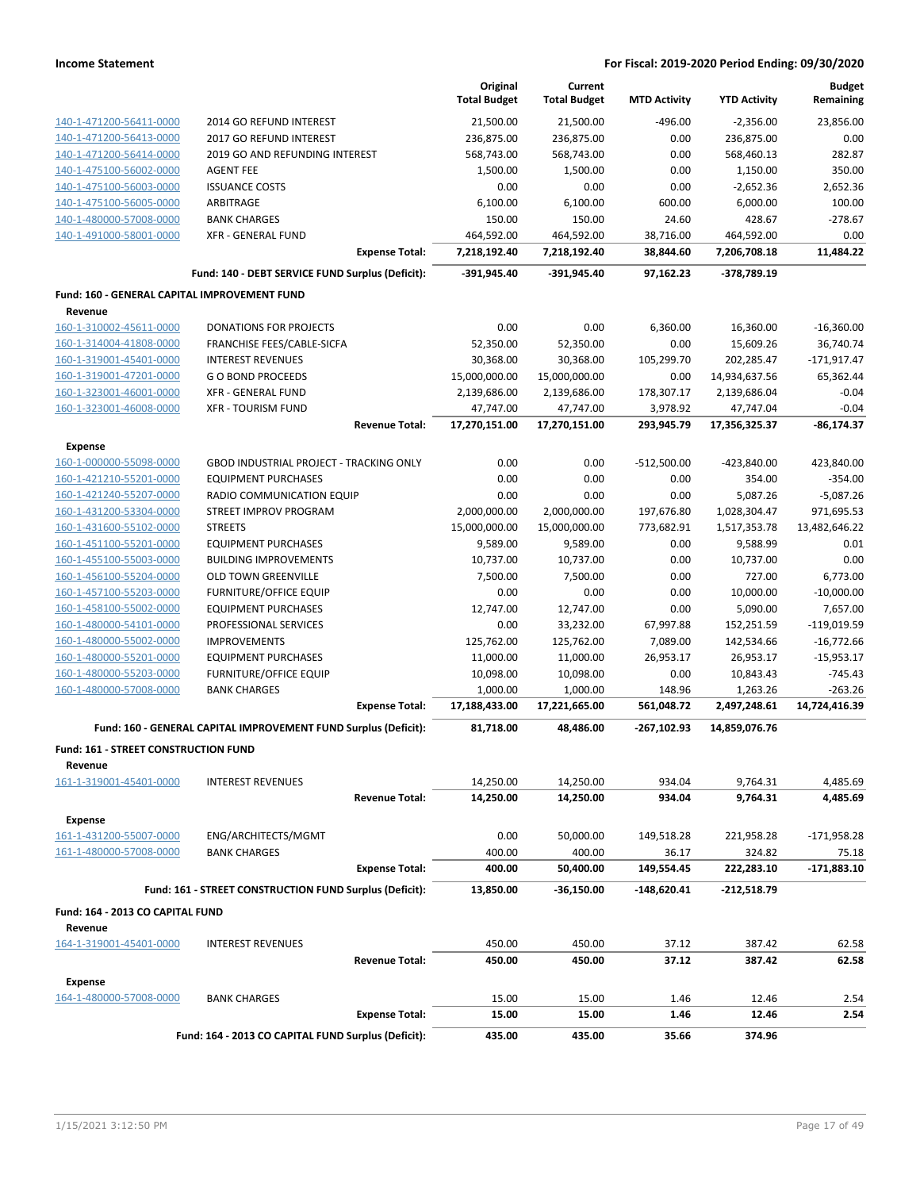|                                              |                                                                 | Original<br><b>Total Budget</b> | Current<br><b>Total Budget</b> | <b>MTD Activity</b> | <b>YTD Activity</b> | <b>Budget</b><br>Remaining |
|----------------------------------------------|-----------------------------------------------------------------|---------------------------------|--------------------------------|---------------------|---------------------|----------------------------|
| 140-1-471200-56411-0000                      | 2014 GO REFUND INTEREST                                         | 21,500.00                       | 21,500.00                      | $-496.00$           | -2,356.00           | 23,856.00                  |
| 140-1-471200-56413-0000                      | 2017 GO REFUND INTEREST                                         | 236,875.00                      | 236,875.00                     | 0.00                | 236,875.00          | 0.00                       |
| 140-1-471200-56414-0000                      | 2019 GO AND REFUNDING INTEREST                                  | 568,743.00                      | 568,743.00                     | 0.00                | 568,460.13          | 282.87                     |
| 140-1-475100-56002-0000                      | <b>AGENT FEE</b>                                                | 1,500.00                        | 1,500.00                       | 0.00                | 1,150.00            | 350.00                     |
| 140-1-475100-56003-0000                      | <b>ISSUANCE COSTS</b>                                           | 0.00                            | 0.00                           | 0.00                | $-2,652.36$         | 2,652.36                   |
| 140-1-475100-56005-0000                      | ARBITRAGE                                                       | 6,100.00                        | 6,100.00                       | 600.00              | 6,000.00            | 100.00                     |
| 140-1-480000-57008-0000                      | <b>BANK CHARGES</b>                                             | 150.00                          | 150.00                         | 24.60               | 428.67              | $-278.67$                  |
| 140-1-491000-58001-0000                      | <b>XFR - GENERAL FUND</b>                                       | 464,592.00                      | 464,592.00                     | 38,716.00           | 464,592.00          | 0.00                       |
|                                              | <b>Expense Total:</b>                                           | 7,218,192.40                    | 7,218,192.40                   | 38,844.60           | 7,206,708.18        | 11,484.22                  |
|                                              | Fund: 140 - DEBT SERVICE FUND Surplus (Deficit):                | -391,945.40                     | -391,945.40                    | 97,162.23           | -378,789.19         |                            |
| Fund: 160 - GENERAL CAPITAL IMPROVEMENT FUND |                                                                 |                                 |                                |                     |                     |                            |
| Revenue                                      |                                                                 |                                 |                                |                     |                     |                            |
| 160-1-310002-45611-0000                      | <b>DONATIONS FOR PROJECTS</b>                                   | 0.00                            | 0.00                           | 6,360.00            | 16,360.00           | $-16,360.00$               |
| 160-1-314004-41808-0000                      | FRANCHISE FEES/CABLE-SICFA                                      | 52,350.00                       | 52,350.00                      | 0.00                | 15,609.26           | 36,740.74                  |
| 160-1-319001-45401-0000                      | <b>INTEREST REVENUES</b>                                        | 30,368.00                       | 30,368.00                      | 105,299.70          | 202,285.47          | $-171,917.47$              |
| 160-1-319001-47201-0000                      | <b>GO BOND PROCEEDS</b>                                         | 15,000,000.00                   | 15,000,000.00                  | 0.00                | 14,934,637.56       | 65,362.44                  |
| 160-1-323001-46001-0000                      | XFR - GENERAL FUND                                              | 2,139,686.00                    | 2,139,686.00                   | 178,307.17          | 2,139,686.04        | $-0.04$                    |
| 160-1-323001-46008-0000                      | <b>XFR - TOURISM FUND</b>                                       | 47,747.00                       | 47,747.00                      | 3,978.92            | 47,747.04           | $-0.04$                    |
|                                              | <b>Revenue Total:</b>                                           | 17,270,151.00                   | 17,270,151.00                  | 293,945.79          | 17,356,325.37       | $-86, 174.37$              |
| <b>Expense</b>                               |                                                                 |                                 |                                |                     |                     |                            |
| 160-1-000000-55098-0000                      | <b>GBOD INDUSTRIAL PROJECT - TRACKING ONLY</b>                  | 0.00                            | 0.00                           | $-512,500.00$       | -423,840.00         | 423,840.00                 |
| 160-1-421210-55201-0000                      | <b>EQUIPMENT PURCHASES</b>                                      | 0.00                            | 0.00                           | 0.00                | 354.00              | $-354.00$                  |
| 160-1-421240-55207-0000                      | RADIO COMMUNICATION EQUIP                                       | 0.00                            | 0.00                           | 0.00                | 5,087.26            | $-5,087.26$                |
| 160-1-431200-53304-0000                      | STREET IMPROV PROGRAM                                           | 2,000,000.00                    | 2,000,000.00                   | 197,676.80          | 1,028,304.47        | 971,695.53                 |
| 160-1-431600-55102-0000                      | <b>STREETS</b>                                                  | 15,000,000.00                   | 15,000,000.00                  | 773,682.91          | 1,517,353.78        | 13,482,646.22              |
| 160-1-451100-55201-0000                      | <b>EQUIPMENT PURCHASES</b>                                      | 9,589.00                        | 9,589.00                       | 0.00                | 9,588.99            | 0.01                       |
| 160-1-455100-55003-0000                      | <b>BUILDING IMPROVEMENTS</b>                                    | 10,737.00                       | 10,737.00                      | 0.00                | 10,737.00           | 0.00                       |
| 160-1-456100-55204-0000                      | <b>OLD TOWN GREENVILLE</b>                                      | 7,500.00                        | 7,500.00                       | 0.00                | 727.00              | 6,773.00                   |
| 160-1-457100-55203-0000                      | <b>FURNITURE/OFFICE EQUIP</b>                                   | 0.00                            | 0.00                           | 0.00                | 10,000.00           | $-10,000.00$               |
| 160-1-458100-55002-0000                      | <b>EQUIPMENT PURCHASES</b>                                      | 12,747.00                       | 12,747.00                      | 0.00                | 5,090.00            | 7,657.00                   |
| 160-1-480000-54101-0000                      | PROFESSIONAL SERVICES                                           | 0.00                            | 33,232.00                      | 67,997.88           | 152,251.59          | $-119,019.59$              |
| 160-1-480000-55002-0000                      | <b>IMPROVEMENTS</b>                                             | 125,762.00                      | 125,762.00                     | 7,089.00            | 142,534.66          | $-16,772.66$               |
| 160-1-480000-55201-0000                      | <b>EQUIPMENT PURCHASES</b>                                      | 11,000.00                       | 11,000.00                      | 26,953.17           | 26,953.17           | $-15,953.17$               |
| 160-1-480000-55203-0000                      | <b>FURNITURE/OFFICE EQUIP</b>                                   | 10,098.00                       | 10,098.00                      | 0.00                | 10,843.43           | $-745.43$                  |
| 160-1-480000-57008-0000                      | <b>BANK CHARGES</b>                                             | 1,000.00                        | 1,000.00                       | 148.96              | 1,263.26            | $-263.26$                  |
|                                              | <b>Expense Total:</b>                                           | 17,188,433.00                   | 17,221,665.00                  | 561,048.72          | 2,497,248.61        | 14,724,416.39              |
|                                              | Fund: 160 - GENERAL CAPITAL IMPROVEMENT FUND Surplus (Deficit): | 81,718.00                       | 48,486.00                      | -267,102.93         | 14,859,076.76       |                            |
| Fund: 161 - STREET CONSTRUCTION FUND         |                                                                 |                                 |                                |                     |                     |                            |
| Revenue<br>161-1-319001-45401-0000           | <b>INTEREST REVENUES</b>                                        | 14,250.00                       | 14,250.00                      | 934.04              | 9,764.31            | 4,485.69                   |
|                                              | <b>Revenue Total:</b>                                           | 14,250.00                       | 14,250.00                      | 934.04              | 9,764.31            | 4,485.69                   |
| <b>Expense</b>                               |                                                                 |                                 |                                |                     |                     |                            |
| 161-1-431200-55007-0000                      | ENG/ARCHITECTS/MGMT                                             | 0.00                            | 50,000.00                      | 149,518.28          | 221,958.28          | $-171,958.28$              |
| 161-1-480000-57008-0000                      | <b>BANK CHARGES</b>                                             | 400.00                          | 400.00                         | 36.17               | 324.82              | 75.18                      |
|                                              | <b>Expense Total:</b>                                           | 400.00                          | 50,400.00                      | 149,554.45          | 222,283.10          | $-171,883.10$              |
|                                              | Fund: 161 - STREET CONSTRUCTION FUND Surplus (Deficit):         | 13,850.00                       | -36,150.00                     | -148,620.41         | $-212,518.79$       |                            |
| Fund: 164 - 2013 CO CAPITAL FUND             |                                                                 |                                 |                                |                     |                     |                            |
| Revenue                                      |                                                                 |                                 |                                |                     |                     |                            |
| 164-1-319001-45401-0000                      | <b>INTEREST REVENUES</b>                                        | 450.00                          | 450.00                         | 37.12               | 387.42              | 62.58                      |
|                                              | <b>Revenue Total:</b>                                           | 450.00                          | 450.00                         | 37.12               | 387.42              | 62.58                      |
| <b>Expense</b>                               |                                                                 |                                 |                                |                     |                     |                            |
| 164-1-480000-57008-0000                      | <b>BANK CHARGES</b>                                             | 15.00                           | 15.00                          | 1.46                | 12.46               | 2.54                       |
|                                              | <b>Expense Total:</b>                                           | 15.00                           | 15.00                          | 1.46                | 12.46               | 2.54                       |
|                                              | Fund: 164 - 2013 CO CAPITAL FUND Surplus (Deficit):             | 435.00                          | 435.00                         | 35.66               | 374.96              |                            |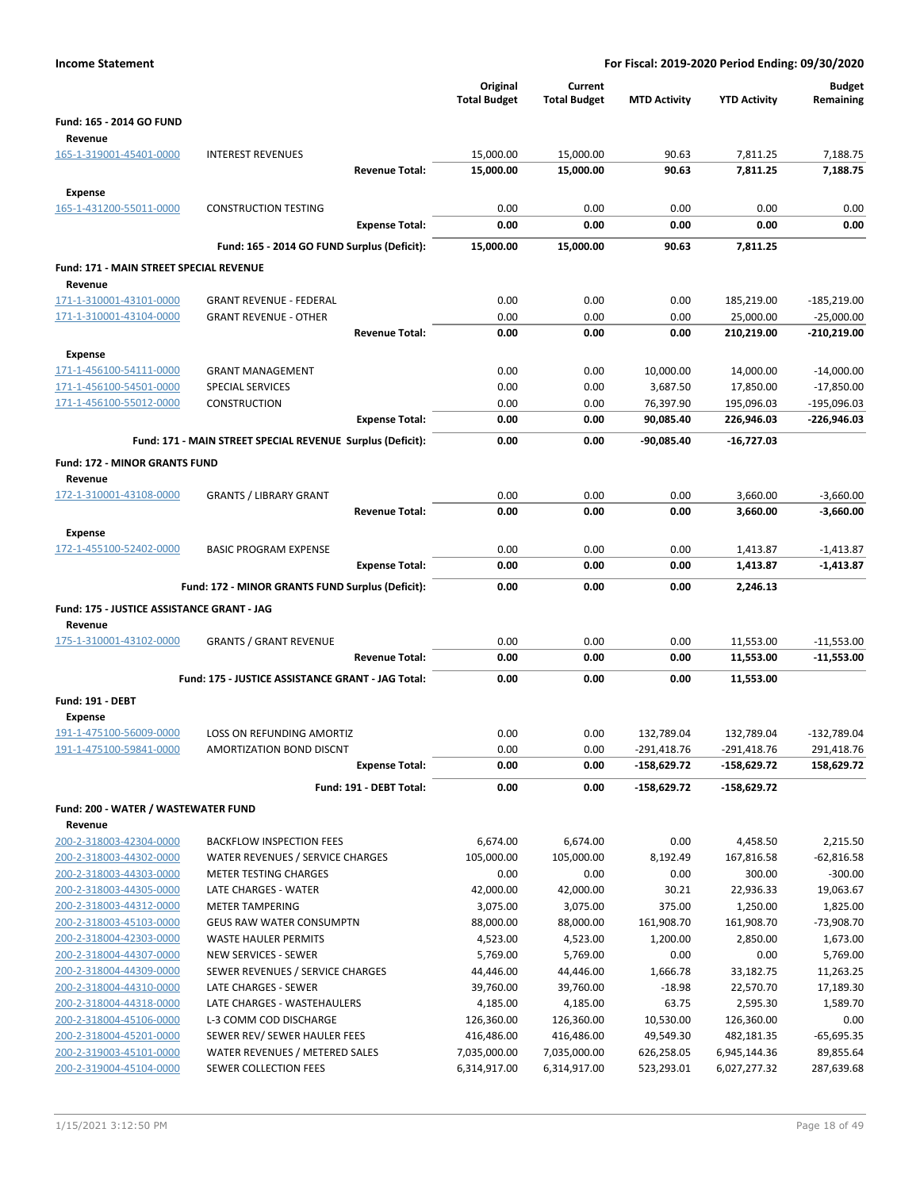| <b>Income Statement</b>                            |                                                            |                                 |                                | For Fiscal: 2019-2020 Period Ending: 09/30/2020 |                              |                            |  |
|----------------------------------------------------|------------------------------------------------------------|---------------------------------|--------------------------------|-------------------------------------------------|------------------------------|----------------------------|--|
|                                                    |                                                            | Original<br><b>Total Budget</b> | Current<br><b>Total Budget</b> | <b>MTD Activity</b>                             | <b>YTD Activity</b>          | <b>Budget</b><br>Remaining |  |
| Fund: 165 - 2014 GO FUND<br>Revenue                |                                                            |                                 |                                |                                                 |                              |                            |  |
| 165-1-319001-45401-0000                            | <b>INTEREST REVENUES</b>                                   | 15,000.00                       | 15,000.00                      | 90.63                                           | 7,811.25                     | 7,188.75                   |  |
|                                                    | <b>Revenue Total:</b>                                      | 15,000.00                       | 15,000.00                      | 90.63                                           | 7,811.25                     | 7,188.75                   |  |
| Expense                                            |                                                            |                                 |                                |                                                 |                              |                            |  |
| 165-1-431200-55011-0000                            | <b>CONSTRUCTION TESTING</b>                                | 0.00                            | 0.00                           | 0.00                                            | 0.00                         | 0.00                       |  |
|                                                    | <b>Expense Total:</b>                                      | 0.00                            | 0.00                           | 0.00                                            | 0.00                         | 0.00                       |  |
|                                                    | Fund: 165 - 2014 GO FUND Surplus (Deficit):                | 15,000.00                       | 15,000.00                      | 90.63                                           | 7,811.25                     |                            |  |
| Fund: 171 - MAIN STREET SPECIAL REVENUE            |                                                            |                                 |                                |                                                 |                              |                            |  |
| Revenue                                            |                                                            |                                 |                                |                                                 |                              |                            |  |
| 171-1-310001-43101-0000                            | <b>GRANT REVENUE - FEDERAL</b>                             | 0.00                            | 0.00                           | 0.00                                            | 185,219.00                   | $-185,219.00$              |  |
| 171-1-310001-43104-0000                            | <b>GRANT REVENUE - OTHER</b>                               | 0.00                            | 0.00                           | 0.00                                            | 25,000.00                    | $-25,000.00$               |  |
|                                                    | <b>Revenue Total:</b>                                      | 0.00                            | 0.00                           | 0.00                                            | 210,219.00                   | $-210,219.00$              |  |
| Expense                                            |                                                            |                                 |                                |                                                 |                              |                            |  |
| 171-1-456100-54111-0000                            | <b>GRANT MANAGEMENT</b>                                    | 0.00                            | 0.00                           | 10,000.00                                       | 14,000.00                    | $-14,000.00$               |  |
| 171-1-456100-54501-0000                            | SPECIAL SERVICES                                           | 0.00                            | 0.00                           | 3,687.50                                        | 17,850.00                    | $-17,850.00$               |  |
| 171-1-456100-55012-0000                            | <b>CONSTRUCTION</b>                                        | 0.00                            | 0.00                           | 76,397.90                                       | 195,096.03                   | -195,096.03                |  |
|                                                    | <b>Expense Total:</b>                                      | 0.00                            | 0.00                           | 90,085.40                                       | 226,946.03                   | -226,946.03                |  |
|                                                    | Fund: 171 - MAIN STREET SPECIAL REVENUE Surplus (Deficit): | 0.00                            | 0.00                           | $-90,085.40$                                    | $-16,727.03$                 |                            |  |
| <b>Fund: 172 - MINOR GRANTS FUND</b>               |                                                            |                                 |                                |                                                 |                              |                            |  |
| Revenue                                            |                                                            |                                 |                                |                                                 |                              |                            |  |
| 172-1-310001-43108-0000                            | <b>GRANTS / LIBRARY GRANT</b>                              | 0.00                            | 0.00                           | 0.00                                            | 3,660.00                     | $-3,660.00$                |  |
|                                                    | <b>Revenue Total:</b>                                      | 0.00                            | 0.00                           | 0.00                                            | 3,660.00                     | $-3,660.00$                |  |
| <b>Expense</b>                                     |                                                            |                                 |                                |                                                 |                              |                            |  |
| 172-1-455100-52402-0000                            | <b>BASIC PROGRAM EXPENSE</b><br><b>Expense Total:</b>      | 0.00<br>0.00                    | 0.00<br>0.00                   | 0.00<br>0.00                                    | 1,413.87<br>1,413.87         | $-1,413.87$<br>$-1,413.87$ |  |
|                                                    |                                                            |                                 |                                |                                                 |                              |                            |  |
|                                                    | Fund: 172 - MINOR GRANTS FUND Surplus (Deficit):           | 0.00                            | 0.00                           | 0.00                                            | 2,246.13                     |                            |  |
| Fund: 175 - JUSTICE ASSISTANCE GRANT - JAG         |                                                            |                                 |                                |                                                 |                              |                            |  |
| Revenue                                            | <b>GRANTS / GRANT REVENUE</b>                              | 0.00                            | 0.00                           | 0.00                                            |                              | $-11,553.00$               |  |
| 175-1-310001-43102-0000                            | <b>Revenue Total:</b>                                      | 0.00                            | 0.00                           | 0.00                                            | 11,553.00<br>11,553.00       | $-11,553.00$               |  |
|                                                    |                                                            |                                 |                                |                                                 |                              |                            |  |
|                                                    | Fund: 175 - JUSTICE ASSISTANCE GRANT - JAG Total:          | 0.00                            | 0.00                           | 0.00                                            | 11,553.00                    |                            |  |
| Fund: 191 - DEBT                                   |                                                            |                                 |                                |                                                 |                              |                            |  |
| Expense<br>191-1-475100-56009-0000                 | LOSS ON REFUNDING AMORTIZ                                  | 0.00                            | 0.00                           | 132,789.04                                      | 132,789.04                   | $-132,789.04$              |  |
| 191-1-475100-59841-0000                            | AMORTIZATION BOND DISCNT                                   | 0.00                            | 0.00                           | -291,418.76                                     | -291,418.76                  | 291,418.76                 |  |
|                                                    | <b>Expense Total:</b>                                      | 0.00                            | 0.00                           | $-158,629.72$                                   | $-158,629.72$                | 158,629.72                 |  |
|                                                    | Fund: 191 - DEBT Total:                                    | 0.00                            | 0.00                           | -158,629.72                                     | -158,629.72                  |                            |  |
| Fund: 200 - WATER / WASTEWATER FUND                |                                                            |                                 |                                |                                                 |                              |                            |  |
| Revenue                                            |                                                            |                                 |                                |                                                 |                              |                            |  |
| 200-2-318003-42304-0000                            | <b>BACKFLOW INSPECTION FEES</b>                            | 6,674.00                        | 6,674.00                       | 0.00                                            | 4,458.50                     | 2,215.50                   |  |
| 200-2-318003-44302-0000                            | WATER REVENUES / SERVICE CHARGES                           | 105,000.00                      | 105,000.00                     | 8,192.49                                        | 167,816.58                   | $-62,816.58$               |  |
| 200-2-318003-44303-0000                            | <b>METER TESTING CHARGES</b>                               | 0.00                            | 0.00                           | 0.00                                            | 300.00                       | $-300.00$                  |  |
| 200-2-318003-44305-0000                            | LATE CHARGES - WATER                                       | 42,000.00                       | 42,000.00                      | 30.21                                           | 22,936.33                    | 19,063.67                  |  |
| 200-2-318003-44312-0000                            | <b>METER TAMPERING</b>                                     | 3,075.00                        | 3,075.00                       | 375.00                                          | 1,250.00                     | 1,825.00                   |  |
| 200-2-318003-45103-0000<br>200-2-318004-42303-0000 | <b>GEUS RAW WATER CONSUMPTN</b><br>WASTE HAULER PERMITS    | 88,000.00<br>4,523.00           | 88,000.00<br>4,523.00          | 161,908.70<br>1,200.00                          | 161,908.70<br>2,850.00       | $-73,908.70$<br>1,673.00   |  |
| 200-2-318004-44307-0000                            | NEW SERVICES - SEWER                                       | 5,769.00                        | 5,769.00                       | 0.00                                            | 0.00                         | 5,769.00                   |  |
| 200-2-318004-44309-0000                            | SEWER REVENUES / SERVICE CHARGES                           | 44,446.00                       | 44,446.00                      | 1,666.78                                        | 33,182.75                    | 11,263.25                  |  |
| 200-2-318004-44310-0000                            | LATE CHARGES - SEWER                                       | 39,760.00                       | 39,760.00                      | $-18.98$                                        | 22,570.70                    | 17,189.30                  |  |
| 200-2-318004-44318-0000                            | LATE CHARGES - WASTEHAULERS                                | 4,185.00                        | 4,185.00                       | 63.75                                           | 2,595.30                     | 1,589.70                   |  |
| 200-2-318004-45106-0000                            | L-3 COMM COD DISCHARGE                                     | 126,360.00                      | 126,360.00                     | 10,530.00                                       | 126,360.00                   | 0.00                       |  |
| 200-2-318004-45201-0000                            | SEWER REV/ SEWER HAULER FEES                               | 416,486.00                      | 416,486.00                     | 49,549.30                                       | 482,181.35                   | $-65,695.35$               |  |
| 200-2-319003-45101-0000<br>200-2-319004-45104-0000 | WATER REVENUES / METERED SALES<br>SEWER COLLECTION FEES    | 7,035,000.00<br>6,314,917.00    | 7,035,000.00<br>6,314,917.00   | 626,258.05<br>523,293.01                        | 6,945,144.36<br>6,027,277.32 | 89,855.64<br>287,639.68    |  |
|                                                    |                                                            |                                 |                                |                                                 |                              |                            |  |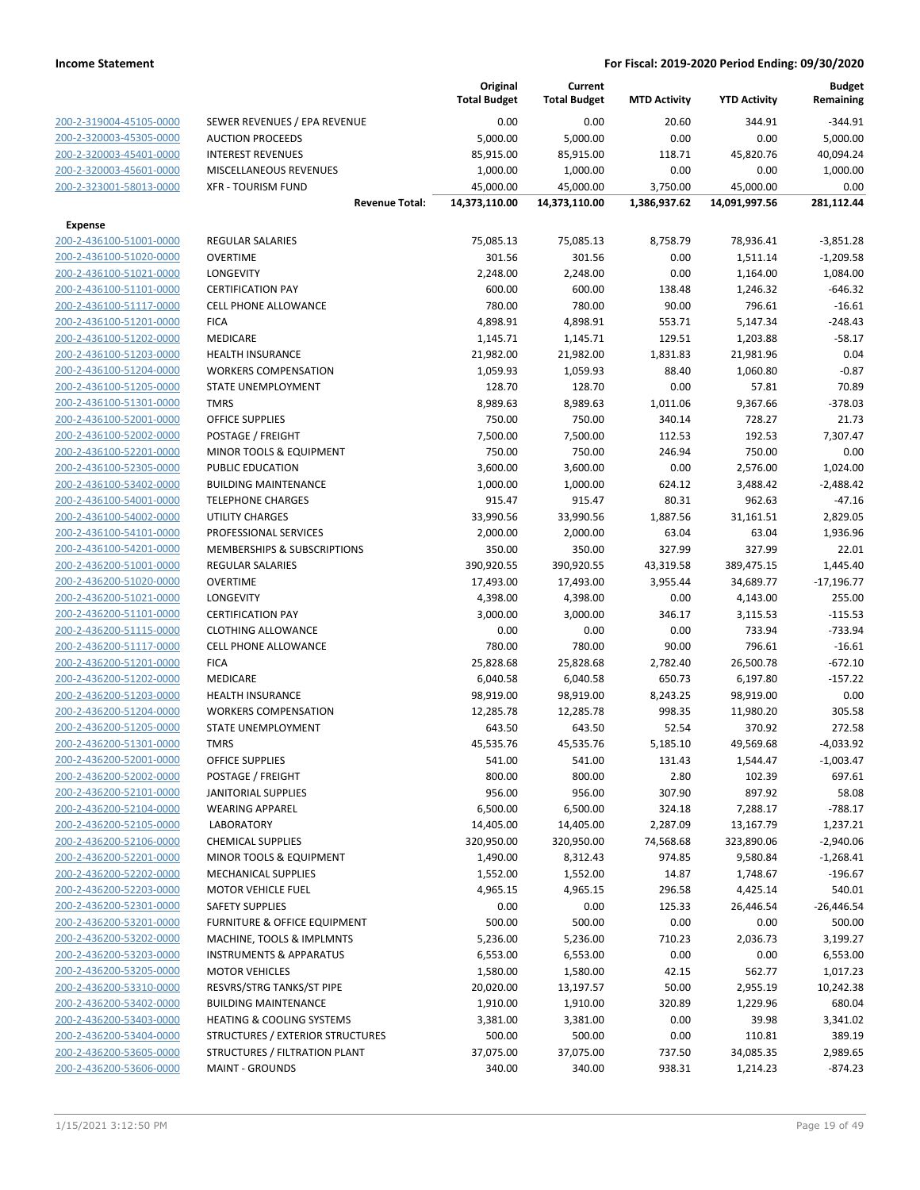|                                                    |                                                                   | Original<br><b>Total Budget</b> | Current<br><b>Total Budget</b> | <b>MTD Activity</b> | <b>YTD Activity</b> | <b>Budget</b><br>Remaining |
|----------------------------------------------------|-------------------------------------------------------------------|---------------------------------|--------------------------------|---------------------|---------------------|----------------------------|
| 200-2-319004-45105-0000                            | SEWER REVENUES / EPA REVENUE                                      | 0.00                            | 0.00                           | 20.60               | 344.91              | $-344.91$                  |
| 200-2-320003-45305-0000                            | <b>AUCTION PROCEEDS</b>                                           | 5,000.00                        | 5,000.00                       | 0.00                | 0.00                | 5,000.00                   |
| 200-2-320003-45401-0000                            | <b>INTEREST REVENUES</b>                                          | 85,915.00                       | 85,915.00                      | 118.71              | 45,820.76           | 40,094.24                  |
| 200-2-320003-45601-0000                            | <b>MISCELLANEOUS REVENUES</b>                                     | 1,000.00                        | 1,000.00                       | 0.00                | 0.00                | 1,000.00                   |
| 200-2-323001-58013-0000                            | <b>XFR - TOURISM FUND</b>                                         | 45,000.00                       | 45,000.00                      | 3,750.00            | 45,000.00           | 0.00                       |
|                                                    | <b>Revenue Total:</b>                                             | 14,373,110.00                   | 14,373,110.00                  | 1,386,937.62        | 14,091,997.56       | 281,112.44                 |
| <b>Expense</b>                                     |                                                                   |                                 |                                |                     |                     |                            |
| 200-2-436100-51001-0000                            | <b>REGULAR SALARIES</b>                                           | 75,085.13                       | 75,085.13                      | 8,758.79            | 78,936.41           | $-3,851.28$                |
| 200-2-436100-51020-0000                            | <b>OVERTIME</b>                                                   | 301.56                          | 301.56                         | 0.00                | 1,511.14            | $-1,209.58$                |
| 200-2-436100-51021-0000                            | LONGEVITY                                                         | 2,248.00                        | 2,248.00                       | 0.00                | 1,164.00            | 1,084.00                   |
| 200-2-436100-51101-0000                            | <b>CERTIFICATION PAY</b>                                          | 600.00                          | 600.00                         | 138.48              | 1,246.32            | $-646.32$                  |
| 200-2-436100-51117-0000                            | <b>CELL PHONE ALLOWANCE</b>                                       | 780.00                          | 780.00                         | 90.00               | 796.61              | $-16.61$                   |
| 200-2-436100-51201-0000                            | <b>FICA</b>                                                       | 4,898.91                        | 4,898.91                       | 553.71              | 5,147.34            | $-248.43$                  |
| 200-2-436100-51202-0000                            | <b>MEDICARE</b>                                                   | 1,145.71                        | 1,145.71                       | 129.51              | 1,203.88            | $-58.17$                   |
| 200-2-436100-51203-0000                            | <b>HEALTH INSURANCE</b>                                           | 21,982.00                       | 21,982.00                      | 1,831.83            | 21,981.96           | 0.04<br>$-0.87$            |
| 200-2-436100-51204-0000<br>200-2-436100-51205-0000 | <b>WORKERS COMPENSATION</b><br>STATE UNEMPLOYMENT                 | 1,059.93                        | 1,059.93<br>128.70             | 88.40               | 1,060.80            | 70.89                      |
| 200-2-436100-51301-0000                            | <b>TMRS</b>                                                       | 128.70<br>8,989.63              | 8,989.63                       | 0.00<br>1,011.06    | 57.81<br>9,367.66   | $-378.03$                  |
| 200-2-436100-52001-0000                            | <b>OFFICE SUPPLIES</b>                                            | 750.00                          | 750.00                         | 340.14              | 728.27              | 21.73                      |
| 200-2-436100-52002-0000                            | POSTAGE / FREIGHT                                                 | 7,500.00                        | 7,500.00                       | 112.53              | 192.53              | 7,307.47                   |
| 200-2-436100-52201-0000                            | MINOR TOOLS & EQUIPMENT                                           | 750.00                          | 750.00                         | 246.94              | 750.00              | 0.00                       |
| 200-2-436100-52305-0000                            | PUBLIC EDUCATION                                                  | 3,600.00                        | 3,600.00                       | 0.00                | 2,576.00            | 1,024.00                   |
| 200-2-436100-53402-0000                            | <b>BUILDING MAINTENANCE</b>                                       | 1,000.00                        | 1,000.00                       | 624.12              | 3,488.42            | $-2,488.42$                |
| 200-2-436100-54001-0000                            | <b>TELEPHONE CHARGES</b>                                          | 915.47                          | 915.47                         | 80.31               | 962.63              | $-47.16$                   |
| 200-2-436100-54002-0000                            | UTILITY CHARGES                                                   | 33,990.56                       | 33,990.56                      | 1,887.56            | 31,161.51           | 2,829.05                   |
| 200-2-436100-54101-0000                            | PROFESSIONAL SERVICES                                             | 2,000.00                        | 2,000.00                       | 63.04               | 63.04               | 1,936.96                   |
| 200-2-436100-54201-0000                            | MEMBERSHIPS & SUBSCRIPTIONS                                       | 350.00                          | 350.00                         | 327.99              | 327.99              | 22.01                      |
| 200-2-436200-51001-0000                            | REGULAR SALARIES                                                  | 390,920.55                      | 390,920.55                     | 43,319.58           | 389,475.15          | 1,445.40                   |
| 200-2-436200-51020-0000                            | <b>OVERTIME</b>                                                   | 17,493.00                       | 17,493.00                      | 3,955.44            | 34,689.77           | $-17,196.77$               |
| 200-2-436200-51021-0000                            | LONGEVITY                                                         | 4,398.00                        | 4,398.00                       | 0.00                | 4,143.00            | 255.00                     |
| 200-2-436200-51101-0000                            | <b>CERTIFICATION PAY</b>                                          | 3,000.00                        | 3,000.00                       | 346.17              | 3,115.53            | $-115.53$                  |
| 200-2-436200-51115-0000                            | <b>CLOTHING ALLOWANCE</b>                                         | 0.00                            | 0.00                           | 0.00                | 733.94              | $-733.94$                  |
| 200-2-436200-51117-0000                            | <b>CELL PHONE ALLOWANCE</b>                                       | 780.00                          | 780.00                         | 90.00               | 796.61              | $-16.61$                   |
| 200-2-436200-51201-0000                            | <b>FICA</b>                                                       | 25,828.68                       | 25,828.68                      | 2,782.40            | 26,500.78           | $-672.10$                  |
| 200-2-436200-51202-0000                            | MEDICARE                                                          | 6,040.58                        | 6,040.58                       | 650.73              | 6,197.80            | $-157.22$                  |
| 200-2-436200-51203-0000                            | <b>HEALTH INSURANCE</b>                                           | 98,919.00                       | 98,919.00                      | 8,243.25            | 98,919.00           | 0.00                       |
| 200-2-436200-51204-0000                            | <b>WORKERS COMPENSATION</b>                                       | 12,285.78                       | 12,285.78                      | 998.35              | 11,980.20           | 305.58                     |
| 200-2-436200-51205-0000                            | STATE UNEMPLOYMENT                                                | 643.50                          | 643.50                         | 52.54               | 370.92              | 272.58                     |
| 200-2-436200-51301-0000                            | <b>TMRS</b>                                                       | 45,535.76                       | 45,535.76                      | 5,185.10            | 49,569.68           | $-4,033.92$                |
| 200-2-436200-52001-0000                            | <b>OFFICE SUPPLIES</b>                                            | 541.00                          | 541.00                         | 131.43              | 1,544.47            | $-1,003.47$                |
| 200-2-436200-52002-0000                            | POSTAGE / FREIGHT                                                 | 800.00                          | 800.00                         | 2.80                | 102.39              | 697.61                     |
| 200-2-436200-52101-0000                            | <b>JANITORIAL SUPPLIES</b>                                        | 956.00                          | 956.00                         | 307.90              | 897.92              | 58.08                      |
| 200-2-436200-52104-0000                            | <b>WEARING APPAREL</b>                                            | 6,500.00                        | 6,500.00                       | 324.18              | 7,288.17            | $-788.17$                  |
| 200-2-436200-52105-0000                            | <b>LABORATORY</b>                                                 | 14,405.00                       | 14,405.00                      | 2,287.09            | 13,167.79           | 1,237.21                   |
| 200-2-436200-52106-0000                            | <b>CHEMICAL SUPPLIES</b>                                          | 320,950.00                      | 320,950.00                     | 74,568.68           | 323,890.06          | $-2,940.06$                |
| 200-2-436200-52201-0000                            | MINOR TOOLS & EQUIPMENT                                           | 1,490.00                        | 8,312.43                       | 974.85              | 9,580.84            | $-1,268.41$                |
| 200-2-436200-52202-0000                            | MECHANICAL SUPPLIES                                               | 1,552.00                        | 1,552.00                       | 14.87               | 1,748.67            | $-196.67$                  |
| 200-2-436200-52203-0000                            | <b>MOTOR VEHICLE FUEL</b>                                         | 4,965.15                        | 4,965.15                       | 296.58              | 4,425.14            | 540.01                     |
| 200-2-436200-52301-0000                            | <b>SAFETY SUPPLIES</b>                                            | 0.00                            | 0.00                           | 125.33              | 26,446.54           | $-26,446.54$               |
| 200-2-436200-53201-0000                            | <b>FURNITURE &amp; OFFICE EQUIPMENT</b>                           | 500.00                          | 500.00                         | 0.00                | 0.00                | 500.00                     |
| 200-2-436200-53202-0000                            | MACHINE, TOOLS & IMPLMNTS                                         | 5,236.00                        | 5,236.00                       | 710.23              | 2,036.73            | 3,199.27                   |
| 200-2-436200-53203-0000                            | <b>INSTRUMENTS &amp; APPARATUS</b>                                | 6,553.00                        | 6,553.00                       | 0.00                | 0.00                | 6,553.00                   |
| 200-2-436200-53205-0000                            | <b>MOTOR VEHICLES</b>                                             | 1,580.00                        | 1,580.00                       | 42.15               | 562.77              | 1,017.23                   |
| 200-2-436200-53310-0000                            | RESVRS/STRG TANKS/ST PIPE                                         | 20,020.00                       | 13,197.57                      | 50.00               | 2,955.19            | 10,242.38                  |
| 200-2-436200-53402-0000                            | <b>BUILDING MAINTENANCE</b>                                       | 1,910.00                        | 1,910.00                       | 320.89              | 1,229.96            | 680.04                     |
| 200-2-436200-53403-0000                            | <b>HEATING &amp; COOLING SYSTEMS</b>                              | 3,381.00                        | 3,381.00                       | 0.00                | 39.98               | 3,341.02                   |
| 200-2-436200-53404-0000<br>200-2-436200-53605-0000 | STRUCTURES / EXTERIOR STRUCTURES<br>STRUCTURES / FILTRATION PLANT | 500.00<br>37,075.00             | 500.00<br>37,075.00            | 0.00<br>737.50      | 110.81<br>34,085.35 | 389.19<br>2,989.65         |
| 200-2-436200-53606-0000                            | <b>MAINT - GROUNDS</b>                                            | 340.00                          | 340.00                         | 938.31              | 1,214.23            | $-874.23$                  |
|                                                    |                                                                   |                                 |                                |                     |                     |                            |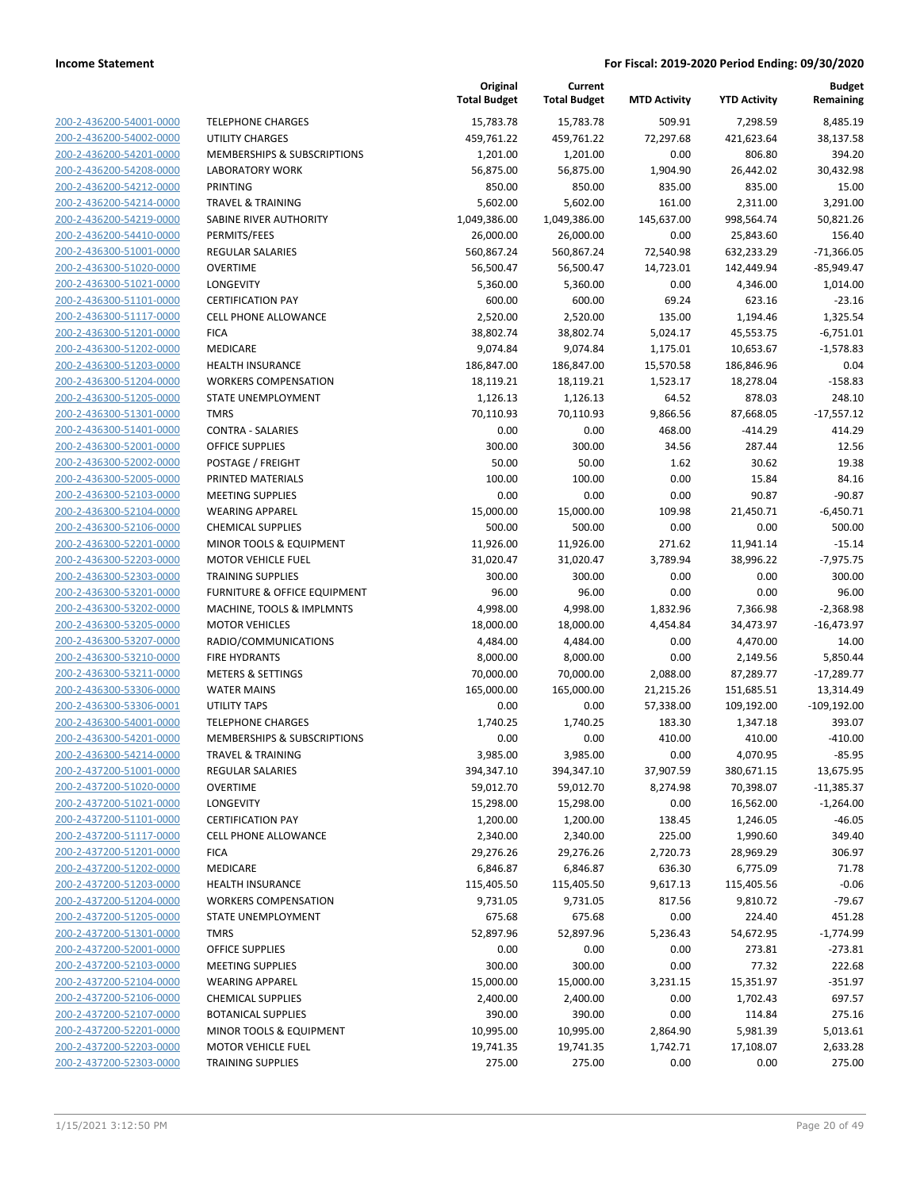|                                                    |                                                      | Original<br><b>Total Budget</b> | Current<br><b>Total Budget</b> | <b>MTD Activity</b>   | <b>YTD Activity</b>     | <b>Budget</b><br>Remaining |
|----------------------------------------------------|------------------------------------------------------|---------------------------------|--------------------------------|-----------------------|-------------------------|----------------------------|
| 200-2-436200-54001-0000                            | <b>TELEPHONE CHARGES</b>                             | 15,783.78                       | 15,783.78                      | 509.91                | 7,298.59                | 8,485.19                   |
| 200-2-436200-54002-0000                            | UTILITY CHARGES                                      | 459,761.22                      | 459,761.22                     | 72,297.68             | 421,623.64              | 38,137.58                  |
| 200-2-436200-54201-0000                            | MEMBERSHIPS & SUBSCRIPTIONS                          | 1,201.00                        | 1,201.00                       | 0.00                  | 806.80                  | 394.20                     |
| 200-2-436200-54208-0000                            | <b>LABORATORY WORK</b>                               | 56,875.00                       | 56,875.00                      | 1,904.90              | 26,442.02               | 30,432.98                  |
| 200-2-436200-54212-0000                            | <b>PRINTING</b>                                      | 850.00                          | 850.00                         | 835.00                | 835.00                  | 15.00                      |
| 200-2-436200-54214-0000                            | <b>TRAVEL &amp; TRAINING</b>                         | 5,602.00                        | 5,602.00                       | 161.00                | 2,311.00                | 3,291.00                   |
| 200-2-436200-54219-0000                            | SABINE RIVER AUTHORITY                               | 1,049,386.00                    | 1,049,386.00                   | 145,637.00            | 998,564.74              | 50,821.26                  |
| 200-2-436200-54410-0000                            | PERMITS/FEES                                         | 26,000.00                       | 26,000.00                      | 0.00                  | 25,843.60               | 156.40                     |
| 200-2-436300-51001-0000                            | REGULAR SALARIES                                     | 560,867.24                      | 560,867.24                     | 72,540.98             | 632,233.29              | $-71,366.05$               |
| 200-2-436300-51020-0000                            | <b>OVERTIME</b>                                      | 56,500.47                       | 56,500.47                      | 14,723.01             | 142,449.94              | $-85,949.47$               |
| 200-2-436300-51021-0000                            | LONGEVITY                                            | 5,360.00                        | 5,360.00                       | 0.00                  | 4,346.00                | 1,014.00                   |
| 200-2-436300-51101-0000                            | <b>CERTIFICATION PAY</b>                             | 600.00                          | 600.00                         | 69.24                 | 623.16                  | $-23.16$                   |
| 200-2-436300-51117-0000                            | <b>CELL PHONE ALLOWANCE</b>                          | 2,520.00                        | 2,520.00                       | 135.00                | 1,194.46                | 1,325.54                   |
| 200-2-436300-51201-0000                            | <b>FICA</b>                                          | 38,802.74                       | 38,802.74                      | 5,024.17              | 45,553.75               | $-6,751.01$                |
| 200-2-436300-51202-0000                            | MEDICARE                                             | 9,074.84                        | 9,074.84                       | 1,175.01              | 10,653.67               | $-1,578.83$                |
| 200-2-436300-51203-0000                            | <b>HEALTH INSURANCE</b>                              | 186,847.00                      | 186,847.00                     | 15,570.58             | 186,846.96              | 0.04                       |
| 200-2-436300-51204-0000                            | <b>WORKERS COMPENSATION</b>                          | 18,119.21                       | 18,119.21                      | 1,523.17              | 18,278.04               | $-158.83$                  |
| 200-2-436300-51205-0000                            | STATE UNEMPLOYMENT                                   | 1,126.13                        | 1,126.13                       | 64.52                 | 878.03                  | 248.10                     |
| 200-2-436300-51301-0000                            | <b>TMRS</b>                                          | 70,110.93                       | 70,110.93                      | 9,866.56              | 87,668.05               | $-17,557.12$               |
| 200-2-436300-51401-0000                            | <b>CONTRA - SALARIES</b>                             | 0.00                            | 0.00                           | 468.00                | $-414.29$               | 414.29                     |
| 200-2-436300-52001-0000                            | <b>OFFICE SUPPLIES</b>                               | 300.00                          | 300.00                         | 34.56                 | 287.44                  | 12.56                      |
| 200-2-436300-52002-0000                            | POSTAGE / FREIGHT                                    | 50.00                           | 50.00                          | 1.62                  | 30.62                   | 19.38                      |
| 200-2-436300-52005-0000                            | PRINTED MATERIALS                                    | 100.00                          | 100.00                         | 0.00                  | 15.84                   | 84.16                      |
| 200-2-436300-52103-0000                            | <b>MEETING SUPPLIES</b>                              | 0.00                            | 0.00                           | 0.00                  | 90.87                   | $-90.87$                   |
| 200-2-436300-52104-0000                            | <b>WEARING APPAREL</b>                               | 15,000.00                       | 15,000.00                      | 109.98                | 21,450.71               | $-6,450.71$                |
| 200-2-436300-52106-0000                            | <b>CHEMICAL SUPPLIES</b>                             | 500.00                          | 500.00                         | 0.00                  | 0.00                    | 500.00                     |
| 200-2-436300-52201-0000                            | MINOR TOOLS & EQUIPMENT                              | 11,926.00                       | 11,926.00                      | 271.62                | 11,941.14               | $-15.14$                   |
| 200-2-436300-52203-0000                            | <b>MOTOR VEHICLE FUEL</b>                            | 31,020.47                       | 31,020.47                      | 3,789.94              | 38,996.22               | $-7,975.75$                |
| 200-2-436300-52303-0000                            | <b>TRAINING SUPPLIES</b>                             | 300.00                          | 300.00                         | 0.00                  | 0.00                    | 300.00                     |
| 200-2-436300-53201-0000                            | FURNITURE & OFFICE EQUIPMENT                         | 96.00                           | 96.00                          | 0.00                  | 0.00                    | 96.00                      |
| 200-2-436300-53202-0000                            | MACHINE, TOOLS & IMPLMNTS                            | 4,998.00                        | 4,998.00                       | 1,832.96              | 7,366.98                | $-2,368.98$                |
| 200-2-436300-53205-0000                            | <b>MOTOR VEHICLES</b>                                | 18,000.00                       | 18,000.00                      | 4,454.84              | 34,473.97               | $-16,473.97$               |
| 200-2-436300-53207-0000                            | RADIO/COMMUNICATIONS                                 | 4,484.00                        | 4,484.00                       | 0.00                  | 4,470.00                | 14.00                      |
| 200-2-436300-53210-0000<br>200-2-436300-53211-0000 | <b>FIRE HYDRANTS</b><br><b>METERS &amp; SETTINGS</b> | 8,000.00<br>70,000.00           | 8,000.00<br>70,000.00          | 0.00                  | 2,149.56                | 5,850.44<br>$-17,289.77$   |
| 200-2-436300-53306-0000                            | <b>WATER MAINS</b>                                   | 165,000.00                      | 165,000.00                     | 2,088.00<br>21,215.26 | 87,289.77<br>151,685.51 | 13,314.49                  |
| 200-2-436300-53306-0001                            | UTILITY TAPS                                         | 0.00                            | 0.00                           | 57,338.00             | 109,192.00              | $-109, 192.00$             |
| 200-2-436300-54001-0000                            | <b>TELEPHONE CHARGES</b>                             | 1,740.25                        | 1,740.25                       | 183.30                | 1,347.18                | 393.07                     |
| 200-2-436300-54201-0000                            | MEMBERSHIPS & SUBSCRIPTIONS                          | 0.00                            | 0.00                           | 410.00                | 410.00                  | $-410.00$                  |
| 200-2-436300-54214-0000                            | TRAVEL & TRAINING                                    | 3,985.00                        | 3,985.00                       | 0.00                  | 4,070.95                | $-85.95$                   |
| 200-2-437200-51001-0000                            | <b>REGULAR SALARIES</b>                              | 394,347.10                      | 394,347.10                     | 37,907.59             | 380,671.15              | 13,675.95                  |
| 200-2-437200-51020-0000                            | <b>OVERTIME</b>                                      | 59,012.70                       | 59,012.70                      | 8,274.98              | 70,398.07               | $-11,385.37$               |
| 200-2-437200-51021-0000                            | LONGEVITY                                            | 15,298.00                       | 15,298.00                      | 0.00                  | 16,562.00               | $-1,264.00$                |
| 200-2-437200-51101-0000                            | <b>CERTIFICATION PAY</b>                             | 1,200.00                        | 1,200.00                       | 138.45                | 1,246.05                | $-46.05$                   |
| 200-2-437200-51117-0000                            | <b>CELL PHONE ALLOWANCE</b>                          | 2,340.00                        | 2,340.00                       | 225.00                | 1,990.60                | 349.40                     |
| 200-2-437200-51201-0000                            | <b>FICA</b>                                          | 29,276.26                       | 29,276.26                      | 2,720.73              | 28,969.29               | 306.97                     |
| 200-2-437200-51202-0000                            | MEDICARE                                             | 6,846.87                        | 6,846.87                       | 636.30                | 6,775.09                | 71.78                      |
| 200-2-437200-51203-0000                            | HEALTH INSURANCE                                     | 115,405.50                      | 115,405.50                     | 9,617.13              | 115,405.56              | $-0.06$                    |
| 200-2-437200-51204-0000                            | <b>WORKERS COMPENSATION</b>                          | 9,731.05                        | 9,731.05                       | 817.56                | 9,810.72                | $-79.67$                   |
| 200-2-437200-51205-0000                            | STATE UNEMPLOYMENT                                   | 675.68                          | 675.68                         | 0.00                  | 224.40                  | 451.28                     |
| 200-2-437200-51301-0000                            | TMRS                                                 | 52,897.96                       | 52,897.96                      | 5,236.43              | 54,672.95               | $-1,774.99$                |
| 200-2-437200-52001-0000                            | <b>OFFICE SUPPLIES</b>                               | 0.00                            | 0.00                           | 0.00                  | 273.81                  | $-273.81$                  |
| 200-2-437200-52103-0000                            | MEETING SUPPLIES                                     | 300.00                          | 300.00                         | 0.00                  | 77.32                   | 222.68                     |
| 200-2-437200-52104-0000                            | <b>WEARING APPAREL</b>                               | 15,000.00                       | 15,000.00                      | 3,231.15              | 15,351.97               | $-351.97$                  |
| 200-2-437200-52106-0000                            | <b>CHEMICAL SUPPLIES</b>                             | 2,400.00                        | 2,400.00                       | 0.00                  | 1,702.43                | 697.57                     |
| 200-2-437200-52107-0000                            | <b>BOTANICAL SUPPLIES</b>                            | 390.00                          | 390.00                         | 0.00                  | 114.84                  | 275.16                     |
| 200-2-437200-52201-0000                            | MINOR TOOLS & EQUIPMENT                              | 10,995.00                       | 10,995.00                      | 2,864.90              | 5,981.39                | 5,013.61                   |
| 200-2-437200-52203-0000                            | <b>MOTOR VEHICLE FUEL</b>                            | 19,741.35                       | 19,741.35                      | 1,742.71              | 17,108.07               | 2,633.28                   |
| 200-2-437200-52303-0000                            | <b>TRAINING SUPPLIES</b>                             | 275.00                          | 275.00                         | 0.00                  | 0.00                    | 275.00                     |
|                                                    |                                                      |                                 |                                |                       |                         |                            |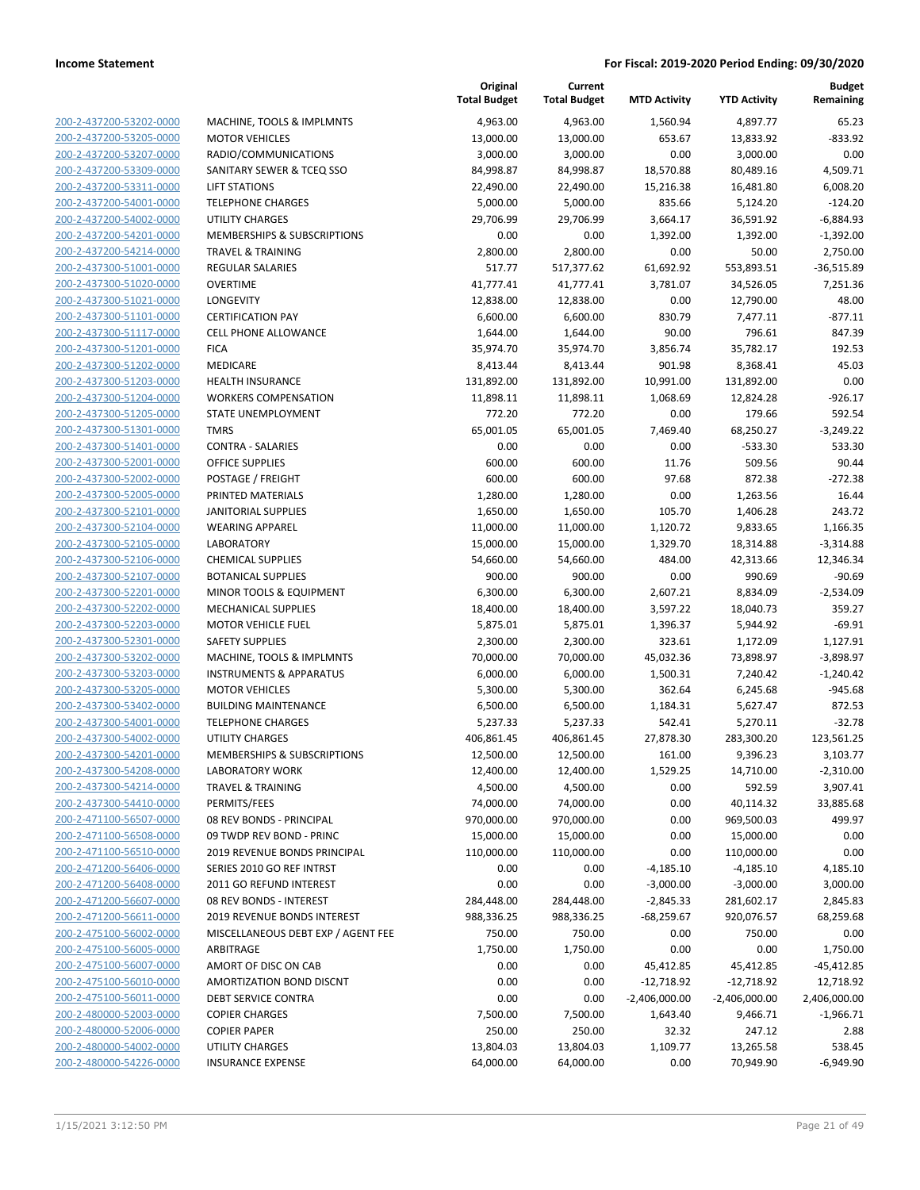**Current**

**Original**

**MTD Activity YTD Activity**

**Budget Remaining**

| 200-2-437200-53202-0000                                   |
|-----------------------------------------------------------|
| 200-2-437200-53205-0000                                   |
| 200-2-437200-53207-0000                                   |
| 200-2-437200-53309-0000                                   |
| 200-2-437200-53311-0000                                   |
| 200-2-437200-54001-0000                                   |
| 200-2-437200-54002-0000                                   |
| 200-2-437200-54201-0000                                   |
| 200-2-437200-54214-0000                                   |
| 2-437300-51001-0000<br>200-                               |
| 200-2-437300-51020-0000                                   |
|                                                           |
| 200-2-437300-51021-0000                                   |
| 200-2-437300-51101-0000                                   |
| 200-2-437300-51117-0000                                   |
| 2-437300-51201-0000<br>$200 -$                            |
| 200-2-437300-51202-0000                                   |
| 200-2-437300-51203-0000                                   |
| 200-2-437300-51204-0000                                   |
| 200-2-437300-51205-0000                                   |
| 2-437300-51301-<br>200-<br>0000-                          |
| 200-2-437300-51401-0000                                   |
| 200-2-437300-52001-0000                                   |
| 200-2-437300-52002-0000                                   |
| 200-2-437300-52005-0000                                   |
| 2-437300-52101-0000<br>$200 -$                            |
| 200-2-437300-52104-0000                                   |
| 200-2-437300-52105-0000                                   |
|                                                           |
| 200-2-437300-52106-0000                                   |
| 200-2-437300-52107-0000                                   |
| 2-437300-52201-<br>200-<br>-0000                          |
| 200-2-437300-52202-0000                                   |
| 200-2-437300-52203-0000                                   |
| 200-2-437300-52301-0000                                   |
| 200-2-437300-53202-0000                                   |
| 200-2-437300-53203-0000                                   |
| 200-2-437300-53205-0000                                   |
| 200-2-437300-53402-0000                                   |
| 200-2-437300-54001-0000                                   |
| 200-2-437300-54002-0000                                   |
| 200-2-437300-54201-0000                                   |
| 200-2-437300-54208-0000                                   |
| 200-2-437300-54214-0000                                   |
| 200-2-437300-54410-0000                                   |
|                                                           |
| 200-2-471100-56507-0000                                   |
| 200-2-471100-56508-0000                                   |
| 200-2-471100-56510-0000                                   |
| 200-2-471200-56406-0000                                   |
| 200-2-471200-56408-0000                                   |
| 200-2-471200-56607-0000                                   |
| 200-2-471200-56611-0000                                   |
| 200-2-475100-56002-0000                                   |
| 200-2-475100-56005-0000                                   |
| 200-2-475100-56007-0000                                   |
| 200-2-475100-56010-0000                                   |
| 200-2-475100-56011-0000                                   |
| 200-2-480000-52003-0000                                   |
|                                                           |
|                                                           |
| 200-2-480000-52006-0000                                   |
| <u>200-2-480000-54002-0000</u><br>200-2-480000-54226-0000 |

|                                                    |                                                       | <b>Total Budget</b> | <b>Total Budget</b> | <b>MTD Activity</b> | <b>YTD Activity</b> | Remaining             |
|----------------------------------------------------|-------------------------------------------------------|---------------------|---------------------|---------------------|---------------------|-----------------------|
| 200-2-437200-53202-0000                            | MACHINE, TOOLS & IMPLMNTS                             | 4,963.00            | 4,963.00            | 1,560.94            | 4,897.77            | 65.23                 |
| 200-2-437200-53205-0000                            | <b>MOTOR VEHICLES</b>                                 | 13,000.00           | 13,000.00           | 653.67              | 13,833.92           | $-833.92$             |
| 200-2-437200-53207-0000                            | RADIO/COMMUNICATIONS                                  | 3,000.00            | 3,000.00            | 0.00                | 3,000.00            | 0.00                  |
| 200-2-437200-53309-0000                            | SANITARY SEWER & TCEQ SSO                             | 84,998.87           | 84,998.87           | 18,570.88           | 80,489.16           | 4,509.71              |
| 200-2-437200-53311-0000                            | <b>LIFT STATIONS</b>                                  | 22,490.00           | 22,490.00           | 15,216.38           | 16,481.80           | 6,008.20              |
| 200-2-437200-54001-0000                            | <b>TELEPHONE CHARGES</b>                              | 5,000.00            | 5,000.00            | 835.66              | 5,124.20            | $-124.20$             |
| 200-2-437200-54002-0000                            | <b>UTILITY CHARGES</b>                                | 29,706.99           | 29,706.99           | 3,664.17            | 36,591.92           | $-6,884.93$           |
| 200-2-437200-54201-0000                            | MEMBERSHIPS & SUBSCRIPTIONS                           | 0.00                | 0.00                | 1,392.00            | 1,392.00            | $-1,392.00$           |
| 200-2-437200-54214-0000                            | <b>TRAVEL &amp; TRAINING</b>                          | 2,800.00            | 2,800.00            | 0.00                | 50.00               | 2,750.00              |
| 200-2-437300-51001-0000                            | <b>REGULAR SALARIES</b>                               | 517.77              | 517,377.62          | 61,692.92           | 553,893.51          | $-36,515.89$          |
| 200-2-437300-51020-0000                            | <b>OVERTIME</b>                                       | 41,777.41           | 41,777.41           | 3,781.07            | 34,526.05           | 7,251.36              |
| 200-2-437300-51021-0000                            | LONGEVITY                                             | 12,838.00           | 12,838.00           | 0.00                | 12,790.00           | 48.00                 |
| 200-2-437300-51101-0000                            | <b>CERTIFICATION PAY</b>                              | 6,600.00            | 6,600.00            | 830.79              | 7,477.11            | $-877.11$             |
| 200-2-437300-51117-0000                            | <b>CELL PHONE ALLOWANCE</b>                           | 1,644.00            | 1,644.00            | 90.00               | 796.61              | 847.39                |
| 200-2-437300-51201-0000                            | <b>FICA</b>                                           | 35,974.70           | 35,974.70           | 3,856.74            | 35,782.17           | 192.53                |
| 200-2-437300-51202-0000                            | MEDICARE                                              | 8,413.44            | 8,413.44            | 901.98              | 8,368.41            | 45.03                 |
| 200-2-437300-51203-0000                            | <b>HEALTH INSURANCE</b>                               | 131,892.00          | 131,892.00          | 10,991.00           | 131,892.00          | 0.00                  |
| 200-2-437300-51204-0000                            | <b>WORKERS COMPENSATION</b>                           | 11,898.11           | 11,898.11           | 1,068.69            | 12,824.28           | $-926.17$             |
| 200-2-437300-51205-0000                            | STATE UNEMPLOYMENT                                    | 772.20              | 772.20              | 0.00                | 179.66              | 592.54                |
| 200-2-437300-51301-0000                            | <b>TMRS</b>                                           | 65,001.05           | 65,001.05           | 7,469.40            | 68,250.27           | $-3,249.22$           |
| 200-2-437300-51401-0000                            | <b>CONTRA - SALARIES</b>                              | 0.00                | 0.00                | 0.00                | $-533.30$           | 533.30                |
| 200-2-437300-52001-0000                            | <b>OFFICE SUPPLIES</b>                                | 600.00              | 600.00              | 11.76               | 509.56              | 90.44                 |
| 200-2-437300-52002-0000                            | POSTAGE / FREIGHT                                     | 600.00              | 600.00              | 97.68               | 872.38              | $-272.38$             |
| 200-2-437300-52005-0000                            | PRINTED MATERIALS                                     | 1,280.00            | 1,280.00            | 0.00                | 1,263.56            | 16.44                 |
| 200-2-437300-52101-0000                            | <b>JANITORIAL SUPPLIES</b>                            | 1,650.00            | 1,650.00            | 105.70              | 1,406.28            | 243.72                |
| 200-2-437300-52104-0000                            | <b>WEARING APPAREL</b>                                | 11,000.00           | 11,000.00           | 1,120.72            | 9,833.65            | 1,166.35              |
| 200-2-437300-52105-0000                            | LABORATORY                                            | 15,000.00           | 15,000.00           | 1,329.70            | 18,314.88           | $-3,314.88$           |
| 200-2-437300-52106-0000<br>200-2-437300-52107-0000 | <b>CHEMICAL SUPPLIES</b><br><b>BOTANICAL SUPPLIES</b> | 54,660.00<br>900.00 | 54,660.00<br>900.00 | 484.00<br>0.00      | 42,313.66<br>990.69 | 12,346.34<br>$-90.69$ |
| 200-2-437300-52201-0000                            | MINOR TOOLS & EQUIPMENT                               | 6,300.00            | 6,300.00            | 2,607.21            | 8,834.09            | $-2,534.09$           |
| 200-2-437300-52202-0000                            | MECHANICAL SUPPLIES                                   | 18,400.00           | 18,400.00           | 3,597.22            | 18,040.73           | 359.27                |
| 200-2-437300-52203-0000                            | <b>MOTOR VEHICLE FUEL</b>                             | 5,875.01            | 5,875.01            | 1,396.37            | 5,944.92            | $-69.91$              |
| 200-2-437300-52301-0000                            | <b>SAFETY SUPPLIES</b>                                | 2,300.00            | 2,300.00            | 323.61              | 1,172.09            | 1,127.91              |
| 200-2-437300-53202-0000                            | MACHINE, TOOLS & IMPLMNTS                             | 70,000.00           | 70,000.00           | 45,032.36           | 73,898.97           | $-3,898.97$           |
| 200-2-437300-53203-0000                            | <b>INSTRUMENTS &amp; APPARATUS</b>                    | 6,000.00            | 6,000.00            | 1,500.31            | 7,240.42            | $-1,240.42$           |
| 200-2-437300-53205-0000                            | <b>MOTOR VEHICLES</b>                                 | 5,300.00            | 5,300.00            | 362.64              | 6,245.68            | $-945.68$             |
| 200-2-437300-53402-0000                            | <b>BUILDING MAINTENANCE</b>                           | 6,500.00            | 6,500.00            | 1,184.31            | 5,627.47            | 872.53                |
| 200-2-437300-54001-0000                            | <b>TELEPHONE CHARGES</b>                              | 5,237.33            | 5,237.33            | 542.41              | 5,270.11            | $-32.78$              |
| 200-2-437300-54002-0000                            | UTILITY CHARGES                                       | 406,861.45          | 406,861.45          | 27,878.30           | 283,300.20          | 123,561.25            |
| 200-2-437300-54201-0000                            | MEMBERSHIPS & SUBSCRIPTIONS                           | 12,500.00           | 12,500.00           | 161.00              | 9,396.23            | 3,103.77              |
| 200-2-437300-54208-0000                            | <b>LABORATORY WORK</b>                                | 12,400.00           | 12,400.00           | 1,529.25            | 14,710.00           | $-2,310.00$           |
| 200-2-437300-54214-0000                            | <b>TRAVEL &amp; TRAINING</b>                          | 4,500.00            | 4,500.00            | 0.00                | 592.59              | 3,907.41              |
| 200-2-437300-54410-0000                            | PERMITS/FEES                                          | 74,000.00           | 74,000.00           | 0.00                | 40,114.32           | 33,885.68             |
| 200-2-471100-56507-0000                            | 08 REV BONDS - PRINCIPAL                              | 970,000.00          | 970,000.00          | 0.00                | 969,500.03          | 499.97                |
| 200-2-471100-56508-0000                            | 09 TWDP REV BOND - PRINC                              | 15,000.00           | 15,000.00           | 0.00                | 15,000.00           | 0.00                  |
| 200-2-471100-56510-0000                            | 2019 REVENUE BONDS PRINCIPAL                          | 110,000.00          | 110,000.00          | 0.00                | 110,000.00          | 0.00                  |
| 200-2-471200-56406-0000                            | SERIES 2010 GO REF INTRST                             | 0.00                | 0.00                | $-4,185.10$         | $-4,185.10$         | 4,185.10              |
| 200-2-471200-56408-0000                            | 2011 GO REFUND INTEREST                               | 0.00                | 0.00                | $-3,000.00$         | $-3,000.00$         | 3,000.00              |
| 200-2-471200-56607-0000                            | 08 REV BONDS - INTEREST                               | 284,448.00          | 284,448.00          | $-2,845.33$         | 281,602.17          | 2,845.83              |
| 200-2-471200-56611-0000                            | 2019 REVENUE BONDS INTEREST                           | 988,336.25          | 988,336.25          | $-68,259.67$        | 920,076.57          | 68,259.68             |
| 200-2-475100-56002-0000                            | MISCELLANEOUS DEBT EXP / AGENT FEE                    | 750.00              | 750.00              | 0.00                | 750.00              | 0.00                  |
| 200-2-475100-56005-0000                            | ARBITRAGE                                             | 1,750.00            | 1,750.00            | 0.00                | 0.00                | 1,750.00              |
| 200-2-475100-56007-0000                            | AMORT OF DISC ON CAB                                  | 0.00                | 0.00                | 45,412.85           | 45,412.85           | -45,412.85            |
| 200-2-475100-56010-0000                            | AMORTIZATION BOND DISCNT                              | 0.00                | 0.00                | $-12,718.92$        | $-12,718.92$        | 12,718.92             |
| 200-2-475100-56011-0000                            | DEBT SERVICE CONTRA                                   | 0.00                | 0.00                | $-2,406,000.00$     | $-2,406,000.00$     | 2,406,000.00          |
| 200-2-480000-52003-0000                            | <b>COPIER CHARGES</b>                                 | 7,500.00            | 7,500.00            | 1,643.40            | 9,466.71            | $-1,966.71$           |
| 200-2-480000-52006-0000                            | <b>COPIER PAPER</b>                                   | 250.00              | 250.00              | 32.32               | 247.12              | 2.88                  |
| 200-2-480000-54002-0000                            | UTILITY CHARGES                                       | 13,804.03           | 13,804.03           | 1,109.77            | 13,265.58           | 538.45                |
| 200-2-480000-54226-0000                            | <b>INSURANCE EXPENSE</b>                              | 64,000.00           | 64,000.00           | 0.00                | 70,949.90           | $-6,949.90$           |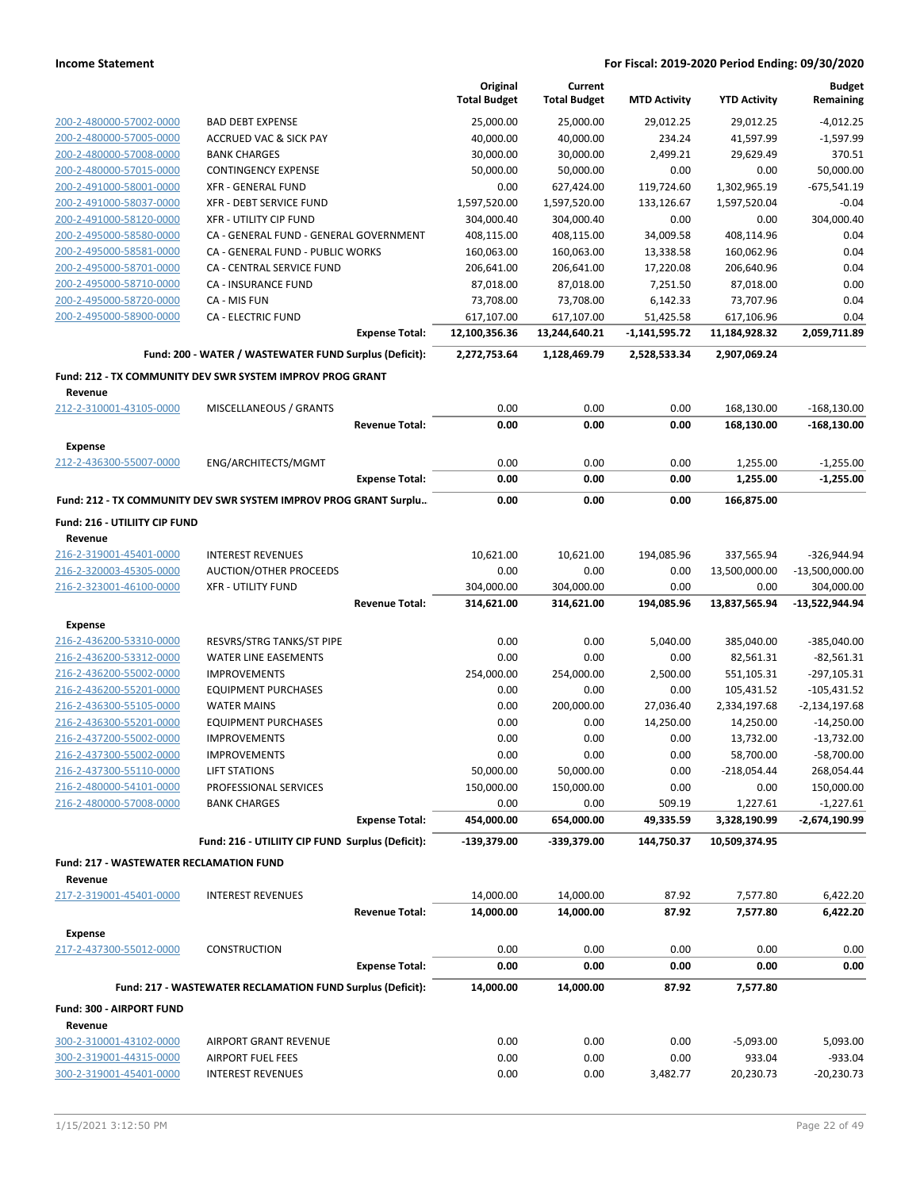|                                                           |                                                                         |                       | Original<br><b>Total Budget</b> | Current                  |                     | <b>YTD Activity</b>      | <b>Budget</b><br>Remaining   |
|-----------------------------------------------------------|-------------------------------------------------------------------------|-----------------------|---------------------------------|--------------------------|---------------------|--------------------------|------------------------------|
|                                                           |                                                                         |                       |                                 | <b>Total Budget</b>      | <b>MTD Activity</b> |                          |                              |
| 200-2-480000-57002-0000                                   | <b>BAD DEBT EXPENSE</b>                                                 |                       | 25,000.00                       | 25,000.00                | 29,012.25           | 29,012.25                | $-4,012.25$                  |
| 200-2-480000-57005-0000                                   | <b>ACCRUED VAC &amp; SICK PAY</b>                                       |                       | 40,000.00                       | 40,000.00                | 234.24              | 41,597.99                | $-1,597.99$                  |
| 200-2-480000-57008-0000                                   | <b>BANK CHARGES</b>                                                     |                       | 30,000.00                       | 30,000.00                | 2,499.21            | 29,629.49                | 370.51                       |
| 200-2-480000-57015-0000                                   | <b>CONTINGENCY EXPENSE</b>                                              |                       | 50,000.00                       | 50,000.00                | 0.00                | 0.00                     | 50,000.00                    |
| 200-2-491000-58001-0000                                   | <b>XFR - GENERAL FUND</b>                                               |                       | 0.00                            | 627,424.00               | 119,724.60          | 1,302,965.19             | $-675,541.19$                |
| 200-2-491000-58037-0000                                   | <b>XFR - DEBT SERVICE FUND</b>                                          |                       | 1,597,520.00                    | 1,597,520.00             | 133,126.67          | 1,597,520.04             | $-0.04$                      |
| 200-2-491000-58120-0000<br>200-2-495000-58580-0000        | <b>XFR - UTILITY CIP FUND</b><br>CA - GENERAL FUND - GENERAL GOVERNMENT |                       | 304,000.40                      | 304,000.40               | 0.00<br>34,009.58   | 0.00                     | 304,000.40<br>0.04           |
| 200-2-495000-58581-0000                                   | CA - GENERAL FUND - PUBLIC WORKS                                        |                       | 408,115.00<br>160,063.00        | 408,115.00<br>160,063.00 | 13,338.58           | 408,114.96<br>160,062.96 | 0.04                         |
| 200-2-495000-58701-0000                                   | <b>CA - CENTRAL SERVICE FUND</b>                                        |                       | 206,641.00                      | 206,641.00               | 17,220.08           | 206,640.96               | 0.04                         |
| 200-2-495000-58710-0000                                   | CA - INSURANCE FUND                                                     |                       | 87,018.00                       | 87,018.00                | 7,251.50            | 87,018.00                | 0.00                         |
| 200-2-495000-58720-0000                                   | CA - MIS FUN                                                            |                       | 73,708.00                       | 73,708.00                | 6,142.33            | 73,707.96                | 0.04                         |
| 200-2-495000-58900-0000                                   | <b>CA - ELECTRIC FUND</b>                                               |                       | 617,107.00                      | 617,107.00               | 51,425.58           | 617,106.96               | 0.04                         |
|                                                           |                                                                         | <b>Expense Total:</b> | 12,100,356.36                   | 13,244,640.21            | $-1,141,595.72$     | 11,184,928.32            | 2,059,711.89                 |
|                                                           | Fund: 200 - WATER / WASTEWATER FUND Surplus (Deficit):                  |                       | 2,272,753.64                    | 1,128,469.79             | 2,528,533.34        | 2,907,069.24             |                              |
|                                                           | Fund: 212 - TX COMMUNITY DEV SWR SYSTEM IMPROV PROG GRANT               |                       |                                 |                          |                     |                          |                              |
| Revenue                                                   |                                                                         |                       |                                 |                          |                     |                          |                              |
| 212-2-310001-43105-0000                                   | MISCELLANEOUS / GRANTS                                                  |                       | 0.00                            | 0.00                     | 0.00                | 168,130.00               | $-168,130.00$                |
|                                                           |                                                                         | <b>Revenue Total:</b> | 0.00                            | 0.00                     | 0.00                | 168,130.00               | $-168,130.00$                |
| Expense                                                   |                                                                         |                       |                                 |                          |                     |                          |                              |
| 212-2-436300-55007-0000                                   | ENG/ARCHITECTS/MGMT                                                     | <b>Expense Total:</b> | 0.00<br>0.00                    | 0.00<br>0.00             | 0.00<br>0.00        | 1,255.00<br>1,255.00     | $-1,255.00$<br>$-1,255.00$   |
|                                                           | Fund: 212 - TX COMMUNITY DEV SWR SYSTEM IMPROV PROG GRANT Surplu        |                       | 0.00                            | 0.00                     | 0.00                | 166,875.00               |                              |
|                                                           |                                                                         |                       |                                 |                          |                     |                          |                              |
| Fund: 216 - UTILIITY CIP FUND<br>Revenue                  |                                                                         |                       |                                 |                          |                     |                          |                              |
| 216-2-319001-45401-0000                                   | <b>INTEREST REVENUES</b>                                                |                       | 10,621.00                       | 10,621.00                | 194,085.96          | 337,565.94               | -326,944.94                  |
| 216-2-320003-45305-0000                                   | AUCTION/OTHER PROCEEDS                                                  |                       | 0.00                            | 0.00                     | 0.00                | 13,500,000.00            | $-13,500,000.00$             |
| 216-2-323001-46100-0000                                   | <b>XFR - UTILITY FUND</b>                                               |                       | 304,000.00                      | 304,000.00               | 0.00                | 0.00                     | 304,000.00                   |
|                                                           |                                                                         | <b>Revenue Total:</b> | 314,621.00                      | 314,621.00               | 194,085.96          | 13,837,565.94            | -13,522,944.94               |
| Expense                                                   |                                                                         |                       |                                 |                          |                     |                          |                              |
| 216-2-436200-53310-0000                                   | RESVRS/STRG TANKS/ST PIPE                                               |                       | 0.00                            | 0.00                     | 5,040.00            | 385,040.00               | $-385,040.00$                |
| 216-2-436200-53312-0000                                   | <b>WATER LINE EASEMENTS</b>                                             |                       | 0.00                            | 0.00                     | 0.00                | 82,561.31                | $-82,561.31$                 |
| 216-2-436200-55002-0000                                   | <b>IMPROVEMENTS</b>                                                     |                       | 254,000.00                      | 254,000.00               | 2,500.00            | 551,105.31               | $-297,105.31$                |
| 216-2-436200-55201-0000                                   | <b>EQUIPMENT PURCHASES</b>                                              |                       | 0.00                            | 0.00                     | 0.00                | 105,431.52               | $-105,431.52$                |
| 216-2-436300-55105-0000                                   | <b>WATER MAINS</b>                                                      |                       | 0.00                            | 200,000.00               | 27,036.40           | 2,334,197.68             | $-2,134,197.68$              |
| 216-2-436300-55201-0000                                   | <b>EQUIPMENT PURCHASES</b>                                              |                       | 0.00                            | 0.00                     | 14,250.00           | 14,250.00                | $-14,250.00$                 |
| 216-2-437200-55002-0000                                   | <b>IMPROVEMENTS</b>                                                     |                       | 0.00                            | 0.00                     | 0.00                | 13,732.00                | $-13,732.00$                 |
| 216-2-437300-55002-0000                                   | <b>IMPROVEMENTS</b>                                                     |                       | 0.00                            | 0.00                     | 0.00                | 58,700.00                | -58,700.00                   |
| 216-2-437300-55110-0000                                   | <b>LIFT STATIONS</b>                                                    |                       | 50,000.00                       | 50,000.00                | 0.00                | $-218,054.44$            | 268,054.44                   |
| 216-2-480000-54101-0000                                   | PROFESSIONAL SERVICES                                                   |                       | 150,000.00                      | 150,000.00               | 0.00                | 0.00                     | 150,000.00                   |
| 216-2-480000-57008-0000                                   | <b>BANK CHARGES</b>                                                     | <b>Expense Total:</b> | 0.00<br>454,000.00              | 0.00<br>654,000.00       | 509.19<br>49,335.59 | 1,227.61<br>3,328,190.99 | $-1,227.61$<br>-2,674,190.99 |
|                                                           | Fund: 216 - UTILIITY CIP FUND Surplus (Deficit):                        |                       |                                 |                          |                     |                          |                              |
|                                                           |                                                                         |                       | -139,379.00                     | -339,379.00              | 144,750.37          | 10,509,374.95            |                              |
| <b>Fund: 217 - WASTEWATER RECLAMATION FUND</b><br>Revenue |                                                                         |                       |                                 |                          |                     |                          |                              |
| 217-2-319001-45401-0000                                   | <b>INTEREST REVENUES</b>                                                |                       | 14,000.00                       | 14,000.00                | 87.92               | 7,577.80                 | 6,422.20                     |
|                                                           |                                                                         | <b>Revenue Total:</b> | 14,000.00                       | 14,000.00                | 87.92               | 7,577.80                 | 6,422.20                     |
| <b>Expense</b>                                            |                                                                         |                       |                                 |                          |                     |                          |                              |
| 217-2-437300-55012-0000                                   | <b>CONSTRUCTION</b>                                                     |                       | 0.00                            | 0.00                     | 0.00                | 0.00                     | 0.00                         |
|                                                           |                                                                         | <b>Expense Total:</b> | 0.00                            | 0.00                     | 0.00                | 0.00                     | 0.00                         |
|                                                           | Fund: 217 - WASTEWATER RECLAMATION FUND Surplus (Deficit):              |                       | 14,000.00                       | 14,000.00                | 87.92               | 7,577.80                 |                              |
| Fund: 300 - AIRPORT FUND<br>Revenue                       |                                                                         |                       |                                 |                          |                     |                          |                              |
| 300-2-310001-43102-0000                                   | AIRPORT GRANT REVENUE                                                   |                       | 0.00                            | 0.00                     | 0.00                | $-5,093.00$              | 5,093.00                     |
| 300-2-319001-44315-0000                                   | <b>AIRPORT FUEL FEES</b>                                                |                       | 0.00                            | 0.00                     | 0.00                | 933.04                   | $-933.04$                    |
| 300-2-319001-45401-0000                                   | <b>INTEREST REVENUES</b>                                                |                       | 0.00                            | 0.00                     | 3,482.77            | 20,230.73                | $-20,230.73$                 |
|                                                           |                                                                         |                       |                                 |                          |                     |                          |                              |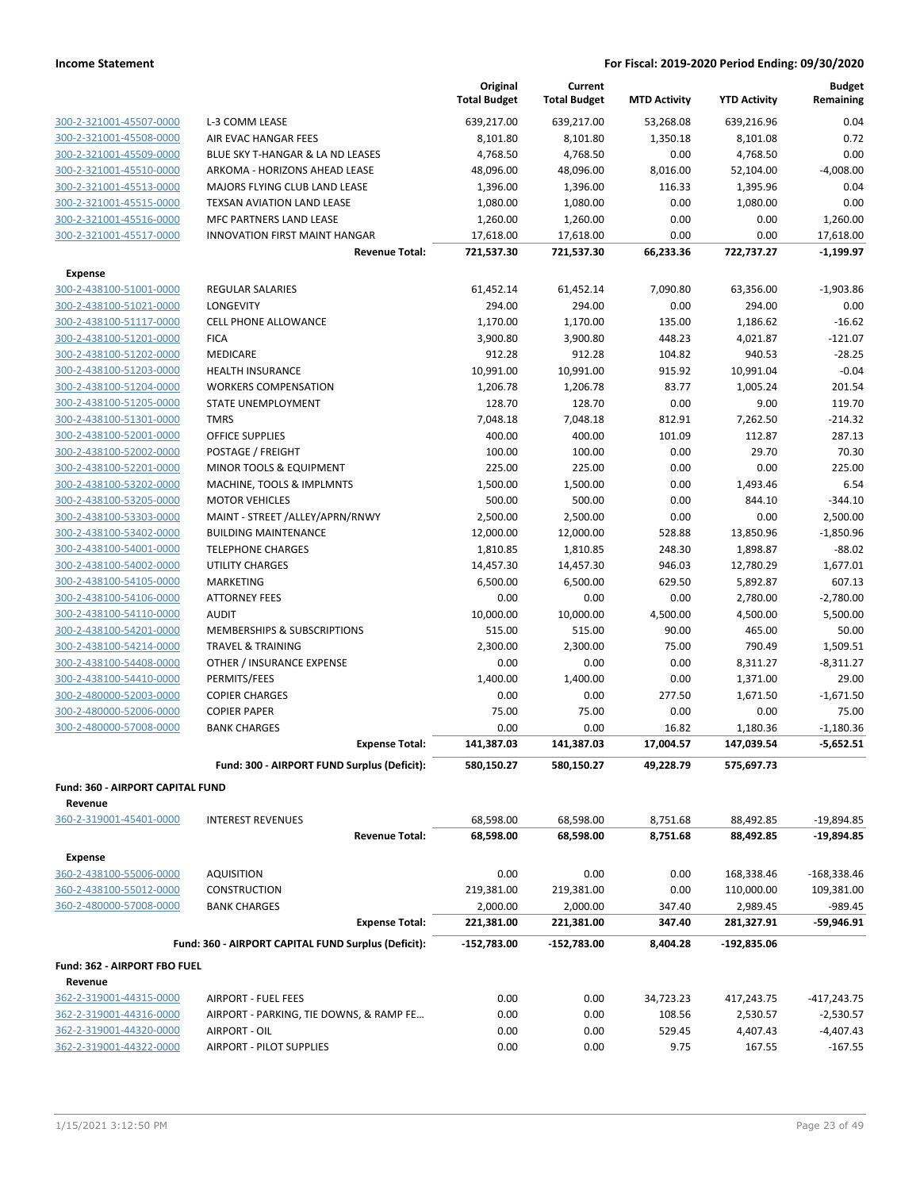|                                         |                                                     | Original<br><b>Total Budget</b> | Current<br><b>Total Budget</b> | <b>MTD Activity</b> | <b>YTD Activity</b> | <b>Budget</b><br>Remaining |
|-----------------------------------------|-----------------------------------------------------|---------------------------------|--------------------------------|---------------------|---------------------|----------------------------|
| 300-2-321001-45507-0000                 | L-3 COMM LEASE                                      | 639,217.00                      | 639,217.00                     | 53,268.08           | 639,216.96          | 0.04                       |
| 300-2-321001-45508-0000                 | AIR EVAC HANGAR FEES                                | 8,101.80                        | 8,101.80                       | 1,350.18            | 8,101.08            | 0.72                       |
| 300-2-321001-45509-0000                 | BLUE SKY T-HANGAR & LA ND LEASES                    | 4,768.50                        | 4,768.50                       | 0.00                | 4,768.50            | 0.00                       |
| 300-2-321001-45510-0000                 | ARKOMA - HORIZONS AHEAD LEASE                       | 48,096.00                       | 48,096.00                      | 8,016.00            | 52,104.00           | $-4,008.00$                |
| 300-2-321001-45513-0000                 | MAJORS FLYING CLUB LAND LEASE                       | 1,396.00                        | 1,396.00                       | 116.33              | 1,395.96            | 0.04                       |
| 300-2-321001-45515-0000                 | TEXSAN AVIATION LAND LEASE                          | 1,080.00                        | 1,080.00                       | 0.00                | 1,080.00            | 0.00                       |
| 300-2-321001-45516-0000                 | <b>MFC PARTNERS LAND LEASE</b>                      | 1,260.00                        | 1,260.00                       | 0.00                | 0.00                | 1,260.00                   |
| 300-2-321001-45517-0000                 | INNOVATION FIRST MAINT HANGAR                       | 17,618.00                       | 17,618.00                      | 0.00                | 0.00                | 17,618.00                  |
|                                         | <b>Revenue Total:</b>                               | 721,537.30                      | 721,537.30                     | 66,233.36           | 722,737.27          | $-1,199.97$                |
| <b>Expense</b>                          |                                                     |                                 |                                |                     |                     |                            |
| 300-2-438100-51001-0000                 | <b>REGULAR SALARIES</b>                             | 61,452.14                       | 61,452.14                      | 7,090.80            | 63,356.00           | $-1,903.86$                |
| 300-2-438100-51021-0000                 | <b>LONGEVITY</b>                                    | 294.00                          | 294.00                         | 0.00                | 294.00              | 0.00                       |
| 300-2-438100-51117-0000                 | <b>CELL PHONE ALLOWANCE</b>                         | 1,170.00                        | 1,170.00                       | 135.00              | 1,186.62            | $-16.62$                   |
| 300-2-438100-51201-0000                 | <b>FICA</b>                                         | 3,900.80                        | 3,900.80                       | 448.23              | 4,021.87            | $-121.07$                  |
| 300-2-438100-51202-0000                 | MEDICARE                                            | 912.28                          | 912.28                         | 104.82              | 940.53              | $-28.25$                   |
| 300-2-438100-51203-0000                 | <b>HEALTH INSURANCE</b>                             | 10,991.00                       | 10,991.00                      | 915.92              | 10,991.04           | $-0.04$                    |
| 300-2-438100-51204-0000                 | <b>WORKERS COMPENSATION</b>                         | 1,206.78                        | 1,206.78                       | 83.77               | 1,005.24            | 201.54                     |
| 300-2-438100-51205-0000                 | <b>STATE UNEMPLOYMENT</b>                           | 128.70                          | 128.70                         | 0.00                | 9.00                | 119.70                     |
| 300-2-438100-51301-0000                 | <b>TMRS</b>                                         | 7,048.18                        | 7,048.18                       | 812.91              | 7,262.50            | $-214.32$                  |
| 300-2-438100-52001-0000                 | <b>OFFICE SUPPLIES</b>                              | 400.00                          | 400.00                         | 101.09              | 112.87              | 287.13                     |
| 300-2-438100-52002-0000                 | POSTAGE / FREIGHT                                   | 100.00                          | 100.00                         | 0.00                | 29.70               | 70.30                      |
| 300-2-438100-52201-0000                 | <b>MINOR TOOLS &amp; EQUIPMENT</b>                  | 225.00                          | 225.00                         | 0.00                | 0.00                | 225.00                     |
| 300-2-438100-53202-0000                 | MACHINE, TOOLS & IMPLMNTS                           | 1,500.00                        | 1,500.00                       | 0.00                | 1,493.46            | 6.54                       |
| 300-2-438100-53205-0000                 | <b>MOTOR VEHICLES</b>                               | 500.00                          | 500.00                         | 0.00                | 844.10              | $-344.10$                  |
| 300-2-438100-53303-0000                 | MAINT - STREET /ALLEY/APRN/RNWY                     | 2,500.00                        | 2,500.00                       | 0.00                | 0.00                | 2,500.00                   |
| 300-2-438100-53402-0000                 | <b>BUILDING MAINTENANCE</b>                         | 12,000.00                       | 12,000.00                      | 528.88              | 13,850.96           | $-1,850.96$                |
| 300-2-438100-54001-0000                 | <b>TELEPHONE CHARGES</b>                            | 1,810.85                        | 1,810.85                       | 248.30              | 1,898.87            | -88.02                     |
| 300-2-438100-54002-0000                 | <b>UTILITY CHARGES</b>                              | 14,457.30                       | 14,457.30                      | 946.03              | 12,780.29           | 1,677.01                   |
| 300-2-438100-54105-0000                 | <b>MARKETING</b>                                    | 6,500.00                        | 6,500.00                       | 629.50              | 5,892.87            | 607.13                     |
| 300-2-438100-54106-0000                 | <b>ATTORNEY FEES</b>                                | 0.00                            | 0.00                           | 0.00                | 2,780.00            | $-2,780.00$                |
| 300-2-438100-54110-0000                 | <b>AUDIT</b>                                        | 10,000.00                       | 10,000.00                      | 4,500.00            | 4,500.00            | 5,500.00                   |
| 300-2-438100-54201-0000                 | MEMBERSHIPS & SUBSCRIPTIONS                         | 515.00                          | 515.00                         | 90.00               | 465.00              | 50.00                      |
| 300-2-438100-54214-0000                 | <b>TRAVEL &amp; TRAINING</b>                        | 2,300.00                        | 2,300.00                       | 75.00               | 790.49              | 1,509.51                   |
| 300-2-438100-54408-0000                 | OTHER / INSURANCE EXPENSE                           | 0.00                            | 0.00                           | 0.00                | 8,311.27            | $-8,311.27$                |
| 300-2-438100-54410-0000                 | PERMITS/FEES                                        | 1,400.00                        | 1,400.00                       | 0.00                | 1,371.00            | 29.00                      |
| 300-2-480000-52003-0000                 | <b>COPIER CHARGES</b>                               | 0.00                            | 0.00                           | 277.50              | 1,671.50            | $-1,671.50$                |
| 300-2-480000-52006-0000                 | <b>COPIER PAPER</b>                                 | 75.00                           | 75.00                          | 0.00                | 0.00                | 75.00                      |
| 300-2-480000-57008-0000                 | <b>BANK CHARGES</b>                                 | 0.00                            | 0.00                           | 16.82               | 1,180.36            | $-1,180.36$                |
|                                         | <b>Expense Total:</b>                               | 141,387.03                      | 141,387.03                     | 17,004.57           | 147,039.54          | $-5,652.51$                |
|                                         | Fund: 300 - AIRPORT FUND Surplus (Deficit):         | 580,150.27                      | 580,150.27                     | 49,228.79           | 575,697.73          |                            |
| <b>Fund: 360 - AIRPORT CAPITAL FUND</b> |                                                     |                                 |                                |                     |                     |                            |
| Revenue                                 |                                                     |                                 |                                |                     |                     |                            |
| 360-2-319001-45401-0000                 | <b>INTEREST REVENUES</b>                            | 68,598.00                       | 68,598.00                      | 8,751.68            | 88,492.85           | $-19,894.85$               |
|                                         | <b>Revenue Total:</b>                               | 68,598.00                       | 68,598.00                      | 8,751.68            | 88,492.85           | -19,894.85                 |
| <b>Expense</b>                          |                                                     |                                 |                                |                     |                     |                            |
| 360-2-438100-55006-0000                 | <b>AQUISITION</b>                                   | 0.00                            | 0.00                           | 0.00                | 168,338.46          | $-168,338.46$              |
| 360-2-438100-55012-0000                 | <b>CONSTRUCTION</b>                                 | 219,381.00                      | 219,381.00                     | 0.00                | 110,000.00          | 109,381.00                 |
| 360-2-480000-57008-0000                 | <b>BANK CHARGES</b>                                 | 2,000.00                        | 2,000.00                       | 347.40              | 2,989.45            | $-989.45$                  |
|                                         | <b>Expense Total:</b>                               | 221,381.00                      | 221,381.00                     | 347.40              | 281,327.91          | -59,946.91                 |
|                                         | Fund: 360 - AIRPORT CAPITAL FUND Surplus (Deficit): | $-152,783.00$                   | -152,783.00                    | 8,404.28            | $-192,835.06$       |                            |
| Fund: 362 - AIRPORT FBO FUEL            |                                                     |                                 |                                |                     |                     |                            |
| Revenue                                 |                                                     |                                 |                                |                     |                     |                            |
| 362-2-319001-44315-0000                 | <b>AIRPORT - FUEL FEES</b>                          | 0.00                            | 0.00                           | 34,723.23           | 417,243.75          | -417,243.75                |
| 362-2-319001-44316-0000                 | AIRPORT - PARKING, TIE DOWNS, & RAMP FE             | 0.00                            | 0.00                           | 108.56              | 2,530.57            | $-2,530.57$                |
| <u>362-2-319001-44320-0000</u>          | AIRPORT - OIL                                       | 0.00                            | 0.00                           | 529.45              | 4,407.43            | $-4,407.43$                |
| 362-2-319001-44322-0000                 | <b>AIRPORT - PILOT SUPPLIES</b>                     | 0.00                            | 0.00                           | 9.75                | 167.55              | $-167.55$                  |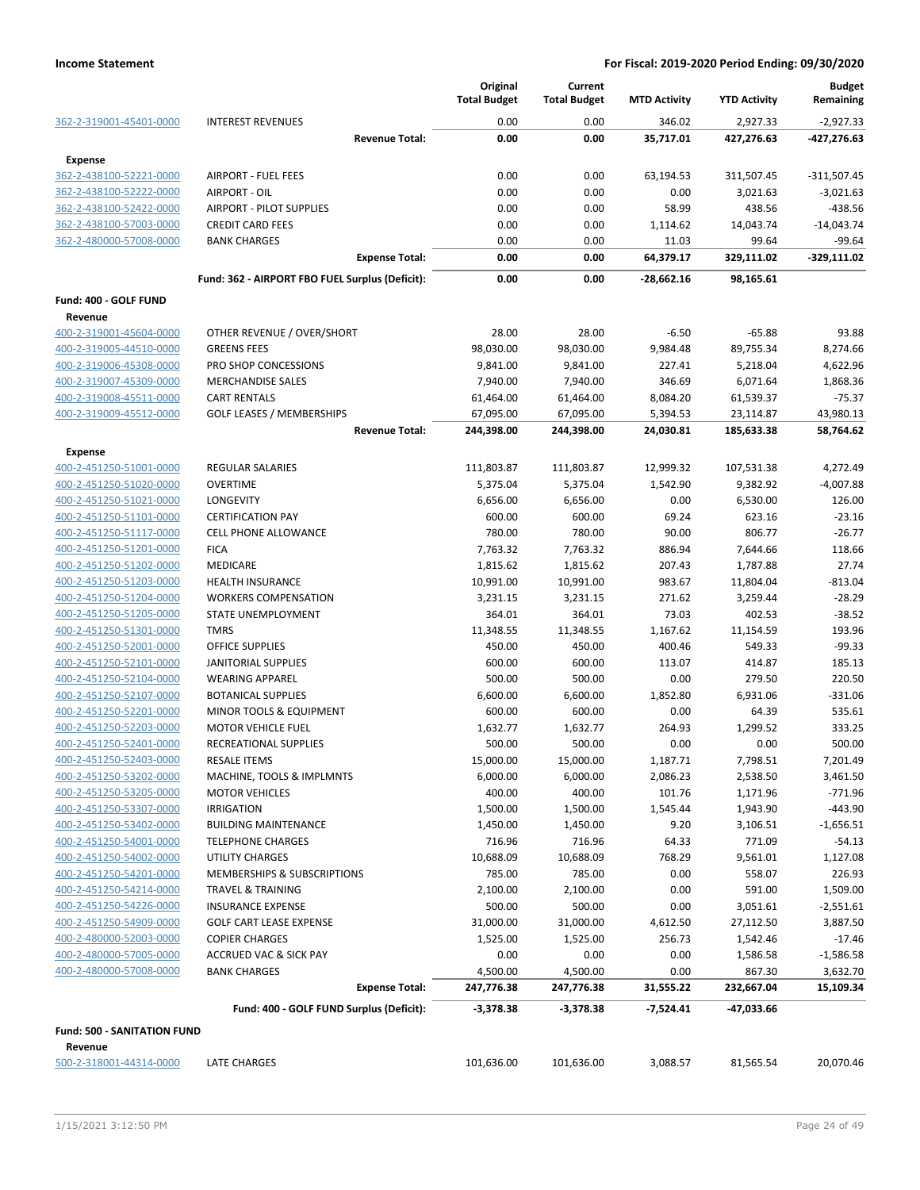|                                                    |                                                         | Original<br><b>Total Budget</b>     | Current<br><b>Total Budget</b> | <b>MTD Activity</b> | <b>YTD Activity</b> | <b>Budget</b><br>Remaining |
|----------------------------------------------------|---------------------------------------------------------|-------------------------------------|--------------------------------|---------------------|---------------------|----------------------------|
| 362-2-319001-45401-0000                            | <b>INTEREST REVENUES</b>                                | 0.00                                | 0.00                           | 346.02              | 2,927.33            | $-2,927.33$                |
|                                                    |                                                         | 0.00<br><b>Revenue Total:</b>       | 0.00                           | 35,717.01           | 427,276.63          | -427,276.63                |
| <b>Expense</b>                                     |                                                         |                                     |                                |                     |                     |                            |
| 362-2-438100-52221-0000                            | <b>AIRPORT - FUEL FEES</b>                              | 0.00                                | 0.00                           | 63,194.53           | 311,507.45          | $-311,507.45$              |
| 362-2-438100-52222-0000                            | AIRPORT - OIL                                           | 0.00                                | 0.00                           | 0.00                | 3,021.63            | $-3,021.63$                |
| 362-2-438100-52422-0000                            | <b>AIRPORT - PILOT SUPPLIES</b>                         | 0.00                                | 0.00                           | 58.99               | 438.56              | -438.56                    |
| 362-2-438100-57003-0000                            | <b>CREDIT CARD FEES</b>                                 | 0.00                                | 0.00                           | 1,114.62            | 14,043.74           | $-14,043.74$               |
| 362-2-480000-57008-0000                            | <b>BANK CHARGES</b>                                     | 0.00                                | 0.00                           | 11.03               | 99.64               | $-99.64$                   |
|                                                    |                                                         | <b>Expense Total:</b><br>0.00       | 0.00                           | 64,379.17           | 329,111.02          | -329,111.02                |
|                                                    | Fund: 362 - AIRPORT FBO FUEL Surplus (Deficit):         | 0.00                                | 0.00                           | -28,662.16          | 98,165.61           |                            |
| Fund: 400 - GOLF FUND                              |                                                         |                                     |                                |                     |                     |                            |
| Revenue                                            |                                                         |                                     |                                |                     |                     |                            |
| 400-2-319001-45604-0000                            | OTHER REVENUE / OVER/SHORT                              | 28.00                               | 28.00                          | $-6.50$             | $-65.88$            | 93.88                      |
| 400-2-319005-44510-0000                            | <b>GREENS FEES</b>                                      | 98,030.00                           | 98,030.00                      | 9,984.48            | 89,755.34           | 8,274.66                   |
| 400-2-319006-45308-0000                            | PRO SHOP CONCESSIONS                                    | 9,841.00                            | 9,841.00                       | 227.41              | 5,218.04            | 4,622.96                   |
| 400-2-319007-45309-0000                            | <b>MERCHANDISE SALES</b>                                | 7,940.00                            | 7,940.00                       | 346.69              | 6,071.64            | 1,868.36                   |
| 400-2-319008-45511-0000                            | <b>CART RENTALS</b>                                     | 61,464.00                           | 61,464.00                      | 8,084.20            | 61,539.37           | $-75.37$                   |
| 400-2-319009-45512-0000                            | <b>GOLF LEASES / MEMBERSHIPS</b>                        | 67,095.00                           | 67,095.00                      | 5,394.53            | 23,114.87           | 43,980.13                  |
|                                                    |                                                         | 244,398.00<br><b>Revenue Total:</b> | 244,398.00                     | 24,030.81           | 185,633.38          | 58,764.62                  |
| <b>Expense</b>                                     |                                                         |                                     |                                |                     |                     |                            |
| 400-2-451250-51001-0000                            | <b>REGULAR SALARIES</b>                                 | 111,803.87                          | 111,803.87                     | 12,999.32           | 107,531.38          | 4,272.49                   |
| 400-2-451250-51020-0000                            | <b>OVERTIME</b><br>LONGEVITY                            | 5,375.04<br>6,656.00                | 5,375.04<br>6,656.00           | 1,542.90<br>0.00    | 9,382.92            | $-4,007.88$<br>126.00      |
| 400-2-451250-51021-0000<br>400-2-451250-51101-0000 | <b>CERTIFICATION PAY</b>                                | 600.00                              | 600.00                         | 69.24               | 6,530.00<br>623.16  | $-23.16$                   |
| 400-2-451250-51117-0000                            | CELL PHONE ALLOWANCE                                    | 780.00                              | 780.00                         | 90.00               | 806.77              | $-26.77$                   |
| 400-2-451250-51201-0000                            | <b>FICA</b>                                             | 7,763.32                            | 7,763.32                       | 886.94              | 7,644.66            | 118.66                     |
| 400-2-451250-51202-0000                            | MEDICARE                                                | 1,815.62                            | 1,815.62                       | 207.43              | 1,787.88            | 27.74                      |
| 400-2-451250-51203-0000                            | <b>HEALTH INSURANCE</b>                                 | 10,991.00                           | 10,991.00                      | 983.67              | 11,804.04           | $-813.04$                  |
| 400-2-451250-51204-0000                            | <b>WORKERS COMPENSATION</b>                             | 3,231.15                            | 3,231.15                       | 271.62              | 3,259.44            | $-28.29$                   |
| 400-2-451250-51205-0000                            | STATE UNEMPLOYMENT                                      | 364.01                              | 364.01                         | 73.03               | 402.53              | $-38.52$                   |
| 400-2-451250-51301-0000                            | <b>TMRS</b>                                             | 11,348.55                           | 11,348.55                      | 1,167.62            | 11,154.59           | 193.96                     |
| 400-2-451250-52001-0000                            | OFFICE SUPPLIES                                         | 450.00                              | 450.00                         | 400.46              | 549.33              | $-99.33$                   |
| 400-2-451250-52101-0000                            | <b>JANITORIAL SUPPLIES</b>                              | 600.00                              | 600.00                         | 113.07              | 414.87              | 185.13                     |
| 400-2-451250-52104-0000                            | <b>WEARING APPAREL</b>                                  | 500.00                              | 500.00                         | 0.00                | 279.50              | 220.50                     |
| 400-2-451250-52107-0000                            | <b>BOTANICAL SUPPLIES</b>                               | 6,600.00                            | 6,600.00                       | 1,852.80            | 6,931.06            | $-331.06$                  |
| 400-2-451250-52201-0000                            | <b>MINOR TOOLS &amp; EQUIPMENT</b>                      | 600.00                              | 600.00                         | 0.00                | 64.39               | 535.61                     |
| 400-2-451250-52203-0000                            | <b>MOTOR VEHICLE FUEL</b>                               | 1,632.77                            | 1,632.77                       | 264.93              | 1,299.52            | 333.25                     |
| 400-2-451250-52401-0000                            | <b>RECREATIONAL SUPPLIES</b>                            | 500.00                              | 500.00                         | 0.00                | 0.00                | 500.00                     |
| 400-2-451250-52403-0000                            | <b>RESALE ITEMS</b>                                     | 15,000.00                           | 15,000.00                      | 1,187.71            | 7,798.51            | 7,201.49                   |
| 400-2-451250-53202-0000                            | MACHINE, TOOLS & IMPLMNTS                               | 6,000.00                            | 6,000.00                       | 2,086.23            | 2,538.50            | 3,461.50                   |
| 400-2-451250-53205-0000                            | <b>MOTOR VEHICLES</b>                                   | 400.00                              | 400.00                         | 101.76              | 1,171.96            | $-771.96$                  |
| 400-2-451250-53307-0000<br>400-2-451250-53402-0000 | <b>IRRIGATION</b>                                       | 1,500.00                            | 1,500.00                       | 1,545.44            | 1,943.90            | $-443.90$                  |
| 400-2-451250-54001-0000                            | <b>BUILDING MAINTENANCE</b><br><b>TELEPHONE CHARGES</b> | 1,450.00<br>716.96                  | 1,450.00<br>716.96             | 9.20<br>64.33       | 3,106.51<br>771.09  | $-1,656.51$<br>$-54.13$    |
| 400-2-451250-54002-0000                            | <b>UTILITY CHARGES</b>                                  | 10,688.09                           | 10,688.09                      | 768.29              | 9,561.01            | 1,127.08                   |
| 400-2-451250-54201-0000                            | <b>MEMBERSHIPS &amp; SUBSCRIPTIONS</b>                  | 785.00                              | 785.00                         | 0.00                | 558.07              | 226.93                     |
| 400-2-451250-54214-0000                            | TRAVEL & TRAINING                                       | 2,100.00                            | 2,100.00                       | 0.00                | 591.00              | 1,509.00                   |
| 400-2-451250-54226-0000                            | <b>INSURANCE EXPENSE</b>                                | 500.00                              | 500.00                         | 0.00                | 3,051.61            | $-2,551.61$                |
| 400-2-451250-54909-0000                            | <b>GOLF CART LEASE EXPENSE</b>                          | 31,000.00                           | 31,000.00                      | 4,612.50            | 27,112.50           | 3,887.50                   |
| 400-2-480000-52003-0000                            | <b>COPIER CHARGES</b>                                   | 1,525.00                            | 1,525.00                       | 256.73              | 1,542.46            | $-17.46$                   |
| 400-2-480000-57005-0000                            | <b>ACCRUED VAC &amp; SICK PAY</b>                       | 0.00                                | 0.00                           | 0.00                | 1,586.58            | $-1,586.58$                |
| 400-2-480000-57008-0000                            | <b>BANK CHARGES</b>                                     | 4,500.00                            | 4,500.00                       | 0.00                | 867.30              | 3,632.70                   |
|                                                    |                                                         | <b>Expense Total:</b><br>247,776.38 | 247,776.38                     | 31,555.22           | 232,667.04          | 15,109.34                  |
|                                                    | Fund: 400 - GOLF FUND Surplus (Deficit):                | $-3,378.38$                         | $-3,378.38$                    | -7,524.41           | -47,033.66          |                            |
| <b>Fund: 500 - SANITATION FUND</b>                 |                                                         |                                     |                                |                     |                     |                            |
| Revenue                                            |                                                         |                                     |                                |                     |                     |                            |
| 500-2-318001-44314-0000                            | LATE CHARGES                                            | 101,636.00                          | 101,636.00                     | 3,088.57            | 81,565.54           | 20,070.46                  |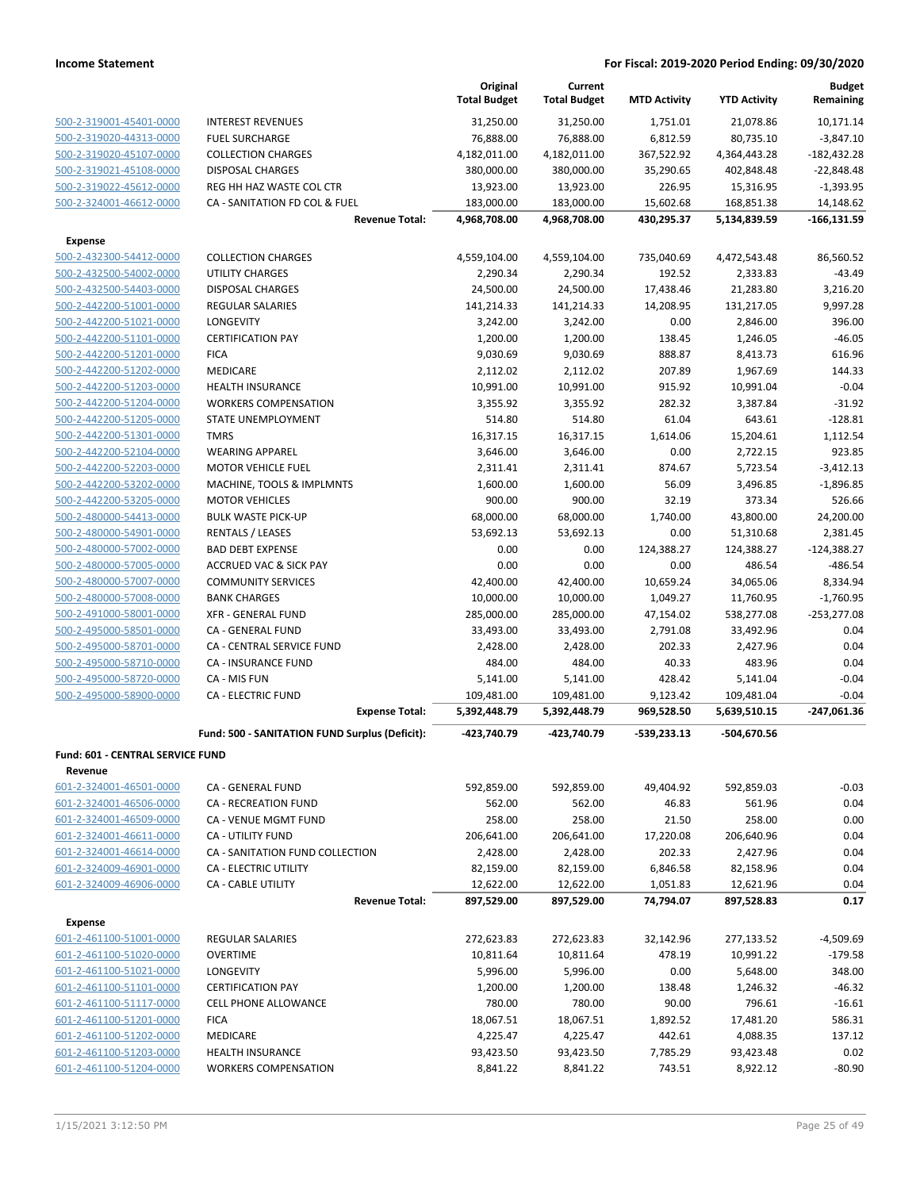|                                  |                                                | Original<br><b>Total Budget</b> | Current<br><b>Total Budget</b> | <b>MTD Activity</b> | <b>YTD Activity</b> | <b>Budget</b><br>Remaining |
|----------------------------------|------------------------------------------------|---------------------------------|--------------------------------|---------------------|---------------------|----------------------------|
| 500-2-319001-45401-0000          | <b>INTEREST REVENUES</b>                       | 31,250.00                       | 31,250.00                      | 1,751.01            | 21,078.86           | 10,171.14                  |
| 500-2-319020-44313-0000          | <b>FUEL SURCHARGE</b>                          | 76,888.00                       | 76,888.00                      | 6,812.59            | 80,735.10           | $-3,847.10$                |
| 500-2-319020-45107-0000          | <b>COLLECTION CHARGES</b>                      | 4,182,011.00                    | 4,182,011.00                   | 367,522.92          | 4,364,443.28        | $-182,432.28$              |
| 500-2-319021-45108-0000          | <b>DISPOSAL CHARGES</b>                        | 380,000.00                      | 380,000.00                     | 35,290.65           | 402,848.48          | $-22,848.48$               |
| 500-2-319022-45612-0000          | REG HH HAZ WASTE COL CTR                       | 13,923.00                       | 13,923.00                      | 226.95              | 15,316.95           | $-1,393.95$                |
| 500-2-324001-46612-0000          | CA - SANITATION FD COL & FUEL                  | 183,000.00                      | 183,000.00                     | 15,602.68           | 168,851.38          | 14,148.62                  |
|                                  | <b>Revenue Total:</b>                          | 4,968,708.00                    | 4,968,708.00                   | 430,295.37          | 5,134,839.59        | $-166, 131.59$             |
| <b>Expense</b>                   |                                                |                                 |                                |                     |                     |                            |
| 500-2-432300-54412-0000          | <b>COLLECTION CHARGES</b>                      | 4,559,104.00                    | 4,559,104.00                   | 735,040.69          | 4,472,543.48        | 86,560.52                  |
| 500-2-432500-54002-0000          | <b>UTILITY CHARGES</b>                         | 2,290.34                        | 2,290.34                       | 192.52              | 2,333.83            | $-43.49$                   |
| 500-2-432500-54403-0000          | <b>DISPOSAL CHARGES</b>                        | 24,500.00                       | 24,500.00                      | 17,438.46           | 21,283.80           | 3,216.20                   |
| 500-2-442200-51001-0000          | REGULAR SALARIES                               | 141,214.33                      | 141,214.33                     | 14,208.95           | 131,217.05          | 9,997.28                   |
| 500-2-442200-51021-0000          | LONGEVITY                                      | 3,242.00                        | 3,242.00                       | 0.00                | 2,846.00            | 396.00                     |
| 500-2-442200-51101-0000          | <b>CERTIFICATION PAY</b>                       | 1,200.00                        | 1,200.00                       | 138.45              | 1,246.05            | $-46.05$                   |
| 500-2-442200-51201-0000          | <b>FICA</b>                                    | 9,030.69                        | 9,030.69                       | 888.87              | 8,413.73            | 616.96                     |
| 500-2-442200-51202-0000          | <b>MEDICARE</b>                                | 2,112.02                        | 2,112.02                       | 207.89              | 1,967.69            | 144.33                     |
| 500-2-442200-51203-0000          | <b>HEALTH INSURANCE</b>                        | 10,991.00                       | 10,991.00                      | 915.92              | 10,991.04           | $-0.04$                    |
| 500-2-442200-51204-0000          | <b>WORKERS COMPENSATION</b>                    | 3,355.92                        | 3,355.92                       | 282.32              | 3,387.84            | $-31.92$                   |
| 500-2-442200-51205-0000          | STATE UNEMPLOYMENT                             | 514.80                          | 514.80                         | 61.04               | 643.61              | $-128.81$                  |
| 500-2-442200-51301-0000          | <b>TMRS</b>                                    | 16,317.15                       | 16,317.15                      | 1,614.06            | 15,204.61           | 1,112.54                   |
| 500-2-442200-52104-0000          | <b>WEARING APPAREL</b>                         | 3,646.00                        | 3,646.00                       | 0.00                | 2,722.15            | 923.85                     |
| 500-2-442200-52203-0000          | <b>MOTOR VEHICLE FUEL</b>                      | 2,311.41                        | 2,311.41                       | 874.67              | 5,723.54            | $-3,412.13$                |
| 500-2-442200-53202-0000          | MACHINE, TOOLS & IMPLMNTS                      | 1,600.00                        | 1,600.00                       | 56.09               | 3,496.85            | $-1,896.85$                |
| 500-2-442200-53205-0000          | <b>MOTOR VEHICLES</b>                          | 900.00                          | 900.00                         | 32.19               | 373.34              | 526.66                     |
| 500-2-480000-54413-0000          | <b>BULK WASTE PICK-UP</b>                      | 68,000.00                       | 68,000.00                      | 1,740.00            | 43,800.00           | 24,200.00                  |
| 500-2-480000-54901-0000          | <b>RENTALS / LEASES</b>                        | 53,692.13                       | 53,692.13                      | 0.00                | 51,310.68           | 2,381.45                   |
| 500-2-480000-57002-0000          | <b>BAD DEBT EXPENSE</b>                        | 0.00                            | 0.00                           | 124,388.27          | 124,388.27          | $-124,388.27$              |
| 500-2-480000-57005-0000          | <b>ACCRUED VAC &amp; SICK PAY</b>              | 0.00                            | 0.00                           | 0.00                | 486.54              | $-486.54$                  |
| 500-2-480000-57007-0000          | <b>COMMUNITY SERVICES</b>                      | 42,400.00                       | 42,400.00                      | 10,659.24           | 34,065.06           | 8,334.94                   |
| 500-2-480000-57008-0000          | <b>BANK CHARGES</b>                            | 10,000.00                       | 10,000.00                      | 1,049.27            | 11,760.95           | $-1,760.95$                |
| 500-2-491000-58001-0000          | <b>XFR - GENERAL FUND</b>                      | 285,000.00                      | 285,000.00                     | 47,154.02           | 538,277.08          | $-253,277.08$              |
| 500-2-495000-58501-0000          | CA - GENERAL FUND                              | 33,493.00                       | 33,493.00                      | 2,791.08            | 33,492.96           | 0.04                       |
| 500-2-495000-58701-0000          | CA - CENTRAL SERVICE FUND                      | 2,428.00                        | 2,428.00                       | 202.33              | 2,427.96            | 0.04                       |
| 500-2-495000-58710-0000          | CA - INSURANCE FUND                            | 484.00                          | 484.00                         | 40.33               | 483.96              | 0.04                       |
| 500-2-495000-58720-0000          | CA - MIS FUN                                   | 5,141.00                        | 5,141.00                       | 428.42              | 5,141.04            | $-0.04$                    |
| 500-2-495000-58900-0000          | <b>CA - ELECTRIC FUND</b>                      | 109,481.00                      | 109,481.00                     | 9,123.42            | 109,481.04          | $-0.04$                    |
|                                  | <b>Expense Total:</b>                          | 5,392,448.79                    | 5,392,448.79                   | 969,528.50          | 5,639,510.15        | -247,061.36                |
|                                  | Fund: 500 - SANITATION FUND Surplus (Deficit): | -423.740.79                     | -423,740.79                    | $-539,233.13$       | -504,670.56         |                            |
| Fund: 601 - CENTRAL SERVICE FUND |                                                |                                 |                                |                     |                     |                            |
| Revenue                          |                                                |                                 |                                |                     |                     |                            |
| 601-2-324001-46501-0000          | CA - GENERAL FUND                              | 592,859.00                      | 592,859.00                     | 49,404.92           | 592,859.03          | $-0.03$                    |
| 601-2-324001-46506-0000          | CA - RECREATION FUND                           | 562.00                          | 562.00                         | 46.83               | 561.96              | 0.04                       |
| 601-2-324001-46509-0000          | CA - VENUE MGMT FUND                           | 258.00                          | 258.00                         | 21.50               | 258.00              | 0.00                       |
| 601-2-324001-46611-0000          | CA - UTILITY FUND                              | 206,641.00                      | 206,641.00                     | 17,220.08           | 206,640.96          | 0.04                       |
| 601-2-324001-46614-0000          | CA - SANITATION FUND COLLECTION                | 2,428.00                        | 2,428.00                       | 202.33              | 2,427.96            | 0.04                       |
| 601-2-324009-46901-0000          | <b>CA - ELECTRIC UTILITY</b>                   | 82,159.00                       | 82,159.00                      | 6,846.58            | 82,158.96           | 0.04                       |
| 601-2-324009-46906-0000          | CA - CABLE UTILITY                             | 12,622.00                       | 12,622.00                      | 1,051.83            | 12,621.96           | 0.04                       |
|                                  | <b>Revenue Total:</b>                          | 897,529.00                      | 897,529.00                     | 74,794.07           | 897,528.83          | 0.17                       |
| <b>Expense</b>                   |                                                |                                 |                                |                     |                     |                            |
| 601-2-461100-51001-0000          | <b>REGULAR SALARIES</b>                        | 272,623.83                      | 272,623.83                     | 32,142.96           | 277,133.52          | $-4,509.69$                |
| 601-2-461100-51020-0000          | <b>OVERTIME</b>                                | 10,811.64                       | 10,811.64                      | 478.19              | 10,991.22           | $-179.58$                  |
| 601-2-461100-51021-0000          | LONGEVITY                                      | 5,996.00                        | 5,996.00                       | 0.00                | 5,648.00            | 348.00                     |
| 601-2-461100-51101-0000          | <b>CERTIFICATION PAY</b>                       | 1,200.00                        | 1,200.00                       | 138.48              | 1,246.32            | $-46.32$                   |
| 601-2-461100-51117-0000          | <b>CELL PHONE ALLOWANCE</b>                    | 780.00                          | 780.00                         | 90.00               | 796.61              | $-16.61$                   |
| 601-2-461100-51201-0000          | <b>FICA</b>                                    | 18,067.51                       | 18,067.51                      | 1,892.52            | 17,481.20           | 586.31                     |
| 601-2-461100-51202-0000          | MEDICARE                                       | 4,225.47                        | 4,225.47                       | 442.61              | 4,088.35            | 137.12                     |
| 601-2-461100-51203-0000          | <b>HEALTH INSURANCE</b>                        | 93,423.50                       | 93,423.50                      | 7,785.29            | 93,423.48           | 0.02                       |
| 601-2-461100-51204-0000          | <b>WORKERS COMPENSATION</b>                    | 8,841.22                        | 8,841.22                       | 743.51              | 8,922.12            | $-80.90$                   |
|                                  |                                                |                                 |                                |                     |                     |                            |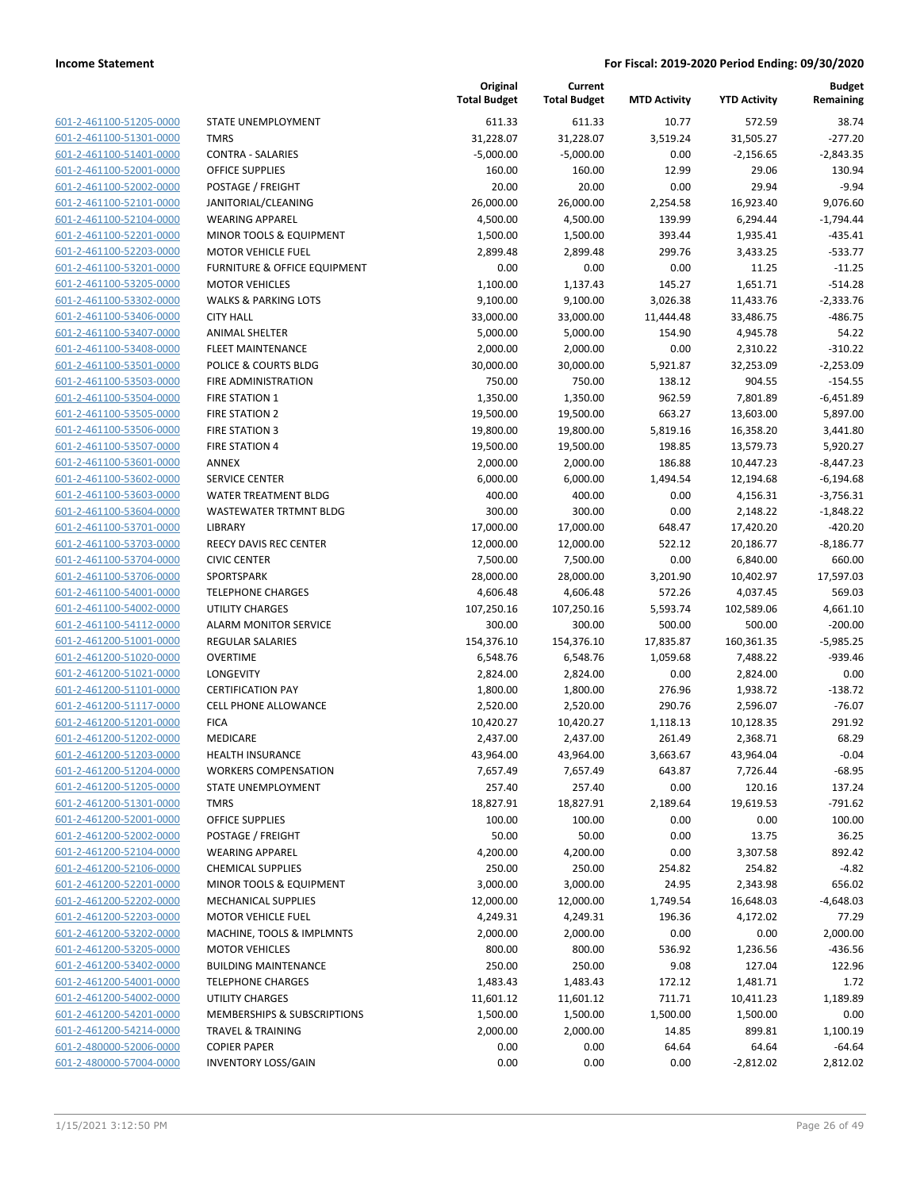| 601-2-461100-51205-0000         |
|---------------------------------|
| 601-2-461100-51301-0000         |
| 601-2-461100-51401-0000         |
| 601-2-461100-52001-0000         |
| -2-461100-52002-0000<br>$601 -$ |
| 601-2-461100-52101-0000         |
| 601-2-461100-52104-0000         |
| 601-2-461100-52201-0000         |
| 601-2-461100-52203-0000         |
| 2-461100-53201-0000<br>$601 -$  |
| 601-2-461100-53205-0000         |
| 601-2-461100-53302-0000         |
| 601-2-461100-53406-0000         |
| 601-2-461100-53407-0000         |
| -2-461100-53408-0000<br>$601 -$ |
| 601-2-461100-53501-0000         |
| 601-2-461100-53503-0000         |
| 601-2-461100-53504-0000         |
| 601-2-461100-53505-0000         |
| 2-461100-53506-0000<br>$601 -$  |
| 601-2-461100-53507-0000         |
| 601-2-461100-53601-0000         |
| 601-2-461100-53602-0000         |
| 601-2-461100-53603-0000         |
| -2-461100-53604-0000<br>$601 -$ |
| 601-2-461100-53701-0000         |
| 601-2-461100-53703-0000         |
| 601-2-461100-53704-0000         |
| 601-2-461100-53706-0000         |
| 2-461100-54001-0000<br>$601 -$  |
| 601-2-461100-54002-0000         |
| 601-2-461100-54112-0000         |
| 601-2-461200-51001-0000         |
| 601-2-461200-51020-0000         |
| -2-461200-51021-0000<br>$601 -$ |
| 601-2-461200-51101-0000         |
| 601-2-461200-51117-0000         |
| 601-2-461200-51201-0000         |
| 601-2-461200-51202-0000         |
| 2-461200-51203-0000<br>$601 -$  |
| 601-2-461200-51204-0000         |
| 601-2-461200-51205-0000         |
| 601-2-461200-51301-0000         |
| 601-2-461200-52001-0000         |
| 601-2-461200-52002-0000         |
| 601-2-461200-52104-0000         |
| 601-2-461200-52106-0000         |
| 601-2-461200-52201-0000         |
| 601-2-461200-52202-0000         |
| 601-2-461200-52203-0000         |
| 601-2-461200-53202-0000         |
| 601-2-461200-53205-0000         |
| 601-2-461200-53402-0000         |
| 601-2-461200-54001-0000         |
| 601-2-461200-54002-0000         |
| 601-2-461200-54201-0000         |
| 601-2-461200-54214-0000         |
| 601-2-480000-52006-0000         |
| 601-2-480000-57004-0000         |
|                                 |

|                         |                                 | Original<br><b>Total Budget</b> | Current<br><b>Total Budget</b> | <b>MTD Activity</b> | <b>YTD Activity</b> | <b>Budget</b><br>Remaining |
|-------------------------|---------------------------------|---------------------------------|--------------------------------|---------------------|---------------------|----------------------------|
| 601-2-461100-51205-0000 | STATE UNEMPLOYMENT              | 611.33                          | 611.33                         | 10.77               | 572.59              | 38.74                      |
| 601-2-461100-51301-0000 | <b>TMRS</b>                     | 31,228.07                       | 31,228.07                      | 3,519.24            | 31,505.27           | $-277.20$                  |
| 601-2-461100-51401-0000 | <b>CONTRA - SALARIES</b>        | $-5,000.00$                     | $-5,000.00$                    | 0.00                | $-2,156.65$         | $-2,843.35$                |
| 601-2-461100-52001-0000 | <b>OFFICE SUPPLIES</b>          | 160.00                          | 160.00                         | 12.99               | 29.06               | 130.94                     |
| 601-2-461100-52002-0000 | POSTAGE / FREIGHT               | 20.00                           | 20.00                          | 0.00                | 29.94               | $-9.94$                    |
| 601-2-461100-52101-0000 | JANITORIAL/CLEANING             | 26,000.00                       | 26,000.00                      | 2,254.58            | 16,923.40           | 9,076.60                   |
| 601-2-461100-52104-0000 | <b>WEARING APPAREL</b>          | 4,500.00                        | 4,500.00                       | 139.99              | 6,294.44            | $-1,794.44$                |
| 601-2-461100-52201-0000 | MINOR TOOLS & EQUIPMENT         | 1,500.00                        | 1,500.00                       | 393.44              | 1,935.41            | $-435.41$                  |
| 601-2-461100-52203-0000 | <b>MOTOR VEHICLE FUEL</b>       | 2,899.48                        | 2,899.48                       | 299.76              | 3,433.25            | $-533.77$                  |
| 601-2-461100-53201-0000 | FURNITURE & OFFICE EQUIPMENT    | 0.00                            | 0.00                           | 0.00                | 11.25               | $-11.25$                   |
| 601-2-461100-53205-0000 | <b>MOTOR VEHICLES</b>           | 1,100.00                        | 1,137.43                       | 145.27              | 1,651.71            | $-514.28$                  |
| 601-2-461100-53302-0000 | <b>WALKS &amp; PARKING LOTS</b> | 9,100.00                        | 9,100.00                       | 3,026.38            | 11,433.76           | $-2,333.76$                |
| 601-2-461100-53406-0000 | <b>CITY HALL</b>                | 33,000.00                       | 33,000.00                      | 11,444.48           | 33,486.75           | $-486.75$                  |
| 601-2-461100-53407-0000 | <b>ANIMAL SHELTER</b>           | 5,000.00                        | 5,000.00                       | 154.90              | 4,945.78            | 54.22                      |
| 601-2-461100-53408-0000 | FLEET MAINTENANCE               | 2,000.00                        | 2,000.00                       | 0.00                | 2,310.22            | $-310.22$                  |
| 601-2-461100-53501-0000 | POLICE & COURTS BLDG            | 30,000.00                       | 30,000.00                      | 5,921.87            | 32,253.09           | $-2,253.09$                |
| 601-2-461100-53503-0000 | FIRE ADMINISTRATION             | 750.00                          | 750.00                         | 138.12              | 904.55              | $-154.55$                  |
| 601-2-461100-53504-0000 | <b>FIRE STATION 1</b>           | 1,350.00                        | 1,350.00                       | 962.59              | 7,801.89            | $-6,451.89$                |
| 601-2-461100-53505-0000 | <b>FIRE STATION 2</b>           | 19,500.00                       | 19,500.00                      | 663.27              | 13,603.00           | 5,897.00                   |
| 601-2-461100-53506-0000 | FIRE STATION 3                  | 19,800.00                       | 19,800.00                      | 5,819.16            | 16,358.20           | 3,441.80                   |
| 601-2-461100-53507-0000 | <b>FIRE STATION 4</b>           | 19,500.00                       | 19,500.00                      | 198.85              | 13,579.73           | 5,920.27                   |
| 601-2-461100-53601-0000 | <b>ANNEX</b>                    | 2,000.00                        | 2,000.00                       | 186.88              | 10,447.23           | $-8,447.23$                |
| 601-2-461100-53602-0000 | <b>SERVICE CENTER</b>           | 6,000.00                        | 6,000.00                       | 1,494.54            | 12,194.68           | $-6,194.68$                |
| 601-2-461100-53603-0000 | WATER TREATMENT BLDG            | 400.00                          | 400.00                         | 0.00                | 4,156.31            | $-3,756.31$                |
| 601-2-461100-53604-0000 | WASTEWATER TRTMNT BLDG          | 300.00                          | 300.00                         | 0.00                | 2,148.22            | $-1,848.22$                |
| 601-2-461100-53701-0000 | LIBRARY                         | 17,000.00                       | 17,000.00                      | 648.47              | 17,420.20           | $-420.20$                  |
| 601-2-461100-53703-0000 | REECY DAVIS REC CENTER          | 12,000.00                       | 12,000.00                      | 522.12              | 20,186.77           | $-8,186.77$                |
| 601-2-461100-53704-0000 | <b>CIVIC CENTER</b>             | 7,500.00                        | 7,500.00                       | 0.00                | 6,840.00            | 660.00                     |
| 601-2-461100-53706-0000 | SPORTSPARK                      | 28,000.00                       | 28,000.00                      | 3,201.90            | 10,402.97           | 17,597.03                  |
| 601-2-461100-54001-0000 | <b>TELEPHONE CHARGES</b>        | 4,606.48                        | 4,606.48                       | 572.26              | 4,037.45            | 569.03                     |
| 601-2-461100-54002-0000 | UTILITY CHARGES                 | 107,250.16                      | 107,250.16                     | 5,593.74            | 102,589.06          | 4,661.10                   |
| 601-2-461100-54112-0000 | ALARM MONITOR SERVICE           | 300.00                          | 300.00                         | 500.00              | 500.00              | $-200.00$                  |
| 601-2-461200-51001-0000 | <b>REGULAR SALARIES</b>         | 154,376.10                      | 154,376.10                     | 17,835.87           | 160,361.35          | $-5,985.25$                |
| 601-2-461200-51020-0000 | <b>OVERTIME</b>                 | 6,548.76                        | 6,548.76                       | 1,059.68            | 7,488.22            | $-939.46$                  |
| 601-2-461200-51021-0000 | LONGEVITY                       | 2,824.00                        | 2,824.00                       | 0.00                | 2,824.00            | 0.00                       |
| 601-2-461200-51101-0000 | <b>CERTIFICATION PAY</b>        | 1,800.00                        | 1,800.00                       | 276.96              | 1,938.72            | $-138.72$                  |
| 601-2-461200-51117-0000 | <b>CELL PHONE ALLOWANCE</b>     | 2,520.00                        | 2,520.00                       | 290.76              | 2,596.07            | $-76.07$                   |
| 601-2-461200-51201-0000 | <b>FICA</b>                     | 10,420.27                       | 10,420.27                      | 1,118.13            | 10,128.35           | 291.92                     |
| 601-2-461200-51202-0000 | MEDICARE                        | 2,437.00                        | 2,437.00                       | 261.49              | 2,368.71            | 68.29                      |
| 601-2-461200-51203-0000 | <b>HEALTH INSURANCE</b>         | 43,964.00                       | 43,964.00                      | 3,663.67            | 43,964.04           | $-0.04$                    |
| 601-2-461200-51204-0000 | <b>WORKERS COMPENSATION</b>     | 7,657.49                        | 7,657.49                       | 643.87              | 7,726.44            | $-68.95$                   |
| 601-2-461200-51205-0000 | STATE UNEMPLOYMENT              | 257.40                          | 257.40                         | 0.00                | 120.16              | 137.24                     |
| 601-2-461200-51301-0000 | <b>TMRS</b>                     | 18,827.91                       | 18,827.91                      | 2,189.64            | 19,619.53           | $-791.62$                  |
| 601-2-461200-52001-0000 | <b>OFFICE SUPPLIES</b>          | 100.00                          | 100.00                         | 0.00                | 0.00                | 100.00                     |
| 601-2-461200-52002-0000 | POSTAGE / FREIGHT               | 50.00                           | 50.00                          | 0.00                | 13.75               | 36.25                      |
| 601-2-461200-52104-0000 | <b>WEARING APPAREL</b>          | 4,200.00                        | 4,200.00                       | 0.00                | 3,307.58            | 892.42                     |
| 601-2-461200-52106-0000 | <b>CHEMICAL SUPPLIES</b>        | 250.00                          | 250.00                         | 254.82              | 254.82              | $-4.82$                    |
| 601-2-461200-52201-0000 | MINOR TOOLS & EQUIPMENT         | 3,000.00                        | 3,000.00                       | 24.95               | 2,343.98            | 656.02                     |
| 601-2-461200-52202-0000 | MECHANICAL SUPPLIES             | 12,000.00                       | 12,000.00                      | 1,749.54            | 16,648.03           | $-4,648.03$                |
| 601-2-461200-52203-0000 | <b>MOTOR VEHICLE FUEL</b>       | 4,249.31                        | 4,249.31                       | 196.36              | 4,172.02            | 77.29                      |
| 601-2-461200-53202-0000 | MACHINE, TOOLS & IMPLMNTS       | 2,000.00                        | 2,000.00                       | 0.00                | 0.00                | 2,000.00                   |
| 601-2-461200-53205-0000 | <b>MOTOR VEHICLES</b>           | 800.00                          | 800.00                         | 536.92              | 1,236.56            | $-436.56$                  |
| 601-2-461200-53402-0000 | <b>BUILDING MAINTENANCE</b>     | 250.00                          | 250.00                         | 9.08                | 127.04              | 122.96                     |
| 601-2-461200-54001-0000 | <b>TELEPHONE CHARGES</b>        | 1,483.43                        | 1,483.43                       | 172.12              | 1,481.71            | 1.72                       |
| 601-2-461200-54002-0000 | UTILITY CHARGES                 | 11,601.12                       | 11,601.12                      | 711.71              | 10,411.23           | 1,189.89                   |
| 601-2-461200-54201-0000 | MEMBERSHIPS & SUBSCRIPTIONS     | 1,500.00                        | 1,500.00                       | 1,500.00            | 1,500.00            | 0.00                       |
| 601-2-461200-54214-0000 | <b>TRAVEL &amp; TRAINING</b>    | 2,000.00                        | 2,000.00                       | 14.85               | 899.81              | 1,100.19                   |
| 601-2-480000-52006-0000 | <b>COPIER PAPER</b>             | 0.00                            | 0.00                           | 64.64               | 64.64               | $-64.64$                   |
| 601-2-480000-57004-0000 | <b>INVENTORY LOSS/GAIN</b>      | 0.00                            | 0.00                           | 0.00                | $-2,812.02$         | 2,812.02                   |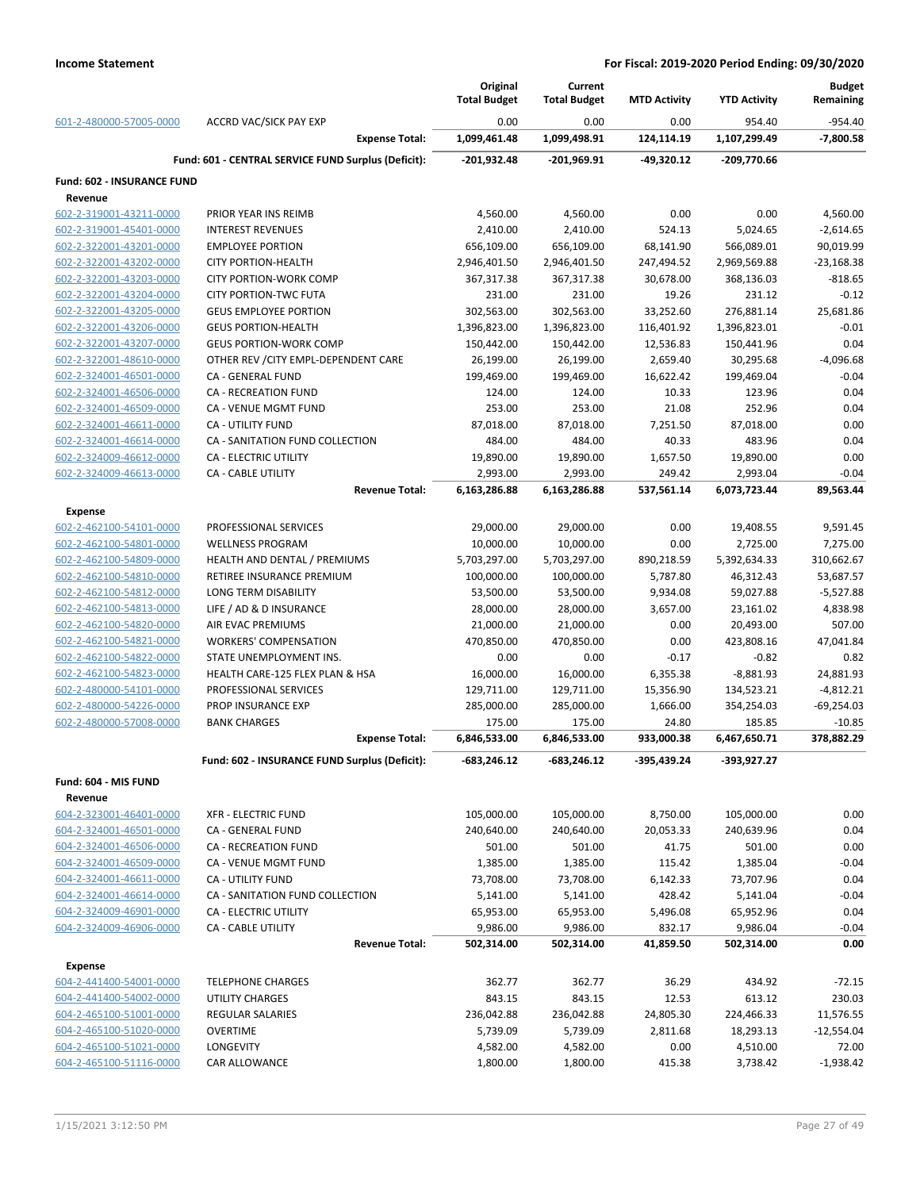|                                                    |                                                            | Original<br><b>Total Budget</b> | Current<br><b>Total Budget</b> | <b>MTD Activity</b>     | <b>YTD Activity</b>        | <b>Budget</b><br>Remaining |
|----------------------------------------------------|------------------------------------------------------------|---------------------------------|--------------------------------|-------------------------|----------------------------|----------------------------|
| 601-2-480000-57005-0000                            | <b>ACCRD VAC/SICK PAY EXP</b>                              | 0.00                            | 0.00                           | 0.00                    | 954.40                     | $-954.40$                  |
|                                                    | <b>Expense Total:</b>                                      | 1,099,461.48                    | 1,099,498.91                   | 124,114.19              | 1,107,299.49               | $-7,800.58$                |
|                                                    | Fund: 601 - CENTRAL SERVICE FUND Surplus (Deficit):        | $-201,932.48$                   | $-201,969.91$                  | $-49,320.12$            | $-209,770.66$              |                            |
| Fund: 602 - INSURANCE FUND                         |                                                            |                                 |                                |                         |                            |                            |
| Revenue                                            |                                                            |                                 |                                |                         |                            |                            |
| 602-2-319001-43211-0000                            | PRIOR YEAR INS REIMB                                       | 4,560.00                        | 4,560.00                       | 0.00                    | 0.00                       | 4,560.00                   |
| 602-2-319001-45401-0000                            | <b>INTEREST REVENUES</b>                                   | 2,410.00                        | 2,410.00                       | 524.13                  | 5,024.65                   | $-2,614.65$                |
| 602-2-322001-43201-0000                            | <b>EMPLOYEE PORTION</b>                                    | 656,109.00                      | 656,109.00                     | 68,141.90               | 566,089.01                 | 90,019.99                  |
| 602-2-322001-43202-0000                            | <b>CITY PORTION-HEALTH</b>                                 | 2,946,401.50                    | 2,946,401.50                   | 247,494.52              | 2,969,569.88               | $-23,168.38$               |
| 602-2-322001-43203-0000                            | <b>CITY PORTION-WORK COMP</b>                              | 367,317.38                      | 367,317.38                     | 30,678.00               | 368,136.03                 | $-818.65$                  |
| 602-2-322001-43204-0000                            | <b>CITY PORTION-TWC FUTA</b>                               | 231.00                          | 231.00                         | 19.26                   | 231.12                     | $-0.12$<br>25,681.86       |
| 602-2-322001-43205-0000                            | <b>GEUS EMPLOYEE PORTION</b><br><b>GEUS PORTION-HEALTH</b> | 302,563.00                      | 302,563.00                     | 33,252.60               | 276,881.14                 | $-0.01$                    |
| 602-2-322001-43206-0000<br>602-2-322001-43207-0000 | <b>GEUS PORTION-WORK COMP</b>                              | 1,396,823.00<br>150,442.00      | 1,396,823.00<br>150,442.00     | 116,401.92<br>12,536.83 | 1,396,823.01<br>150,441.96 | 0.04                       |
| 602-2-322001-48610-0000                            | OTHER REV / CITY EMPL-DEPENDENT CARE                       | 26,199.00                       | 26,199.00                      | 2,659.40                | 30,295.68                  | $-4,096.68$                |
| 602-2-324001-46501-0000                            | CA - GENERAL FUND                                          | 199,469.00                      | 199,469.00                     | 16,622.42               | 199,469.04                 | $-0.04$                    |
| 602-2-324001-46506-0000                            | CA - RECREATION FUND                                       | 124.00                          | 124.00                         | 10.33                   | 123.96                     | 0.04                       |
| 602-2-324001-46509-0000                            | CA - VENUE MGMT FUND                                       | 253.00                          | 253.00                         | 21.08                   | 252.96                     | 0.04                       |
| 602-2-324001-46611-0000                            | <b>CA - UTILITY FUND</b>                                   | 87,018.00                       | 87,018.00                      | 7,251.50                | 87,018.00                  | 0.00                       |
| 602-2-324001-46614-0000                            | CA - SANITATION FUND COLLECTION                            | 484.00                          | 484.00                         | 40.33                   | 483.96                     | 0.04                       |
| 602-2-324009-46612-0000                            | CA - ELECTRIC UTILITY                                      | 19,890.00                       | 19,890.00                      | 1,657.50                | 19,890.00                  | 0.00                       |
| 602-2-324009-46613-0000                            | <b>CA - CABLE UTILITY</b>                                  | 2,993.00                        | 2,993.00                       | 249.42                  | 2,993.04                   | $-0.04$                    |
|                                                    | <b>Revenue Total:</b>                                      | 6,163,286.88                    | 6,163,286.88                   | 537,561.14              | 6,073,723.44               | 89,563.44                  |
| <b>Expense</b>                                     |                                                            |                                 |                                |                         |                            |                            |
| 602-2-462100-54101-0000                            | PROFESSIONAL SERVICES                                      | 29,000.00                       | 29,000.00                      | 0.00                    | 19,408.55                  | 9,591.45                   |
| 602-2-462100-54801-0000                            | <b>WELLNESS PROGRAM</b>                                    | 10,000.00                       | 10,000.00                      | 0.00                    | 2,725.00                   | 7,275.00                   |
| 602-2-462100-54809-0000                            | HEALTH AND DENTAL / PREMIUMS                               | 5,703,297.00                    | 5,703,297.00                   | 890,218.59              | 5,392,634.33               | 310,662.67                 |
| 602-2-462100-54810-0000                            | RETIREE INSURANCE PREMIUM                                  | 100,000.00                      | 100,000.00                     | 5,787.80                | 46,312.43                  | 53,687.57                  |
| 602-2-462100-54812-0000                            | LONG TERM DISABILITY                                       | 53,500.00                       | 53,500.00                      | 9,934.08                | 59,027.88                  | $-5,527.88$                |
| 602-2-462100-54813-0000                            | LIFE / AD & D INSURANCE                                    | 28,000.00                       | 28,000.00                      | 3,657.00                | 23,161.02                  | 4,838.98                   |
| 602-2-462100-54820-0000                            | AIR EVAC PREMIUMS                                          | 21,000.00                       | 21,000.00                      | 0.00                    | 20,493.00                  | 507.00                     |
| 602-2-462100-54821-0000                            | <b>WORKERS' COMPENSATION</b>                               | 470,850.00                      | 470,850.00                     | 0.00                    | 423,808.16                 | 47,041.84                  |
| 602-2-462100-54822-0000                            | STATE UNEMPLOYMENT INS.                                    | 0.00                            | 0.00                           | $-0.17$                 | $-0.82$                    | 0.82                       |
| 602-2-462100-54823-0000                            | HEALTH CARE-125 FLEX PLAN & HSA                            | 16,000.00                       | 16,000.00                      | 6,355.38                | $-8,881.93$                | 24,881.93                  |
| 602-2-480000-54101-0000                            | PROFESSIONAL SERVICES                                      | 129,711.00                      | 129,711.00                     | 15,356.90               | 134,523.21                 | $-4,812.21$                |
| 602-2-480000-54226-0000                            | PROP INSURANCE EXP                                         | 285,000.00                      | 285,000.00                     | 1,666.00                | 354,254.03                 | $-69,254.03$               |
| 602-2-480000-57008-0000                            | <b>BANK CHARGES</b>                                        | 175.00                          | 175.00                         | 24.80                   | 185.85                     | $-10.85$                   |
|                                                    | <b>Expense Total:</b>                                      | 6,846,533.00                    | 6,846,533.00                   | 933,000.38              | 6,467,650.71               | 378,882.29                 |
|                                                    | Fund: 602 - INSURANCE FUND Surplus (Deficit):              | -683,246.12                     | $-683,246.12$                  | -395,439.24             | -393,927.27                |                            |
| Fund: 604 - MIS FUND                               |                                                            |                                 |                                |                         |                            |                            |
| Revenue                                            |                                                            |                                 |                                |                         |                            |                            |
| 604-2-323001-46401-0000                            | <b>XFR - ELECTRIC FUND</b>                                 | 105,000.00                      | 105,000.00                     | 8,750.00                | 105,000.00                 | 0.00                       |
| 604-2-324001-46501-0000                            | CA - GENERAL FUND                                          | 240,640.00                      | 240,640.00                     | 20,053.33               | 240,639.96                 | 0.04                       |
| 604-2-324001-46506-0000                            | <b>CA - RECREATION FUND</b>                                | 501.00                          | 501.00                         | 41.75                   | 501.00                     | 0.00                       |
| 604-2-324001-46509-0000                            | CA - VENUE MGMT FUND                                       | 1,385.00                        | 1,385.00                       | 115.42                  | 1,385.04                   | $-0.04$                    |
| 604-2-324001-46611-0000                            | <b>CA - UTILITY FUND</b>                                   | 73,708.00                       | 73,708.00                      | 6,142.33                | 73,707.96                  | 0.04                       |
| 604-2-324001-46614-0000                            | CA - SANITATION FUND COLLECTION                            | 5,141.00                        | 5,141.00                       | 428.42                  | 5,141.04                   | $-0.04$                    |
| 604-2-324009-46901-0000                            | CA - ELECTRIC UTILITY                                      | 65,953.00                       | 65,953.00                      | 5,496.08                | 65,952.96                  | 0.04                       |
| 604-2-324009-46906-0000                            | <b>CA - CABLE UTILITY</b>                                  | 9,986.00                        | 9,986.00                       | 832.17                  | 9,986.04                   | $-0.04$                    |
|                                                    | <b>Revenue Total:</b>                                      | 502,314.00                      | 502,314.00                     | 41,859.50               | 502,314.00                 | 0.00                       |
| <b>Expense</b>                                     |                                                            |                                 |                                |                         |                            |                            |
| 604-2-441400-54001-0000                            | <b>TELEPHONE CHARGES</b>                                   | 362.77                          | 362.77                         | 36.29                   | 434.92                     | $-72.15$                   |
| 604-2-441400-54002-0000                            | UTILITY CHARGES                                            | 843.15                          | 843.15                         | 12.53                   | 613.12                     | 230.03                     |
| 604-2-465100-51001-0000                            | <b>REGULAR SALARIES</b>                                    | 236,042.88                      | 236,042.88                     | 24,805.30               | 224,466.33                 | 11,576.55                  |
| 604-2-465100-51020-0000                            | <b>OVERTIME</b>                                            | 5,739.09                        | 5,739.09                       | 2,811.68                | 18,293.13                  | $-12,554.04$               |
| 604-2-465100-51021-0000<br>604-2-465100-51116-0000 | LONGEVITY                                                  | 4,582.00                        | 4,582.00                       | 0.00                    | 4,510.00                   | 72.00<br>$-1,938.42$       |
|                                                    | CAR ALLOWANCE                                              | 1,800.00                        | 1,800.00                       | 415.38                  | 3,738.42                   |                            |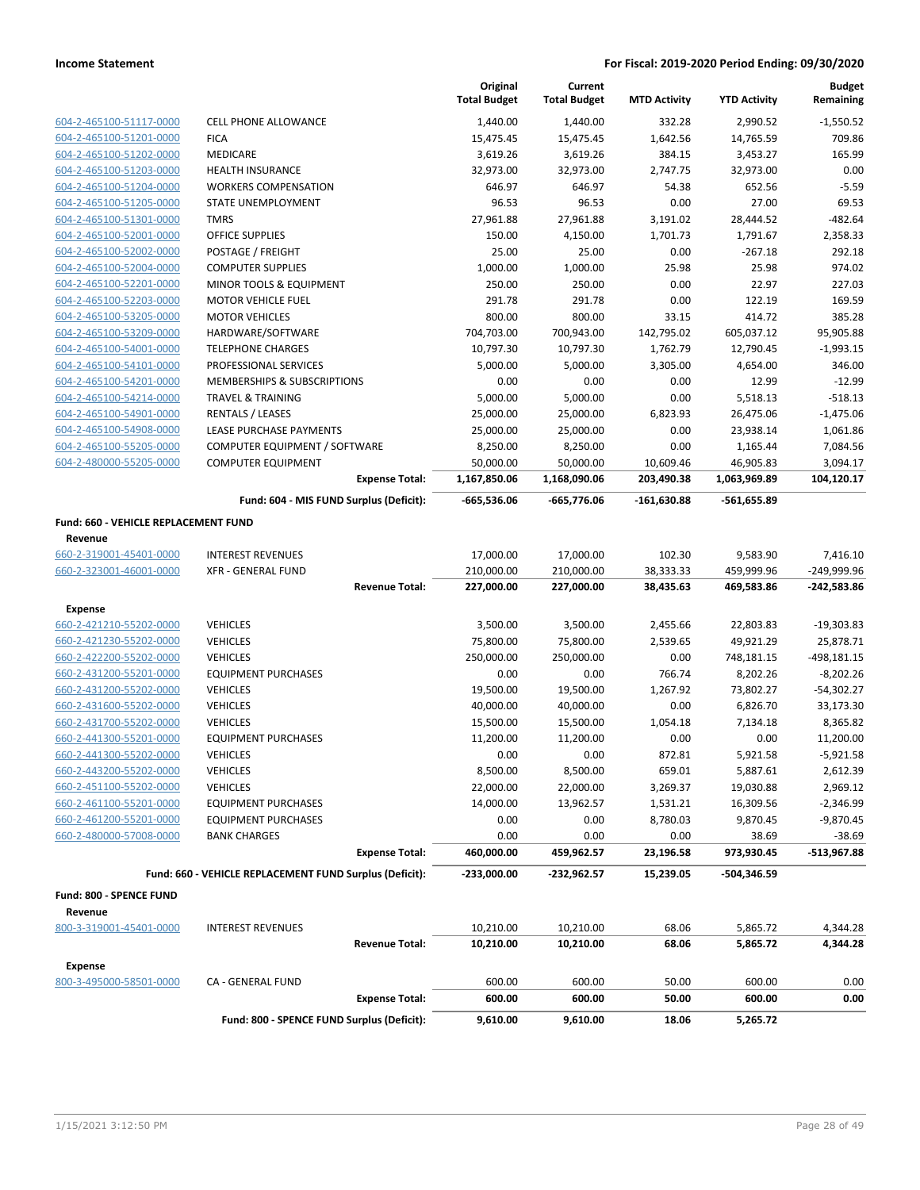|                                             |                                                         | Original<br><b>Total Budget</b> | Current<br><b>Total Budget</b> | <b>MTD Activity</b> | <b>YTD Activity</b> | <b>Budget</b><br>Remaining |
|---------------------------------------------|---------------------------------------------------------|---------------------------------|--------------------------------|---------------------|---------------------|----------------------------|
| 604-2-465100-51117-0000                     | <b>CELL PHONE ALLOWANCE</b>                             | 1,440.00                        | 1,440.00                       | 332.28              | 2,990.52            | $-1,550.52$                |
| 604-2-465100-51201-0000                     | <b>FICA</b>                                             | 15,475.45                       | 15,475.45                      | 1,642.56            | 14,765.59           | 709.86                     |
| 604-2-465100-51202-0000                     | <b>MEDICARE</b>                                         | 3,619.26                        | 3,619.26                       | 384.15              | 3,453.27            | 165.99                     |
| 604-2-465100-51203-0000                     | <b>HEALTH INSURANCE</b>                                 | 32,973.00                       | 32,973.00                      | 2,747.75            | 32,973.00           | 0.00                       |
| 604-2-465100-51204-0000                     | <b>WORKERS COMPENSATION</b>                             | 646.97                          | 646.97                         | 54.38               | 652.56              | $-5.59$                    |
| 604-2-465100-51205-0000                     | STATE UNEMPLOYMENT                                      | 96.53                           | 96.53                          | 0.00                | 27.00               | 69.53                      |
| 604-2-465100-51301-0000                     | <b>TMRS</b>                                             | 27,961.88                       | 27,961.88                      | 3,191.02            | 28,444.52           | $-482.64$                  |
| 604-2-465100-52001-0000                     | <b>OFFICE SUPPLIES</b>                                  | 150.00                          | 4,150.00                       | 1,701.73            | 1,791.67            | 2,358.33                   |
| 604-2-465100-52002-0000                     | POSTAGE / FREIGHT                                       | 25.00                           | 25.00                          | 0.00                | $-267.18$           | 292.18                     |
| 604-2-465100-52004-0000                     | <b>COMPUTER SUPPLIES</b>                                | 1,000.00                        | 1,000.00                       | 25.98               | 25.98               | 974.02                     |
| 604-2-465100-52201-0000                     | MINOR TOOLS & EQUIPMENT                                 | 250.00                          | 250.00                         | 0.00                | 22.97               | 227.03                     |
| 604-2-465100-52203-0000                     | <b>MOTOR VEHICLE FUEL</b>                               | 291.78                          | 291.78                         | 0.00                | 122.19              | 169.59                     |
| 604-2-465100-53205-0000                     | <b>MOTOR VEHICLES</b>                                   | 800.00                          | 800.00                         | 33.15               | 414.72              | 385.28                     |
| 604-2-465100-53209-0000                     | HARDWARE/SOFTWARE                                       | 704,703.00                      | 700,943.00                     | 142,795.02          | 605,037.12          | 95,905.88                  |
| 604-2-465100-54001-0000                     | <b>TELEPHONE CHARGES</b>                                | 10,797.30                       | 10,797.30                      | 1,762.79            | 12,790.45           | $-1,993.15$                |
| 604-2-465100-54101-0000                     | PROFESSIONAL SERVICES                                   | 5,000.00                        | 5,000.00                       | 3,305.00            | 4,654.00            | 346.00                     |
| 604-2-465100-54201-0000                     | MEMBERSHIPS & SUBSCRIPTIONS                             | 0.00                            | 0.00                           | 0.00                | 12.99               | $-12.99$                   |
| 604-2-465100-54214-0000                     | <b>TRAVEL &amp; TRAINING</b>                            | 5,000.00                        | 5,000.00                       | 0.00                | 5,518.13            | $-518.13$                  |
| 604-2-465100-54901-0000                     | RENTALS / LEASES                                        | 25,000.00                       | 25,000.00                      | 6,823.93            | 26,475.06           | $-1,475.06$                |
| 604-2-465100-54908-0000                     | LEASE PURCHASE PAYMENTS                                 | 25,000.00                       | 25,000.00                      | 0.00                | 23,938.14           | 1,061.86                   |
| 604-2-465100-55205-0000                     | COMPUTER EQUIPMENT / SOFTWARE                           | 8,250.00                        | 8,250.00                       | 0.00                | 1,165.44            | 7,084.56                   |
| 604-2-480000-55205-0000                     | <b>COMPUTER EQUIPMENT</b>                               | 50,000.00                       | 50,000.00                      | 10,609.46           | 46,905.83           | 3,094.17                   |
|                                             | <b>Expense Total:</b>                                   | 1,167,850.06                    | 1,168,090.06                   | 203,490.38          | 1,063,969.89        | 104,120.17                 |
|                                             | Fund: 604 - MIS FUND Surplus (Deficit):                 | $-665,536.06$                   | $-665,776.06$                  | $-161,630.88$       | -561,655.89         |                            |
| <b>Fund: 660 - VEHICLE REPLACEMENT FUND</b> |                                                         |                                 |                                |                     |                     |                            |
| Revenue                                     |                                                         |                                 |                                |                     |                     |                            |
| 660-2-319001-45401-0000                     | <b>INTEREST REVENUES</b>                                | 17,000.00                       | 17,000.00                      | 102.30              | 9,583.90            | 7,416.10                   |
| 660-2-323001-46001-0000                     | <b>XFR - GENERAL FUND</b>                               | 210,000.00                      | 210,000.00                     | 38,333.33           | 459,999.96          | -249,999.96                |
|                                             | <b>Revenue Total:</b>                                   | 227,000.00                      | 227,000.00                     | 38,435.63           | 469,583.86          | $-242,583.86$              |
| Expense                                     |                                                         |                                 |                                |                     |                     |                            |
| 660-2-421210-55202-0000                     | <b>VEHICLES</b>                                         | 3,500.00                        | 3,500.00                       | 2,455.66            | 22,803.83           | $-19,303.83$               |
| 660-2-421230-55202-0000                     | <b>VEHICLES</b>                                         | 75,800.00                       | 75,800.00                      | 2,539.65            | 49,921.29           | 25,878.71                  |
| 660-2-422200-55202-0000                     | <b>VEHICLES</b>                                         | 250,000.00                      | 250,000.00                     | 0.00                | 748,181.15          | $-498, 181.15$             |
| 660-2-431200-55201-0000                     | <b>EQUIPMENT PURCHASES</b>                              | 0.00                            | 0.00                           | 766.74              | 8,202.26            | $-8,202.26$                |
| 660-2-431200-55202-0000                     | <b>VEHICLES</b>                                         | 19,500.00                       | 19,500.00                      | 1,267.92            | 73,802.27           | $-54,302.27$               |
| 660-2-431600-55202-0000                     | <b>VEHICLES</b>                                         | 40,000.00                       | 40,000.00                      | 0.00                | 6,826.70            | 33,173.30                  |
| 660-2-431700-55202-0000                     | <b>VEHICLES</b>                                         | 15,500.00                       | 15,500.00                      | 1,054.18            | 7,134.18            | 8,365.82                   |
| 660-2-441300-55201-0000                     | <b>EQUIPMENT PURCHASES</b>                              | 11,200.00                       | 11,200.00                      | 0.00                | 0.00                | 11,200.00                  |
| 660-2-441300-55202-0000                     | VEHICLES                                                | 0.00                            | 0.00                           | 872.81              | 5,921.58            | $-5,921.58$                |
| 660-2-443200-55202-0000                     | <b>VEHICLES</b>                                         | 8,500.00                        | 8,500.00                       | 659.01              | 5,887.61            | 2,612.39                   |
| 660-2-451100-55202-0000                     | <b>VEHICLES</b>                                         | 22,000.00                       | 22,000.00                      | 3,269.37            | 19,030.88           | 2,969.12                   |
| 660-2-461100-55201-0000                     | <b>EQUIPMENT PURCHASES</b>                              | 14,000.00                       | 13,962.57                      | 1,531.21            | 16,309.56           | $-2,346.99$                |
| 660-2-461200-55201-0000                     | <b>EQUIPMENT PURCHASES</b>                              | 0.00                            | 0.00                           | 8,780.03            | 9,870.45            | $-9,870.45$                |
| 660-2-480000-57008-0000                     | <b>BANK CHARGES</b>                                     | 0.00                            | 0.00                           | 0.00                | 38.69               | $-38.69$                   |
|                                             | <b>Expense Total:</b>                                   | 460,000.00                      | 459,962.57                     | 23,196.58           | 973,930.45          | -513,967.88                |
|                                             | Fund: 660 - VEHICLE REPLACEMENT FUND Surplus (Deficit): | $-233,000.00$                   | -232,962.57                    | 15,239.05           | -504,346.59         |                            |
| Fund: 800 - SPENCE FUND                     |                                                         |                                 |                                |                     |                     |                            |
| Revenue                                     |                                                         |                                 |                                |                     |                     |                            |
| 800-3-319001-45401-0000                     | <b>INTEREST REVENUES</b>                                | 10,210.00                       | 10,210.00                      | 68.06               | 5,865.72            | 4,344.28                   |
|                                             | <b>Revenue Total:</b>                                   | 10,210.00                       | 10,210.00                      | 68.06               | 5,865.72            | 4,344.28                   |
| <b>Expense</b>                              |                                                         |                                 |                                |                     |                     |                            |
| 800-3-495000-58501-0000                     | CA - GENERAL FUND                                       | 600.00                          | 600.00                         | 50.00               | 600.00              | 0.00                       |
|                                             | <b>Expense Total:</b>                                   | 600.00                          | 600.00                         | 50.00               | 600.00              | 0.00                       |
|                                             | Fund: 800 - SPENCE FUND Surplus (Deficit):              | 9,610.00                        | 9,610.00                       | 18.06               | 5,265.72            |                            |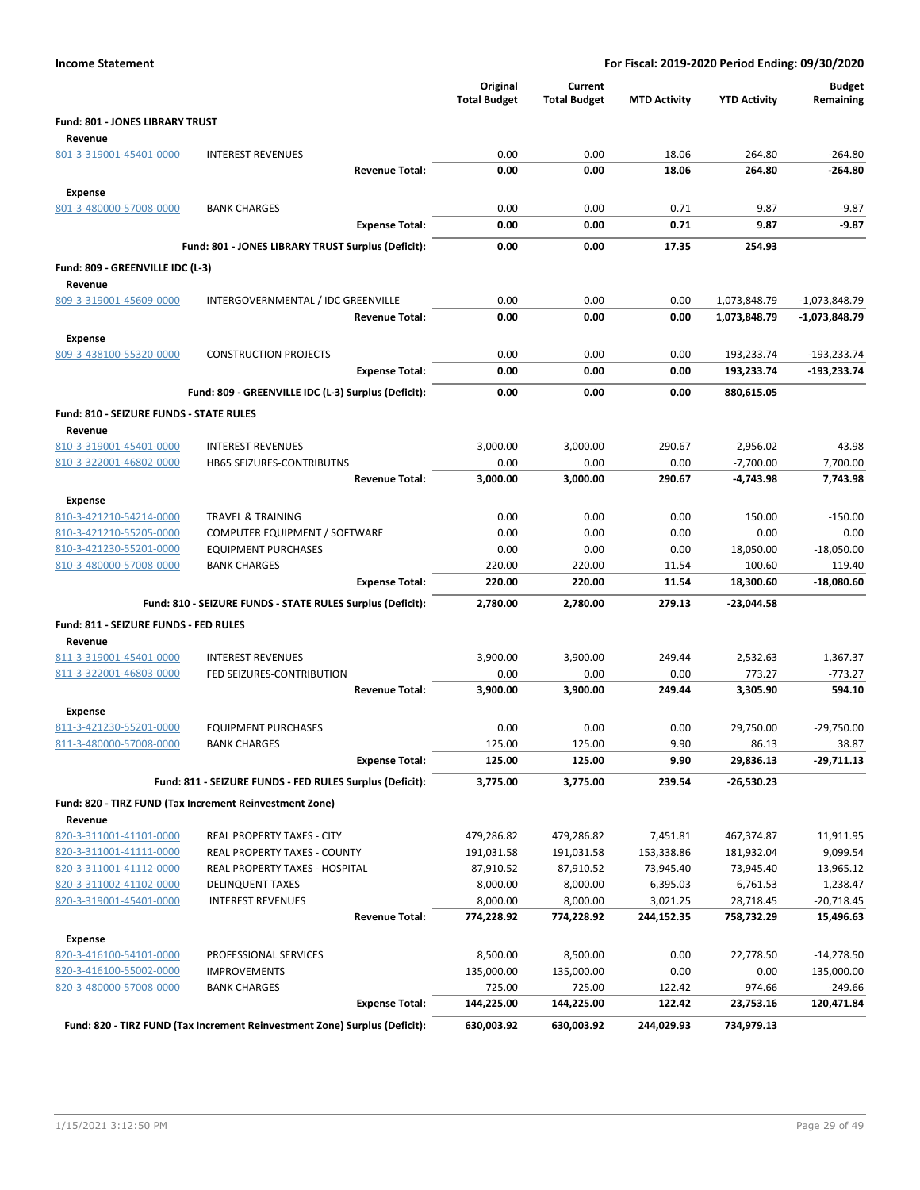| <b>Income Statement</b>                                   |                                                                            |                                 |                                | For Fiscal: 2019-2020 Period Ending: 09/30/2020 |                     |                            |
|-----------------------------------------------------------|----------------------------------------------------------------------------|---------------------------------|--------------------------------|-------------------------------------------------|---------------------|----------------------------|
|                                                           |                                                                            | Original<br><b>Total Budget</b> | Current<br><b>Total Budget</b> | <b>MTD Activity</b>                             | <b>YTD Activity</b> | <b>Budget</b><br>Remaining |
| <b>Fund: 801 - JONES LIBRARY TRUST</b><br>Revenue         |                                                                            |                                 |                                |                                                 |                     |                            |
| 801-3-319001-45401-0000                                   | <b>INTEREST REVENUES</b>                                                   | 0.00                            | 0.00                           | 18.06                                           | 264.80              | $-264.80$                  |
|                                                           | <b>Revenue Total:</b>                                                      | 0.00                            | 0.00                           | 18.06                                           | 264.80              | $-264.80$                  |
| <b>Expense</b>                                            |                                                                            |                                 |                                |                                                 |                     |                            |
| 801-3-480000-57008-0000                                   | <b>BANK CHARGES</b>                                                        | 0.00                            | 0.00                           | 0.71                                            | 9.87                | $-9.87$                    |
|                                                           | <b>Expense Total:</b>                                                      | 0.00                            | 0.00                           | 0.71                                            | 9.87                | $-9.87$                    |
|                                                           | Fund: 801 - JONES LIBRARY TRUST Surplus (Deficit):                         | 0.00                            | 0.00                           | 17.35                                           | 254.93              |                            |
|                                                           |                                                                            |                                 |                                |                                                 |                     |                            |
| Fund: 809 - GREENVILLE IDC (L-3)<br>Revenue               |                                                                            |                                 |                                |                                                 |                     |                            |
| 809-3-319001-45609-0000                                   | INTERGOVERNMENTAL / IDC GREENVILLE                                         | 0.00                            | 0.00                           | 0.00                                            | 1,073,848.79        | $-1,073,848.79$            |
|                                                           | <b>Revenue Total:</b>                                                      | 0.00                            | 0.00                           | 0.00                                            | 1,073,848.79        | -1,073,848.79              |
|                                                           |                                                                            |                                 |                                |                                                 |                     |                            |
| <b>Expense</b><br>809-3-438100-55320-0000                 | <b>CONSTRUCTION PROJECTS</b>                                               | 0.00                            | 0.00                           | 0.00                                            | 193,233.74          | $-193,233.74$              |
|                                                           | <b>Expense Total:</b>                                                      | 0.00                            | 0.00                           | 0.00                                            | 193,233.74          | $-193,233.74$              |
|                                                           |                                                                            |                                 |                                |                                                 |                     |                            |
|                                                           | Fund: 809 - GREENVILLE IDC (L-3) Surplus (Deficit):                        | 0.00                            | 0.00                           | 0.00                                            | 880,615.05          |                            |
| <b>Fund: 810 - SEIZURE FUNDS - STATE RULES</b><br>Revenue |                                                                            |                                 |                                |                                                 |                     |                            |
| 810-3-319001-45401-0000                                   | <b>INTEREST REVENUES</b>                                                   | 3,000.00                        | 3,000.00                       | 290.67                                          | 2,956.02            | 43.98                      |
| 810-3-322001-46802-0000                                   | <b>HB65 SEIZURES-CONTRIBUTNS</b>                                           | 0.00                            | 0.00                           | 0.00                                            | $-7,700.00$         | 7,700.00                   |
|                                                           | <b>Revenue Total:</b>                                                      | 3,000.00                        | 3,000.00                       | 290.67                                          | $-4.743.98$         | 7,743.98                   |
| <b>Expense</b>                                            |                                                                            |                                 |                                |                                                 |                     |                            |
| 810-3-421210-54214-0000                                   | <b>TRAVEL &amp; TRAINING</b>                                               | 0.00                            | 0.00                           | 0.00                                            | 150.00              | $-150.00$                  |
| 810-3-421210-55205-0000                                   | COMPUTER EQUIPMENT / SOFTWARE                                              | 0.00                            | 0.00                           | 0.00                                            | 0.00                | 0.00                       |
| 810-3-421230-55201-0000                                   | <b>EQUIPMENT PURCHASES</b>                                                 | 0.00                            | 0.00                           | 0.00                                            | 18,050.00           | $-18,050.00$               |
| 810-3-480000-57008-0000                                   | <b>BANK CHARGES</b>                                                        | 220.00                          | 220.00                         | 11.54                                           | 100.60              | 119.40                     |
|                                                           | <b>Expense Total:</b>                                                      | 220.00                          | 220.00                         | 11.54                                           | 18,300.60           | -18,080.60                 |
|                                                           | Fund: 810 - SEIZURE FUNDS - STATE RULES Surplus (Deficit):                 | 2,780.00                        | 2,780.00                       | 279.13                                          | -23,044.58          |                            |
| Fund: 811 - SEIZURE FUNDS - FED RULES                     |                                                                            |                                 |                                |                                                 |                     |                            |
| Revenue                                                   |                                                                            |                                 |                                |                                                 |                     |                            |
| 811-3-319001-45401-0000                                   | <b>INTEREST REVENUES</b>                                                   | 3,900.00                        | 3,900.00                       | 249.44                                          | 2,532.63            | 1,367.37                   |
| 811-3-322001-46803-0000                                   | FED SEIZURES-CONTRIBUTION                                                  | 0.00                            | 0.00                           | 0.00                                            | 773.27              | $-773.27$                  |
|                                                           | <b>Revenue Total:</b>                                                      | 3,900.00                        | 3,900.00                       | 249.44                                          | 3,305.90            | 594.10                     |
| Expense                                                   |                                                                            |                                 |                                |                                                 |                     |                            |
| 811-3-421230-55201-0000                                   | <b>EQUIPMENT PURCHASES</b>                                                 | 0.00                            | 0.00                           | 0.00                                            | 29,750.00           | $-29,750.00$               |
| 811-3-480000-57008-0000                                   | <b>BANK CHARGES</b>                                                        | 125.00                          | 125.00                         | 9.90                                            | 86.13               | 38.87                      |
|                                                           | <b>Expense Total:</b>                                                      | 125.00                          | 125.00                         | 9.90                                            | 29,836.13           | -29,711.13                 |
|                                                           | Fund: 811 - SEIZURE FUNDS - FED RULES Surplus (Deficit):                   | 3,775.00                        | 3,775.00                       | 239.54                                          | -26,530.23          |                            |
|                                                           | Fund: 820 - TIRZ FUND (Tax Increment Reinvestment Zone)                    |                                 |                                |                                                 |                     |                            |
| Revenue                                                   |                                                                            |                                 |                                |                                                 |                     |                            |
| 820-3-311001-41101-0000                                   | REAL PROPERTY TAXES - CITY                                                 | 479,286.82                      | 479,286.82                     | 7,451.81                                        | 467,374.87          | 11,911.95                  |
| 820-3-311001-41111-0000                                   | REAL PROPERTY TAXES - COUNTY                                               | 191,031.58                      | 191,031.58                     | 153,338.86                                      | 181,932.04          | 9,099.54                   |
| 820-3-311001-41112-0000                                   | REAL PROPERTY TAXES - HOSPITAL                                             | 87,910.52                       | 87,910.52                      | 73,945.40                                       | 73,945.40           | 13,965.12                  |
| 820-3-311002-41102-0000<br>820-3-319001-45401-0000        | <b>DELINQUENT TAXES</b>                                                    | 8,000.00                        | 8,000.00                       | 6,395.03                                        | 6,761.53            | 1,238.47                   |
|                                                           | <b>INTEREST REVENUES</b><br><b>Revenue Total:</b>                          | 8,000.00<br>774,228.92          | 8,000.00<br>774,228.92         | 3,021.25<br>244,152.35                          | 28,718.45           | $-20,718.45$               |
|                                                           |                                                                            |                                 |                                |                                                 | 758,732.29          | 15,496.63                  |
| <b>Expense</b>                                            |                                                                            |                                 |                                |                                                 |                     |                            |
| 820-3-416100-54101-0000                                   | PROFESSIONAL SERVICES                                                      | 8,500.00                        | 8,500.00                       | 0.00                                            | 22,778.50           | $-14,278.50$               |
| 820-3-416100-55002-0000<br>820-3-480000-57008-0000        | <b>IMPROVEMENTS</b><br><b>BANK CHARGES</b>                                 | 135,000.00<br>725.00            | 135,000.00<br>725.00           | 0.00<br>122.42                                  | 0.00<br>974.66      | 135,000.00<br>$-249.66$    |
|                                                           | <b>Expense Total:</b>                                                      | 144,225.00                      | 144,225.00                     | 122.42                                          | 23,753.16           | 120,471.84                 |
|                                                           | Fund: 820 - TIRZ FUND (Tax Increment Reinvestment Zone) Surplus (Deficit): | 630,003.92                      | 630,003.92                     | 244,029.93                                      | 734,979.13          |                            |
|                                                           |                                                                            |                                 |                                |                                                 |                     |                            |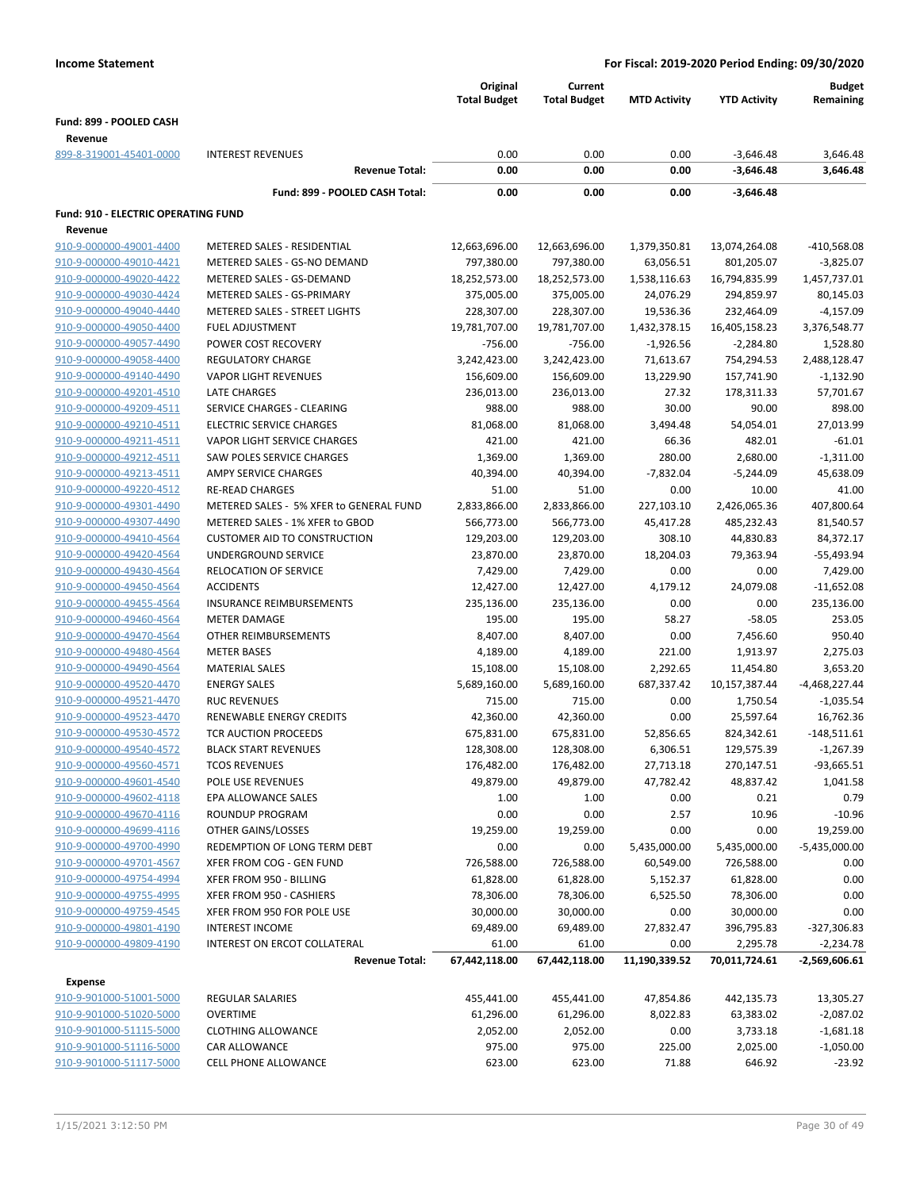|                                            |                                         | Original<br><b>Total Budget</b> | Current<br><b>Total Budget</b> | <b>MTD Activity</b> | <b>YTD Activity</b> | <b>Budget</b><br>Remaining |
|--------------------------------------------|-----------------------------------------|---------------------------------|--------------------------------|---------------------|---------------------|----------------------------|
| Fund: 899 - POOLED CASH                    |                                         |                                 |                                |                     |                     |                            |
| Revenue                                    |                                         |                                 |                                |                     |                     |                            |
| 899-8-319001-45401-0000                    | <b>INTEREST REVENUES</b>                | 0.00                            | 0.00                           | 0.00                | $-3,646.48$         | 3,646.48                   |
|                                            | <b>Revenue Total:</b>                   | 0.00                            | 0.00                           | 0.00                | $-3,646.48$         | 3,646.48                   |
|                                            | Fund: 899 - POOLED CASH Total:          | 0.00                            | 0.00                           | 0.00                | $-3,646.48$         |                            |
| <b>Fund: 910 - ELECTRIC OPERATING FUND</b> |                                         |                                 |                                |                     |                     |                            |
| Revenue                                    |                                         |                                 |                                |                     |                     |                            |
| 910-9-000000-49001-4400                    | METERED SALES - RESIDENTIAL             | 12,663,696.00                   | 12,663,696.00                  | 1,379,350.81        | 13,074,264.08       | -410,568.08                |
| 910-9-000000-49010-4421                    | METERED SALES - GS-NO DEMAND            | 797,380.00                      | 797,380.00                     | 63,056.51           | 801,205.07          | $-3,825.07$                |
| 910-9-000000-49020-4422                    | METERED SALES - GS-DEMAND               | 18,252,573.00                   | 18,252,573.00                  | 1,538,116.63        | 16,794,835.99       | 1,457,737.01               |
| 910-9-000000-49030-4424                    | METERED SALES - GS-PRIMARY              | 375,005.00                      | 375,005.00                     | 24,076.29           | 294,859.97          | 80,145.03                  |
| 910-9-000000-49040-4440                    | METERED SALES - STREET LIGHTS           | 228,307.00                      | 228,307.00                     | 19,536.36           | 232,464.09          | $-4,157.09$                |
| 910-9-000000-49050-4400                    | FUEL ADJUSTMENT                         | 19,781,707.00                   | 19,781,707.00                  | 1,432,378.15        | 16,405,158.23       | 3,376,548.77               |
| 910-9-000000-49057-4490                    | POWER COST RECOVERY                     | $-756.00$                       | $-756.00$                      | $-1,926.56$         | $-2,284.80$         | 1,528.80                   |
| 910-9-000000-49058-4400                    | <b>REGULATORY CHARGE</b>                | 3,242,423.00                    | 3,242,423.00                   | 71,613.67           | 754,294.53          | 2,488,128.47               |
| 910-9-000000-49140-4490                    | <b>VAPOR LIGHT REVENUES</b>             | 156,609.00                      | 156,609.00                     | 13,229.90           | 157,741.90          | $-1,132.90$                |
| 910-9-000000-49201-4510                    | <b>LATE CHARGES</b>                     | 236,013.00                      | 236,013.00                     | 27.32               | 178,311.33          | 57,701.67                  |
| 910-9-000000-49209-4511                    | SERVICE CHARGES - CLEARING              | 988.00                          | 988.00                         | 30.00               | 90.00               | 898.00                     |
| 910-9-000000-49210-4511                    | <b>ELECTRIC SERVICE CHARGES</b>         | 81,068.00                       | 81,068.00                      | 3,494.48            | 54,054.01           | 27,013.99                  |
| 910-9-000000-49211-4511                    | VAPOR LIGHT SERVICE CHARGES             | 421.00                          | 421.00                         | 66.36               | 482.01              | $-61.01$                   |
| 910-9-000000-49212-4511                    | SAW POLES SERVICE CHARGES               | 1,369.00                        | 1,369.00                       | 280.00              | 2,680.00            | $-1,311.00$                |
| 910-9-000000-49213-4511                    | AMPY SERVICE CHARGES                    | 40,394.00                       | 40,394.00                      | $-7,832.04$         | $-5,244.09$         | 45,638.09                  |
| 910-9-000000-49220-4512                    | <b>RE-READ CHARGES</b>                  | 51.00                           | 51.00                          | 0.00                | 10.00               | 41.00                      |
| 910-9-000000-49301-4490                    | METERED SALES - 5% XFER to GENERAL FUND | 2,833,866.00                    | 2,833,866.00                   | 227,103.10          | 2,426,065.36        | 407,800.64                 |
| 910-9-000000-49307-4490                    | METERED SALES - 1% XFER to GBOD         | 566,773.00                      | 566,773.00                     | 45,417.28           | 485,232.43          | 81,540.57                  |
| 910-9-000000-49410-4564                    | <b>CUSTOMER AID TO CONSTRUCTION</b>     | 129,203.00                      | 129,203.00                     | 308.10              | 44,830.83           | 84,372.17                  |
| 910-9-000000-49420-4564                    | UNDERGROUND SERVICE                     | 23,870.00                       | 23,870.00                      | 18,204.03           | 79,363.94           | -55,493.94                 |
| 910-9-000000-49430-4564                    | RELOCATION OF SERVICE                   | 7,429.00                        | 7,429.00                       | 0.00                | 0.00                | 7,429.00                   |
| 910-9-000000-49450-4564                    | <b>ACCIDENTS</b>                        | 12,427.00                       | 12,427.00                      | 4,179.12            | 24,079.08           | $-11,652.08$               |
| 910-9-000000-49455-4564                    | <b>INSURANCE REIMBURSEMENTS</b>         | 235,136.00                      | 235,136.00                     | 0.00                | 0.00                | 235,136.00                 |
| 910-9-000000-49460-4564                    | <b>METER DAMAGE</b>                     | 195.00                          | 195.00                         | 58.27               | $-58.05$            | 253.05                     |
| 910-9-000000-49470-4564                    | OTHER REIMBURSEMENTS                    | 8,407.00                        | 8,407.00                       | 0.00                | 7,456.60            | 950.40                     |
| 910-9-000000-49480-4564                    | <b>METER BASES</b>                      | 4,189.00                        | 4,189.00                       | 221.00              | 1,913.97            | 2,275.03                   |
| 910-9-000000-49490-4564                    | <b>MATERIAL SALES</b>                   | 15,108.00                       | 15,108.00                      | 2,292.65            | 11,454.80           | 3,653.20                   |
| 910-9-000000-49520-4470                    | <b>ENERGY SALES</b>                     | 5,689,160.00                    | 5,689,160.00                   | 687,337.42          | 10,157,387.44       | -4,468,227.44              |
| 910-9-000000-49521-4470                    | <b>RUC REVENUES</b>                     | 715.00                          | 715.00                         | 0.00                | 1,750.54            | $-1,035.54$                |
| 910-9-000000-49523-4470                    | <b>RENEWABLE ENERGY CREDITS</b>         | 42,360.00                       | 42,360.00                      | 0.00                | 25,597.64           | 16,762.36                  |
| 910-9-000000-49530-4572                    | <b>TCR AUCTION PROCEEDS</b>             | 675,831.00                      | 675,831.00                     | 52,856.65           | 824,342.61          | $-148,511.61$              |
| 910-9-000000-49540-4572                    | <b>BLACK START REVENUES</b>             | 128,308.00                      | 128,308.00                     | 6,306.51            | 129,575.39          | $-1,267.39$                |
| 910-9-000000-49560-4571                    | <b>TCOS REVENUES</b>                    | 176,482.00                      | 176,482.00                     | 27,713.18           | 270,147.51          | $-93,665.51$               |
| 910-9-000000-49601-4540                    | POLE USE REVENUES                       | 49,879.00                       | 49,879.00                      | 47,782.42           | 48,837.42           | 1,041.58                   |
| 910-9-000000-49602-4118                    | EPA ALLOWANCE SALES                     | 1.00                            | 1.00                           | 0.00                | 0.21                | 0.79                       |
| 910-9-000000-49670-4116                    | ROUNDUP PROGRAM                         | 0.00                            | 0.00                           | 2.57                | 10.96               | $-10.96$                   |
| 910-9-000000-49699-4116                    | OTHER GAINS/LOSSES                      | 19,259.00                       | 19,259.00                      | 0.00                | 0.00                | 19,259.00                  |
| 910-9-000000-49700-4990                    | REDEMPTION OF LONG TERM DEBT            | 0.00                            | 0.00                           | 5,435,000.00        | 5,435,000.00        | $-5,435,000.00$            |
| 910-9-000000-49701-4567                    | XFER FROM COG - GEN FUND                | 726,588.00                      | 726,588.00                     | 60,549.00           | 726,588.00          | 0.00                       |
| 910-9-000000-49754-4994                    | XFER FROM 950 - BILLING                 | 61,828.00                       | 61,828.00                      | 5,152.37            | 61,828.00           | 0.00                       |
| 910-9-000000-49755-4995                    | XFER FROM 950 - CASHIERS                | 78,306.00                       | 78,306.00                      | 6,525.50            | 78,306.00           | 0.00                       |
| 910-9-000000-49759-4545                    | XFER FROM 950 FOR POLE USE              | 30,000.00                       | 30,000.00                      | 0.00                | 30,000.00           | 0.00                       |
| 910-9-000000-49801-4190                    | <b>INTEREST INCOME</b>                  | 69,489.00                       | 69,489.00                      | 27,832.47           | 396,795.83          | $-327,306.83$              |
| 910-9-000000-49809-4190                    | INTEREST ON ERCOT COLLATERAL            | 61.00                           | 61.00                          | 0.00                | 2,295.78            | $-2,234.78$                |
|                                            | <b>Revenue Total:</b>                   | 67,442,118.00                   | 67,442,118.00                  | 11,190,339.52       | 70,011,724.61       | $-2,569,606.61$            |
|                                            |                                         |                                 |                                |                     |                     |                            |
| <b>Expense</b>                             |                                         |                                 |                                |                     |                     |                            |
| 910-9-901000-51001-5000                    | <b>REGULAR SALARIES</b>                 | 455,441.00                      | 455,441.00                     | 47,854.86           | 442,135.73          | 13,305.27                  |
| 910-9-901000-51020-5000                    | <b>OVERTIME</b>                         | 61,296.00                       | 61,296.00                      | 8,022.83            | 63,383.02           | $-2,087.02$                |
| 910-9-901000-51115-5000                    | <b>CLOTHING ALLOWANCE</b>               | 2,052.00                        | 2,052.00                       | 0.00                | 3,733.18            | $-1,681.18$                |
| 910-9-901000-51116-5000                    | CAR ALLOWANCE                           | 975.00                          | 975.00                         | 225.00              | 2,025.00            | $-1,050.00$                |
| 910-9-901000-51117-5000                    | CELL PHONE ALLOWANCE                    | 623.00                          | 623.00                         | 71.88               | 646.92              | $-23.92$                   |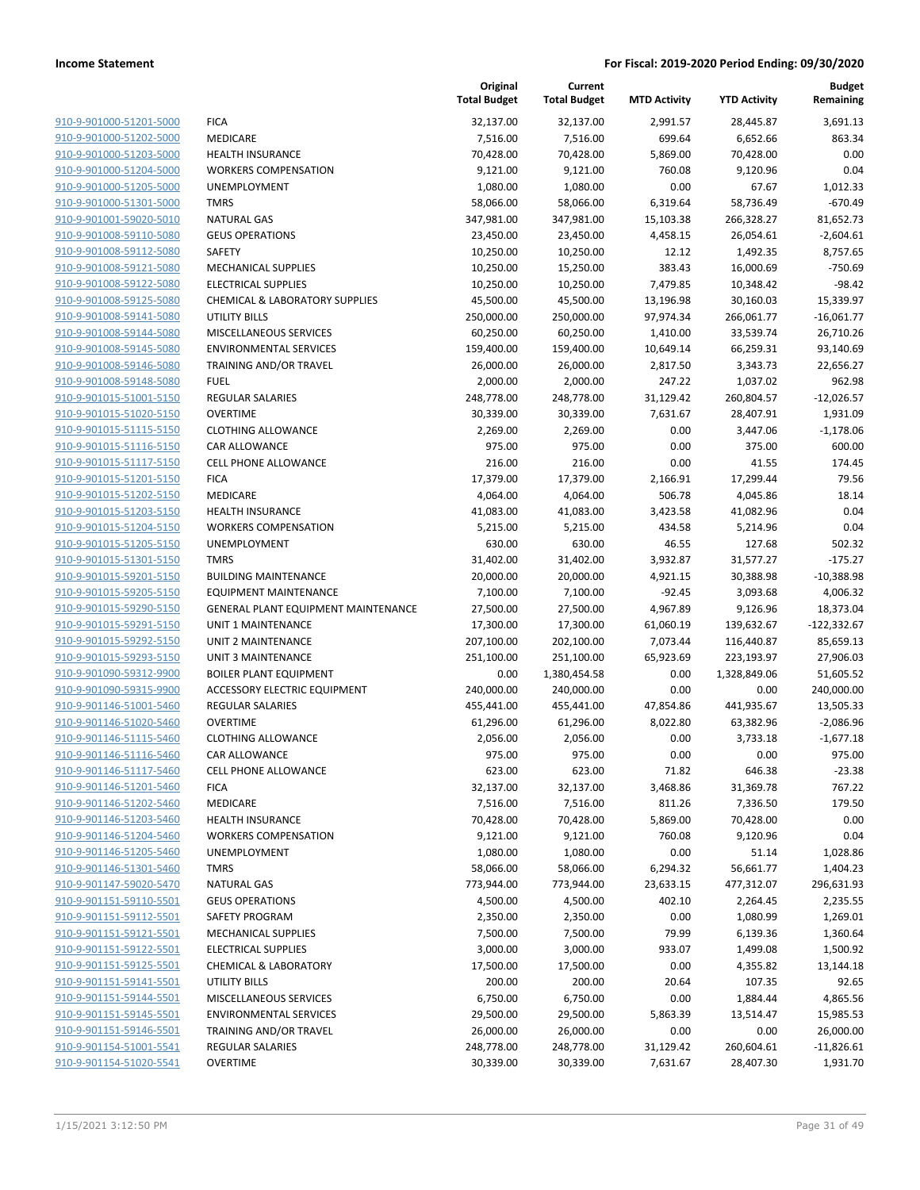|                                                    |                                                         | Original<br><b>Total Budget</b> | Current<br><b>Total Budget</b> | <b>MTD Activity</b>   | <b>YTD Activity</b>   | <b>Budget</b><br>Remaining |
|----------------------------------------------------|---------------------------------------------------------|---------------------------------|--------------------------------|-----------------------|-----------------------|----------------------------|
| 910-9-901000-51201-5000                            | <b>FICA</b>                                             | 32,137.00                       | 32,137.00                      | 2,991.57              | 28,445.87             | 3,691.13                   |
| 910-9-901000-51202-5000                            | MEDICARE                                                | 7,516.00                        | 7,516.00                       | 699.64                | 6,652.66              | 863.34                     |
| 910-9-901000-51203-5000                            | <b>HEALTH INSURANCE</b>                                 | 70,428.00                       | 70,428.00                      | 5,869.00              | 70,428.00             | 0.00                       |
| 910-9-901000-51204-5000                            | <b>WORKERS COMPENSATION</b>                             | 9,121.00                        | 9,121.00                       | 760.08                | 9,120.96              | 0.04                       |
| 910-9-901000-51205-5000                            | <b>UNEMPLOYMENT</b>                                     | 1,080.00                        | 1,080.00                       | 0.00                  | 67.67                 | 1,012.33                   |
| 910-9-901000-51301-5000                            | <b>TMRS</b>                                             | 58,066.00                       | 58,066.00                      | 6,319.64              | 58,736.49             | $-670.49$                  |
| 910-9-901001-59020-5010                            | <b>NATURAL GAS</b>                                      | 347,981.00                      | 347,981.00                     | 15,103.38             | 266,328.27            | 81,652.73                  |
| 910-9-901008-59110-5080                            | <b>GEUS OPERATIONS</b>                                  | 23,450.00                       | 23,450.00                      | 4,458.15              | 26,054.61             | $-2,604.61$                |
| 910-9-901008-59112-5080                            | <b>SAFETY</b>                                           | 10,250.00                       | 10,250.00                      | 12.12                 | 1,492.35              | 8,757.65                   |
| 910-9-901008-59121-5080                            | <b>MECHANICAL SUPPLIES</b>                              | 10,250.00                       | 15,250.00                      | 383.43                | 16,000.69             | $-750.69$                  |
| 910-9-901008-59122-5080                            | <b>ELECTRICAL SUPPLIES</b>                              | 10,250.00                       | 10,250.00                      | 7,479.85              | 10,348.42             | $-98.42$                   |
| 910-9-901008-59125-5080                            | <b>CHEMICAL &amp; LABORATORY SUPPLIES</b>               | 45,500.00                       | 45,500.00                      | 13,196.98             | 30,160.03             | 15,339.97                  |
| 910-9-901008-59141-5080                            | <b>UTILITY BILLS</b>                                    | 250,000.00                      | 250,000.00                     | 97,974.34             | 266,061.77            | $-16,061.77$               |
| 910-9-901008-59144-5080                            | MISCELLANEOUS SERVICES                                  | 60,250.00                       | 60,250.00                      | 1,410.00              | 33,539.74             | 26,710.26                  |
| 910-9-901008-59145-5080                            | <b>ENVIRONMENTAL SERVICES</b>                           | 159,400.00                      | 159,400.00                     | 10,649.14             | 66,259.31             | 93,140.69                  |
| 910-9-901008-59146-5080                            | TRAINING AND/OR TRAVEL                                  | 26,000.00                       | 26,000.00                      | 2,817.50              | 3,343.73              | 22,656.27                  |
| 910-9-901008-59148-5080                            | <b>FUEL</b>                                             | 2,000.00                        | 2,000.00                       | 247.22                | 1,037.02              | 962.98                     |
| 910-9-901015-51001-5150                            | REGULAR SALARIES                                        | 248,778.00                      | 248,778.00                     | 31,129.42             | 260,804.57            | $-12,026.57$               |
| 910-9-901015-51020-5150                            | <b>OVERTIME</b>                                         | 30,339.00                       | 30,339.00                      | 7,631.67              | 28,407.91             | 1,931.09                   |
| 910-9-901015-51115-5150                            | <b>CLOTHING ALLOWANCE</b>                               | 2,269.00                        | 2,269.00                       | 0.00                  | 3,447.06              | $-1,178.06$                |
| 910-9-901015-51116-5150                            | CAR ALLOWANCE                                           | 975.00                          | 975.00                         | 0.00                  | 375.00                | 600.00                     |
| 910-9-901015-51117-5150                            | CELL PHONE ALLOWANCE                                    | 216.00                          | 216.00                         | 0.00                  | 41.55                 | 174.45                     |
| 910-9-901015-51201-5150                            | <b>FICA</b>                                             | 17,379.00                       | 17,379.00                      | 2,166.91              | 17,299.44             | 79.56                      |
| 910-9-901015-51202-5150                            | MEDICARE                                                | 4,064.00                        | 4,064.00                       | 506.78                | 4,045.86              | 18.14                      |
| 910-9-901015-51203-5150                            | <b>HEALTH INSURANCE</b>                                 | 41,083.00                       | 41,083.00                      | 3,423.58              | 41,082.96             | 0.04                       |
| 910-9-901015-51204-5150                            | <b>WORKERS COMPENSATION</b>                             | 5,215.00                        | 5,215.00                       | 434.58                | 5,214.96              | 0.04                       |
| 910-9-901015-51205-5150                            | UNEMPLOYMENT                                            | 630.00                          | 630.00                         | 46.55                 | 127.68                | 502.32                     |
| 910-9-901015-51301-5150                            | <b>TMRS</b>                                             | 31,402.00                       | 31,402.00                      | 3,932.87              | 31,577.27             | $-175.27$                  |
| 910-9-901015-59201-5150                            | <b>BUILDING MAINTENANCE</b>                             | 20,000.00                       | 20,000.00                      | 4,921.15              | 30,388.98             | $-10,388.98$               |
| 910-9-901015-59205-5150                            | <b>EQUIPMENT MAINTENANCE</b>                            | 7,100.00                        | 7,100.00                       | $-92.45$              | 3,093.68              | 4,006.32                   |
| 910-9-901015-59290-5150                            | GENERAL PLANT EQUIPMENT MAINTENANCE                     | 27,500.00                       | 27,500.00                      | 4,967.89              | 9,126.96              | 18,373.04                  |
| 910-9-901015-59291-5150                            | UNIT 1 MAINTENANCE                                      | 17,300.00                       | 17,300.00                      | 61,060.19             | 139,632.67            | $-122,332.67$              |
| 910-9-901015-59292-5150                            | UNIT 2 MAINTENANCE                                      | 207,100.00                      | 202,100.00                     | 7,073.44              | 116,440.87            | 85,659.13                  |
| 910-9-901015-59293-5150                            | <b>UNIT 3 MAINTENANCE</b>                               | 251,100.00                      | 251,100.00                     | 65,923.69             | 223,193.97            | 27,906.03                  |
| 910-9-901090-59312-9900<br>910-9-901090-59315-9900 | <b>BOILER PLANT EQUIPMENT</b>                           | 0.00<br>240,000.00              | 1,380,454.58                   | 0.00<br>0.00          | 1,328,849.06          | 51,605.52                  |
| 910-9-901146-51001-5460                            | ACCESSORY ELECTRIC EQUIPMENT<br><b>REGULAR SALARIES</b> | 455,441.00                      | 240,000.00                     |                       | 0.00                  | 240,000.00                 |
| 910-9-901146-51020-5460                            | <b>OVERTIME</b>                                         |                                 | 455,441.00                     | 47,854.86<br>8,022.80 | 441,935.67            | 13,505.33                  |
| 910-9-901146-51115-5460                            | <b>CLOTHING ALLOWANCE</b>                               | 61,296.00<br>2,056.00           | 61,296.00<br>2,056.00          | 0.00                  | 63,382.96<br>3,733.18 | $-2,086.96$<br>$-1,677.18$ |
| 910-9-901146-51116-5460                            | CAR ALLOWANCE                                           | 975.00                          | 975.00                         | 0.00                  | 0.00                  | 975.00                     |
| 910-9-901146-51117-5460                            | <b>CELL PHONE ALLOWANCE</b>                             | 623.00                          | 623.00                         | 71.82                 | 646.38                | $-23.38$                   |
| 910-9-901146-51201-5460                            | <b>FICA</b>                                             | 32,137.00                       | 32,137.00                      | 3,468.86              | 31,369.78             | 767.22                     |
| 910-9-901146-51202-5460                            | MEDICARE                                                | 7,516.00                        | 7,516.00                       | 811.26                | 7,336.50              | 179.50                     |
| 910-9-901146-51203-5460                            | <b>HEALTH INSURANCE</b>                                 | 70,428.00                       | 70,428.00                      | 5,869.00              | 70,428.00             | 0.00                       |
| 910-9-901146-51204-5460                            | <b>WORKERS COMPENSATION</b>                             | 9,121.00                        | 9,121.00                       | 760.08                | 9,120.96              | 0.04                       |
| 910-9-901146-51205-5460                            | <b>UNEMPLOYMENT</b>                                     | 1,080.00                        | 1,080.00                       | 0.00                  | 51.14                 | 1,028.86                   |
| 910-9-901146-51301-5460                            | <b>TMRS</b>                                             | 58,066.00                       | 58,066.00                      | 6,294.32              | 56,661.77             | 1,404.23                   |
| 910-9-901147-59020-5470                            | <b>NATURAL GAS</b>                                      | 773,944.00                      | 773,944.00                     | 23,633.15             | 477,312.07            | 296,631.93                 |
| 910-9-901151-59110-5501                            | <b>GEUS OPERATIONS</b>                                  | 4,500.00                        | 4,500.00                       | 402.10                | 2,264.45              | 2,235.55                   |
| 910-9-901151-59112-5501                            | SAFETY PROGRAM                                          | 2,350.00                        | 2,350.00                       | 0.00                  | 1,080.99              | 1,269.01                   |
| 910-9-901151-59121-5501                            | <b>MECHANICAL SUPPLIES</b>                              | 7,500.00                        | 7,500.00                       | 79.99                 | 6,139.36              | 1,360.64                   |
| 910-9-901151-59122-5501                            | <b>ELECTRICAL SUPPLIES</b>                              | 3,000.00                        | 3,000.00                       | 933.07                | 1,499.08              | 1,500.92                   |
| 910-9-901151-59125-5501                            | <b>CHEMICAL &amp; LABORATORY</b>                        | 17,500.00                       | 17,500.00                      | 0.00                  | 4,355.82              | 13,144.18                  |
| 910-9-901151-59141-5501                            | <b>UTILITY BILLS</b>                                    | 200.00                          | 200.00                         | 20.64                 | 107.35                | 92.65                      |
| 910-9-901151-59144-5501                            | MISCELLANEOUS SERVICES                                  | 6,750.00                        | 6,750.00                       | 0.00                  | 1,884.44              | 4,865.56                   |
| 910-9-901151-59145-5501                            | <b>ENVIRONMENTAL SERVICES</b>                           | 29,500.00                       | 29,500.00                      | 5,863.39              | 13,514.47             | 15,985.53                  |
| 910-9-901151-59146-5501                            | TRAINING AND/OR TRAVEL                                  | 26,000.00                       | 26,000.00                      | 0.00                  | 0.00                  | 26,000.00                  |
| 910-9-901154-51001-5541                            | REGULAR SALARIES                                        | 248,778.00                      | 248,778.00                     | 31,129.42             | 260,604.61            | $-11,826.61$               |
| 910-9-901154-51020-5541                            | <b>OVERTIME</b>                                         | 30,339.00                       | 30,339.00                      | 7,631.67              | 28,407.30             | 1,931.70                   |
|                                                    |                                                         |                                 |                                |                       |                       |                            |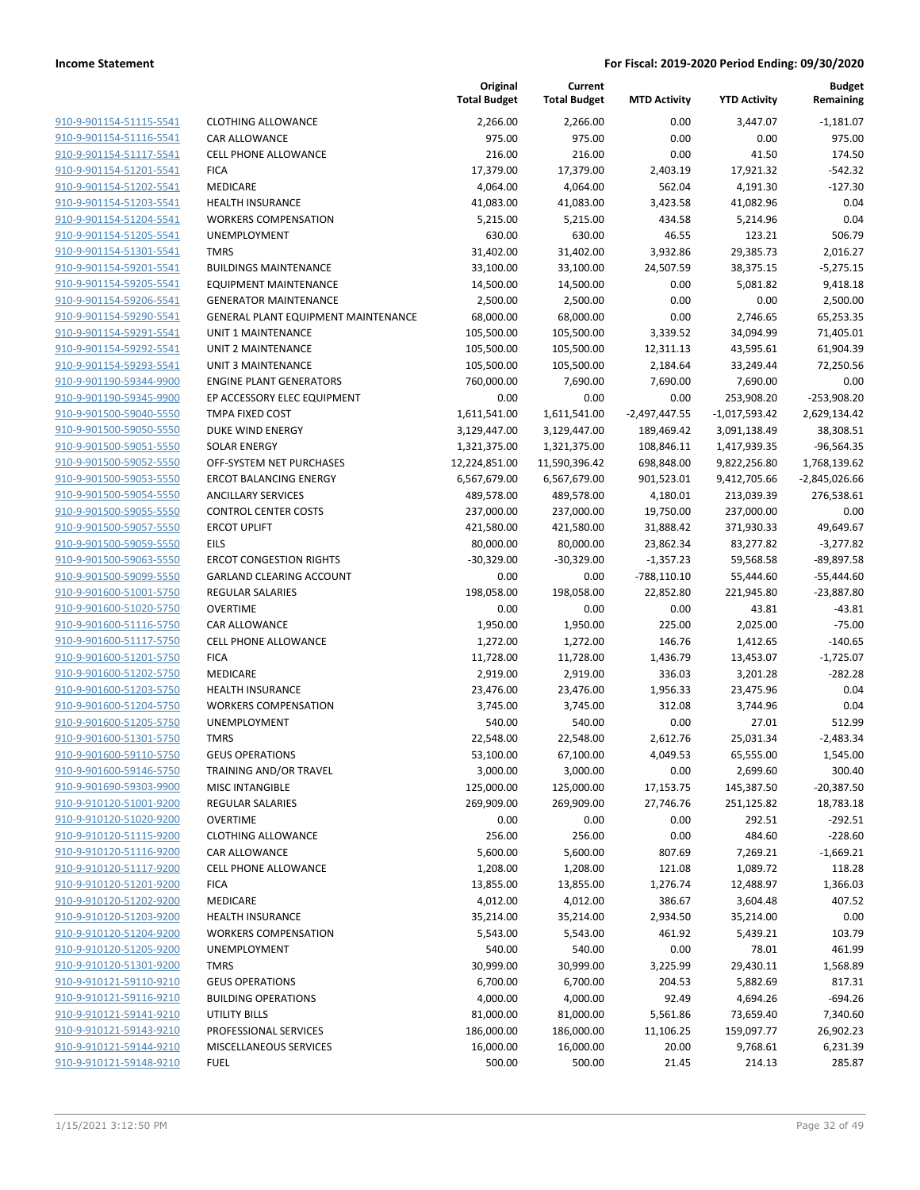| 910-9-901154-51115-5541<br><b>CLOTHING ALLOWANCE</b><br>2,266.00<br>2,266.00<br>0.00<br>3,447.07<br>910-9-901154-51116-5541<br><b>CAR ALLOWANCE</b><br>975.00<br>975.00<br>0.00<br>0.00<br>216.00<br>216.00<br>0.00<br>41.50<br>910-9-901154-51117-5541<br><b>CELL PHONE ALLOWANCE</b><br>910-9-901154-51201-5541<br>17,379.00<br>17,379.00<br><b>FICA</b><br>2,403.19<br>17,921.32<br>910-9-901154-51202-5541<br><b>MEDICARE</b><br>4,064.00<br>4,064.00<br>562.04<br>4,191.30<br>910-9-901154-51203-5541<br><b>HEALTH INSURANCE</b><br>41,083.00<br>41,083.00<br>3,423.58<br>41,082.96<br>910-9-901154-51204-5541<br><b>WORKERS COMPENSATION</b><br>5,215.00<br>5,215.00<br>434.58<br>5,214.96<br>46.55<br>910-9-901154-51205-5541<br>UNEMPLOYMENT<br>630.00<br>630.00<br>123.21<br>910-9-901154-51301-5541<br><b>TMRS</b><br>31,402.00<br>31,402.00<br>3,932.86<br>29,385.73<br>910-9-901154-59201-5541<br><b>BUILDINGS MAINTENANCE</b><br>33,100.00<br>33,100.00<br>24,507.59<br>38,375.15<br>910-9-901154-59205-5541<br><b>EQUIPMENT MAINTENANCE</b><br>14,500.00<br>14,500.00<br>0.00<br>5,081.82<br>910-9-901154-59206-5541<br><b>GENERATOR MAINTENANCE</b><br>2,500.00<br>2,500.00<br>0.00<br>0.00<br>910-9-901154-59290-5541<br>68,000.00<br>68,000.00<br>GENERAL PLANT EQUIPMENT MAINTENANCE<br>0.00<br>2,746.65<br>910-9-901154-59291-5541<br>UNIT 1 MAINTENANCE<br>105,500.00<br>105,500.00<br>3,339.52<br>34,094.99<br>910-9-901154-59292-5541<br>UNIT 2 MAINTENANCE<br>105,500.00<br>105,500.00<br>12,311.13<br>43,595.61<br>910-9-901154-59293-5541<br><b>UNIT 3 MAINTENANCE</b><br>105,500.00<br>105,500.00<br>2,184.64<br>33,249.44<br>910-9-901190-59344-9900<br><b>ENGINE PLANT GENERATORS</b><br>760,000.00<br>7,690.00<br>7,690.00<br>7,690.00<br>910-9-901190-59345-9900<br>EP ACCESSORY ELEC EQUIPMENT<br>0.00<br>0.00<br>0.00<br>253,908.20<br>910-9-901500-59040-5550<br>TMPA FIXED COST<br>1,611,541.00<br>1,611,541.00<br>$-2,497,447.55$<br>$-1,017,593.42$<br>910-9-901500-59050-5550<br>DUKE WIND ENERGY<br>3,129,447.00<br>3,129,447.00<br>189,469.42<br>3,091,138.49<br>910-9-901500-59051-5550<br><b>SOLAR ENERGY</b><br>1,321,375.00<br>1,321,375.00<br>108,846.11<br>1,417,939.35<br>910-9-901500-59052-5550<br>OFF-SYSTEM NET PURCHASES<br>12,224,851.00<br>11,590,396.42<br>698,848.00<br>9,822,256.80<br>910-9-901500-59053-5550<br><b>ERCOT BALANCING ENERGY</b><br>6,567,679.00<br>6,567,679.00<br>901,523.01<br>9,412,705.66<br>910-9-901500-59054-5550<br><b>ANCILLARY SERVICES</b><br>489,578.00<br>489,578.00<br>4,180.01<br>213,039.39<br>910-9-901500-59055-5550<br><b>CONTROL CENTER COSTS</b><br>237,000.00<br>237,000.00<br>19,750.00<br>237,000.00<br>910-9-901500-59057-5550<br><b>ERCOT UPLIFT</b><br>421,580.00<br>421,580.00<br>31,888.42<br>371,930.33<br>910-9-901500-59059-5550<br><b>EILS</b><br>80,000.00<br>80,000.00<br>23,862.34<br>83,277.82<br>910-9-901500-59063-5550<br><b>ERCOT CONGESTION RIGHTS</b><br>$-30,329.00$<br>$-30,329.00$<br>$-1,357.23$<br>59,568.58<br>910-9-901500-59099-5550<br><b>GARLAND CLEARING ACCOUNT</b><br>0.00<br>0.00<br>$-788,110.10$<br>55,444.60<br>910-9-901600-51001-5750<br>REGULAR SALARIES<br>198,058.00<br>198,058.00<br>22,852.80<br>221,945.80<br>910-9-901600-51020-5750<br><b>OVERTIME</b><br>0.00<br>0.00<br>0.00<br>43.81<br>910-9-901600-51116-5750<br>CAR ALLOWANCE<br>1,950.00<br>1,950.00<br>225.00<br>2,025.00<br>910-9-901600-51117-5750<br><b>CELL PHONE ALLOWANCE</b><br>1,272.00<br>1,272.00<br>146.76<br>1,412.65<br>910-9-901600-51201-5750<br><b>FICA</b><br>11,728.00<br>11,728.00<br>1,436.79<br>13,453.07<br>910-9-901600-51202-5750<br>MEDICARE<br>2,919.00<br>2,919.00<br>336.03<br>3,201.28<br>910-9-901600-51203-5750<br><b>HEALTH INSURANCE</b><br>23,476.00<br>23,476.00<br>1,956.33<br>23,475.96<br>910-9-901600-51204-5750<br><b>WORKERS COMPENSATION</b><br>3,745.00<br>3,745.00<br>312.08<br>3,744.96<br>910-9-901600-51205-5750<br>0.00<br>UNEMPLOYMENT<br>540.00<br>540.00<br>27.01<br>910-9-901600-51301-5750<br><b>TMRS</b><br>22,548.00<br>22,548.00<br>2,612.76<br>25,031.34<br><b>GEUS OPERATIONS</b><br>53,100.00<br>910-9-901600-59110-5750<br>67,100.00<br>4,049.53<br>65,555.00<br>910-9-901600-59146-5750<br>3,000.00<br>3,000.00<br>2,699.60<br>TRAINING AND/OR TRAVEL<br>0.00<br>910-9-901690-59303-9900<br><b>MISC INTANGIBLE</b><br>125,000.00<br>125,000.00<br>17,153.75<br>145,387.50<br>910-9-910120-51001-9200<br>REGULAR SALARIES<br>269,909.00<br>269,909.00<br>27,746.76<br>251,125.82<br>910-9-910120-51020-9200<br>0.00<br>0.00<br><b>OVERTIME</b><br>0.00<br>292.51<br>910-9-910120-51115-9200<br><b>CLOTHING ALLOWANCE</b><br>256.00<br>256.00<br>0.00<br>484.60<br>910-9-910120-51116-9200<br>CAR ALLOWANCE<br>5,600.00<br>5,600.00<br>807.69<br>7,269.21<br>910-9-910120-51117-9200<br>CELL PHONE ALLOWANCE<br>1,208.00<br>1,208.00<br>121.08<br>1,089.72<br>910-9-910120-51201-9200<br><b>FICA</b><br>13,855.00<br>13,855.00<br>1,276.74<br>12,488.97<br>910-9-910120-51202-9200<br>MEDICARE<br>4,012.00<br>4,012.00<br>386.67<br>3,604.48<br>910-9-910120-51203-9200<br>35,214.00<br>35,214.00<br>2,934.50<br>35,214.00<br><b>HEALTH INSURANCE</b><br>910-9-910120-51204-9200<br><b>WORKERS COMPENSATION</b><br>5,543.00<br>5,543.00<br>461.92<br>5,439.21<br>910-9-910120-51205-9200<br>UNEMPLOYMENT<br>540.00<br>540.00<br>0.00<br>78.01<br><b>TMRS</b><br>910-9-910120-51301-9200<br>30,999.00<br>30,999.00<br>3,225.99<br>29,430.11<br>910-9-910121-59110-9210<br>6,700.00<br>6,700.00<br>204.53<br>5,882.69<br><b>GEUS OPERATIONS</b><br>910-9-910121-59116-9210<br>4,000.00<br>4,000.00<br>92.49<br>4,694.26<br><b>BUILDING OPERATIONS</b><br>910-9-910121-59141-9210<br>UTILITY BILLS<br>81,000.00<br>81,000.00<br>5,561.86<br>73,659.40 |  | Original<br><b>Total Budget</b> | Current<br><b>Total Budget</b> | <b>MTD Activity</b> | <b>YTD Activity</b> | <b>Budget</b><br>Remaining |
|---------------------------------------------------------------------------------------------------------------------------------------------------------------------------------------------------------------------------------------------------------------------------------------------------------------------------------------------------------------------------------------------------------------------------------------------------------------------------------------------------------------------------------------------------------------------------------------------------------------------------------------------------------------------------------------------------------------------------------------------------------------------------------------------------------------------------------------------------------------------------------------------------------------------------------------------------------------------------------------------------------------------------------------------------------------------------------------------------------------------------------------------------------------------------------------------------------------------------------------------------------------------------------------------------------------------------------------------------------------------------------------------------------------------------------------------------------------------------------------------------------------------------------------------------------------------------------------------------------------------------------------------------------------------------------------------------------------------------------------------------------------------------------------------------------------------------------------------------------------------------------------------------------------------------------------------------------------------------------------------------------------------------------------------------------------------------------------------------------------------------------------------------------------------------------------------------------------------------------------------------------------------------------------------------------------------------------------------------------------------------------------------------------------------------------------------------------------------------------------------------------------------------------------------------------------------------------------------------------------------------------------------------------------------------------------------------------------------------------------------------------------------------------------------------------------------------------------------------------------------------------------------------------------------------------------------------------------------------------------------------------------------------------------------------------------------------------------------------------------------------------------------------------------------------------------------------------------------------------------------------------------------------------------------------------------------------------------------------------------------------------------------------------------------------------------------------------------------------------------------------------------------------------------------------------------------------------------------------------------------------------------------------------------------------------------------------------------------------------------------------------------------------------------------------------------------------------------------------------------------------------------------------------------------------------------------------------------------------------------------------------------------------------------------------------------------------------------------------------------------------------------------------------------------------------------------------------------------------------------------------------------------------------------------------------------------------------------------------------------------------------------------------------------------------------------------------------------------------------------------------------------------------------------------------------------------------------------------------------------------------------------------------------------------------------------------------------------------------------------------------------------------------------------------------------------------------------------------------------------------------------------------------------------------------------------------------------------------------------------------------------------------------------------------------------------------------------------------------------------------------------------------------------------------------------------------------------------------------------------------------------------------------------------------------------------------------------------------------------------------------------------------------------------------------------------------------------------------------------------------------------------------------------------------------------------------------------------------------------------------------------------------------------------------------------------------------------------------------------------------------------------------------------------------------------------------|--|---------------------------------|--------------------------------|---------------------|---------------------|----------------------------|
|                                                                                                                                                                                                                                                                                                                                                                                                                                                                                                                                                                                                                                                                                                                                                                                                                                                                                                                                                                                                                                                                                                                                                                                                                                                                                                                                                                                                                                                                                                                                                                                                                                                                                                                                                                                                                                                                                                                                                                                                                                                                                                                                                                                                                                                                                                                                                                                                                                                                                                                                                                                                                                                                                                                                                                                                                                                                                                                                                                                                                                                                                                                                                                                                                                                                                                                                                                                                                                                                                                                                                                                                                                                                                                                                                                                                                                                                                                                                                                                                                                                                                                                                                                                                                                                                                                                                                                                                                                                                                                                                                                                                                                                                                                                                                                                                                                                                                                                                                                                                                                                                                                                                                                                                                                                                                                                                                                                                                                                                                                                                                                                                                                                                                                                                                                                                                     |  |                                 |                                |                     |                     | $-1,181.07$                |
|                                                                                                                                                                                                                                                                                                                                                                                                                                                                                                                                                                                                                                                                                                                                                                                                                                                                                                                                                                                                                                                                                                                                                                                                                                                                                                                                                                                                                                                                                                                                                                                                                                                                                                                                                                                                                                                                                                                                                                                                                                                                                                                                                                                                                                                                                                                                                                                                                                                                                                                                                                                                                                                                                                                                                                                                                                                                                                                                                                                                                                                                                                                                                                                                                                                                                                                                                                                                                                                                                                                                                                                                                                                                                                                                                                                                                                                                                                                                                                                                                                                                                                                                                                                                                                                                                                                                                                                                                                                                                                                                                                                                                                                                                                                                                                                                                                                                                                                                                                                                                                                                                                                                                                                                                                                                                                                                                                                                                                                                                                                                                                                                                                                                                                                                                                                                                     |  |                                 |                                |                     |                     | 975.00                     |
|                                                                                                                                                                                                                                                                                                                                                                                                                                                                                                                                                                                                                                                                                                                                                                                                                                                                                                                                                                                                                                                                                                                                                                                                                                                                                                                                                                                                                                                                                                                                                                                                                                                                                                                                                                                                                                                                                                                                                                                                                                                                                                                                                                                                                                                                                                                                                                                                                                                                                                                                                                                                                                                                                                                                                                                                                                                                                                                                                                                                                                                                                                                                                                                                                                                                                                                                                                                                                                                                                                                                                                                                                                                                                                                                                                                                                                                                                                                                                                                                                                                                                                                                                                                                                                                                                                                                                                                                                                                                                                                                                                                                                                                                                                                                                                                                                                                                                                                                                                                                                                                                                                                                                                                                                                                                                                                                                                                                                                                                                                                                                                                                                                                                                                                                                                                                                     |  |                                 |                                |                     |                     | 174.50                     |
|                                                                                                                                                                                                                                                                                                                                                                                                                                                                                                                                                                                                                                                                                                                                                                                                                                                                                                                                                                                                                                                                                                                                                                                                                                                                                                                                                                                                                                                                                                                                                                                                                                                                                                                                                                                                                                                                                                                                                                                                                                                                                                                                                                                                                                                                                                                                                                                                                                                                                                                                                                                                                                                                                                                                                                                                                                                                                                                                                                                                                                                                                                                                                                                                                                                                                                                                                                                                                                                                                                                                                                                                                                                                                                                                                                                                                                                                                                                                                                                                                                                                                                                                                                                                                                                                                                                                                                                                                                                                                                                                                                                                                                                                                                                                                                                                                                                                                                                                                                                                                                                                                                                                                                                                                                                                                                                                                                                                                                                                                                                                                                                                                                                                                                                                                                                                                     |  |                                 |                                |                     |                     | $-542.32$                  |
|                                                                                                                                                                                                                                                                                                                                                                                                                                                                                                                                                                                                                                                                                                                                                                                                                                                                                                                                                                                                                                                                                                                                                                                                                                                                                                                                                                                                                                                                                                                                                                                                                                                                                                                                                                                                                                                                                                                                                                                                                                                                                                                                                                                                                                                                                                                                                                                                                                                                                                                                                                                                                                                                                                                                                                                                                                                                                                                                                                                                                                                                                                                                                                                                                                                                                                                                                                                                                                                                                                                                                                                                                                                                                                                                                                                                                                                                                                                                                                                                                                                                                                                                                                                                                                                                                                                                                                                                                                                                                                                                                                                                                                                                                                                                                                                                                                                                                                                                                                                                                                                                                                                                                                                                                                                                                                                                                                                                                                                                                                                                                                                                                                                                                                                                                                                                                     |  |                                 |                                |                     |                     | $-127.30$                  |
|                                                                                                                                                                                                                                                                                                                                                                                                                                                                                                                                                                                                                                                                                                                                                                                                                                                                                                                                                                                                                                                                                                                                                                                                                                                                                                                                                                                                                                                                                                                                                                                                                                                                                                                                                                                                                                                                                                                                                                                                                                                                                                                                                                                                                                                                                                                                                                                                                                                                                                                                                                                                                                                                                                                                                                                                                                                                                                                                                                                                                                                                                                                                                                                                                                                                                                                                                                                                                                                                                                                                                                                                                                                                                                                                                                                                                                                                                                                                                                                                                                                                                                                                                                                                                                                                                                                                                                                                                                                                                                                                                                                                                                                                                                                                                                                                                                                                                                                                                                                                                                                                                                                                                                                                                                                                                                                                                                                                                                                                                                                                                                                                                                                                                                                                                                                                                     |  |                                 |                                |                     |                     | 0.04                       |
|                                                                                                                                                                                                                                                                                                                                                                                                                                                                                                                                                                                                                                                                                                                                                                                                                                                                                                                                                                                                                                                                                                                                                                                                                                                                                                                                                                                                                                                                                                                                                                                                                                                                                                                                                                                                                                                                                                                                                                                                                                                                                                                                                                                                                                                                                                                                                                                                                                                                                                                                                                                                                                                                                                                                                                                                                                                                                                                                                                                                                                                                                                                                                                                                                                                                                                                                                                                                                                                                                                                                                                                                                                                                                                                                                                                                                                                                                                                                                                                                                                                                                                                                                                                                                                                                                                                                                                                                                                                                                                                                                                                                                                                                                                                                                                                                                                                                                                                                                                                                                                                                                                                                                                                                                                                                                                                                                                                                                                                                                                                                                                                                                                                                                                                                                                                                                     |  |                                 |                                |                     |                     | 0.04                       |
|                                                                                                                                                                                                                                                                                                                                                                                                                                                                                                                                                                                                                                                                                                                                                                                                                                                                                                                                                                                                                                                                                                                                                                                                                                                                                                                                                                                                                                                                                                                                                                                                                                                                                                                                                                                                                                                                                                                                                                                                                                                                                                                                                                                                                                                                                                                                                                                                                                                                                                                                                                                                                                                                                                                                                                                                                                                                                                                                                                                                                                                                                                                                                                                                                                                                                                                                                                                                                                                                                                                                                                                                                                                                                                                                                                                                                                                                                                                                                                                                                                                                                                                                                                                                                                                                                                                                                                                                                                                                                                                                                                                                                                                                                                                                                                                                                                                                                                                                                                                                                                                                                                                                                                                                                                                                                                                                                                                                                                                                                                                                                                                                                                                                                                                                                                                                                     |  |                                 |                                |                     |                     | 506.79                     |
|                                                                                                                                                                                                                                                                                                                                                                                                                                                                                                                                                                                                                                                                                                                                                                                                                                                                                                                                                                                                                                                                                                                                                                                                                                                                                                                                                                                                                                                                                                                                                                                                                                                                                                                                                                                                                                                                                                                                                                                                                                                                                                                                                                                                                                                                                                                                                                                                                                                                                                                                                                                                                                                                                                                                                                                                                                                                                                                                                                                                                                                                                                                                                                                                                                                                                                                                                                                                                                                                                                                                                                                                                                                                                                                                                                                                                                                                                                                                                                                                                                                                                                                                                                                                                                                                                                                                                                                                                                                                                                                                                                                                                                                                                                                                                                                                                                                                                                                                                                                                                                                                                                                                                                                                                                                                                                                                                                                                                                                                                                                                                                                                                                                                                                                                                                                                                     |  |                                 |                                |                     |                     | 2,016.27                   |
|                                                                                                                                                                                                                                                                                                                                                                                                                                                                                                                                                                                                                                                                                                                                                                                                                                                                                                                                                                                                                                                                                                                                                                                                                                                                                                                                                                                                                                                                                                                                                                                                                                                                                                                                                                                                                                                                                                                                                                                                                                                                                                                                                                                                                                                                                                                                                                                                                                                                                                                                                                                                                                                                                                                                                                                                                                                                                                                                                                                                                                                                                                                                                                                                                                                                                                                                                                                                                                                                                                                                                                                                                                                                                                                                                                                                                                                                                                                                                                                                                                                                                                                                                                                                                                                                                                                                                                                                                                                                                                                                                                                                                                                                                                                                                                                                                                                                                                                                                                                                                                                                                                                                                                                                                                                                                                                                                                                                                                                                                                                                                                                                                                                                                                                                                                                                                     |  |                                 |                                |                     |                     | $-5,275.15$                |
|                                                                                                                                                                                                                                                                                                                                                                                                                                                                                                                                                                                                                                                                                                                                                                                                                                                                                                                                                                                                                                                                                                                                                                                                                                                                                                                                                                                                                                                                                                                                                                                                                                                                                                                                                                                                                                                                                                                                                                                                                                                                                                                                                                                                                                                                                                                                                                                                                                                                                                                                                                                                                                                                                                                                                                                                                                                                                                                                                                                                                                                                                                                                                                                                                                                                                                                                                                                                                                                                                                                                                                                                                                                                                                                                                                                                                                                                                                                                                                                                                                                                                                                                                                                                                                                                                                                                                                                                                                                                                                                                                                                                                                                                                                                                                                                                                                                                                                                                                                                                                                                                                                                                                                                                                                                                                                                                                                                                                                                                                                                                                                                                                                                                                                                                                                                                                     |  |                                 |                                |                     |                     | 9,418.18                   |
|                                                                                                                                                                                                                                                                                                                                                                                                                                                                                                                                                                                                                                                                                                                                                                                                                                                                                                                                                                                                                                                                                                                                                                                                                                                                                                                                                                                                                                                                                                                                                                                                                                                                                                                                                                                                                                                                                                                                                                                                                                                                                                                                                                                                                                                                                                                                                                                                                                                                                                                                                                                                                                                                                                                                                                                                                                                                                                                                                                                                                                                                                                                                                                                                                                                                                                                                                                                                                                                                                                                                                                                                                                                                                                                                                                                                                                                                                                                                                                                                                                                                                                                                                                                                                                                                                                                                                                                                                                                                                                                                                                                                                                                                                                                                                                                                                                                                                                                                                                                                                                                                                                                                                                                                                                                                                                                                                                                                                                                                                                                                                                                                                                                                                                                                                                                                                     |  |                                 |                                |                     |                     | 2,500.00                   |
|                                                                                                                                                                                                                                                                                                                                                                                                                                                                                                                                                                                                                                                                                                                                                                                                                                                                                                                                                                                                                                                                                                                                                                                                                                                                                                                                                                                                                                                                                                                                                                                                                                                                                                                                                                                                                                                                                                                                                                                                                                                                                                                                                                                                                                                                                                                                                                                                                                                                                                                                                                                                                                                                                                                                                                                                                                                                                                                                                                                                                                                                                                                                                                                                                                                                                                                                                                                                                                                                                                                                                                                                                                                                                                                                                                                                                                                                                                                                                                                                                                                                                                                                                                                                                                                                                                                                                                                                                                                                                                                                                                                                                                                                                                                                                                                                                                                                                                                                                                                                                                                                                                                                                                                                                                                                                                                                                                                                                                                                                                                                                                                                                                                                                                                                                                                                                     |  |                                 |                                |                     |                     | 65,253.35                  |
|                                                                                                                                                                                                                                                                                                                                                                                                                                                                                                                                                                                                                                                                                                                                                                                                                                                                                                                                                                                                                                                                                                                                                                                                                                                                                                                                                                                                                                                                                                                                                                                                                                                                                                                                                                                                                                                                                                                                                                                                                                                                                                                                                                                                                                                                                                                                                                                                                                                                                                                                                                                                                                                                                                                                                                                                                                                                                                                                                                                                                                                                                                                                                                                                                                                                                                                                                                                                                                                                                                                                                                                                                                                                                                                                                                                                                                                                                                                                                                                                                                                                                                                                                                                                                                                                                                                                                                                                                                                                                                                                                                                                                                                                                                                                                                                                                                                                                                                                                                                                                                                                                                                                                                                                                                                                                                                                                                                                                                                                                                                                                                                                                                                                                                                                                                                                                     |  |                                 |                                |                     |                     | 71,405.01                  |
|                                                                                                                                                                                                                                                                                                                                                                                                                                                                                                                                                                                                                                                                                                                                                                                                                                                                                                                                                                                                                                                                                                                                                                                                                                                                                                                                                                                                                                                                                                                                                                                                                                                                                                                                                                                                                                                                                                                                                                                                                                                                                                                                                                                                                                                                                                                                                                                                                                                                                                                                                                                                                                                                                                                                                                                                                                                                                                                                                                                                                                                                                                                                                                                                                                                                                                                                                                                                                                                                                                                                                                                                                                                                                                                                                                                                                                                                                                                                                                                                                                                                                                                                                                                                                                                                                                                                                                                                                                                                                                                                                                                                                                                                                                                                                                                                                                                                                                                                                                                                                                                                                                                                                                                                                                                                                                                                                                                                                                                                                                                                                                                                                                                                                                                                                                                                                     |  |                                 |                                |                     |                     | 61,904.39                  |
|                                                                                                                                                                                                                                                                                                                                                                                                                                                                                                                                                                                                                                                                                                                                                                                                                                                                                                                                                                                                                                                                                                                                                                                                                                                                                                                                                                                                                                                                                                                                                                                                                                                                                                                                                                                                                                                                                                                                                                                                                                                                                                                                                                                                                                                                                                                                                                                                                                                                                                                                                                                                                                                                                                                                                                                                                                                                                                                                                                                                                                                                                                                                                                                                                                                                                                                                                                                                                                                                                                                                                                                                                                                                                                                                                                                                                                                                                                                                                                                                                                                                                                                                                                                                                                                                                                                                                                                                                                                                                                                                                                                                                                                                                                                                                                                                                                                                                                                                                                                                                                                                                                                                                                                                                                                                                                                                                                                                                                                                                                                                                                                                                                                                                                                                                                                                                     |  |                                 |                                |                     |                     | 72,250.56                  |
|                                                                                                                                                                                                                                                                                                                                                                                                                                                                                                                                                                                                                                                                                                                                                                                                                                                                                                                                                                                                                                                                                                                                                                                                                                                                                                                                                                                                                                                                                                                                                                                                                                                                                                                                                                                                                                                                                                                                                                                                                                                                                                                                                                                                                                                                                                                                                                                                                                                                                                                                                                                                                                                                                                                                                                                                                                                                                                                                                                                                                                                                                                                                                                                                                                                                                                                                                                                                                                                                                                                                                                                                                                                                                                                                                                                                                                                                                                                                                                                                                                                                                                                                                                                                                                                                                                                                                                                                                                                                                                                                                                                                                                                                                                                                                                                                                                                                                                                                                                                                                                                                                                                                                                                                                                                                                                                                                                                                                                                                                                                                                                                                                                                                                                                                                                                                                     |  |                                 |                                |                     |                     | 0.00                       |
|                                                                                                                                                                                                                                                                                                                                                                                                                                                                                                                                                                                                                                                                                                                                                                                                                                                                                                                                                                                                                                                                                                                                                                                                                                                                                                                                                                                                                                                                                                                                                                                                                                                                                                                                                                                                                                                                                                                                                                                                                                                                                                                                                                                                                                                                                                                                                                                                                                                                                                                                                                                                                                                                                                                                                                                                                                                                                                                                                                                                                                                                                                                                                                                                                                                                                                                                                                                                                                                                                                                                                                                                                                                                                                                                                                                                                                                                                                                                                                                                                                                                                                                                                                                                                                                                                                                                                                                                                                                                                                                                                                                                                                                                                                                                                                                                                                                                                                                                                                                                                                                                                                                                                                                                                                                                                                                                                                                                                                                                                                                                                                                                                                                                                                                                                                                                                     |  |                                 |                                |                     |                     | $-253,908.20$              |
|                                                                                                                                                                                                                                                                                                                                                                                                                                                                                                                                                                                                                                                                                                                                                                                                                                                                                                                                                                                                                                                                                                                                                                                                                                                                                                                                                                                                                                                                                                                                                                                                                                                                                                                                                                                                                                                                                                                                                                                                                                                                                                                                                                                                                                                                                                                                                                                                                                                                                                                                                                                                                                                                                                                                                                                                                                                                                                                                                                                                                                                                                                                                                                                                                                                                                                                                                                                                                                                                                                                                                                                                                                                                                                                                                                                                                                                                                                                                                                                                                                                                                                                                                                                                                                                                                                                                                                                                                                                                                                                                                                                                                                                                                                                                                                                                                                                                                                                                                                                                                                                                                                                                                                                                                                                                                                                                                                                                                                                                                                                                                                                                                                                                                                                                                                                                                     |  |                                 |                                |                     |                     | 2,629,134.42               |
|                                                                                                                                                                                                                                                                                                                                                                                                                                                                                                                                                                                                                                                                                                                                                                                                                                                                                                                                                                                                                                                                                                                                                                                                                                                                                                                                                                                                                                                                                                                                                                                                                                                                                                                                                                                                                                                                                                                                                                                                                                                                                                                                                                                                                                                                                                                                                                                                                                                                                                                                                                                                                                                                                                                                                                                                                                                                                                                                                                                                                                                                                                                                                                                                                                                                                                                                                                                                                                                                                                                                                                                                                                                                                                                                                                                                                                                                                                                                                                                                                                                                                                                                                                                                                                                                                                                                                                                                                                                                                                                                                                                                                                                                                                                                                                                                                                                                                                                                                                                                                                                                                                                                                                                                                                                                                                                                                                                                                                                                                                                                                                                                                                                                                                                                                                                                                     |  |                                 |                                |                     |                     | 38,308.51                  |
|                                                                                                                                                                                                                                                                                                                                                                                                                                                                                                                                                                                                                                                                                                                                                                                                                                                                                                                                                                                                                                                                                                                                                                                                                                                                                                                                                                                                                                                                                                                                                                                                                                                                                                                                                                                                                                                                                                                                                                                                                                                                                                                                                                                                                                                                                                                                                                                                                                                                                                                                                                                                                                                                                                                                                                                                                                                                                                                                                                                                                                                                                                                                                                                                                                                                                                                                                                                                                                                                                                                                                                                                                                                                                                                                                                                                                                                                                                                                                                                                                                                                                                                                                                                                                                                                                                                                                                                                                                                                                                                                                                                                                                                                                                                                                                                                                                                                                                                                                                                                                                                                                                                                                                                                                                                                                                                                                                                                                                                                                                                                                                                                                                                                                                                                                                                                                     |  |                                 |                                |                     |                     | $-96,564.35$               |
|                                                                                                                                                                                                                                                                                                                                                                                                                                                                                                                                                                                                                                                                                                                                                                                                                                                                                                                                                                                                                                                                                                                                                                                                                                                                                                                                                                                                                                                                                                                                                                                                                                                                                                                                                                                                                                                                                                                                                                                                                                                                                                                                                                                                                                                                                                                                                                                                                                                                                                                                                                                                                                                                                                                                                                                                                                                                                                                                                                                                                                                                                                                                                                                                                                                                                                                                                                                                                                                                                                                                                                                                                                                                                                                                                                                                                                                                                                                                                                                                                                                                                                                                                                                                                                                                                                                                                                                                                                                                                                                                                                                                                                                                                                                                                                                                                                                                                                                                                                                                                                                                                                                                                                                                                                                                                                                                                                                                                                                                                                                                                                                                                                                                                                                                                                                                                     |  |                                 |                                |                     |                     | 1,768,139.62               |
|                                                                                                                                                                                                                                                                                                                                                                                                                                                                                                                                                                                                                                                                                                                                                                                                                                                                                                                                                                                                                                                                                                                                                                                                                                                                                                                                                                                                                                                                                                                                                                                                                                                                                                                                                                                                                                                                                                                                                                                                                                                                                                                                                                                                                                                                                                                                                                                                                                                                                                                                                                                                                                                                                                                                                                                                                                                                                                                                                                                                                                                                                                                                                                                                                                                                                                                                                                                                                                                                                                                                                                                                                                                                                                                                                                                                                                                                                                                                                                                                                                                                                                                                                                                                                                                                                                                                                                                                                                                                                                                                                                                                                                                                                                                                                                                                                                                                                                                                                                                                                                                                                                                                                                                                                                                                                                                                                                                                                                                                                                                                                                                                                                                                                                                                                                                                                     |  |                                 |                                |                     |                     | $-2,845,026.66$            |
|                                                                                                                                                                                                                                                                                                                                                                                                                                                                                                                                                                                                                                                                                                                                                                                                                                                                                                                                                                                                                                                                                                                                                                                                                                                                                                                                                                                                                                                                                                                                                                                                                                                                                                                                                                                                                                                                                                                                                                                                                                                                                                                                                                                                                                                                                                                                                                                                                                                                                                                                                                                                                                                                                                                                                                                                                                                                                                                                                                                                                                                                                                                                                                                                                                                                                                                                                                                                                                                                                                                                                                                                                                                                                                                                                                                                                                                                                                                                                                                                                                                                                                                                                                                                                                                                                                                                                                                                                                                                                                                                                                                                                                                                                                                                                                                                                                                                                                                                                                                                                                                                                                                                                                                                                                                                                                                                                                                                                                                                                                                                                                                                                                                                                                                                                                                                                     |  |                                 |                                |                     |                     | 276,538.61                 |
|                                                                                                                                                                                                                                                                                                                                                                                                                                                                                                                                                                                                                                                                                                                                                                                                                                                                                                                                                                                                                                                                                                                                                                                                                                                                                                                                                                                                                                                                                                                                                                                                                                                                                                                                                                                                                                                                                                                                                                                                                                                                                                                                                                                                                                                                                                                                                                                                                                                                                                                                                                                                                                                                                                                                                                                                                                                                                                                                                                                                                                                                                                                                                                                                                                                                                                                                                                                                                                                                                                                                                                                                                                                                                                                                                                                                                                                                                                                                                                                                                                                                                                                                                                                                                                                                                                                                                                                                                                                                                                                                                                                                                                                                                                                                                                                                                                                                                                                                                                                                                                                                                                                                                                                                                                                                                                                                                                                                                                                                                                                                                                                                                                                                                                                                                                                                                     |  |                                 |                                |                     |                     | 0.00                       |
|                                                                                                                                                                                                                                                                                                                                                                                                                                                                                                                                                                                                                                                                                                                                                                                                                                                                                                                                                                                                                                                                                                                                                                                                                                                                                                                                                                                                                                                                                                                                                                                                                                                                                                                                                                                                                                                                                                                                                                                                                                                                                                                                                                                                                                                                                                                                                                                                                                                                                                                                                                                                                                                                                                                                                                                                                                                                                                                                                                                                                                                                                                                                                                                                                                                                                                                                                                                                                                                                                                                                                                                                                                                                                                                                                                                                                                                                                                                                                                                                                                                                                                                                                                                                                                                                                                                                                                                                                                                                                                                                                                                                                                                                                                                                                                                                                                                                                                                                                                                                                                                                                                                                                                                                                                                                                                                                                                                                                                                                                                                                                                                                                                                                                                                                                                                                                     |  |                                 |                                |                     |                     | 49,649.67                  |
|                                                                                                                                                                                                                                                                                                                                                                                                                                                                                                                                                                                                                                                                                                                                                                                                                                                                                                                                                                                                                                                                                                                                                                                                                                                                                                                                                                                                                                                                                                                                                                                                                                                                                                                                                                                                                                                                                                                                                                                                                                                                                                                                                                                                                                                                                                                                                                                                                                                                                                                                                                                                                                                                                                                                                                                                                                                                                                                                                                                                                                                                                                                                                                                                                                                                                                                                                                                                                                                                                                                                                                                                                                                                                                                                                                                                                                                                                                                                                                                                                                                                                                                                                                                                                                                                                                                                                                                                                                                                                                                                                                                                                                                                                                                                                                                                                                                                                                                                                                                                                                                                                                                                                                                                                                                                                                                                                                                                                                                                                                                                                                                                                                                                                                                                                                                                                     |  |                                 |                                |                     |                     | $-3,277.82$                |
|                                                                                                                                                                                                                                                                                                                                                                                                                                                                                                                                                                                                                                                                                                                                                                                                                                                                                                                                                                                                                                                                                                                                                                                                                                                                                                                                                                                                                                                                                                                                                                                                                                                                                                                                                                                                                                                                                                                                                                                                                                                                                                                                                                                                                                                                                                                                                                                                                                                                                                                                                                                                                                                                                                                                                                                                                                                                                                                                                                                                                                                                                                                                                                                                                                                                                                                                                                                                                                                                                                                                                                                                                                                                                                                                                                                                                                                                                                                                                                                                                                                                                                                                                                                                                                                                                                                                                                                                                                                                                                                                                                                                                                                                                                                                                                                                                                                                                                                                                                                                                                                                                                                                                                                                                                                                                                                                                                                                                                                                                                                                                                                                                                                                                                                                                                                                                     |  |                                 |                                |                     |                     | $-89,897.58$               |
|                                                                                                                                                                                                                                                                                                                                                                                                                                                                                                                                                                                                                                                                                                                                                                                                                                                                                                                                                                                                                                                                                                                                                                                                                                                                                                                                                                                                                                                                                                                                                                                                                                                                                                                                                                                                                                                                                                                                                                                                                                                                                                                                                                                                                                                                                                                                                                                                                                                                                                                                                                                                                                                                                                                                                                                                                                                                                                                                                                                                                                                                                                                                                                                                                                                                                                                                                                                                                                                                                                                                                                                                                                                                                                                                                                                                                                                                                                                                                                                                                                                                                                                                                                                                                                                                                                                                                                                                                                                                                                                                                                                                                                                                                                                                                                                                                                                                                                                                                                                                                                                                                                                                                                                                                                                                                                                                                                                                                                                                                                                                                                                                                                                                                                                                                                                                                     |  |                                 |                                |                     |                     | $-55,444.60$               |
|                                                                                                                                                                                                                                                                                                                                                                                                                                                                                                                                                                                                                                                                                                                                                                                                                                                                                                                                                                                                                                                                                                                                                                                                                                                                                                                                                                                                                                                                                                                                                                                                                                                                                                                                                                                                                                                                                                                                                                                                                                                                                                                                                                                                                                                                                                                                                                                                                                                                                                                                                                                                                                                                                                                                                                                                                                                                                                                                                                                                                                                                                                                                                                                                                                                                                                                                                                                                                                                                                                                                                                                                                                                                                                                                                                                                                                                                                                                                                                                                                                                                                                                                                                                                                                                                                                                                                                                                                                                                                                                                                                                                                                                                                                                                                                                                                                                                                                                                                                                                                                                                                                                                                                                                                                                                                                                                                                                                                                                                                                                                                                                                                                                                                                                                                                                                                     |  |                                 |                                |                     |                     | $-23,887.80$               |
|                                                                                                                                                                                                                                                                                                                                                                                                                                                                                                                                                                                                                                                                                                                                                                                                                                                                                                                                                                                                                                                                                                                                                                                                                                                                                                                                                                                                                                                                                                                                                                                                                                                                                                                                                                                                                                                                                                                                                                                                                                                                                                                                                                                                                                                                                                                                                                                                                                                                                                                                                                                                                                                                                                                                                                                                                                                                                                                                                                                                                                                                                                                                                                                                                                                                                                                                                                                                                                                                                                                                                                                                                                                                                                                                                                                                                                                                                                                                                                                                                                                                                                                                                                                                                                                                                                                                                                                                                                                                                                                                                                                                                                                                                                                                                                                                                                                                                                                                                                                                                                                                                                                                                                                                                                                                                                                                                                                                                                                                                                                                                                                                                                                                                                                                                                                                                     |  |                                 |                                |                     |                     | $-43.81$                   |
|                                                                                                                                                                                                                                                                                                                                                                                                                                                                                                                                                                                                                                                                                                                                                                                                                                                                                                                                                                                                                                                                                                                                                                                                                                                                                                                                                                                                                                                                                                                                                                                                                                                                                                                                                                                                                                                                                                                                                                                                                                                                                                                                                                                                                                                                                                                                                                                                                                                                                                                                                                                                                                                                                                                                                                                                                                                                                                                                                                                                                                                                                                                                                                                                                                                                                                                                                                                                                                                                                                                                                                                                                                                                                                                                                                                                                                                                                                                                                                                                                                                                                                                                                                                                                                                                                                                                                                                                                                                                                                                                                                                                                                                                                                                                                                                                                                                                                                                                                                                                                                                                                                                                                                                                                                                                                                                                                                                                                                                                                                                                                                                                                                                                                                                                                                                                                     |  |                                 |                                |                     |                     | $-75.00$                   |
|                                                                                                                                                                                                                                                                                                                                                                                                                                                                                                                                                                                                                                                                                                                                                                                                                                                                                                                                                                                                                                                                                                                                                                                                                                                                                                                                                                                                                                                                                                                                                                                                                                                                                                                                                                                                                                                                                                                                                                                                                                                                                                                                                                                                                                                                                                                                                                                                                                                                                                                                                                                                                                                                                                                                                                                                                                                                                                                                                                                                                                                                                                                                                                                                                                                                                                                                                                                                                                                                                                                                                                                                                                                                                                                                                                                                                                                                                                                                                                                                                                                                                                                                                                                                                                                                                                                                                                                                                                                                                                                                                                                                                                                                                                                                                                                                                                                                                                                                                                                                                                                                                                                                                                                                                                                                                                                                                                                                                                                                                                                                                                                                                                                                                                                                                                                                                     |  |                                 |                                |                     |                     | $-140.65$                  |
|                                                                                                                                                                                                                                                                                                                                                                                                                                                                                                                                                                                                                                                                                                                                                                                                                                                                                                                                                                                                                                                                                                                                                                                                                                                                                                                                                                                                                                                                                                                                                                                                                                                                                                                                                                                                                                                                                                                                                                                                                                                                                                                                                                                                                                                                                                                                                                                                                                                                                                                                                                                                                                                                                                                                                                                                                                                                                                                                                                                                                                                                                                                                                                                                                                                                                                                                                                                                                                                                                                                                                                                                                                                                                                                                                                                                                                                                                                                                                                                                                                                                                                                                                                                                                                                                                                                                                                                                                                                                                                                                                                                                                                                                                                                                                                                                                                                                                                                                                                                                                                                                                                                                                                                                                                                                                                                                                                                                                                                                                                                                                                                                                                                                                                                                                                                                                     |  |                                 |                                |                     |                     | $-1,725.07$                |
|                                                                                                                                                                                                                                                                                                                                                                                                                                                                                                                                                                                                                                                                                                                                                                                                                                                                                                                                                                                                                                                                                                                                                                                                                                                                                                                                                                                                                                                                                                                                                                                                                                                                                                                                                                                                                                                                                                                                                                                                                                                                                                                                                                                                                                                                                                                                                                                                                                                                                                                                                                                                                                                                                                                                                                                                                                                                                                                                                                                                                                                                                                                                                                                                                                                                                                                                                                                                                                                                                                                                                                                                                                                                                                                                                                                                                                                                                                                                                                                                                                                                                                                                                                                                                                                                                                                                                                                                                                                                                                                                                                                                                                                                                                                                                                                                                                                                                                                                                                                                                                                                                                                                                                                                                                                                                                                                                                                                                                                                                                                                                                                                                                                                                                                                                                                                                     |  |                                 |                                |                     |                     | $-282.28$                  |
|                                                                                                                                                                                                                                                                                                                                                                                                                                                                                                                                                                                                                                                                                                                                                                                                                                                                                                                                                                                                                                                                                                                                                                                                                                                                                                                                                                                                                                                                                                                                                                                                                                                                                                                                                                                                                                                                                                                                                                                                                                                                                                                                                                                                                                                                                                                                                                                                                                                                                                                                                                                                                                                                                                                                                                                                                                                                                                                                                                                                                                                                                                                                                                                                                                                                                                                                                                                                                                                                                                                                                                                                                                                                                                                                                                                                                                                                                                                                                                                                                                                                                                                                                                                                                                                                                                                                                                                                                                                                                                                                                                                                                                                                                                                                                                                                                                                                                                                                                                                                                                                                                                                                                                                                                                                                                                                                                                                                                                                                                                                                                                                                                                                                                                                                                                                                                     |  |                                 |                                |                     |                     | 0.04                       |
|                                                                                                                                                                                                                                                                                                                                                                                                                                                                                                                                                                                                                                                                                                                                                                                                                                                                                                                                                                                                                                                                                                                                                                                                                                                                                                                                                                                                                                                                                                                                                                                                                                                                                                                                                                                                                                                                                                                                                                                                                                                                                                                                                                                                                                                                                                                                                                                                                                                                                                                                                                                                                                                                                                                                                                                                                                                                                                                                                                                                                                                                                                                                                                                                                                                                                                                                                                                                                                                                                                                                                                                                                                                                                                                                                                                                                                                                                                                                                                                                                                                                                                                                                                                                                                                                                                                                                                                                                                                                                                                                                                                                                                                                                                                                                                                                                                                                                                                                                                                                                                                                                                                                                                                                                                                                                                                                                                                                                                                                                                                                                                                                                                                                                                                                                                                                                     |  |                                 |                                |                     |                     | 0.04                       |
|                                                                                                                                                                                                                                                                                                                                                                                                                                                                                                                                                                                                                                                                                                                                                                                                                                                                                                                                                                                                                                                                                                                                                                                                                                                                                                                                                                                                                                                                                                                                                                                                                                                                                                                                                                                                                                                                                                                                                                                                                                                                                                                                                                                                                                                                                                                                                                                                                                                                                                                                                                                                                                                                                                                                                                                                                                                                                                                                                                                                                                                                                                                                                                                                                                                                                                                                                                                                                                                                                                                                                                                                                                                                                                                                                                                                                                                                                                                                                                                                                                                                                                                                                                                                                                                                                                                                                                                                                                                                                                                                                                                                                                                                                                                                                                                                                                                                                                                                                                                                                                                                                                                                                                                                                                                                                                                                                                                                                                                                                                                                                                                                                                                                                                                                                                                                                     |  |                                 |                                |                     |                     | 512.99                     |
|                                                                                                                                                                                                                                                                                                                                                                                                                                                                                                                                                                                                                                                                                                                                                                                                                                                                                                                                                                                                                                                                                                                                                                                                                                                                                                                                                                                                                                                                                                                                                                                                                                                                                                                                                                                                                                                                                                                                                                                                                                                                                                                                                                                                                                                                                                                                                                                                                                                                                                                                                                                                                                                                                                                                                                                                                                                                                                                                                                                                                                                                                                                                                                                                                                                                                                                                                                                                                                                                                                                                                                                                                                                                                                                                                                                                                                                                                                                                                                                                                                                                                                                                                                                                                                                                                                                                                                                                                                                                                                                                                                                                                                                                                                                                                                                                                                                                                                                                                                                                                                                                                                                                                                                                                                                                                                                                                                                                                                                                                                                                                                                                                                                                                                                                                                                                                     |  |                                 |                                |                     |                     | $-2,483.34$                |
|                                                                                                                                                                                                                                                                                                                                                                                                                                                                                                                                                                                                                                                                                                                                                                                                                                                                                                                                                                                                                                                                                                                                                                                                                                                                                                                                                                                                                                                                                                                                                                                                                                                                                                                                                                                                                                                                                                                                                                                                                                                                                                                                                                                                                                                                                                                                                                                                                                                                                                                                                                                                                                                                                                                                                                                                                                                                                                                                                                                                                                                                                                                                                                                                                                                                                                                                                                                                                                                                                                                                                                                                                                                                                                                                                                                                                                                                                                                                                                                                                                                                                                                                                                                                                                                                                                                                                                                                                                                                                                                                                                                                                                                                                                                                                                                                                                                                                                                                                                                                                                                                                                                                                                                                                                                                                                                                                                                                                                                                                                                                                                                                                                                                                                                                                                                                                     |  |                                 |                                |                     |                     | 1,545.00                   |
|                                                                                                                                                                                                                                                                                                                                                                                                                                                                                                                                                                                                                                                                                                                                                                                                                                                                                                                                                                                                                                                                                                                                                                                                                                                                                                                                                                                                                                                                                                                                                                                                                                                                                                                                                                                                                                                                                                                                                                                                                                                                                                                                                                                                                                                                                                                                                                                                                                                                                                                                                                                                                                                                                                                                                                                                                                                                                                                                                                                                                                                                                                                                                                                                                                                                                                                                                                                                                                                                                                                                                                                                                                                                                                                                                                                                                                                                                                                                                                                                                                                                                                                                                                                                                                                                                                                                                                                                                                                                                                                                                                                                                                                                                                                                                                                                                                                                                                                                                                                                                                                                                                                                                                                                                                                                                                                                                                                                                                                                                                                                                                                                                                                                                                                                                                                                                     |  |                                 |                                |                     |                     | 300.40                     |
|                                                                                                                                                                                                                                                                                                                                                                                                                                                                                                                                                                                                                                                                                                                                                                                                                                                                                                                                                                                                                                                                                                                                                                                                                                                                                                                                                                                                                                                                                                                                                                                                                                                                                                                                                                                                                                                                                                                                                                                                                                                                                                                                                                                                                                                                                                                                                                                                                                                                                                                                                                                                                                                                                                                                                                                                                                                                                                                                                                                                                                                                                                                                                                                                                                                                                                                                                                                                                                                                                                                                                                                                                                                                                                                                                                                                                                                                                                                                                                                                                                                                                                                                                                                                                                                                                                                                                                                                                                                                                                                                                                                                                                                                                                                                                                                                                                                                                                                                                                                                                                                                                                                                                                                                                                                                                                                                                                                                                                                                                                                                                                                                                                                                                                                                                                                                                     |  |                                 |                                |                     |                     | $-20,387.50$               |
|                                                                                                                                                                                                                                                                                                                                                                                                                                                                                                                                                                                                                                                                                                                                                                                                                                                                                                                                                                                                                                                                                                                                                                                                                                                                                                                                                                                                                                                                                                                                                                                                                                                                                                                                                                                                                                                                                                                                                                                                                                                                                                                                                                                                                                                                                                                                                                                                                                                                                                                                                                                                                                                                                                                                                                                                                                                                                                                                                                                                                                                                                                                                                                                                                                                                                                                                                                                                                                                                                                                                                                                                                                                                                                                                                                                                                                                                                                                                                                                                                                                                                                                                                                                                                                                                                                                                                                                                                                                                                                                                                                                                                                                                                                                                                                                                                                                                                                                                                                                                                                                                                                                                                                                                                                                                                                                                                                                                                                                                                                                                                                                                                                                                                                                                                                                                                     |  |                                 |                                |                     |                     | 18,783.18                  |
|                                                                                                                                                                                                                                                                                                                                                                                                                                                                                                                                                                                                                                                                                                                                                                                                                                                                                                                                                                                                                                                                                                                                                                                                                                                                                                                                                                                                                                                                                                                                                                                                                                                                                                                                                                                                                                                                                                                                                                                                                                                                                                                                                                                                                                                                                                                                                                                                                                                                                                                                                                                                                                                                                                                                                                                                                                                                                                                                                                                                                                                                                                                                                                                                                                                                                                                                                                                                                                                                                                                                                                                                                                                                                                                                                                                                                                                                                                                                                                                                                                                                                                                                                                                                                                                                                                                                                                                                                                                                                                                                                                                                                                                                                                                                                                                                                                                                                                                                                                                                                                                                                                                                                                                                                                                                                                                                                                                                                                                                                                                                                                                                                                                                                                                                                                                                                     |  |                                 |                                |                     |                     | $-292.51$                  |
|                                                                                                                                                                                                                                                                                                                                                                                                                                                                                                                                                                                                                                                                                                                                                                                                                                                                                                                                                                                                                                                                                                                                                                                                                                                                                                                                                                                                                                                                                                                                                                                                                                                                                                                                                                                                                                                                                                                                                                                                                                                                                                                                                                                                                                                                                                                                                                                                                                                                                                                                                                                                                                                                                                                                                                                                                                                                                                                                                                                                                                                                                                                                                                                                                                                                                                                                                                                                                                                                                                                                                                                                                                                                                                                                                                                                                                                                                                                                                                                                                                                                                                                                                                                                                                                                                                                                                                                                                                                                                                                                                                                                                                                                                                                                                                                                                                                                                                                                                                                                                                                                                                                                                                                                                                                                                                                                                                                                                                                                                                                                                                                                                                                                                                                                                                                                                     |  |                                 |                                |                     |                     | $-228.60$                  |
|                                                                                                                                                                                                                                                                                                                                                                                                                                                                                                                                                                                                                                                                                                                                                                                                                                                                                                                                                                                                                                                                                                                                                                                                                                                                                                                                                                                                                                                                                                                                                                                                                                                                                                                                                                                                                                                                                                                                                                                                                                                                                                                                                                                                                                                                                                                                                                                                                                                                                                                                                                                                                                                                                                                                                                                                                                                                                                                                                                                                                                                                                                                                                                                                                                                                                                                                                                                                                                                                                                                                                                                                                                                                                                                                                                                                                                                                                                                                                                                                                                                                                                                                                                                                                                                                                                                                                                                                                                                                                                                                                                                                                                                                                                                                                                                                                                                                                                                                                                                                                                                                                                                                                                                                                                                                                                                                                                                                                                                                                                                                                                                                                                                                                                                                                                                                                     |  |                                 |                                |                     |                     | $-1,669.21$<br>118.28      |
|                                                                                                                                                                                                                                                                                                                                                                                                                                                                                                                                                                                                                                                                                                                                                                                                                                                                                                                                                                                                                                                                                                                                                                                                                                                                                                                                                                                                                                                                                                                                                                                                                                                                                                                                                                                                                                                                                                                                                                                                                                                                                                                                                                                                                                                                                                                                                                                                                                                                                                                                                                                                                                                                                                                                                                                                                                                                                                                                                                                                                                                                                                                                                                                                                                                                                                                                                                                                                                                                                                                                                                                                                                                                                                                                                                                                                                                                                                                                                                                                                                                                                                                                                                                                                                                                                                                                                                                                                                                                                                                                                                                                                                                                                                                                                                                                                                                                                                                                                                                                                                                                                                                                                                                                                                                                                                                                                                                                                                                                                                                                                                                                                                                                                                                                                                                                                     |  |                                 |                                |                     |                     |                            |
|                                                                                                                                                                                                                                                                                                                                                                                                                                                                                                                                                                                                                                                                                                                                                                                                                                                                                                                                                                                                                                                                                                                                                                                                                                                                                                                                                                                                                                                                                                                                                                                                                                                                                                                                                                                                                                                                                                                                                                                                                                                                                                                                                                                                                                                                                                                                                                                                                                                                                                                                                                                                                                                                                                                                                                                                                                                                                                                                                                                                                                                                                                                                                                                                                                                                                                                                                                                                                                                                                                                                                                                                                                                                                                                                                                                                                                                                                                                                                                                                                                                                                                                                                                                                                                                                                                                                                                                                                                                                                                                                                                                                                                                                                                                                                                                                                                                                                                                                                                                                                                                                                                                                                                                                                                                                                                                                                                                                                                                                                                                                                                                                                                                                                                                                                                                                                     |  |                                 |                                |                     |                     | 1,366.03<br>407.52         |
|                                                                                                                                                                                                                                                                                                                                                                                                                                                                                                                                                                                                                                                                                                                                                                                                                                                                                                                                                                                                                                                                                                                                                                                                                                                                                                                                                                                                                                                                                                                                                                                                                                                                                                                                                                                                                                                                                                                                                                                                                                                                                                                                                                                                                                                                                                                                                                                                                                                                                                                                                                                                                                                                                                                                                                                                                                                                                                                                                                                                                                                                                                                                                                                                                                                                                                                                                                                                                                                                                                                                                                                                                                                                                                                                                                                                                                                                                                                                                                                                                                                                                                                                                                                                                                                                                                                                                                                                                                                                                                                                                                                                                                                                                                                                                                                                                                                                                                                                                                                                                                                                                                                                                                                                                                                                                                                                                                                                                                                                                                                                                                                                                                                                                                                                                                                                                     |  |                                 |                                |                     |                     | 0.00                       |
|                                                                                                                                                                                                                                                                                                                                                                                                                                                                                                                                                                                                                                                                                                                                                                                                                                                                                                                                                                                                                                                                                                                                                                                                                                                                                                                                                                                                                                                                                                                                                                                                                                                                                                                                                                                                                                                                                                                                                                                                                                                                                                                                                                                                                                                                                                                                                                                                                                                                                                                                                                                                                                                                                                                                                                                                                                                                                                                                                                                                                                                                                                                                                                                                                                                                                                                                                                                                                                                                                                                                                                                                                                                                                                                                                                                                                                                                                                                                                                                                                                                                                                                                                                                                                                                                                                                                                                                                                                                                                                                                                                                                                                                                                                                                                                                                                                                                                                                                                                                                                                                                                                                                                                                                                                                                                                                                                                                                                                                                                                                                                                                                                                                                                                                                                                                                                     |  |                                 |                                |                     |                     | 103.79                     |
|                                                                                                                                                                                                                                                                                                                                                                                                                                                                                                                                                                                                                                                                                                                                                                                                                                                                                                                                                                                                                                                                                                                                                                                                                                                                                                                                                                                                                                                                                                                                                                                                                                                                                                                                                                                                                                                                                                                                                                                                                                                                                                                                                                                                                                                                                                                                                                                                                                                                                                                                                                                                                                                                                                                                                                                                                                                                                                                                                                                                                                                                                                                                                                                                                                                                                                                                                                                                                                                                                                                                                                                                                                                                                                                                                                                                                                                                                                                                                                                                                                                                                                                                                                                                                                                                                                                                                                                                                                                                                                                                                                                                                                                                                                                                                                                                                                                                                                                                                                                                                                                                                                                                                                                                                                                                                                                                                                                                                                                                                                                                                                                                                                                                                                                                                                                                                     |  |                                 |                                |                     |                     |                            |
|                                                                                                                                                                                                                                                                                                                                                                                                                                                                                                                                                                                                                                                                                                                                                                                                                                                                                                                                                                                                                                                                                                                                                                                                                                                                                                                                                                                                                                                                                                                                                                                                                                                                                                                                                                                                                                                                                                                                                                                                                                                                                                                                                                                                                                                                                                                                                                                                                                                                                                                                                                                                                                                                                                                                                                                                                                                                                                                                                                                                                                                                                                                                                                                                                                                                                                                                                                                                                                                                                                                                                                                                                                                                                                                                                                                                                                                                                                                                                                                                                                                                                                                                                                                                                                                                                                                                                                                                                                                                                                                                                                                                                                                                                                                                                                                                                                                                                                                                                                                                                                                                                                                                                                                                                                                                                                                                                                                                                                                                                                                                                                                                                                                                                                                                                                                                                     |  |                                 |                                |                     |                     | 461.99                     |
|                                                                                                                                                                                                                                                                                                                                                                                                                                                                                                                                                                                                                                                                                                                                                                                                                                                                                                                                                                                                                                                                                                                                                                                                                                                                                                                                                                                                                                                                                                                                                                                                                                                                                                                                                                                                                                                                                                                                                                                                                                                                                                                                                                                                                                                                                                                                                                                                                                                                                                                                                                                                                                                                                                                                                                                                                                                                                                                                                                                                                                                                                                                                                                                                                                                                                                                                                                                                                                                                                                                                                                                                                                                                                                                                                                                                                                                                                                                                                                                                                                                                                                                                                                                                                                                                                                                                                                                                                                                                                                                                                                                                                                                                                                                                                                                                                                                                                                                                                                                                                                                                                                                                                                                                                                                                                                                                                                                                                                                                                                                                                                                                                                                                                                                                                                                                                     |  |                                 |                                |                     |                     | 1,568.89                   |
|                                                                                                                                                                                                                                                                                                                                                                                                                                                                                                                                                                                                                                                                                                                                                                                                                                                                                                                                                                                                                                                                                                                                                                                                                                                                                                                                                                                                                                                                                                                                                                                                                                                                                                                                                                                                                                                                                                                                                                                                                                                                                                                                                                                                                                                                                                                                                                                                                                                                                                                                                                                                                                                                                                                                                                                                                                                                                                                                                                                                                                                                                                                                                                                                                                                                                                                                                                                                                                                                                                                                                                                                                                                                                                                                                                                                                                                                                                                                                                                                                                                                                                                                                                                                                                                                                                                                                                                                                                                                                                                                                                                                                                                                                                                                                                                                                                                                                                                                                                                                                                                                                                                                                                                                                                                                                                                                                                                                                                                                                                                                                                                                                                                                                                                                                                                                                     |  |                                 |                                |                     |                     | 817.31<br>$-694.26$        |
|                                                                                                                                                                                                                                                                                                                                                                                                                                                                                                                                                                                                                                                                                                                                                                                                                                                                                                                                                                                                                                                                                                                                                                                                                                                                                                                                                                                                                                                                                                                                                                                                                                                                                                                                                                                                                                                                                                                                                                                                                                                                                                                                                                                                                                                                                                                                                                                                                                                                                                                                                                                                                                                                                                                                                                                                                                                                                                                                                                                                                                                                                                                                                                                                                                                                                                                                                                                                                                                                                                                                                                                                                                                                                                                                                                                                                                                                                                                                                                                                                                                                                                                                                                                                                                                                                                                                                                                                                                                                                                                                                                                                                                                                                                                                                                                                                                                                                                                                                                                                                                                                                                                                                                                                                                                                                                                                                                                                                                                                                                                                                                                                                                                                                                                                                                                                                     |  |                                 |                                |                     |                     |                            |
|                                                                                                                                                                                                                                                                                                                                                                                                                                                                                                                                                                                                                                                                                                                                                                                                                                                                                                                                                                                                                                                                                                                                                                                                                                                                                                                                                                                                                                                                                                                                                                                                                                                                                                                                                                                                                                                                                                                                                                                                                                                                                                                                                                                                                                                                                                                                                                                                                                                                                                                                                                                                                                                                                                                                                                                                                                                                                                                                                                                                                                                                                                                                                                                                                                                                                                                                                                                                                                                                                                                                                                                                                                                                                                                                                                                                                                                                                                                                                                                                                                                                                                                                                                                                                                                                                                                                                                                                                                                                                                                                                                                                                                                                                                                                                                                                                                                                                                                                                                                                                                                                                                                                                                                                                                                                                                                                                                                                                                                                                                                                                                                                                                                                                                                                                                                                                     |  |                                 |                                |                     |                     | 7,340.60                   |
| 910-9-910121-59143-9210<br>PROFESSIONAL SERVICES<br>186,000.00<br>186,000.00<br>11,106.25<br>159,097.77                                                                                                                                                                                                                                                                                                                                                                                                                                                                                                                                                                                                                                                                                                                                                                                                                                                                                                                                                                                                                                                                                                                                                                                                                                                                                                                                                                                                                                                                                                                                                                                                                                                                                                                                                                                                                                                                                                                                                                                                                                                                                                                                                                                                                                                                                                                                                                                                                                                                                                                                                                                                                                                                                                                                                                                                                                                                                                                                                                                                                                                                                                                                                                                                                                                                                                                                                                                                                                                                                                                                                                                                                                                                                                                                                                                                                                                                                                                                                                                                                                                                                                                                                                                                                                                                                                                                                                                                                                                                                                                                                                                                                                                                                                                                                                                                                                                                                                                                                                                                                                                                                                                                                                                                                                                                                                                                                                                                                                                                                                                                                                                                                                                                                                             |  |                                 |                                |                     |                     | 26,902.23                  |
| 16,000.00<br>910-9-910121-59144-9210<br>MISCELLANEOUS SERVICES<br>16,000.00<br>20.00<br>9,768.61                                                                                                                                                                                                                                                                                                                                                                                                                                                                                                                                                                                                                                                                                                                                                                                                                                                                                                                                                                                                                                                                                                                                                                                                                                                                                                                                                                                                                                                                                                                                                                                                                                                                                                                                                                                                                                                                                                                                                                                                                                                                                                                                                                                                                                                                                                                                                                                                                                                                                                                                                                                                                                                                                                                                                                                                                                                                                                                                                                                                                                                                                                                                                                                                                                                                                                                                                                                                                                                                                                                                                                                                                                                                                                                                                                                                                                                                                                                                                                                                                                                                                                                                                                                                                                                                                                                                                                                                                                                                                                                                                                                                                                                                                                                                                                                                                                                                                                                                                                                                                                                                                                                                                                                                                                                                                                                                                                                                                                                                                                                                                                                                                                                                                                                    |  |                                 |                                |                     |                     | 6,231.39                   |
| 910-9-910121-59148-9210<br><b>FUEL</b><br>500.00<br>500.00<br>21.45<br>214.13                                                                                                                                                                                                                                                                                                                                                                                                                                                                                                                                                                                                                                                                                                                                                                                                                                                                                                                                                                                                                                                                                                                                                                                                                                                                                                                                                                                                                                                                                                                                                                                                                                                                                                                                                                                                                                                                                                                                                                                                                                                                                                                                                                                                                                                                                                                                                                                                                                                                                                                                                                                                                                                                                                                                                                                                                                                                                                                                                                                                                                                                                                                                                                                                                                                                                                                                                                                                                                                                                                                                                                                                                                                                                                                                                                                                                                                                                                                                                                                                                                                                                                                                                                                                                                                                                                                                                                                                                                                                                                                                                                                                                                                                                                                                                                                                                                                                                                                                                                                                                                                                                                                                                                                                                                                                                                                                                                                                                                                                                                                                                                                                                                                                                                                                       |  |                                 |                                |                     |                     | 285.87                     |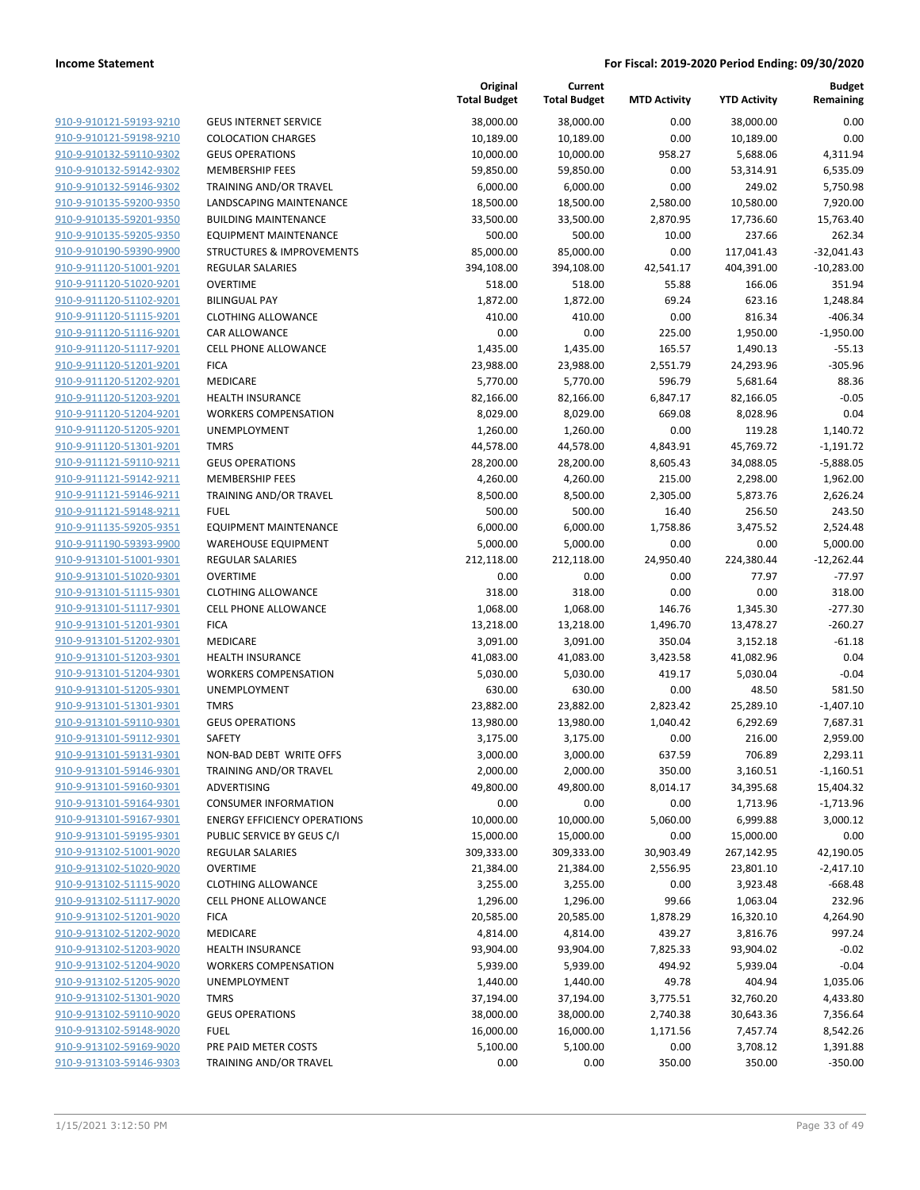|                                                    |                                         | Original<br><b>Total Budget</b> | Current<br><b>Total Budget</b> | <b>MTD Activity</b> | <b>YTD Activity</b> | <b>Budget</b><br>Remaining |
|----------------------------------------------------|-----------------------------------------|---------------------------------|--------------------------------|---------------------|---------------------|----------------------------|
| 910-9-910121-59193-9210                            | <b>GEUS INTERNET SERVICE</b>            | 38,000.00                       | 38,000.00                      | 0.00                | 38,000.00           | 0.00                       |
| 910-9-910121-59198-9210                            | <b>COLOCATION CHARGES</b>               | 10,189.00                       | 10,189.00                      | 0.00                | 10,189.00           | 0.00                       |
| 910-9-910132-59110-9302                            | <b>GEUS OPERATIONS</b>                  | 10,000.00                       | 10,000.00                      | 958.27              | 5,688.06            | 4,311.94                   |
| 910-9-910132-59142-9302                            | <b>MEMBERSHIP FEES</b>                  | 59,850.00                       | 59,850.00                      | 0.00                | 53,314.91           | 6,535.09                   |
| 910-9-910132-59146-9302                            | TRAINING AND/OR TRAVEL                  | 6,000.00                        | 6,000.00                       | 0.00                | 249.02              | 5,750.98                   |
| 910-9-910135-59200-9350                            | LANDSCAPING MAINTENANCE                 | 18,500.00                       | 18,500.00                      | 2,580.00            | 10,580.00           | 7,920.00                   |
| 910-9-910135-59201-9350                            | <b>BUILDING MAINTENANCE</b>             | 33,500.00                       | 33,500.00                      | 2,870.95            | 17,736.60           | 15,763.40                  |
| 910-9-910135-59205-9350                            | <b>EQUIPMENT MAINTENANCE</b>            | 500.00                          | 500.00                         | 10.00               | 237.66              | 262.34                     |
| 910-9-910190-59390-9900                            | <b>STRUCTURES &amp; IMPROVEMENTS</b>    | 85,000.00                       | 85,000.00                      | 0.00                | 117,041.43          | $-32,041.43$               |
| 910-9-911120-51001-9201                            | <b>REGULAR SALARIES</b>                 | 394,108.00                      | 394,108.00                     | 42,541.17           | 404,391.00          | $-10,283.00$               |
| 910-9-911120-51020-9201                            | <b>OVERTIME</b>                         | 518.00                          | 518.00                         | 55.88               | 166.06              | 351.94                     |
| 910-9-911120-51102-9201                            | <b>BILINGUAL PAY</b>                    | 1,872.00                        | 1,872.00                       | 69.24               | 623.16              | 1,248.84                   |
| 910-9-911120-51115-9201                            | <b>CLOTHING ALLOWANCE</b>               | 410.00                          | 410.00                         | 0.00                | 816.34              | -406.34                    |
| 910-9-911120-51116-9201                            | CAR ALLOWANCE                           | 0.00                            | 0.00                           | 225.00              | 1,950.00            | $-1,950.00$                |
| 910-9-911120-51117-9201                            | CELL PHONE ALLOWANCE                    | 1,435.00                        | 1,435.00                       | 165.57              | 1,490.13            | $-55.13$                   |
| 910-9-911120-51201-9201                            | <b>FICA</b>                             | 23,988.00                       | 23,988.00                      | 2,551.79            | 24,293.96           | $-305.96$                  |
| 910-9-911120-51202-9201                            | MEDICARE                                | 5,770.00                        | 5,770.00                       | 596.79              | 5,681.64            | 88.36                      |
| 910-9-911120-51203-9201                            | <b>HEALTH INSURANCE</b>                 | 82,166.00                       | 82,166.00                      | 6,847.17            | 82,166.05           | $-0.05$                    |
| 910-9-911120-51204-9201                            | <b>WORKERS COMPENSATION</b>             | 8,029.00                        | 8,029.00                       | 669.08              | 8,028.96            | 0.04                       |
| 910-9-911120-51205-9201                            | UNEMPLOYMENT                            | 1,260.00                        | 1,260.00                       | 0.00                | 119.28              | 1,140.72                   |
| 910-9-911120-51301-9201                            | <b>TMRS</b>                             | 44,578.00                       | 44,578.00                      | 4,843.91            | 45,769.72           | $-1,191.72$                |
| 910-9-911121-59110-9211                            | <b>GEUS OPERATIONS</b>                  | 28,200.00                       | 28,200.00                      | 8,605.43            | 34,088.05           | $-5,888.05$                |
| 910-9-911121-59142-9211                            | <b>MEMBERSHIP FEES</b>                  | 4,260.00                        | 4,260.00                       | 215.00              | 2,298.00            | 1,962.00                   |
| 910-9-911121-59146-9211                            | TRAINING AND/OR TRAVEL                  | 8,500.00                        | 8,500.00                       | 2,305.00            | 5,873.76            | 2,626.24                   |
| 910-9-911121-59148-9211                            | <b>FUEL</b>                             | 500.00                          | 500.00                         | 16.40               | 256.50              | 243.50                     |
| 910-9-911135-59205-9351                            | <b>EQUIPMENT MAINTENANCE</b>            | 6,000.00                        | 6,000.00                       | 1,758.86            | 3,475.52            | 2,524.48                   |
| 910-9-911190-59393-9900                            | <b>WAREHOUSE EQUIPMENT</b>              | 5,000.00                        | 5,000.00                       | 0.00                | 0.00                | 5,000.00                   |
| 910-9-913101-51001-9301                            | <b>REGULAR SALARIES</b>                 | 212,118.00                      | 212,118.00                     | 24,950.40           | 224,380.44          | $-12,262.44$               |
| 910-9-913101-51020-9301                            | <b>OVERTIME</b>                         | 0.00                            | 0.00                           | 0.00                | 77.97               | $-77.97$                   |
| 910-9-913101-51115-9301                            | <b>CLOTHING ALLOWANCE</b>               | 318.00                          | 318.00                         | 0.00                | 0.00                | 318.00                     |
| 910-9-913101-51117-9301                            | <b>CELL PHONE ALLOWANCE</b>             | 1,068.00                        | 1,068.00                       | 146.76              | 1,345.30            | $-277.30$                  |
| 910-9-913101-51201-9301                            | <b>FICA</b>                             | 13,218.00                       | 13,218.00                      | 1,496.70            | 13,478.27           | $-260.27$                  |
| 910-9-913101-51202-9301                            | MEDICARE                                | 3,091.00                        | 3,091.00                       | 350.04              | 3,152.18            | $-61.18$                   |
| 910-9-913101-51203-9301                            | <b>HEALTH INSURANCE</b>                 | 41,083.00                       | 41,083.00                      | 3,423.58            | 41,082.96           | 0.04                       |
| 910-9-913101-51204-9301                            | <b>WORKERS COMPENSATION</b>             | 5,030.00                        | 5,030.00                       | 419.17              | 5,030.04            | $-0.04$                    |
| 910-9-913101-51205-9301                            | UNEMPLOYMENT                            | 630.00                          | 630.00                         | 0.00                | 48.50               | 581.50                     |
| 910-9-913101-51301-9301<br>910-9-913101-59110-9301 | <b>TMRS</b>                             | 23,882.00                       | 23,882.00                      | 2,823.42            | 25,289.10           | $-1,407.10$                |
| 910-9-913101-59112-9301                            | <b>GEUS OPERATIONS</b><br><b>SAFETY</b> | 13,980.00                       | 13,980.00                      | 1,040.42            | 6,292.69            | 7,687.31                   |
| 910-9-913101-59131-9301                            | NON-BAD DEBT WRITE OFFS                 | 3,175.00<br>3,000.00            | 3,175.00<br>3,000.00           | 0.00                | 216.00<br>706.89    | 2,959.00<br>2,293.11       |
| 910-9-913101-59146-9301                            | TRAINING AND/OR TRAVEL                  | 2,000.00                        | 2,000.00                       | 637.59<br>350.00    | 3,160.51            | $-1,160.51$                |
| 910-9-913101-59160-9301                            | ADVERTISING                             | 49,800.00                       | 49,800.00                      | 8,014.17            | 34,395.68           | 15,404.32                  |
| 910-9-913101-59164-9301                            | <b>CONSUMER INFORMATION</b>             | 0.00                            | 0.00                           | 0.00                | 1,713.96            | $-1,713.96$                |
| 910-9-913101-59167-9301                            | <b>ENERGY EFFICIENCY OPERATIONS</b>     | 10,000.00                       | 10,000.00                      | 5,060.00            | 6,999.88            | 3,000.12                   |
| 910-9-913101-59195-9301                            | PUBLIC SERVICE BY GEUS C/I              | 15,000.00                       | 15,000.00                      | 0.00                | 15,000.00           | 0.00                       |
| 910-9-913102-51001-9020                            | REGULAR SALARIES                        | 309,333.00                      | 309,333.00                     | 30,903.49           | 267,142.95          | 42,190.05                  |
| 910-9-913102-51020-9020                            | <b>OVERTIME</b>                         | 21,384.00                       | 21,384.00                      | 2,556.95            | 23,801.10           | $-2,417.10$                |
| 910-9-913102-51115-9020                            | <b>CLOTHING ALLOWANCE</b>               | 3,255.00                        | 3,255.00                       | 0.00                | 3,923.48            | $-668.48$                  |
| 910-9-913102-51117-9020                            | <b>CELL PHONE ALLOWANCE</b>             | 1,296.00                        | 1,296.00                       | 99.66               | 1,063.04            | 232.96                     |
| 910-9-913102-51201-9020                            | <b>FICA</b>                             | 20,585.00                       | 20,585.00                      | 1,878.29            | 16,320.10           | 4,264.90                   |
| 910-9-913102-51202-9020                            | MEDICARE                                | 4,814.00                        | 4,814.00                       | 439.27              | 3,816.76            | 997.24                     |
| 910-9-913102-51203-9020                            | <b>HEALTH INSURANCE</b>                 | 93,904.00                       | 93,904.00                      | 7,825.33            | 93,904.02           | $-0.02$                    |
| 910-9-913102-51204-9020                            | <b>WORKERS COMPENSATION</b>             | 5,939.00                        | 5,939.00                       | 494.92              | 5,939.04            | $-0.04$                    |
| 910-9-913102-51205-9020                            | UNEMPLOYMENT                            | 1,440.00                        | 1,440.00                       | 49.78               | 404.94              | 1,035.06                   |
| 910-9-913102-51301-9020                            | <b>TMRS</b>                             | 37,194.00                       | 37,194.00                      | 3,775.51            | 32,760.20           | 4,433.80                   |
| 910-9-913102-59110-9020                            | <b>GEUS OPERATIONS</b>                  | 38,000.00                       | 38,000.00                      | 2,740.38            | 30,643.36           | 7,356.64                   |
| 910-9-913102-59148-9020                            | <b>FUEL</b>                             | 16,000.00                       | 16,000.00                      | 1,171.56            | 7,457.74            | 8,542.26                   |
| 910-9-913102-59169-9020                            | PRE PAID METER COSTS                    | 5,100.00                        | 5,100.00                       | 0.00                | 3,708.12            | 1,391.88                   |
| 910-9-913103-59146-9303                            | TRAINING AND/OR TRAVEL                  | 0.00                            | 0.00                           | 350.00              | 350.00              | $-350.00$                  |
|                                                    |                                         |                                 |                                |                     |                     |                            |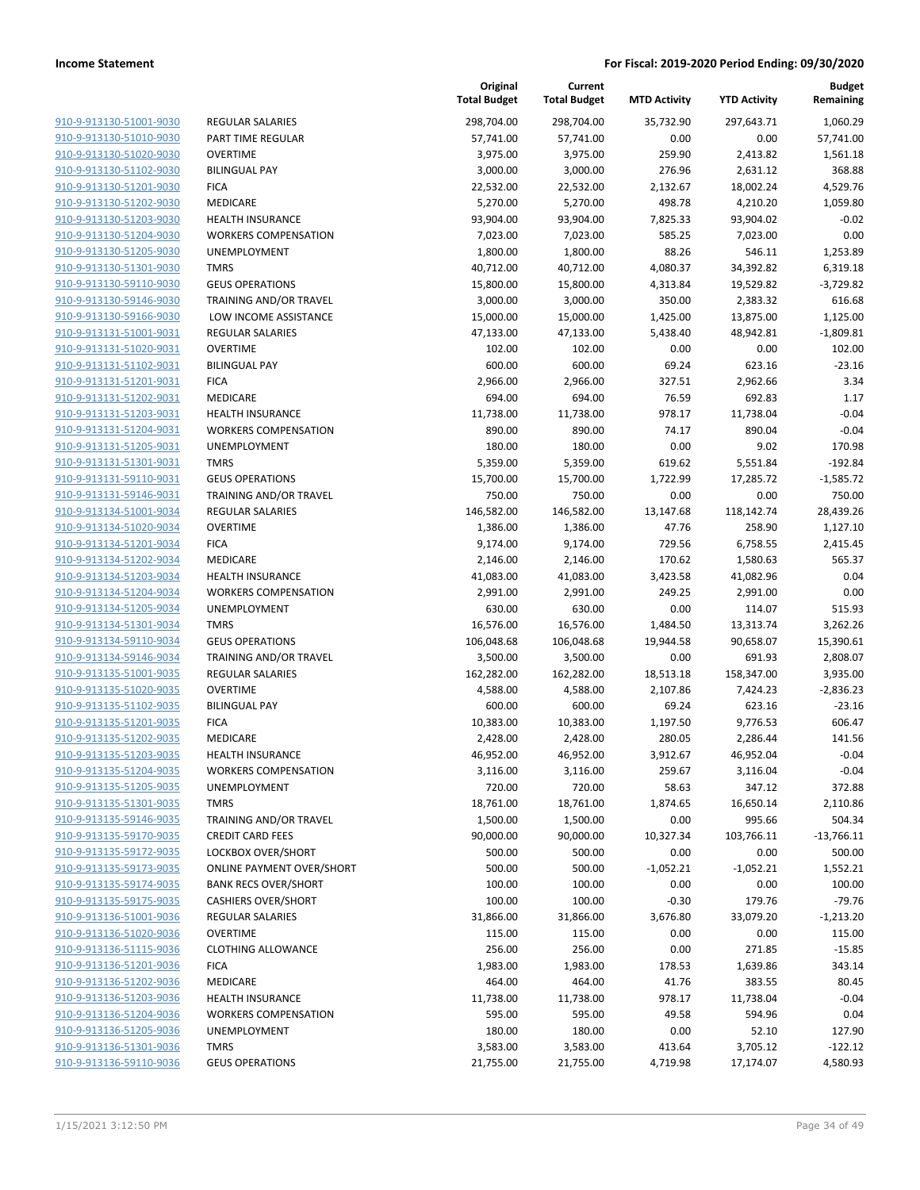| 910-9-913130-51001-9030                                   |
|-----------------------------------------------------------|
| 910-9-913130-51010-9030                                   |
| 910-9-913130-51020-9030                                   |
| 910-9-913130-51102-9030                                   |
| <u>910-9-913130-51201-9030</u>                            |
| 910-9-913130-51202-9030                                   |
| 910-9-913130-51203-9030                                   |
| 910-9-913130-51204-9030                                   |
| 910-9-913130-51205-9030                                   |
| <u>910-9-913130-51301-9030</u>                            |
| 910-9-913130-59110-9030                                   |
| 910-9-913130-59146-9030                                   |
| 910-9-913130-59166-9030                                   |
| 910-9-913131-51001-9031                                   |
| <u>910-9-913131-51020-9031</u>                            |
| 910-9-913131-51102-9031                                   |
| 910-9-913131-51201-9031                                   |
| 910-9-913131-51202-9031                                   |
| 910-9-913131-51203-9031                                   |
| <u>910-9-913131-51204-9031</u>                            |
| 910-9-913131-51205-9031                                   |
| 910-9-913131-51301-9031                                   |
|                                                           |
| 910-9-913131-59110-9031                                   |
| 910-9-913131-59146-9031                                   |
| 910-9-913134-51001-9034                                   |
| 910-9-913134-51020-9034                                   |
| 910-9-913134-51201-9034                                   |
| 910-9-913134-51202-9034                                   |
| 910-9-913134-51203-9034                                   |
| <u>910-9-913134-51204-9034</u>                            |
| 910-9-913134-51205-9034                                   |
| 910-9-913134-51301-9034                                   |
| 910-9-913134-59110-9034                                   |
| 910-9-913134-59146-9034                                   |
| <u>910-9-913135-51001-9035</u>                            |
| 910-9-913135-51020-9035                                   |
| 910-9-913135-51102-9035                                   |
| 910-9-913135-51201-9035                                   |
| 910-9-913135-51202-9035                                   |
| 910-9-913135-51203-9035                                   |
| 910-9-913135-51204-9035                                   |
| 910-9-913135-51205-9035                                   |
| 910-9-913135-51301-9035                                   |
| 910-9-913135-59146-9035                                   |
| 910-9-913135-59170-9035                                   |
| <u>910-9-913135-59172-9035</u>                            |
| 910-9-913135-59173-9035                                   |
| <u>910-9-913135-59174-9035</u>                            |
| 910-9-913135-59175-9035                                   |
| <u>910-9-913136-51001-9036</u>                            |
| 910-9-913136-51020-9036                                   |
| 910-9-913136-51115-9036                                   |
| 910-9-913136-51201-9036                                   |
| 910-9-913136-51202-9036                                   |
|                                                           |
| <u>910-9-913136-51203-9036</u>                            |
| <u>910-9-913136-51204-9036</u>                            |
|                                                           |
| 910-9-913136-51205-9036                                   |
| <u>910-9-913136-51301-9036</u><br>910-9-913136-59110-9036 |

|                                                                 | Tot             |
|-----------------------------------------------------------------|-----------------|
| <b>REGULAR SALARIES</b>                                         | $\overline{2}$  |
| PART TIME REGULAR                                               |                 |
| <b>OVERTIME</b>                                                 |                 |
| <b>BILINGUAL PAY</b>                                            |                 |
| <b>FICA</b>                                                     |                 |
| <b>MEDICARE</b>                                                 |                 |
| <b>HEALTH INSURANCE</b>                                         |                 |
| <b>WORKERS COMPENSATION</b>                                     |                 |
| <b>UNEMPLOYMENT</b>                                             |                 |
| <b>TMRS</b>                                                     |                 |
| <b>GEUS OPERATIONS</b>                                          |                 |
| <b>TRAINING AND/OR TRAVEL</b>                                   |                 |
| LOW INCOME ASSISTANCE                                           |                 |
| <b>REGULAR SALARIES</b>                                         |                 |
| <b>OVERTIME</b>                                                 |                 |
| <b>BILINGUAL PAY</b>                                            |                 |
| <b>FICA</b>                                                     |                 |
| MEDICARE                                                        |                 |
| <b>HEALTH INSURANCE</b>                                         |                 |
| <b>WORKERS COMPENSATION</b>                                     |                 |
| <b>UNEMPLOYMENT</b><br><b>TMRS</b>                              |                 |
| <b>GEUS OPERATIONS</b>                                          |                 |
| <b>TRAINING AND/OR TRAVEL</b>                                   |                 |
| <b>REGULAR SALARIES</b>                                         | 1               |
| <b>OVERTIME</b>                                                 |                 |
| <b>FICA</b>                                                     |                 |
| MEDICARE                                                        |                 |
| <b>HEALTH INSURANCE</b>                                         |                 |
| <b>WORKERS COMPENSATION</b>                                     |                 |
| <b>UNEMPLOYMENT</b>                                             |                 |
| <b>TMRS</b>                                                     |                 |
| <b>GEUS OPERATIONS</b>                                          | $1\,$           |
| <b>TRAINING AND/OR TRAVEL</b>                                   |                 |
| <b>REGULAR SALARIES</b>                                         | $1\phantom{.0}$ |
| <b>OVERTIME</b>                                                 |                 |
| <b>BILINGUAL PAY</b>                                            |                 |
| <b>FICA</b>                                                     |                 |
| <b>MEDICARE</b>                                                 |                 |
| <b>HEALTH INSURANCE</b>                                         |                 |
| <b>WORKERS COMPENSATION</b>                                     |                 |
| UNEMPLOYMENT                                                    |                 |
| <b>TMRS</b>                                                     |                 |
| TRAINING AND/OR TRAVEL                                          |                 |
| <b>CREDIT CARD FEES</b>                                         |                 |
| LOCKBOX OVER/SHORT                                              |                 |
| <b>ONLINE PAYMENT OVER/SHORT</b><br><b>BANK RECS OVER/SHORT</b> |                 |
| <b>CASHIERS OVER/SHORT</b>                                      |                 |
| <b>REGULAR SALARIES</b>                                         |                 |
| <b>OVERTIME</b>                                                 |                 |
| <b>CLOTHING ALLOWANCE</b>                                       |                 |
| <b>FICA</b>                                                     |                 |
| <b>MEDICARE</b>                                                 |                 |
| <b>HEALTH INSURANCE</b>                                         |                 |
| <b>WORKERS COMPENSATION</b>                                     |                 |
| UNEMPLOYMENT                                                    |                 |
| <b>TMRS</b>                                                     |                 |
| <b>GEUS OPERATIONS</b>                                          |                 |

|                         |                                  | Original<br><b>Total Budget</b> | Current<br><b>Total Budget</b> | <b>MTD Activity</b> | <b>YTD Activity</b> | <b>Budget</b><br>Remaining |
|-------------------------|----------------------------------|---------------------------------|--------------------------------|---------------------|---------------------|----------------------------|
| 910-9-913130-51001-9030 | <b>REGULAR SALARIES</b>          | 298,704.00                      | 298,704.00                     | 35,732.90           | 297,643.71          | 1,060.29                   |
| 910-9-913130-51010-9030 | PART TIME REGULAR                | 57,741.00                       | 57,741.00                      | 0.00                | 0.00                | 57,741.00                  |
| 910-9-913130-51020-9030 | <b>OVERTIME</b>                  | 3,975.00                        | 3,975.00                       | 259.90              | 2,413.82            | 1,561.18                   |
| 910-9-913130-51102-9030 | <b>BILINGUAL PAY</b>             | 3,000.00                        | 3,000.00                       | 276.96              | 2,631.12            | 368.88                     |
| 910-9-913130-51201-9030 | <b>FICA</b>                      | 22,532.00                       | 22,532.00                      | 2,132.67            | 18,002.24           | 4,529.76                   |
| 910-9-913130-51202-9030 | <b>MEDICARE</b>                  | 5,270.00                        | 5,270.00                       | 498.78              | 4,210.20            | 1,059.80                   |
| 910-9-913130-51203-9030 | <b>HEALTH INSURANCE</b>          | 93,904.00                       | 93,904.00                      | 7,825.33            | 93,904.02           | $-0.02$                    |
| 910-9-913130-51204-9030 | <b>WORKERS COMPENSATION</b>      | 7,023.00                        | 7,023.00                       | 585.25              | 7,023.00            | 0.00                       |
| 910-9-913130-51205-9030 | UNEMPLOYMENT                     | 1,800.00                        | 1,800.00                       | 88.26               | 546.11              | 1,253.89                   |
| 910-9-913130-51301-9030 | <b>TMRS</b>                      | 40,712.00                       | 40,712.00                      | 4,080.37            | 34,392.82           | 6,319.18                   |
| 910-9-913130-59110-9030 | <b>GEUS OPERATIONS</b>           | 15,800.00                       | 15,800.00                      | 4,313.84            | 19,529.82           | $-3,729.82$                |
| 910-9-913130-59146-9030 | TRAINING AND/OR TRAVEL           | 3,000.00                        | 3,000.00                       | 350.00              | 2,383.32            | 616.68                     |
| 910-9-913130-59166-9030 | LOW INCOME ASSISTANCE            | 15,000.00                       | 15,000.00                      | 1,425.00            | 13,875.00           | 1,125.00                   |
| 910-9-913131-51001-9031 | <b>REGULAR SALARIES</b>          | 47,133.00                       | 47,133.00                      | 5,438.40            | 48,942.81           | $-1,809.81$                |
| 910-9-913131-51020-9031 | <b>OVERTIME</b>                  | 102.00                          | 102.00                         | 0.00                | 0.00                | 102.00                     |
| 910-9-913131-51102-9031 | <b>BILINGUAL PAY</b>             | 600.00                          | 600.00                         | 69.24               | 623.16              | $-23.16$                   |
| 910-9-913131-51201-9031 | <b>FICA</b>                      | 2,966.00                        | 2,966.00                       | 327.51              | 2,962.66            | 3.34                       |
| 910-9-913131-51202-9031 | MEDICARE                         | 694.00                          | 694.00                         | 76.59               | 692.83              | 1.17                       |
| 910-9-913131-51203-9031 | <b>HEALTH INSURANCE</b>          | 11,738.00                       | 11,738.00                      | 978.17              | 11,738.04           | $-0.04$                    |
| 910-9-913131-51204-9031 | <b>WORKERS COMPENSATION</b>      | 890.00                          | 890.00                         | 74.17               | 890.04              | $-0.04$                    |
| 910-9-913131-51205-9031 | UNEMPLOYMENT                     | 180.00                          | 180.00                         | 0.00                | 9.02                | 170.98                     |
| 910-9-913131-51301-9031 | <b>TMRS</b>                      | 5,359.00                        | 5,359.00                       | 619.62              | 5,551.84            | $-192.84$                  |
| 910-9-913131-59110-9031 | <b>GEUS OPERATIONS</b>           | 15,700.00                       | 15,700.00                      | 1,722.99            | 17,285.72           | $-1,585.72$                |
| 910-9-913131-59146-9031 | <b>TRAINING AND/OR TRAVEL</b>    | 750.00                          | 750.00                         | 0.00                | 0.00                | 750.00                     |
| 910-9-913134-51001-9034 | REGULAR SALARIES                 | 146,582.00                      | 146,582.00                     | 13,147.68           | 118,142.74          | 28,439.26                  |
| 910-9-913134-51020-9034 | <b>OVERTIME</b>                  | 1,386.00                        | 1,386.00                       | 47.76               | 258.90              | 1,127.10                   |
| 910-9-913134-51201-9034 | <b>FICA</b>                      | 9,174.00                        | 9,174.00                       | 729.56              | 6,758.55            | 2,415.45                   |
| 910-9-913134-51202-9034 | MEDICARE                         | 2,146.00                        | 2,146.00                       | 170.62              | 1,580.63            | 565.37                     |
| 910-9-913134-51203-9034 | <b>HEALTH INSURANCE</b>          | 41,083.00                       | 41,083.00                      | 3,423.58            | 41,082.96           | 0.04                       |
| 910-9-913134-51204-9034 | <b>WORKERS COMPENSATION</b>      | 2,991.00                        | 2,991.00                       | 249.25              | 2,991.00            | 0.00                       |
| 910-9-913134-51205-9034 | UNEMPLOYMENT                     | 630.00                          | 630.00                         | 0.00                | 114.07              | 515.93                     |
| 910-9-913134-51301-9034 | <b>TMRS</b>                      | 16,576.00                       | 16,576.00                      | 1,484.50            | 13,313.74           | 3,262.26                   |
| 910-9-913134-59110-9034 | <b>GEUS OPERATIONS</b>           | 106,048.68                      | 106,048.68                     | 19,944.58           | 90,658.07           | 15,390.61                  |
| 910-9-913134-59146-9034 | TRAINING AND/OR TRAVEL           | 3,500.00                        | 3,500.00                       | 0.00                | 691.93              | 2,808.07                   |
| 910-9-913135-51001-9035 | REGULAR SALARIES                 | 162,282.00                      | 162,282.00                     | 18,513.18           | 158,347.00          | 3,935.00                   |
| 910-9-913135-51020-9035 | <b>OVERTIME</b>                  | 4,588.00                        | 4,588.00                       | 2,107.86            | 7,424.23            | $-2,836.23$                |
| 910-9-913135-51102-9035 | <b>BILINGUAL PAY</b>             | 600.00                          | 600.00                         | 69.24               | 623.16              | $-23.16$                   |
| 910-9-913135-51201-9035 | <b>FICA</b>                      | 10,383.00                       | 10,383.00                      | 1,197.50            | 9,776.53            | 606.47                     |
| 910-9-913135-51202-9035 | <b>MEDICARE</b>                  | 2,428.00                        | 2,428.00                       | 280.05              | 2,286.44            | 141.56                     |
| 910-9-913135-51203-9035 | <b>HEALTH INSURANCE</b>          | 46,952.00                       | 46,952.00                      | 3,912.67            | 46,952.04           | $-0.04$                    |
| 910-9-913135-51204-9035 | <b>WORKERS COMPENSATION</b>      | 3,116.00                        | 3,116.00                       | 259.67              | 3,116.04            | $-0.04$                    |
| 910-9-913135-51205-9035 | UNEMPLOYMENT                     | 720.00                          | 720.00                         | 58.63               | 347.12              | 372.88                     |
| 910-9-913135-51301-9035 | <b>TMRS</b>                      | 18,761.00                       | 18,761.00                      | 1,874.65            | 16,650.14           | 2,110.86                   |
| 910-9-913135-59146-9035 | TRAINING AND/OR TRAVEL           | 1,500.00                        | 1,500.00                       | 0.00                | 995.66              | 504.34                     |
| 910-9-913135-59170-9035 | <b>CREDIT CARD FEES</b>          | 90,000.00                       | 90,000.00                      | 10,327.34           | 103,766.11          | $-13,766.11$               |
| 910-9-913135-59172-9035 | LOCKBOX OVER/SHORT               | 500.00                          | 500.00                         | 0.00                | 0.00                | 500.00                     |
| 910-9-913135-59173-9035 | <b>ONLINE PAYMENT OVER/SHORT</b> | 500.00                          | 500.00                         | $-1,052.21$         | $-1,052.21$         | 1,552.21                   |
| 910-9-913135-59174-9035 | <b>BANK RECS OVER/SHORT</b>      | 100.00                          | 100.00                         | 0.00                | 0.00                | 100.00                     |
| 910-9-913135-59175-9035 | <b>CASHIERS OVER/SHORT</b>       | 100.00                          | 100.00                         | $-0.30$             | 179.76              | $-79.76$                   |
| 910-9-913136-51001-9036 | REGULAR SALARIES                 | 31,866.00                       | 31,866.00                      | 3,676.80            | 33,079.20           | $-1,213.20$                |
| 910-9-913136-51020-9036 | <b>OVERTIME</b>                  | 115.00                          | 115.00                         | 0.00                | 0.00                | 115.00                     |
| 910-9-913136-51115-9036 | <b>CLOTHING ALLOWANCE</b>        | 256.00                          | 256.00                         | 0.00                | 271.85              | $-15.85$                   |
| 910-9-913136-51201-9036 | <b>FICA</b>                      | 1,983.00                        | 1,983.00                       | 178.53              | 1,639.86            | 343.14                     |
| 910-9-913136-51202-9036 | MEDICARE                         | 464.00                          | 464.00                         | 41.76               | 383.55              | 80.45                      |
| 910-9-913136-51203-9036 | <b>HEALTH INSURANCE</b>          | 11,738.00                       | 11,738.00                      | 978.17              | 11,738.04           | $-0.04$                    |
| 910-9-913136-51204-9036 | <b>WORKERS COMPENSATION</b>      | 595.00                          | 595.00                         | 49.58               | 594.96              | 0.04                       |
| 910-9-913136-51205-9036 | UNEMPLOYMENT                     | 180.00                          | 180.00                         | 0.00                | 52.10               | 127.90                     |
| 910-9-913136-51301-9036 | <b>TMRS</b>                      | 3,583.00                        | 3,583.00                       | 413.64              | 3,705.12            | $-122.12$                  |
| 910-9-913136-59110-9036 | <b>GEUS OPERATIONS</b>           | 21,755.00                       | 21,755.00                      | 4,719.98            | 17,174.07           | 4,580.93                   |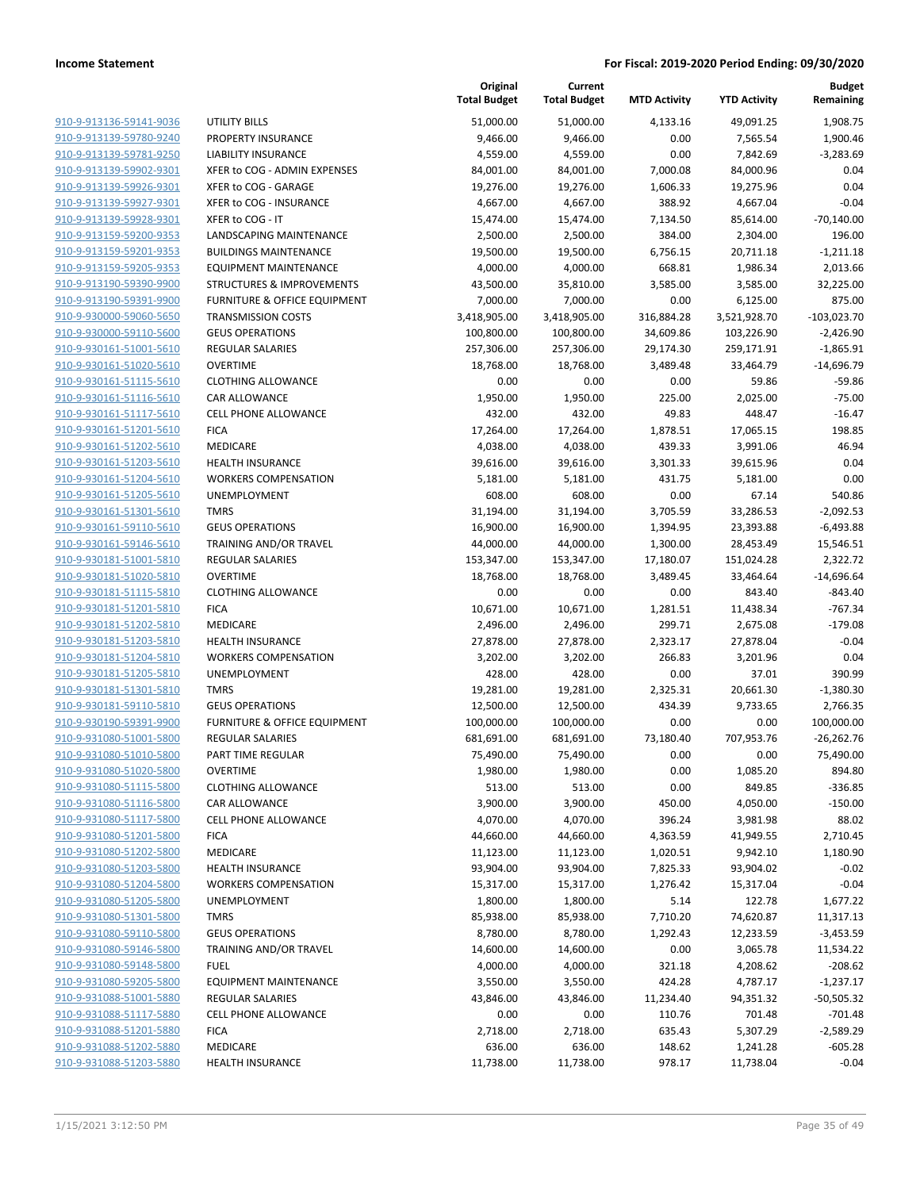|                         |                                         | Original<br><b>Total Budget</b> | Current<br><b>Total Budget</b> | <b>MTD Activity</b> | <b>YTD Activity</b> | <b>Budget</b><br>Remaining |
|-------------------------|-----------------------------------------|---------------------------------|--------------------------------|---------------------|---------------------|----------------------------|
| 910-9-913136-59141-9036 | <b>UTILITY BILLS</b>                    | 51,000.00                       | 51,000.00                      | 4,133.16            | 49,091.25           | 1,908.75                   |
| 910-9-913139-59780-9240 | PROPERTY INSURANCE                      | 9,466.00                        | 9,466.00                       | 0.00                | 7,565.54            | 1,900.46                   |
| 910-9-913139-59781-9250 | LIABILITY INSURANCE                     | 4,559.00                        | 4,559.00                       | 0.00                | 7,842.69            | $-3,283.69$                |
| 910-9-913139-59902-9301 | XFER to COG - ADMIN EXPENSES            | 84,001.00                       | 84,001.00                      | 7,000.08            | 84,000.96           | 0.04                       |
| 910-9-913139-59926-9301 | XFER to COG - GARAGE                    | 19,276.00                       | 19,276.00                      | 1,606.33            | 19,275.96           | 0.04                       |
| 910-9-913139-59927-9301 | XFER to COG - INSURANCE                 | 4,667.00                        | 4,667.00                       | 388.92              | 4,667.04            | $-0.04$                    |
| 910-9-913139-59928-9301 | XFER to COG - IT                        | 15,474.00                       | 15,474.00                      | 7,134.50            | 85,614.00           | $-70,140.00$               |
| 910-9-913159-59200-9353 | LANDSCAPING MAINTENANCE                 | 2,500.00                        | 2,500.00                       | 384.00              | 2,304.00            | 196.00                     |
| 910-9-913159-59201-9353 | <b>BUILDINGS MAINTENANCE</b>            | 19,500.00                       | 19,500.00                      | 6,756.15            | 20,711.18           | $-1,211.18$                |
| 910-9-913159-59205-9353 | <b>EQUIPMENT MAINTENANCE</b>            | 4,000.00                        | 4,000.00                       | 668.81              | 1,986.34            | 2,013.66                   |
| 910-9-913190-59390-9900 | <b>STRUCTURES &amp; IMPROVEMENTS</b>    | 43,500.00                       | 35,810.00                      | 3,585.00            | 3,585.00            | 32,225.00                  |
| 910-9-913190-59391-9900 | <b>FURNITURE &amp; OFFICE EQUIPMENT</b> | 7,000.00                        | 7,000.00                       | 0.00                | 6,125.00            | 875.00                     |
| 910-9-930000-59060-5650 | <b>TRANSMISSION COSTS</b>               | 3,418,905.00                    | 3,418,905.00                   | 316,884.28          | 3,521,928.70        | $-103,023.70$              |
| 910-9-930000-59110-5600 | <b>GEUS OPERATIONS</b>                  | 100,800.00                      | 100,800.00                     | 34,609.86           | 103,226.90          | $-2,426.90$                |
| 910-9-930161-51001-5610 | REGULAR SALARIES                        | 257,306.00                      | 257,306.00                     | 29,174.30           | 259,171.91          | $-1,865.91$                |
| 910-9-930161-51020-5610 | <b>OVERTIME</b>                         | 18,768.00                       | 18,768.00                      | 3,489.48            | 33,464.79           | $-14,696.79$               |
| 910-9-930161-51115-5610 | <b>CLOTHING ALLOWANCE</b>               | 0.00                            | 0.00                           | 0.00                | 59.86               | $-59.86$                   |
| 910-9-930161-51116-5610 | CAR ALLOWANCE                           | 1,950.00                        | 1,950.00                       | 225.00              | 2,025.00            | $-75.00$                   |
| 910-9-930161-51117-5610 | <b>CELL PHONE ALLOWANCE</b>             | 432.00                          | 432.00                         | 49.83               | 448.47              | $-16.47$                   |
| 910-9-930161-51201-5610 | <b>FICA</b>                             | 17,264.00                       | 17,264.00                      | 1,878.51            | 17,065.15           | 198.85                     |
| 910-9-930161-51202-5610 | MEDICARE                                | 4,038.00                        | 4,038.00                       | 439.33              | 3,991.06            | 46.94                      |
| 910-9-930161-51203-5610 | <b>HEALTH INSURANCE</b>                 | 39,616.00                       | 39,616.00                      | 3,301.33            | 39,615.96           | 0.04                       |
| 910-9-930161-51204-5610 | <b>WORKERS COMPENSATION</b>             | 5,181.00                        | 5,181.00                       | 431.75              | 5,181.00            | 0.00                       |
| 910-9-930161-51205-5610 | UNEMPLOYMENT                            | 608.00                          | 608.00                         | 0.00                | 67.14               | 540.86                     |
| 910-9-930161-51301-5610 | <b>TMRS</b>                             | 31,194.00                       | 31,194.00                      | 3,705.59            | 33,286.53           | $-2,092.53$                |
| 910-9-930161-59110-5610 | <b>GEUS OPERATIONS</b>                  | 16,900.00                       | 16,900.00                      | 1,394.95            | 23,393.88           | $-6,493.88$                |
| 910-9-930161-59146-5610 | TRAINING AND/OR TRAVEL                  | 44,000.00                       | 44,000.00                      | 1,300.00            | 28,453.49           | 15,546.51                  |
| 910-9-930181-51001-5810 | <b>REGULAR SALARIES</b>                 | 153,347.00                      | 153,347.00                     | 17,180.07           | 151,024.28          | 2,322.72                   |
| 910-9-930181-51020-5810 | <b>OVERTIME</b>                         | 18,768.00                       | 18,768.00                      | 3,489.45            | 33,464.64           | $-14,696.64$               |
| 910-9-930181-51115-5810 | <b>CLOTHING ALLOWANCE</b>               | 0.00                            | 0.00                           | 0.00                | 843.40              | $-843.40$                  |
| 910-9-930181-51201-5810 | <b>FICA</b>                             | 10,671.00                       | 10,671.00                      | 1,281.51            | 11,438.34           | $-767.34$                  |
| 910-9-930181-51202-5810 | MEDICARE                                | 2,496.00                        | 2,496.00                       | 299.71              | 2,675.08            | $-179.08$                  |
| 910-9-930181-51203-5810 | <b>HEALTH INSURANCE</b>                 | 27,878.00                       | 27,878.00                      | 2,323.17            | 27,878.04           | $-0.04$                    |
| 910-9-930181-51204-5810 | <b>WORKERS COMPENSATION</b>             | 3,202.00                        | 3,202.00                       | 266.83              | 3,201.96            | 0.04                       |
| 910-9-930181-51205-5810 | UNEMPLOYMENT                            | 428.00                          | 428.00                         | 0.00                | 37.01               | 390.99                     |
| 910-9-930181-51301-5810 | <b>TMRS</b>                             | 19,281.00                       | 19,281.00                      | 2,325.31            | 20,661.30           | $-1,380.30$                |
| 910-9-930181-59110-5810 | <b>GEUS OPERATIONS</b>                  | 12,500.00                       | 12,500.00                      | 434.39              | 9,733.65            | 2,766.35                   |
| 910-9-930190-59391-9900 | FURNITURE & OFFICE EQUIPMENT            | 100,000.00                      | 100,000.00                     | 0.00                | 0.00                | 100,000.00                 |
| 910-9-931080-51001-5800 | <b>REGULAR SALARIES</b>                 | 681,691.00                      | 681,691.00                     | 73,180.40           | 707,953.76          | $-26,262.76$               |
| 910-9-931080-51010-5800 | PART TIME REGULAR                       | 75,490.00                       | 75,490.00                      | 0.00                | 0.00                | 75,490.00                  |
| 910-9-931080-51020-5800 | <b>OVERTIME</b>                         | 1,980.00                        | 1,980.00                       | 0.00                | 1,085.20            | 894.80                     |
| 910-9-931080-51115-5800 | <b>CLOTHING ALLOWANCE</b>               | 513.00                          | 513.00                         | 0.00                | 849.85              | $-336.85$                  |
| 910-9-931080-51116-5800 | <b>CAR ALLOWANCE</b>                    | 3,900.00                        | 3,900.00                       | 450.00              | 4,050.00            | $-150.00$                  |
| 910-9-931080-51117-5800 | <b>CELL PHONE ALLOWANCE</b>             | 4,070.00                        | 4,070.00                       | 396.24              | 3,981.98            | 88.02                      |
| 910-9-931080-51201-5800 | <b>FICA</b>                             | 44,660.00                       | 44,660.00                      | 4,363.59            | 41,949.55           | 2,710.45                   |
| 910-9-931080-51202-5800 | MEDICARE                                | 11,123.00                       | 11,123.00                      | 1,020.51            | 9,942.10            | 1,180.90                   |
| 910-9-931080-51203-5800 | <b>HEALTH INSURANCE</b>                 | 93,904.00                       | 93,904.00                      | 7,825.33            | 93,904.02           | $-0.02$                    |
| 910-9-931080-51204-5800 | <b>WORKERS COMPENSATION</b>             | 15,317.00                       | 15,317.00                      | 1,276.42            | 15,317.04           | $-0.04$                    |
| 910-9-931080-51205-5800 | <b>UNEMPLOYMENT</b>                     | 1,800.00                        | 1,800.00                       | 5.14                | 122.78              | 1,677.22                   |
| 910-9-931080-51301-5800 | <b>TMRS</b>                             | 85,938.00                       | 85,938.00                      | 7,710.20            | 74,620.87           | 11,317.13                  |
| 910-9-931080-59110-5800 | <b>GEUS OPERATIONS</b>                  | 8,780.00                        | 8,780.00                       | 1,292.43            | 12,233.59           | $-3,453.59$                |
| 910-9-931080-59146-5800 | TRAINING AND/OR TRAVEL                  | 14,600.00                       | 14,600.00                      | 0.00                | 3,065.78            | 11,534.22                  |
| 910-9-931080-59148-5800 | <b>FUEL</b>                             | 4,000.00                        | 4,000.00                       | 321.18              | 4,208.62            | $-208.62$                  |
| 910-9-931080-59205-5800 | <b>EQUIPMENT MAINTENANCE</b>            | 3,550.00                        | 3,550.00                       | 424.28              | 4,787.17            | $-1,237.17$                |
| 910-9-931088-51001-5880 | REGULAR SALARIES                        | 43,846.00                       | 43,846.00                      | 11,234.40           | 94,351.32           | $-50,505.32$               |
| 910-9-931088-51117-5880 | CELL PHONE ALLOWANCE                    | 0.00                            | 0.00                           | 110.76              | 701.48              | $-701.48$                  |
| 910-9-931088-51201-5880 | <b>FICA</b>                             | 2,718.00                        | 2,718.00                       | 635.43              | 5,307.29            | $-2,589.29$                |
| 910-9-931088-51202-5880 | MEDICARE                                | 636.00                          | 636.00                         | 148.62              | 1,241.28            | $-605.28$                  |
| 910-9-931088-51203-5880 | <b>HEALTH INSURANCE</b>                 | 11,738.00                       | 11,738.00                      | 978.17              | 11,738.04           | $-0.04$                    |
|                         |                                         |                                 |                                |                     |                     |                            |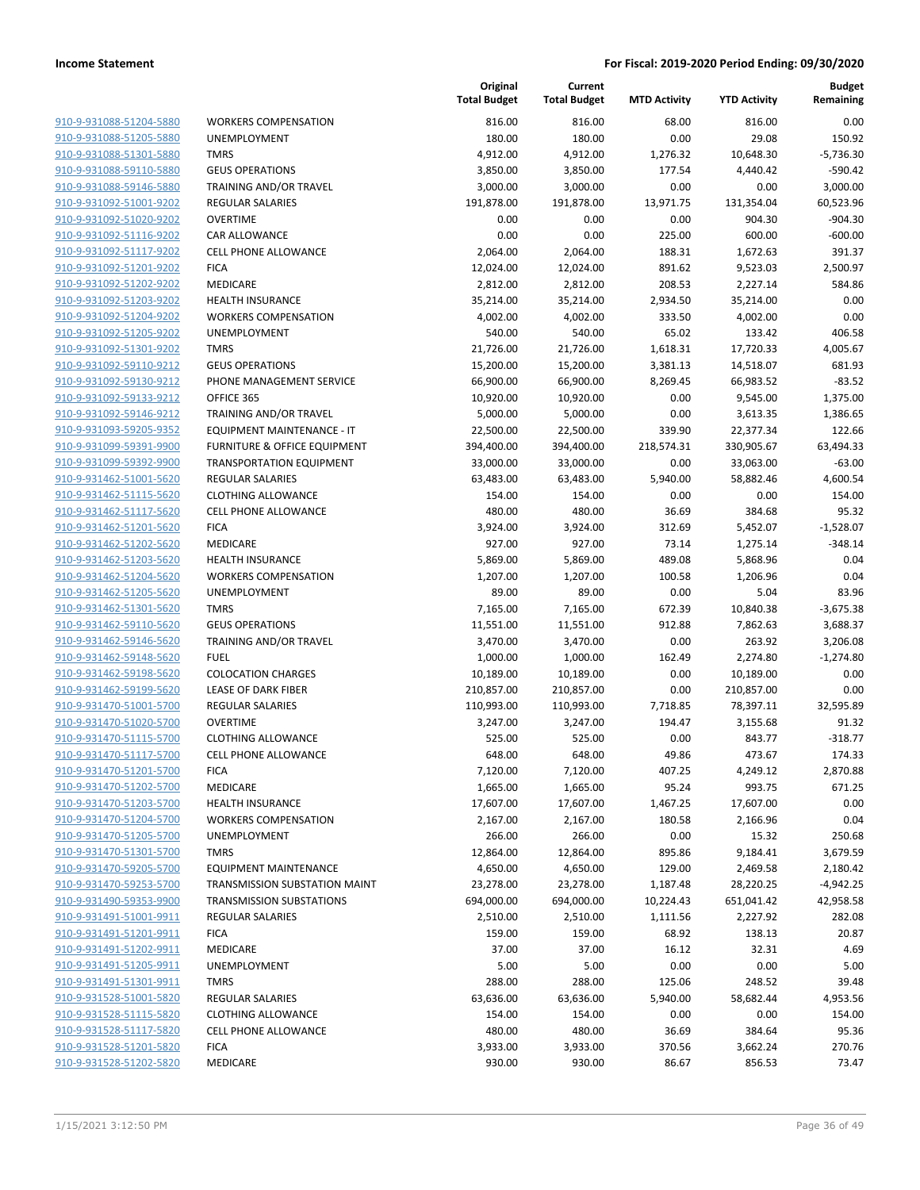| 910-9-931088-51204-5880                            | WOR                 |
|----------------------------------------------------|---------------------|
| 910-9-931088-51205-5880                            | UNEN                |
| 910-9-931088-51301-5880                            | <b>TMRS</b>         |
| 910-9-931088-59110-5880                            | <b>GEUS</b>         |
| 910-9-931088-59146-5880                            | <b>TRAIN</b>        |
| 910-9-931092-51001-9202                            | REGU                |
| 910-9-931092-51020-9202                            | OVER                |
| 910-9-931092-51116-9202                            | CAR /               |
| 910-9-931092-51117-9202                            | <b>CELL</b>         |
| 910-9-931092-51201-9202                            | FICA                |
| 910-9-931092-51202-9202                            | MEDI                |
| 910-9-931092-51203-9202                            | <b>HEAL</b>         |
| 910-9-931092-51204-9202                            | WOR                 |
| 910-9-931092-51205-9202                            | UNEN                |
| 910-9-931092-51301-9202                            | <b>TMRS</b>         |
| 910-9-931092-59110-9212                            | GEUS                |
| 910-9-931092-59130-9212                            | PHON                |
| 910-9-931092-59133-9212                            | OFFIC               |
| 910-9-931092-59146-9212                            | TRAIN               |
| 910-9-931093-59205-9352                            | EQUII               |
| 910-9-931099-59391-9900                            | <b>FURN</b>         |
| 910-9-931099-59392-9900                            | TRAN                |
| 910-9-931462-51001-5620                            | REGU                |
| 910-9-931462-51115-5620                            | CLOT                |
| 910-9-931462-51117-5620                            | <b>CELL</b>         |
| 910-9-931462-51201-5620                            | FICA                |
| 910-9-931462-51202-5620                            | MEDI                |
| 910-9-931462-51203-5620                            | <b>HEAL</b>         |
| 910-9-931462-51204-5620                            | WOR                 |
| 910-9-931462-51205-5620                            | UNEN                |
| 910-9-931462-51301-5620                            | TMRS                |
| 910-9-931462-59110-5620                            | GEUS                |
| 910-9-931462-59146-5620                            | TRAIN               |
| 910-9-931462-59148-5620                            | <b>FUEL</b>         |
| 910-9-931462-59198-5620                            | COLO                |
| 910-9-931462-59199-5620                            | LEASI               |
| 910-9-931470-51001-5700                            | REGU                |
| 910-9-931470-51020-5700                            | <b>OVER</b>         |
| 910-9-931470-51115-5700                            | <b>CLOT</b>         |
| 910-9-931470-51117-5700                            | <b>CELL</b>         |
| 910-9-931470-51201-5700                            | FICA                |
| 910-9-931470-51202-5700                            | MEDI                |
| 910-9-931470-51203-5700                            | <b>HEAL</b>         |
| 910-9-931470-51204-5700                            | WOR                 |
| 910-9-931470-51205-5700<br>910-9-931470-51301-5700 | UNEN<br><b>TMRS</b> |
| 910-9-931470-59205-5700                            | EQUII               |
| 910-9-931470-59253-5700                            | TRAN                |
| 910-9-931490-59353-9900                            | TRAN                |
| <u>910-9-931491-51001-9911</u>                     | REGU                |
| 910-9-931491-51201-9911                            | <b>FICA</b>         |
| 910-9-931491-51202-9911                            | <b>MEDI</b>         |
| 910-9-931491-51205-9911                            | UNEN                |
| 910-9-931491-51301-9911                            | <b>TMRS</b>         |
| 910-9-931528-51001-5820                            | REGU                |
| 910-9-931528-51115-5820                            | CLOT                |
| 910-9-931528-51117-5820                            | <b>CELL</b>         |
| 910-9-931528-51201-5820                            | FICA                |
| 910-9-931528-51202-5820                            | medi                |
|                                                    |                     |

|                         |                                   | Original<br><b>Total Budget</b> | Current<br><b>Total Budget</b> | <b>MTD Activity</b> | <b>YTD Activity</b> | <b>Budget</b><br>Remaining |
|-------------------------|-----------------------------------|---------------------------------|--------------------------------|---------------------|---------------------|----------------------------|
| 910-9-931088-51204-5880 | <b>WORKERS COMPENSATION</b>       | 816.00                          | 816.00                         | 68.00               | 816.00              | 0.00                       |
| 910-9-931088-51205-5880 | UNEMPLOYMENT                      | 180.00                          | 180.00                         | 0.00                | 29.08               | 150.92                     |
| 910-9-931088-51301-5880 | <b>TMRS</b>                       | 4,912.00                        | 4,912.00                       | 1,276.32            | 10,648.30           | $-5,736.30$                |
| 910-9-931088-59110-5880 | <b>GEUS OPERATIONS</b>            | 3,850.00                        | 3,850.00                       | 177.54              | 4,440.42            | $-590.42$                  |
| 910-9-931088-59146-5880 | TRAINING AND/OR TRAVEL            | 3,000.00                        | 3,000.00                       | 0.00                | 0.00                | 3,000.00                   |
| 910-9-931092-51001-9202 | <b>REGULAR SALARIES</b>           | 191,878.00                      | 191,878.00                     | 13,971.75           | 131,354.04          | 60,523.96                  |
| 910-9-931092-51020-9202 | <b>OVERTIME</b>                   | 0.00                            | 0.00                           | 0.00                | 904.30              | $-904.30$                  |
| 910-9-931092-51116-9202 | <b>CAR ALLOWANCE</b>              | 0.00                            | 0.00                           | 225.00              | 600.00              | $-600.00$                  |
| 910-9-931092-51117-9202 | <b>CELL PHONE ALLOWANCE</b>       | 2,064.00                        | 2,064.00                       | 188.31              | 1,672.63            | 391.37                     |
| 910-9-931092-51201-9202 | <b>FICA</b>                       | 12,024.00                       | 12,024.00                      | 891.62              | 9,523.03            | 2,500.97                   |
| 910-9-931092-51202-9202 | <b>MEDICARE</b>                   | 2,812.00                        | 2,812.00                       | 208.53              | 2,227.14            | 584.86                     |
| 910-9-931092-51203-9202 | <b>HEALTH INSURANCE</b>           | 35,214.00                       | 35,214.00                      | 2,934.50            | 35,214.00           | 0.00                       |
| 910-9-931092-51204-9202 | <b>WORKERS COMPENSATION</b>       | 4,002.00                        | 4,002.00                       | 333.50              | 4,002.00            | 0.00                       |
| 910-9-931092-51205-9202 | UNEMPLOYMENT                      | 540.00                          | 540.00                         | 65.02               | 133.42              | 406.58                     |
| 910-9-931092-51301-9202 | <b>TMRS</b>                       | 21,726.00                       | 21,726.00                      | 1,618.31            | 17,720.33           | 4,005.67                   |
| 910-9-931092-59110-9212 | <b>GEUS OPERATIONS</b>            | 15,200.00                       | 15,200.00                      | 3,381.13            | 14,518.07           | 681.93                     |
| 910-9-931092-59130-9212 | PHONE MANAGEMENT SERVICE          | 66,900.00                       | 66,900.00                      | 8,269.45            | 66,983.52           | $-83.52$                   |
| 910-9-931092-59133-9212 | OFFICE 365                        | 10,920.00                       | 10,920.00                      | 0.00                | 9,545.00            | 1,375.00                   |
| 910-9-931092-59146-9212 | TRAINING AND/OR TRAVEL            | 5,000.00                        | 5,000.00                       | 0.00                | 3,613.35            | 1,386.65                   |
| 910-9-931093-59205-9352 | <b>EQUIPMENT MAINTENANCE - IT</b> | 22,500.00                       | 22,500.00                      | 339.90              | 22,377.34           | 122.66                     |
| 910-9-931099-59391-9900 | FURNITURE & OFFICE EQUIPMENT      | 394,400.00                      | 394,400.00                     | 218,574.31          | 330,905.67          | 63,494.33                  |
| 910-9-931099-59392-9900 | <b>TRANSPORTATION EQUIPMENT</b>   | 33,000.00                       | 33,000.00                      | 0.00                | 33,063.00           | $-63.00$                   |
| 910-9-931462-51001-5620 | <b>REGULAR SALARIES</b>           | 63,483.00                       | 63,483.00                      | 5,940.00            | 58,882.46           | 4,600.54                   |
| 910-9-931462-51115-5620 | <b>CLOTHING ALLOWANCE</b>         | 154.00                          | 154.00                         | 0.00                | 0.00                | 154.00                     |
| 910-9-931462-51117-5620 | <b>CELL PHONE ALLOWANCE</b>       | 480.00                          | 480.00                         | 36.69               | 384.68              | 95.32                      |
| 910-9-931462-51201-5620 | <b>FICA</b>                       | 3,924.00                        | 3,924.00                       | 312.69              | 5,452.07            | $-1,528.07$                |
| 910-9-931462-51202-5620 | MEDICARE                          | 927.00                          | 927.00                         | 73.14               | 1,275.14            | $-348.14$                  |
| 910-9-931462-51203-5620 | <b>HEALTH INSURANCE</b>           | 5,869.00                        | 5,869.00                       | 489.08              | 5,868.96            | 0.04                       |
| 910-9-931462-51204-5620 | <b>WORKERS COMPENSATION</b>       | 1,207.00                        | 1,207.00                       | 100.58              | 1,206.96            | 0.04                       |
| 910-9-931462-51205-5620 | UNEMPLOYMENT                      | 89.00                           | 89.00                          | 0.00                | 5.04                | 83.96                      |
| 910-9-931462-51301-5620 | <b>TMRS</b>                       | 7,165.00                        | 7,165.00                       | 672.39              | 10,840.38           | $-3,675.38$                |
| 910-9-931462-59110-5620 | <b>GEUS OPERATIONS</b>            | 11,551.00                       | 11,551.00                      | 912.88              | 7,862.63            | 3,688.37                   |
| 910-9-931462-59146-5620 | TRAINING AND/OR TRAVEL            | 3,470.00                        | 3,470.00                       | 0.00                | 263.92              | 3,206.08                   |
| 910-9-931462-59148-5620 | <b>FUEL</b>                       | 1,000.00                        | 1,000.00                       | 162.49              | 2,274.80            | $-1,274.80$                |
| 910-9-931462-59198-5620 | <b>COLOCATION CHARGES</b>         | 10,189.00                       | 10,189.00                      | 0.00                | 10,189.00           | 0.00                       |
| 910-9-931462-59199-5620 | <b>LEASE OF DARK FIBER</b>        | 210,857.00                      | 210,857.00                     | 0.00                | 210,857.00          | 0.00                       |
| 910-9-931470-51001-5700 | <b>REGULAR SALARIES</b>           | 110,993.00                      | 110,993.00                     | 7,718.85            | 78,397.11           | 32,595.89                  |
| 910-9-931470-51020-5700 | <b>OVERTIME</b>                   | 3,247.00                        | 3,247.00                       | 194.47              | 3,155.68            | 91.32                      |
| 910-9-931470-51115-5700 | <b>CLOTHING ALLOWANCE</b>         | 525.00                          | 525.00                         | 0.00                | 843.77              | $-318.77$                  |
| 910-9-931470-51117-5700 | <b>CELL PHONE ALLOWANCE</b>       | 648.00                          | 648.00                         | 49.86               | 473.67              | 174.33                     |
| 910-9-931470-51201-5700 | <b>FICA</b>                       | 7,120.00                        | 7,120.00                       | 407.25              | 4,249.12            | 2,870.88                   |
| 910-9-931470-51202-5700 | MEDICARE                          | 1,665.00                        | 1,665.00                       | 95.24               | 993.75              | 671.25                     |
| 910-9-931470-51203-5700 | <b>HEALTH INSURANCE</b>           | 17,607.00                       | 17,607.00                      | 1,467.25            | 17,607.00           | 0.00                       |
| 910-9-931470-51204-5700 | <b>WORKERS COMPENSATION</b>       | 2,167.00                        | 2,167.00                       | 180.58              | 2,166.96            | 0.04                       |
| 910-9-931470-51205-5700 | <b>UNEMPLOYMENT</b>               | 266.00                          | 266.00                         | 0.00                | 15.32               | 250.68                     |
| 910-9-931470-51301-5700 | <b>TMRS</b>                       | 12,864.00                       | 12,864.00                      | 895.86              | 9,184.41            | 3,679.59                   |
| 910-9-931470-59205-5700 | EQUIPMENT MAINTENANCE             | 4,650.00                        | 4,650.00                       | 129.00              | 2,469.58            | 2,180.42                   |
| 910-9-931470-59253-5700 | TRANSMISSION SUBSTATION MAINT     | 23,278.00                       | 23,278.00                      | 1,187.48            | 28,220.25           | $-4,942.25$                |
| 910-9-931490-59353-9900 | <b>TRANSMISSION SUBSTATIONS</b>   | 694,000.00                      | 694,000.00                     | 10,224.43           | 651,041.42          | 42,958.58                  |
| 910-9-931491-51001-9911 | <b>REGULAR SALARIES</b>           | 2,510.00                        | 2,510.00                       | 1,111.56            | 2,227.92            | 282.08                     |
| 910-9-931491-51201-9911 | <b>FICA</b>                       | 159.00                          | 159.00                         | 68.92               | 138.13              | 20.87                      |
| 910-9-931491-51202-9911 | MEDICARE                          | 37.00                           | 37.00                          | 16.12               | 32.31               | 4.69                       |
| 910-9-931491-51205-9911 | UNEMPLOYMENT                      | 5.00                            | 5.00                           | 0.00                | 0.00                | 5.00                       |
| 910-9-931491-51301-9911 | <b>TMRS</b>                       | 288.00                          | 288.00                         | 125.06              | 248.52              | 39.48                      |
| 910-9-931528-51001-5820 | <b>REGULAR SALARIES</b>           | 63,636.00                       | 63,636.00                      | 5,940.00            | 58,682.44           | 4,953.56                   |
| 910-9-931528-51115-5820 | <b>CLOTHING ALLOWANCE</b>         | 154.00                          | 154.00                         | 0.00                | 0.00                | 154.00                     |
| 910-9-931528-51117-5820 | CELL PHONE ALLOWANCE              | 480.00                          | 480.00                         | 36.69               | 384.64              | 95.36                      |
| 910-9-931528-51201-5820 | <b>FICA</b>                       | 3,933.00                        | 3,933.00                       | 370.56              | 3,662.24            | 270.76                     |
| 910-9-931528-51202-5820 | MEDICARE                          | 930.00                          | 930.00                         | 86.67               | 856.53              | 73.47                      |
|                         |                                   |                                 |                                |                     |                     |                            |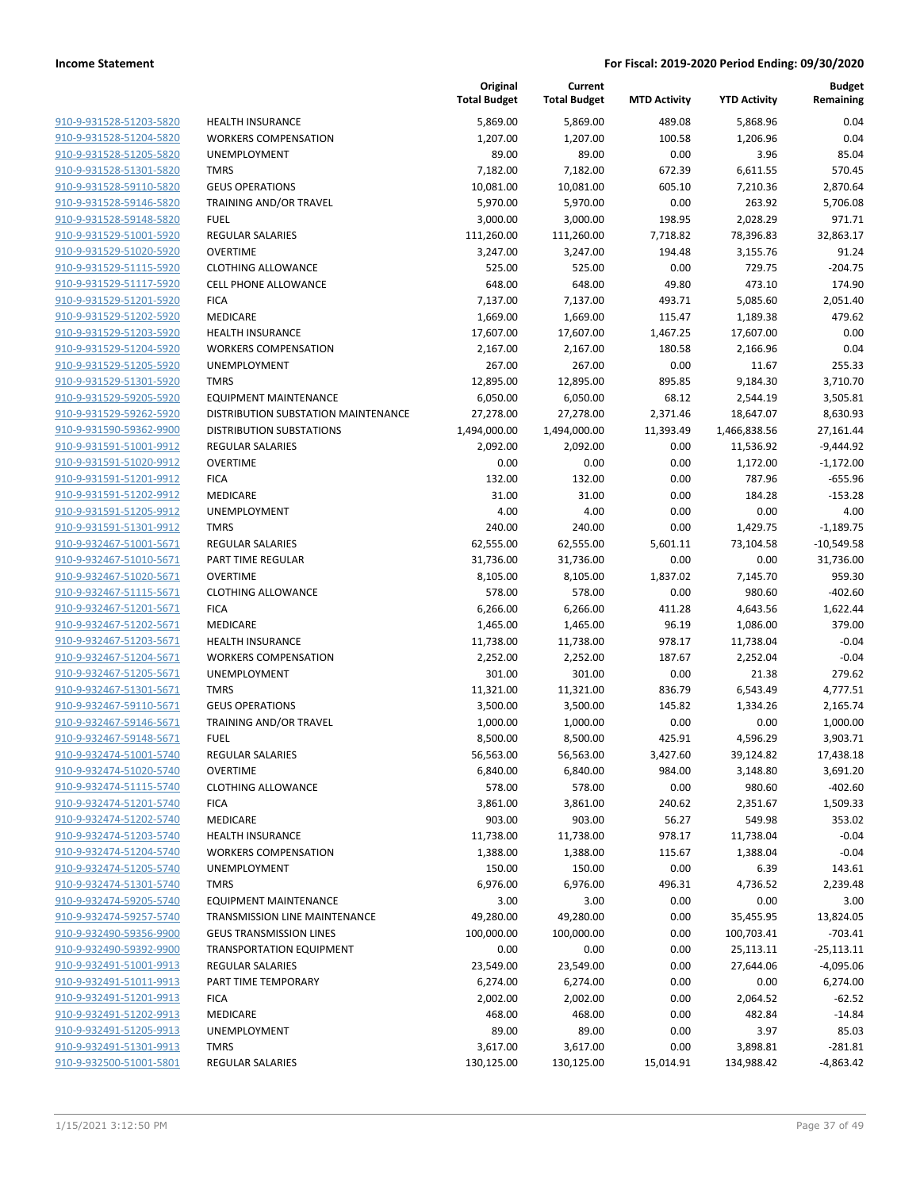| 910-9-931528-51203-5820        |
|--------------------------------|
| 910-9-931528-51204-5820        |
| 910-9-931528-51205-5820        |
| 910-9-931528-51301-5820        |
| <u>910-9-931528-59110-5820</u> |
| 910-9-931528-59146-5820        |
| 910-9-931528-59148-5820        |
| 910-9-931529-51001-5920        |
| 910-9-931529-51020-5920        |
| <u>910-9-931529-51115-5920</u> |
| 910-9-931529-51117-5920        |
| 910-9-931529-51201-5920        |
| 910-9-931529-51202-5920        |
| 910-9-931529-51203-5920        |
| <u>910-9-931529-51204-5920</u> |
| 910-9-931529-51205-5920        |
| 910-9-931529-51301-5920        |
| 910-9-931529-59205-5920        |
|                                |
| 910-9-931529-59262-5920        |
| <u>910-9-931590-59362-9900</u> |
| 910-9-931591-51001-9912        |
| 910-9-931591-51020-9912        |
| 910-9-931591-51201-9912        |
| 910-9-931591-51202-9912        |
| <u>910-9-931591-51205-9912</u> |
| 910-9-931591-51301-9912        |
| 910-9-932467-51001-5671        |
| 910-9-932467-51010-5671        |
| 910-9-932467-51020-5671        |
| <u>910-9-932467-51115-5671</u> |
| 910-9-932467-51201-5671        |
| 910-9-932467-51202-5671        |
| 910-9-932467-51203-5671        |
| 910-9-932467-51204-5671        |
| <u>910-9-932467-51205-5671</u> |
| 910-9-932467-51301-5671        |
| 910-9-932467-59110-5671        |
| 910-9-932467-59146-5671        |
| 910-9-932467-59148-5671        |
| <u>910-9-932474-51001-5740</u> |
| 910-9-932474-51020-5740        |
| 910-9-932474-51115-5740        |
| 910-9-932474-51201-5740        |
| 910-9-932474-51202-5740        |
| <u>910-9-932474-51203-5740</u> |
| 910-9-932474-51204-5740        |
| 910-9-932474-51205-5740        |
|                                |
| 910-9-932474-51301-5740        |
| 910-9-932474-59205-5740        |
| 910-9-932474-59257-5740        |
| 910-9-932490-59356-9900        |
| 910-9-932490-59392-9900        |
| 910-9-932491-51001-9913        |
| 910-9-932491-51011-9913        |
| <u>910-9-932491-51201-9913</u> |
| 910-9-932491-51202-9913        |
| 910-9-932491-51205-9913        |
| 910-9-932491-51301-9913        |
| 910-9-932500-51001-5801        |
|                                |

|                                                    |                                     | Original<br><b>Total Budget</b> | Current<br><b>Total Budget</b> | <b>MTD Activity</b> | <b>YTD Activity</b> | <b>Budget</b><br>Remaining |
|----------------------------------------------------|-------------------------------------|---------------------------------|--------------------------------|---------------------|---------------------|----------------------------|
| 910-9-931528-51203-5820                            | <b>HEALTH INSURANCE</b>             | 5,869.00                        | 5,869.00                       | 489.08              | 5,868.96            | 0.04                       |
| 910-9-931528-51204-5820                            | <b>WORKERS COMPENSATION</b>         | 1,207.00                        | 1,207.00                       | 100.58              | 1,206.96            | 0.04                       |
| 910-9-931528-51205-5820                            | <b>UNEMPLOYMENT</b>                 | 89.00                           | 89.00                          | 0.00                | 3.96                | 85.04                      |
| 910-9-931528-51301-5820                            | <b>TMRS</b>                         | 7,182.00                        | 7,182.00                       | 672.39              | 6,611.55            | 570.45                     |
| 910-9-931528-59110-5820                            | <b>GEUS OPERATIONS</b>              | 10,081.00                       | 10,081.00                      | 605.10              | 7,210.36            | 2,870.64                   |
| 910-9-931528-59146-5820                            | TRAINING AND/OR TRAVEL              | 5,970.00                        | 5,970.00                       | 0.00                | 263.92              | 5,706.08                   |
| 910-9-931528-59148-5820                            | <b>FUEL</b>                         | 3,000.00                        | 3,000.00                       | 198.95              | 2,028.29            | 971.71                     |
| 910-9-931529-51001-5920                            | REGULAR SALARIES                    | 111,260.00                      | 111,260.00                     | 7,718.82            | 78,396.83           | 32,863.17                  |
| 910-9-931529-51020-5920                            | <b>OVERTIME</b>                     | 3,247.00                        | 3,247.00                       | 194.48              | 3,155.76            | 91.24                      |
| 910-9-931529-51115-5920                            | <b>CLOTHING ALLOWANCE</b>           | 525.00                          | 525.00                         | 0.00                | 729.75              | $-204.75$                  |
| 910-9-931529-51117-5920                            | <b>CELL PHONE ALLOWANCE</b>         | 648.00                          | 648.00                         | 49.80               | 473.10              | 174.90                     |
| 910-9-931529-51201-5920                            | <b>FICA</b>                         | 7,137.00                        | 7,137.00                       | 493.71              | 5,085.60            | 2,051.40                   |
| 910-9-931529-51202-5920                            | MEDICARE                            | 1,669.00                        | 1,669.00                       | 115.47              | 1,189.38            | 479.62                     |
| 910-9-931529-51203-5920                            | <b>HEALTH INSURANCE</b>             | 17,607.00                       | 17,607.00                      | 1,467.25            | 17,607.00           | 0.00                       |
| 910-9-931529-51204-5920                            | <b>WORKERS COMPENSATION</b>         | 2,167.00                        | 2,167.00                       | 180.58              | 2,166.96            | 0.04                       |
| 910-9-931529-51205-5920                            | UNEMPLOYMENT                        | 267.00                          | 267.00                         | 0.00                | 11.67               | 255.33                     |
| 910-9-931529-51301-5920                            | <b>TMRS</b>                         | 12,895.00                       | 12,895.00                      | 895.85              | 9,184.30            | 3,710.70                   |
| 910-9-931529-59205-5920                            | <b>EQUIPMENT MAINTENANCE</b>        | 6,050.00                        | 6,050.00                       | 68.12               | 2,544.19            | 3,505.81                   |
| 910-9-931529-59262-5920                            | DISTRIBUTION SUBSTATION MAINTENANCE | 27,278.00                       | 27,278.00                      | 2,371.46            | 18,647.07           | 8,630.93                   |
| 910-9-931590-59362-9900                            | <b>DISTRIBUTION SUBSTATIONS</b>     | 1,494,000.00                    | 1,494,000.00                   | 11,393.49           | 1,466,838.56        | 27,161.44                  |
| 910-9-931591-51001-9912                            | <b>REGULAR SALARIES</b>             | 2,092.00                        | 2,092.00                       | 0.00                | 11,536.92           | $-9,444.92$                |
| 910-9-931591-51020-9912                            | <b>OVERTIME</b>                     | 0.00                            | 0.00                           | 0.00                | 1,172.00            | $-1,172.00$                |
| 910-9-931591-51201-9912                            | <b>FICA</b>                         | 132.00                          | 132.00                         | 0.00                | 787.96              | $-655.96$                  |
| 910-9-931591-51202-9912                            | MEDICARE                            | 31.00                           | 31.00                          | 0.00                | 184.28              | $-153.28$                  |
| 910-9-931591-51205-9912                            | UNEMPLOYMENT                        | 4.00                            | 4.00                           | 0.00                | 0.00                | 4.00                       |
| 910-9-931591-51301-9912                            | <b>TMRS</b>                         | 240.00                          | 240.00                         | 0.00                | 1,429.75            | $-1,189.75$                |
| 910-9-932467-51001-5671                            | REGULAR SALARIES                    | 62,555.00                       | 62,555.00                      | 5,601.11            | 73,104.58           | $-10,549.58$               |
| 910-9-932467-51010-5671                            | PART TIME REGULAR                   | 31,736.00                       | 31,736.00                      | 0.00                | 0.00                | 31,736.00                  |
| 910-9-932467-51020-5671                            | <b>OVERTIME</b>                     | 8,105.00                        | 8,105.00                       | 1,837.02            | 7,145.70            | 959.30                     |
| 910-9-932467-51115-5671                            | <b>CLOTHING ALLOWANCE</b>           | 578.00                          | 578.00                         | 0.00                | 980.60              | $-402.60$                  |
| 910-9-932467-51201-5671                            | <b>FICA</b>                         | 6,266.00                        | 6,266.00                       | 411.28              | 4,643.56            | 1,622.44                   |
| 910-9-932467-51202-5671                            | MEDICARE                            | 1,465.00                        | 1,465.00                       | 96.19               | 1,086.00            | 379.00                     |
| 910-9-932467-51203-5671                            | HEALTH INSURANCE                    | 11,738.00                       | 11,738.00                      | 978.17              | 11,738.04           | $-0.04$                    |
| 910-9-932467-51204-5671                            | <b>WORKERS COMPENSATION</b>         | 2,252.00                        | 2,252.00                       | 187.67              | 2,252.04            | $-0.04$                    |
| 910-9-932467-51205-5671                            | UNEMPLOYMENT                        | 301.00                          | 301.00                         | 0.00                | 21.38               | 279.62                     |
| 910-9-932467-51301-5671                            | <b>TMRS</b>                         | 11,321.00                       | 11,321.00                      | 836.79              | 6,543.49            | 4,777.51                   |
| 910-9-932467-59110-5671                            | <b>GEUS OPERATIONS</b>              | 3,500.00                        | 3,500.00                       | 145.82              | 1,334.26            | 2,165.74                   |
| 910-9-932467-59146-5671                            | TRAINING AND/OR TRAVEL              | 1,000.00                        | 1,000.00                       | 0.00                | 0.00                | 1,000.00                   |
| 910-9-932467-59148-5671                            | <b>FUEL</b>                         | 8,500.00                        | 8,500.00                       | 425.91              | 4,596.29            | 3,903.71                   |
| 910-9-932474-51001-5740                            | REGULAR SALARIES                    | 56,563.00                       | 56,563.00                      | 3,427.60            | 39,124.82           | 17,438.18                  |
| 910-9-932474-51020-5740                            | <b>OVERTIME</b>                     | 6,840.00                        | 6,840.00                       | 984.00              | 3,148.80            | 3,691.20                   |
| 910-9-932474-51115-5740                            | <b>CLOTHING ALLOWANCE</b>           | 578.00                          | 578.00                         | 0.00                | 980.60              | $-402.60$                  |
| 910-9-932474-51201-5740                            | <b>FICA</b>                         | 3,861.00                        | 3,861.00                       | 240.62              | 2,351.67            | 1,509.33                   |
| 910-9-932474-51202-5740                            | MEDICARE                            | 903.00                          | 903.00                         | 56.27               | 549.98              | 353.02                     |
| 910-9-932474-51203-5740                            | <b>HEALTH INSURANCE</b>             | 11,738.00                       | 11,738.00                      | 978.17              | 11,738.04           | $-0.04$                    |
| 910-9-932474-51204-5740                            | <b>WORKERS COMPENSATION</b>         | 1,388.00                        | 1,388.00                       | 115.67              | 1,388.04            | $-0.04$                    |
| 910-9-932474-51205-5740                            | UNEMPLOYMENT                        | 150.00                          | 150.00                         | 0.00                | 6.39                | 143.61                     |
| 910-9-932474-51301-5740                            | <b>TMRS</b>                         | 6,976.00                        | 6,976.00                       | 496.31              | 4,736.52            | 2,239.48                   |
| 910-9-932474-59205-5740                            | <b>EQUIPMENT MAINTENANCE</b>        | 3.00                            | 3.00                           | 0.00                | 0.00                | 3.00                       |
| 910-9-932474-59257-5740                            | TRANSMISSION LINE MAINTENANCE       | 49,280.00                       | 49,280.00                      | 0.00                | 35,455.95           | 13,824.05                  |
| 910-9-932490-59356-9900                            | <b>GEUS TRANSMISSION LINES</b>      | 100,000.00                      | 100,000.00                     | 0.00                | 100,703.41          | $-703.41$                  |
| 910-9-932490-59392-9900                            | <b>TRANSPORTATION EQUIPMENT</b>     | 0.00                            | 0.00                           | 0.00                | 25,113.11           | $-25,113.11$               |
| 910-9-932491-51001-9913                            | REGULAR SALARIES                    | 23,549.00                       | 23,549.00                      | 0.00                | 27,644.06           | $-4,095.06$                |
| 910-9-932491-51011-9913                            | PART TIME TEMPORARY                 | 6,274.00                        | 6,274.00                       | 0.00                | 0.00                | 6,274.00                   |
| 910-9-932491-51201-9913                            | <b>FICA</b>                         | 2,002.00                        | 2,002.00                       | 0.00                | 2,064.52            | $-62.52$                   |
| 910-9-932491-51202-9913                            | MEDICARE                            | 468.00                          | 468.00                         | 0.00                | 482.84              | $-14.84$                   |
|                                                    | UNEMPLOYMENT                        | 89.00                           |                                |                     |                     | 85.03                      |
| 910-9-932491-51205-9913                            |                                     |                                 | 89.00                          | 0.00                | 3.97                |                            |
| 910-9-932491-51301-9913<br>910-9-932500-51001-5801 | <b>TMRS</b>                         | 3,617.00                        | 3,617.00                       | 0.00                | 3,898.81            | $-281.81$                  |
|                                                    | <b>REGULAR SALARIES</b>             | 130,125.00                      | 130,125.00                     | 15,014.91           | 134,988.42          | $-4,863.42$                |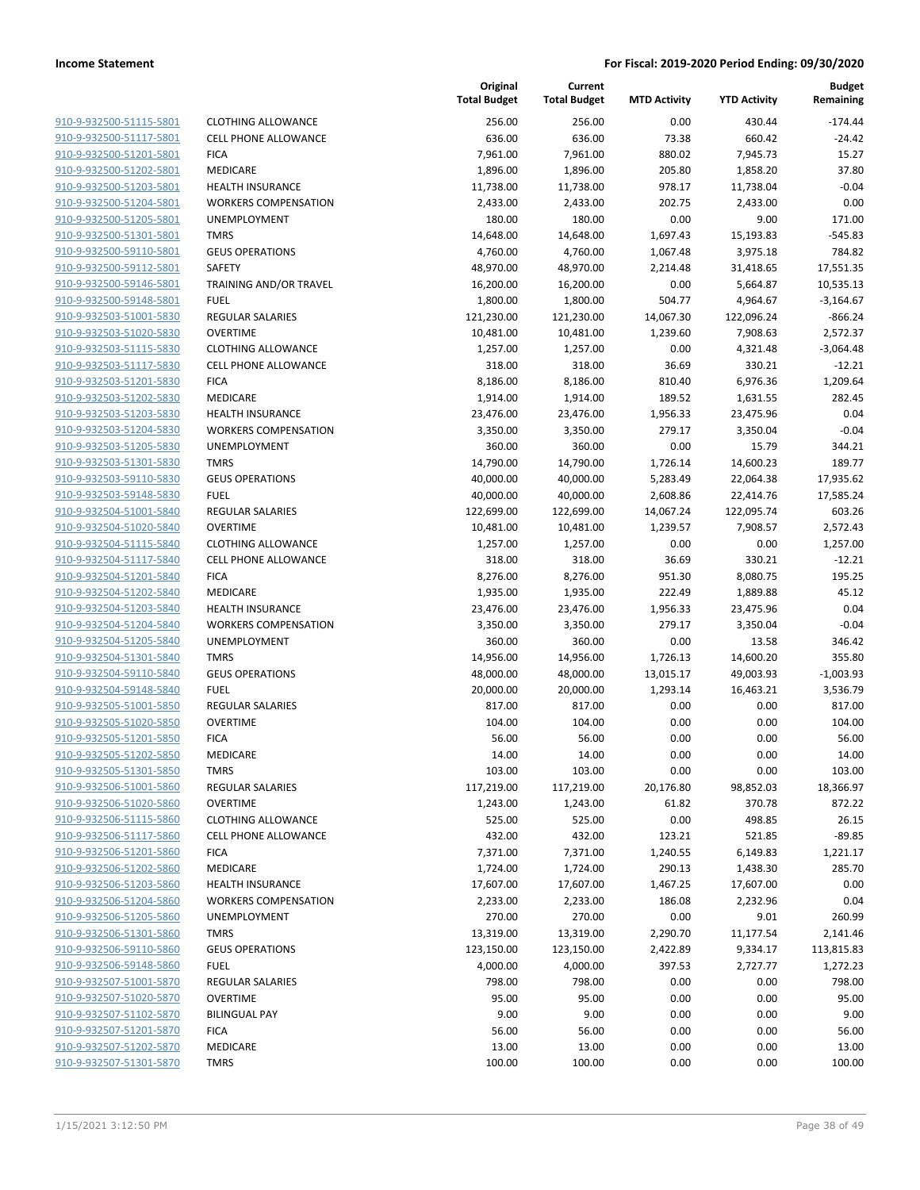| 910-9-932500-51115-5801                    |
|--------------------------------------------|
| 910-9-932500-51117-5801                    |
| 910-9-932500-51201-5801                    |
| 910-9-932500-51202-5801                    |
| <u>910-9-932500-51203-5801</u>             |
| 910-9-932500-51204-5801                    |
| 910-9-932500-51205-5801                    |
| 910-9-932500-51301-5801                    |
| 910-9-932500-59110-5801                    |
| 910-9-932500-59112-5801                    |
| 910-9-932500-59146-5801                    |
| 910-9-932500-59148-5801                    |
| 910-9-932503-51001-5830                    |
| 910-9-932503-51020-5830                    |
|                                            |
| <u>910-9-932503-51115-5830</u>             |
| 910-9-932503-51117-5830                    |
| 910-9-932503-51201-5830                    |
| 910-9-932503-51202-5830                    |
| 910-9-932503-51203-5830                    |
| 910-9-932503-51204-5830                    |
| 910-9-932503-51205-5830                    |
| 910-9-932503-51301-5830                    |
| 910-9-932503-59110-5830                    |
| 910-9-932503-59148-5830                    |
| 910-9-932504-51001-5840                    |
| 910-9-932504-51020-5840                    |
| 910-9-932504-51115-5840                    |
| 910-9-932504-51117-5840                    |
| 910-9-932504-51201-5840                    |
| <u>910-9-932504-51202-5840</u>             |
|                                            |
| 910-9-932504-51203-5840                    |
| 910-9-932504-51204-5840                    |
| 910-9-932504-51205-5840                    |
| 910-9-932504-51301-5840                    |
| <u>910-9-932504-59110-5840</u>             |
| 910-9-932504-59148-5840                    |
| 910-9-932505-51001-5850                    |
| 910-9-932505-51020-5850                    |
| 910-9-932505-51201-5850                    |
| <u>910-9-932505-51202-5850</u>             |
| 910-9-932505-51301-5850                    |
| 910-9-932506-51001-5860                    |
| 910-9-932506-51020-5860                    |
| 910-9-932506-51115-5860                    |
| <u>910-9-932506-51117-5860</u>             |
| 910-9-932506-51201-5860                    |
| 910-9-932506-51202-5860                    |
| 910-9-932506-51203-5860                    |
|                                            |
| 910-9-932506-51204-5860                    |
| 910-9-932506-51205-5860                    |
| <u>910-9-932506-51301-5860</u>             |
| 910-9-932506-59110-5860                    |
| 910-9-932506-59148-5860                    |
| 910-9-932507-51001-5870                    |
| <u>910-9-932507-51020-5870</u>             |
| 910-9-932507-51102-5870                    |
| <u>910-9-932507-51201-</u><br><u>-5870</u> |
| 910-9-932507-51202-5870                    |
| 910-9-932507-51301-5870                    |
|                                            |

|                                                    |                                        | Original<br><b>Total Budget</b> | Current<br><b>Total Budget</b> | <b>MTD Activity</b>   | <b>YTD Activity</b>    | <b>Budget</b><br>Remaining |
|----------------------------------------------------|----------------------------------------|---------------------------------|--------------------------------|-----------------------|------------------------|----------------------------|
| 910-9-932500-51115-5801                            | <b>CLOTHING ALLOWANCE</b>              | 256.00                          | 256.00                         | 0.00                  | 430.44                 | $-174.44$                  |
| 910-9-932500-51117-5801                            | <b>CELL PHONE ALLOWANCE</b>            | 636.00                          | 636.00                         | 73.38                 | 660.42                 | $-24.42$                   |
| 910-9-932500-51201-5801                            | <b>FICA</b>                            | 7,961.00                        | 7,961.00                       | 880.02                | 7,945.73               | 15.27                      |
| 910-9-932500-51202-5801                            | MEDICARE                               | 1,896.00                        | 1,896.00                       | 205.80                | 1,858.20               | 37.80                      |
| 910-9-932500-51203-5801                            | <b>HEALTH INSURANCE</b>                | 11,738.00                       | 11,738.00                      | 978.17                | 11,738.04              | $-0.04$                    |
| 910-9-932500-51204-5801                            | <b>WORKERS COMPENSATION</b>            | 2,433.00                        | 2,433.00                       | 202.75                | 2,433.00               | 0.00                       |
| 910-9-932500-51205-5801                            | UNEMPLOYMENT                           | 180.00                          | 180.00                         | 0.00                  | 9.00                   | 171.00                     |
| 910-9-932500-51301-5801                            | <b>TMRS</b>                            | 14,648.00                       | 14,648.00                      | 1,697.43              | 15,193.83              | $-545.83$                  |
| 910-9-932500-59110-5801                            | <b>GEUS OPERATIONS</b>                 | 4,760.00                        | 4,760.00                       | 1,067.48              | 3,975.18               | 784.82                     |
| 910-9-932500-59112-5801                            | <b>SAFETY</b>                          | 48,970.00                       | 48,970.00                      | 2,214.48              | 31,418.65              | 17,551.35                  |
| 910-9-932500-59146-5801                            | TRAINING AND/OR TRAVEL                 | 16,200.00                       | 16,200.00                      | 0.00                  | 5,664.87               | 10,535.13                  |
| 910-9-932500-59148-5801                            | <b>FUEL</b>                            | 1,800.00                        | 1,800.00                       | 504.77                | 4,964.67               | $-3,164.67$                |
| 910-9-932503-51001-5830                            | <b>REGULAR SALARIES</b>                | 121,230.00                      | 121,230.00                     | 14,067.30             | 122,096.24             | $-866.24$                  |
| 910-9-932503-51020-5830                            | <b>OVERTIME</b>                        | 10,481.00                       | 10,481.00                      | 1,239.60              | 7,908.63               | 2,572.37                   |
| 910-9-932503-51115-5830                            | <b>CLOTHING ALLOWANCE</b>              | 1,257.00                        | 1,257.00                       | 0.00                  | 4,321.48               | $-3,064.48$                |
| 910-9-932503-51117-5830                            | <b>CELL PHONE ALLOWANCE</b>            | 318.00                          | 318.00                         | 36.69                 | 330.21                 | $-12.21$                   |
| 910-9-932503-51201-5830                            | <b>FICA</b>                            | 8,186.00                        | 8,186.00                       | 810.40                | 6,976.36               | 1,209.64                   |
| 910-9-932503-51202-5830                            | MEDICARE                               | 1,914.00                        | 1,914.00                       | 189.52                | 1,631.55               | 282.45                     |
| 910-9-932503-51203-5830                            | <b>HEALTH INSURANCE</b>                | 23,476.00                       | 23,476.00                      | 1,956.33              | 23,475.96              | 0.04                       |
| 910-9-932503-51204-5830                            | <b>WORKERS COMPENSATION</b>            | 3,350.00                        | 3,350.00                       | 279.17                | 3,350.04               | $-0.04$                    |
| 910-9-932503-51205-5830                            | UNEMPLOYMENT                           | 360.00                          | 360.00                         | 0.00                  | 15.79                  | 344.21                     |
| 910-9-932503-51301-5830                            | <b>TMRS</b>                            | 14,790.00                       | 14,790.00                      | 1,726.14              | 14,600.23              | 189.77                     |
| 910-9-932503-59110-5830                            | <b>GEUS OPERATIONS</b>                 | 40,000.00                       | 40,000.00                      | 5,283.49              | 22,064.38              | 17,935.62                  |
| 910-9-932503-59148-5830                            | <b>FUEL</b><br><b>REGULAR SALARIES</b> | 40,000.00                       | 40,000.00                      | 2,608.86              | 22,414.76              | 17,585.24<br>603.26        |
| 910-9-932504-51001-5840<br>910-9-932504-51020-5840 | <b>OVERTIME</b>                        | 122,699.00<br>10,481.00         | 122,699.00<br>10,481.00        | 14,067.24<br>1,239.57 | 122,095.74<br>7,908.57 | 2,572.43                   |
| 910-9-932504-51115-5840                            | <b>CLOTHING ALLOWANCE</b>              | 1,257.00                        | 1,257.00                       | 0.00                  | 0.00                   | 1,257.00                   |
| 910-9-932504-51117-5840                            | <b>CELL PHONE ALLOWANCE</b>            | 318.00                          | 318.00                         | 36.69                 | 330.21                 | $-12.21$                   |
| 910-9-932504-51201-5840                            | <b>FICA</b>                            | 8,276.00                        | 8,276.00                       | 951.30                | 8,080.75               | 195.25                     |
| 910-9-932504-51202-5840                            | MEDICARE                               | 1,935.00                        | 1,935.00                       | 222.49                | 1,889.88               | 45.12                      |
| 910-9-932504-51203-5840                            | <b>HEALTH INSURANCE</b>                | 23,476.00                       | 23,476.00                      | 1,956.33              | 23,475.96              | 0.04                       |
| 910-9-932504-51204-5840                            | <b>WORKERS COMPENSATION</b>            | 3,350.00                        | 3,350.00                       | 279.17                | 3,350.04               | $-0.04$                    |
| 910-9-932504-51205-5840                            | UNEMPLOYMENT                           | 360.00                          | 360.00                         | 0.00                  | 13.58                  | 346.42                     |
| 910-9-932504-51301-5840                            | <b>TMRS</b>                            | 14,956.00                       | 14,956.00                      | 1,726.13              | 14,600.20              | 355.80                     |
| 910-9-932504-59110-5840                            | <b>GEUS OPERATIONS</b>                 | 48,000.00                       | 48,000.00                      | 13,015.17             | 49,003.93              | $-1,003.93$                |
| 910-9-932504-59148-5840                            | <b>FUEL</b>                            | 20,000.00                       | 20,000.00                      | 1,293.14              | 16,463.21              | 3,536.79                   |
| 910-9-932505-51001-5850                            | <b>REGULAR SALARIES</b>                | 817.00                          | 817.00                         | 0.00                  | 0.00                   | 817.00                     |
| 910-9-932505-51020-5850                            | <b>OVERTIME</b>                        | 104.00                          | 104.00                         | 0.00                  | 0.00                   | 104.00                     |
| 910-9-932505-51201-5850                            | <b>FICA</b>                            | 56.00                           | 56.00                          | 0.00                  | 0.00                   | 56.00                      |
| 910-9-932505-51202-5850                            | MEDICARE                               | 14.00                           | 14.00                          | 0.00                  | 0.00                   | 14.00                      |
| 910-9-932505-51301-5850                            | <b>TMRS</b>                            | 103.00                          | 103.00                         | 0.00                  | 0.00                   | 103.00                     |
| 910-9-932506-51001-5860                            | <b>REGULAR SALARIES</b>                | 117,219.00                      | 117,219.00                     | 20,176.80             | 98,852.03              | 18,366.97                  |
| 910-9-932506-51020-5860                            | <b>OVERTIME</b>                        | 1,243.00                        | 1,243.00                       | 61.82                 | 370.78                 | 872.22                     |
| 910-9-932506-51115-5860                            | <b>CLOTHING ALLOWANCE</b>              | 525.00                          | 525.00                         | 0.00                  | 498.85                 | 26.15                      |
| 910-9-932506-51117-5860                            | <b>CELL PHONE ALLOWANCE</b>            | 432.00                          | 432.00                         | 123.21                | 521.85                 | $-89.85$                   |
| 910-9-932506-51201-5860                            | <b>FICA</b>                            | 7,371.00                        | 7,371.00                       | 1,240.55              | 6,149.83               | 1,221.17                   |
| 910-9-932506-51202-5860                            | <b>MEDICARE</b>                        | 1,724.00                        | 1,724.00                       | 290.13                | 1,438.30               | 285.70                     |
| 910-9-932506-51203-5860                            | <b>HEALTH INSURANCE</b>                | 17,607.00                       | 17,607.00                      | 1,467.25              | 17,607.00              | 0.00                       |
| 910-9-932506-51204-5860                            | <b>WORKERS COMPENSATION</b>            | 2,233.00                        | 2,233.00                       | 186.08                | 2,232.96               | 0.04                       |
| 910-9-932506-51205-5860                            | UNEMPLOYMENT                           | 270.00                          | 270.00                         | 0.00                  | 9.01                   | 260.99                     |
| 910-9-932506-51301-5860                            | <b>TMRS</b>                            | 13,319.00                       | 13,319.00                      | 2,290.70              | 11,177.54              | 2,141.46                   |
| 910-9-932506-59110-5860                            | <b>GEUS OPERATIONS</b>                 | 123,150.00                      | 123,150.00                     | 2,422.89              | 9,334.17               | 113,815.83                 |
| 910-9-932506-59148-5860                            | <b>FUEL</b>                            | 4,000.00                        | 4,000.00                       | 397.53                | 2,727.77               | 1,272.23                   |
| 910-9-932507-51001-5870                            | <b>REGULAR SALARIES</b>                | 798.00                          | 798.00                         | 0.00                  | 0.00                   | 798.00                     |
| 910-9-932507-51020-5870                            | <b>OVERTIME</b>                        | 95.00                           | 95.00                          | 0.00                  | 0.00                   | 95.00                      |
| 910-9-932507-51102-5870                            | <b>BILINGUAL PAY</b>                   | 9.00                            | 9.00                           | 0.00                  | 0.00                   | 9.00                       |
| 910-9-932507-51201-5870                            | <b>FICA</b>                            | 56.00                           | 56.00                          | 0.00                  | 0.00                   | 56.00                      |
| 910-9-932507-51202-5870                            | MEDICARE                               | 13.00                           | 13.00                          | 0.00                  | 0.00                   | 13.00                      |
| 910-9-932507-51301-5870                            | <b>TMRS</b>                            | 100.00                          | 100.00                         | 0.00                  | 0.00                   | 100.00                     |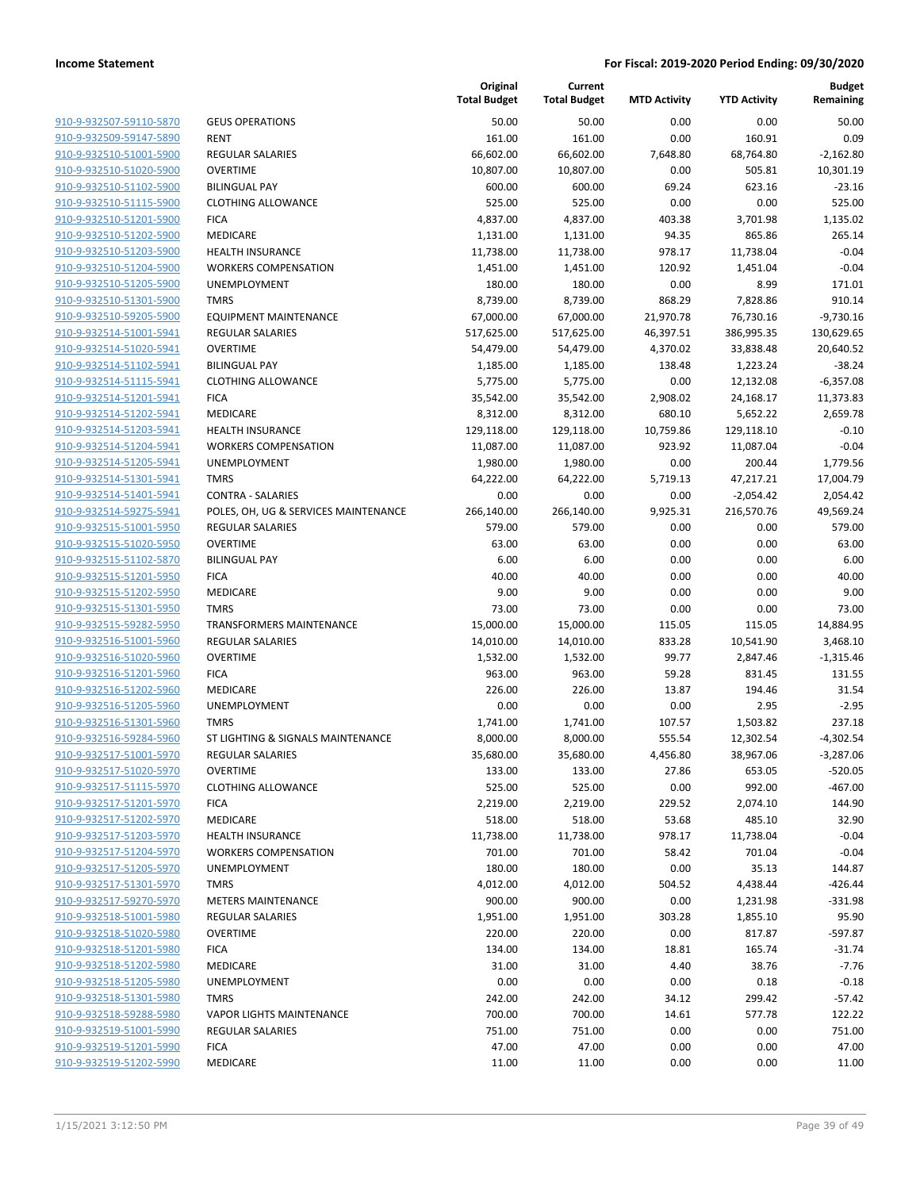| 910-9-932507-59110-5870        |
|--------------------------------|
| 910-9-932509-59147-5890        |
| 910-9-932510-51001-5900        |
| 910-9-932510-51020-5900        |
| 910-9-932510-51102-5900        |
| 910-9-932510-51115-5900        |
| 910-9-932510-51201-5900        |
| 910-9-932510-51202-5900        |
| 910-9-932510-51203-5900        |
| 910-9-932510-51204-5900        |
| 910-9-932510-51205-5900        |
| 910-9-932510-51301-5900        |
| 910-9-932510-59205-5900        |
| 910-9-932514-51001-5941        |
| <u>910-9-932514-51020-5941</u> |
| 910-9-932514-51102-5941        |
| 910-9-932514-51115-5941        |
| 910-9-932514-51201-5941        |
| 910-9-932514-51202-5941        |
| 910-9-932514-51203-5941        |
| 910-9-932514-51204-5941        |
| 910-9-932514-51205-5941        |
| 910-9-932514-51301-5941        |
| 910-9-932514-51401-5941        |
| <u>910-9-932514-59275-5941</u> |
| 910-9-932515-51001-5950        |
| 910-9-932515-51020-5950        |
| 910-9-932515-51102-5870        |
| 910-9-932515-51201-5950        |
| 910-9-932515-51202-5950        |
| 910-9-932515-51301-5950        |
| 910-9-932515-59282-5950        |
| 910-9-932516-51001-5960        |
| 910-9-932516-51020-5960        |
| 910-9-932516-51201-5960        |
| 910-9-932516-51202-5960        |
| 910-9-932516-51205-5960        |
| 910-9-932516-51301-5960        |
| 910-9-932516-59284-5960        |
| 910-9-932517-51001-5970        |
| 910-9-932517-51020-5970        |
| 910-9-932517-51115-5970        |
| 910-9-932517-51201-5970        |
| 910-9-932517-51202-5970        |
| 910-9-932517-51203-5970        |
| 910-9-932517-51204-5970        |
| 910-9-932517-51205-5970        |
|                                |
| 910-9-932517-51301-5970        |
| 910-9-932517-59270-5970        |
| <u>910-9-932518-51001-5980</u> |
| 910-9-932518-51020-5980        |
| 910-9-932518-51201-5980        |
| 910-9-932518-51202-5980        |
| <u>910-9-932518-51205-5980</u> |
| <u>910-9-932518-51301-5980</u> |
| 910-9-932518-59288-5980        |
| 910-9-932519-51001-5990        |
| 910-9-932519-51201-5990        |
| 910-9-932519-51202-5990        |

|                         |                                      | Original<br><b>Total Budget</b> | Current<br><b>Total Budget</b> | <b>MTD Activity</b> | <b>YTD Activity</b> | <b>Budget</b><br>Remaining |
|-------------------------|--------------------------------------|---------------------------------|--------------------------------|---------------------|---------------------|----------------------------|
| 910-9-932507-59110-5870 | <b>GEUS OPERATIONS</b>               | 50.00                           | 50.00                          | 0.00                | 0.00                | 50.00                      |
| 910-9-932509-59147-5890 | RENT                                 | 161.00                          | 161.00                         | 0.00                | 160.91              | 0.09                       |
| 910-9-932510-51001-5900 | <b>REGULAR SALARIES</b>              | 66,602.00                       | 66,602.00                      | 7,648.80            | 68,764.80           | $-2,162.80$                |
| 910-9-932510-51020-5900 | <b>OVERTIME</b>                      | 10,807.00                       | 10,807.00                      | 0.00                | 505.81              | 10,301.19                  |
| 910-9-932510-51102-5900 | <b>BILINGUAL PAY</b>                 | 600.00                          | 600.00                         | 69.24               | 623.16              | $-23.16$                   |
| 910-9-932510-51115-5900 | <b>CLOTHING ALLOWANCE</b>            | 525.00                          | 525.00                         | 0.00                | 0.00                | 525.00                     |
| 910-9-932510-51201-5900 | <b>FICA</b>                          | 4,837.00                        | 4,837.00                       | 403.38              | 3,701.98            | 1,135.02                   |
| 910-9-932510-51202-5900 | MEDICARE                             | 1,131.00                        | 1,131.00                       | 94.35               | 865.86              | 265.14                     |
| 910-9-932510-51203-5900 | HEALTH INSURANCE                     | 11,738.00                       | 11,738.00                      | 978.17              | 11,738.04           | $-0.04$                    |
| 910-9-932510-51204-5900 | <b>WORKERS COMPENSATION</b>          | 1,451.00                        | 1,451.00                       | 120.92              | 1,451.04            | $-0.04$                    |
| 910-9-932510-51205-5900 | <b>UNEMPLOYMENT</b>                  | 180.00                          | 180.00                         | 0.00                | 8.99                | 171.01                     |
| 910-9-932510-51301-5900 | <b>TMRS</b>                          | 8,739.00                        | 8,739.00                       | 868.29              | 7,828.86            | 910.14                     |
| 910-9-932510-59205-5900 | <b>EQUIPMENT MAINTENANCE</b>         | 67,000.00                       | 67,000.00                      | 21,970.78           | 76,730.16           | $-9,730.16$                |
| 910-9-932514-51001-5941 | <b>REGULAR SALARIES</b>              | 517,625.00                      | 517,625.00                     | 46,397.51           | 386,995.35          | 130,629.65                 |
| 910-9-932514-51020-5941 | <b>OVERTIME</b>                      | 54,479.00                       | 54,479.00                      | 4,370.02            | 33,838.48           | 20,640.52                  |
| 910-9-932514-51102-5941 | <b>BILINGUAL PAY</b>                 | 1,185.00                        | 1,185.00                       | 138.48              | 1,223.24            | $-38.24$                   |
| 910-9-932514-51115-5941 | <b>CLOTHING ALLOWANCE</b>            | 5,775.00                        | 5,775.00                       | 0.00                | 12,132.08           | $-6,357.08$                |
| 910-9-932514-51201-5941 | <b>FICA</b>                          | 35,542.00                       | 35,542.00                      | 2,908.02            | 24,168.17           | 11,373.83                  |
| 910-9-932514-51202-5941 | MEDICARE                             | 8,312.00                        | 8,312.00                       | 680.10              | 5,652.22            | 2,659.78                   |
| 910-9-932514-51203-5941 | <b>HEALTH INSURANCE</b>              | 129,118.00                      | 129,118.00                     | 10,759.86           | 129,118.10          | $-0.10$                    |
| 910-9-932514-51204-5941 | <b>WORKERS COMPENSATION</b>          | 11,087.00                       | 11,087.00                      | 923.92              | 11,087.04           | $-0.04$                    |
| 910-9-932514-51205-5941 | UNEMPLOYMENT                         | 1,980.00                        | 1,980.00                       | 0.00                | 200.44              | 1,779.56                   |
| 910-9-932514-51301-5941 | <b>TMRS</b>                          | 64,222.00                       | 64,222.00                      | 5,719.13            | 47,217.21           | 17,004.79                  |
| 910-9-932514-51401-5941 | <b>CONTRA - SALARIES</b>             | 0.00                            | 0.00                           | 0.00                | $-2,054.42$         | 2,054.42                   |
| 910-9-932514-59275-5941 | POLES, OH, UG & SERVICES MAINTENANCE | 266,140.00                      | 266,140.00                     | 9,925.31            | 216,570.76          | 49,569.24                  |
| 910-9-932515-51001-5950 | <b>REGULAR SALARIES</b>              | 579.00                          | 579.00                         | 0.00                | 0.00                | 579.00                     |
| 910-9-932515-51020-5950 | <b>OVERTIME</b>                      | 63.00                           | 63.00                          | 0.00                | 0.00                | 63.00                      |
| 910-9-932515-51102-5870 | <b>BILINGUAL PAY</b>                 | 6.00                            | 6.00                           | 0.00                | 0.00                | 6.00                       |
| 910-9-932515-51201-5950 | <b>FICA</b>                          | 40.00                           | 40.00                          | 0.00                | 0.00                | 40.00                      |
| 910-9-932515-51202-5950 | MEDICARE                             | 9.00                            | 9.00                           | 0.00                | 0.00                | 9.00                       |
| 910-9-932515-51301-5950 | <b>TMRS</b>                          | 73.00                           | 73.00                          | 0.00                | 0.00                | 73.00                      |
| 910-9-932515-59282-5950 | <b>TRANSFORMERS MAINTENANCE</b>      | 15,000.00                       | 15,000.00                      | 115.05              | 115.05              | 14,884.95                  |
| 910-9-932516-51001-5960 | <b>REGULAR SALARIES</b>              | 14,010.00                       | 14,010.00                      | 833.28              | 10,541.90           | 3,468.10                   |
| 910-9-932516-51020-5960 | <b>OVERTIME</b>                      | 1,532.00                        | 1,532.00                       | 99.77               | 2,847.46            | $-1,315.46$                |
| 910-9-932516-51201-5960 | <b>FICA</b>                          | 963.00                          | 963.00                         | 59.28               | 831.45              | 131.55                     |
| 910-9-932516-51202-5960 | MEDICARE                             | 226.00                          | 226.00                         | 13.87               | 194.46              | 31.54                      |
| 910-9-932516-51205-5960 | UNEMPLOYMENT                         | 0.00                            | 0.00                           | 0.00                | 2.95                | $-2.95$                    |
| 910-9-932516-51301-5960 | <b>TMRS</b>                          | 1,741.00                        | 1,741.00                       | 107.57              | 1,503.82            | 237.18                     |
| 910-9-932516-59284-5960 | ST LIGHTING & SIGNALS MAINTENANCE    | 8,000.00                        | 8,000.00                       | 555.54              | 12,302.54           | $-4,302.54$                |
| 910-9-932517-51001-5970 | <b>REGULAR SALARIES</b>              | 35,680.00                       | 35,680.00                      | 4,456.80            | 38,967.06           | $-3,287.06$                |
| 910-9-932517-51020-5970 | <b>OVERTIME</b>                      | 133.00                          | 133.00                         | 27.86               | 653.05              | $-520.05$                  |
| 910-9-932517-51115-5970 | <b>CLOTHING ALLOWANCE</b>            | 525.00                          | 525.00                         | 0.00                | 992.00              | -467.00                    |
| 910-9-932517-51201-5970 | <b>FICA</b>                          | 2,219.00                        | 2,219.00                       | 229.52              | 2,074.10            | 144.90                     |
| 910-9-932517-51202-5970 | MEDICARE                             | 518.00                          | 518.00                         | 53.68               | 485.10              | 32.90                      |
| 910-9-932517-51203-5970 | <b>HEALTH INSURANCE</b>              | 11,738.00                       | 11,738.00                      | 978.17              | 11,738.04           | $-0.04$                    |
| 910-9-932517-51204-5970 | <b>WORKERS COMPENSATION</b>          | 701.00                          | 701.00                         | 58.42               | 701.04              | $-0.04$                    |
| 910-9-932517-51205-5970 | <b>UNEMPLOYMENT</b>                  | 180.00                          | 180.00                         | 0.00                | 35.13               | 144.87                     |
| 910-9-932517-51301-5970 | <b>TMRS</b>                          | 4,012.00                        | 4,012.00                       | 504.52              | 4,438.44            | $-426.44$                  |
| 910-9-932517-59270-5970 | <b>METERS MAINTENANCE</b>            | 900.00                          | 900.00                         | 0.00                | 1,231.98            | $-331.98$                  |
| 910-9-932518-51001-5980 | <b>REGULAR SALARIES</b>              | 1,951.00                        | 1,951.00                       | 303.28              | 1,855.10            | 95.90                      |
| 910-9-932518-51020-5980 | <b>OVERTIME</b>                      | 220.00                          | 220.00                         | 0.00                | 817.87              | $-597.87$                  |
| 910-9-932518-51201-5980 | <b>FICA</b>                          | 134.00                          | 134.00                         | 18.81               | 165.74              | $-31.74$                   |
| 910-9-932518-51202-5980 | MEDICARE                             | 31.00                           | 31.00                          | 4.40                | 38.76               | $-7.76$                    |
| 910-9-932518-51205-5980 | UNEMPLOYMENT                         | 0.00                            | 0.00                           | 0.00                | 0.18                | $-0.18$                    |
| 910-9-932518-51301-5980 | <b>TMRS</b>                          | 242.00                          | 242.00                         | 34.12               | 299.42              | $-57.42$                   |
| 910-9-932518-59288-5980 | <b>VAPOR LIGHTS MAINTENANCE</b>      | 700.00                          | 700.00                         | 14.61               | 577.78              | 122.22                     |
| 910-9-932519-51001-5990 | <b>REGULAR SALARIES</b>              | 751.00                          | 751.00                         | 0.00                | 0.00                | 751.00                     |
| 910-9-932519-51201-5990 | <b>FICA</b>                          | 47.00                           | 47.00                          | 0.00                | 0.00                | 47.00                      |
| 910-9-932519-51202-5990 | MEDICARE                             | 11.00                           | 11.00                          | 0.00                | 0.00                | 11.00                      |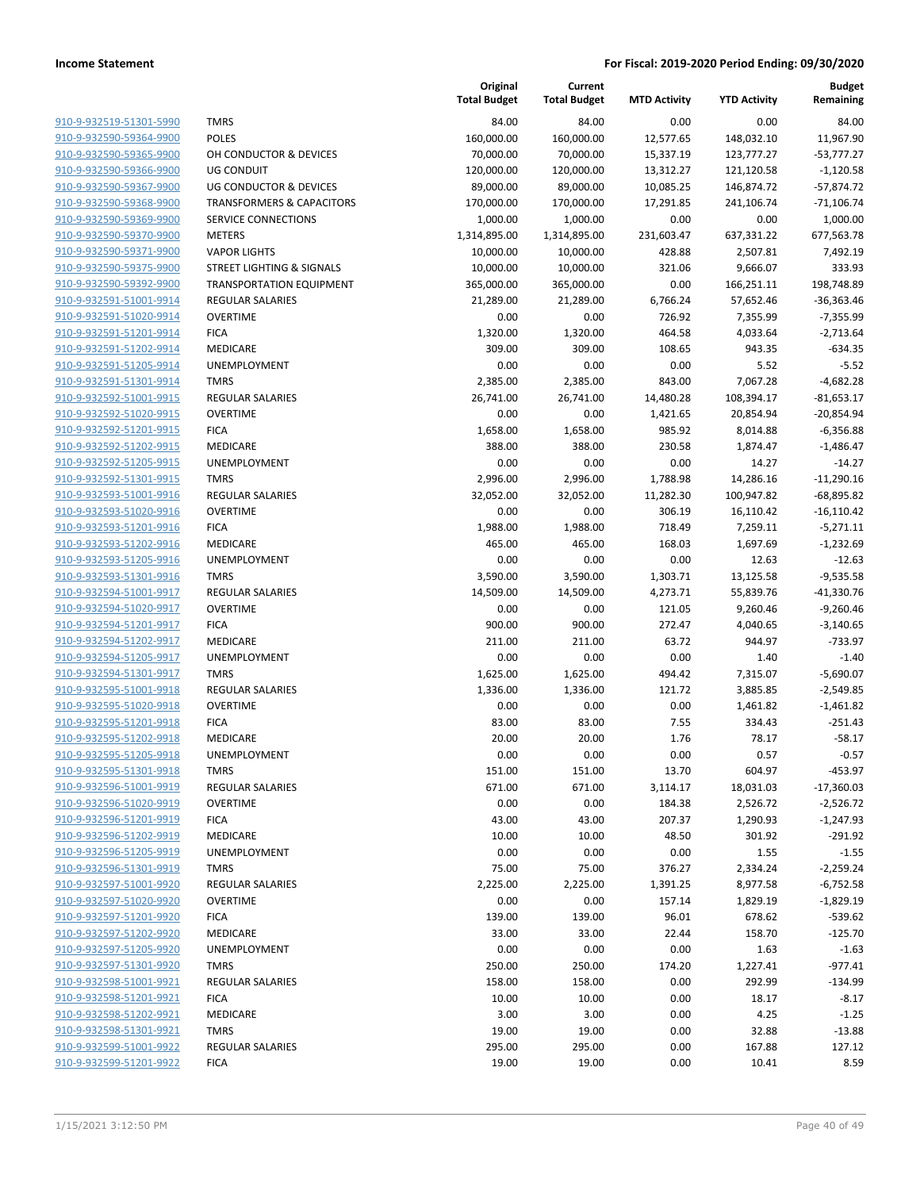|                         |                                      | Original<br><b>Total Budget</b> | Current<br><b>Total Budget</b> | <b>MTD Activity</b> | <b>YTD Activity</b> | <b>Budget</b><br>Remaining |
|-------------------------|--------------------------------------|---------------------------------|--------------------------------|---------------------|---------------------|----------------------------|
| 910-9-932519-51301-5990 | <b>TMRS</b>                          | 84.00                           | 84.00                          | 0.00                | 0.00                | 84.00                      |
| 910-9-932590-59364-9900 | <b>POLES</b>                         | 160,000.00                      | 160,000.00                     | 12,577.65           | 148,032.10          | 11,967.90                  |
| 910-9-932590-59365-9900 | OH CONDUCTOR & DEVICES               | 70,000.00                       | 70,000.00                      | 15,337.19           | 123,777.27          | $-53,777.27$               |
| 910-9-932590-59366-9900 | <b>UG CONDUIT</b>                    | 120,000.00                      | 120,000.00                     | 13,312.27           | 121,120.58          | $-1,120.58$                |
| 910-9-932590-59367-9900 | UG CONDUCTOR & DEVICES               | 89,000.00                       | 89,000.00                      | 10,085.25           | 146,874.72          | $-57,874.72$               |
| 910-9-932590-59368-9900 | <b>TRANSFORMERS &amp; CAPACITORS</b> | 170,000.00                      | 170,000.00                     | 17,291.85           | 241,106.74          | $-71,106.74$               |
| 910-9-932590-59369-9900 | SERVICE CONNECTIONS                  | 1,000.00                        | 1,000.00                       | 0.00                | 0.00                | 1,000.00                   |
| 910-9-932590-59370-9900 | <b>METERS</b>                        | 1,314,895.00                    | 1,314,895.00                   | 231,603.47          | 637,331.22          | 677,563.78                 |
| 910-9-932590-59371-9900 | <b>VAPOR LIGHTS</b>                  | 10,000.00                       | 10,000.00                      | 428.88              | 2,507.81            | 7,492.19                   |
| 910-9-932590-59375-9900 | STREET LIGHTING & SIGNALS            | 10,000.00                       | 10,000.00                      | 321.06              | 9,666.07            | 333.93                     |
| 910-9-932590-59392-9900 | <b>TRANSPORTATION EQUIPMENT</b>      | 365,000.00                      | 365,000.00                     | 0.00                | 166,251.11          | 198,748.89                 |
| 910-9-932591-51001-9914 | <b>REGULAR SALARIES</b>              | 21,289.00                       | 21,289.00                      | 6,766.24            | 57,652.46           | $-36,363.46$               |
| 910-9-932591-51020-9914 | <b>OVERTIME</b>                      | 0.00                            | 0.00                           | 726.92              | 7,355.99            | $-7,355.99$                |
| 910-9-932591-51201-9914 | <b>FICA</b>                          | 1,320.00                        | 1,320.00                       | 464.58              | 4,033.64            | $-2,713.64$                |
| 910-9-932591-51202-9914 | MEDICARE                             | 309.00                          | 309.00                         | 108.65              | 943.35              | $-634.35$                  |
| 910-9-932591-51205-9914 | UNEMPLOYMENT                         | 0.00                            | 0.00                           | 0.00                | 5.52                | $-5.52$                    |
| 910-9-932591-51301-9914 | <b>TMRS</b>                          | 2,385.00                        | 2,385.00                       | 843.00              | 7,067.28            | $-4,682.28$                |
| 910-9-932592-51001-9915 | REGULAR SALARIES                     | 26,741.00                       | 26,741.00                      | 14,480.28           | 108,394.17          | $-81,653.17$               |
| 910-9-932592-51020-9915 | <b>OVERTIME</b>                      | 0.00                            | 0.00                           | 1,421.65            | 20,854.94           | $-20,854.94$               |
| 910-9-932592-51201-9915 | <b>FICA</b>                          | 1,658.00                        | 1,658.00                       | 985.92              | 8,014.88            | $-6,356.88$                |
| 910-9-932592-51202-9915 | MEDICARE                             | 388.00                          | 388.00                         | 230.58              | 1,874.47            | $-1,486.47$                |
| 910-9-932592-51205-9915 | UNEMPLOYMENT                         | 0.00                            | 0.00                           | 0.00                | 14.27               | $-14.27$                   |
| 910-9-932592-51301-9915 | <b>TMRS</b>                          | 2,996.00                        | 2,996.00                       | 1,788.98            | 14,286.16           | $-11,290.16$               |
| 910-9-932593-51001-9916 | <b>REGULAR SALARIES</b>              | 32,052.00                       | 32,052.00                      | 11,282.30           | 100,947.82          | $-68,895.82$               |
| 910-9-932593-51020-9916 | <b>OVERTIME</b>                      | 0.00                            | 0.00                           | 306.19              | 16,110.42           | $-16,110.42$               |
| 910-9-932593-51201-9916 | <b>FICA</b>                          | 1,988.00                        | 1,988.00                       | 718.49              | 7,259.11            | $-5,271.11$                |
| 910-9-932593-51202-9916 | MEDICARE                             | 465.00                          | 465.00                         | 168.03              | 1,697.69            | $-1,232.69$                |
| 910-9-932593-51205-9916 | UNEMPLOYMENT                         | 0.00                            | 0.00                           | 0.00                | 12.63               | $-12.63$                   |
| 910-9-932593-51301-9916 | <b>TMRS</b>                          | 3,590.00                        | 3,590.00                       | 1,303.71            | 13,125.58           | $-9,535.58$                |
| 910-9-932594-51001-9917 | <b>REGULAR SALARIES</b>              | 14,509.00                       | 14,509.00                      | 4,273.71            | 55,839.76           | $-41,330.76$               |
| 910-9-932594-51020-9917 | <b>OVERTIME</b>                      | 0.00                            | 0.00                           | 121.05              | 9,260.46            | $-9,260.46$                |
| 910-9-932594-51201-9917 | <b>FICA</b>                          | 900.00                          | 900.00                         | 272.47              | 4,040.65            | $-3,140.65$                |
| 910-9-932594-51202-9917 | MEDICARE                             | 211.00                          | 211.00                         | 63.72               | 944.97              | $-733.97$                  |
| 910-9-932594-51205-9917 | UNEMPLOYMENT                         | 0.00                            | 0.00                           | 0.00                | 1.40                | $-1.40$                    |
| 910-9-932594-51301-9917 | <b>TMRS</b>                          | 1,625.00                        | 1,625.00                       | 494.42              | 7,315.07            | $-5,690.07$                |
| 910-9-932595-51001-9918 | REGULAR SALARIES                     | 1,336.00                        | 1,336.00                       | 121.72              | 3,885.85            | $-2,549.85$                |
| 910-9-932595-51020-9918 | <b>OVERTIME</b>                      | 0.00                            | 0.00                           | 0.00                | 1,461.82            | $-1,461.82$                |
| 910-9-932595-51201-9918 | <b>FICA</b>                          | 83.00                           | 83.00                          | 7.55                | 334.43              | $-251.43$                  |
| 910-9-932595-51202-9918 | MEDICARE                             | 20.00                           | 20.00                          | 1.76                | 78.17               | $-58.17$                   |
| 910-9-932595-51205-9918 | UNEMPLOYMENT                         | 0.00                            | 0.00                           | 0.00                | 0.57                | $-0.57$                    |
| 910-9-932595-51301-9918 | <b>TMRS</b>                          | 151.00                          | 151.00                         | 13.70               | 604.97              | $-453.97$                  |
| 910-9-932596-51001-9919 | REGULAR SALARIES                     | 671.00                          | 671.00                         | 3,114.17            | 18,031.03           | $-17,360.03$               |
| 910-9-932596-51020-9919 | <b>OVERTIME</b>                      | 0.00                            | 0.00                           | 184.38              | 2,526.72            | $-2,526.72$                |
| 910-9-932596-51201-9919 | <b>FICA</b>                          | 43.00                           | 43.00                          | 207.37              | 1,290.93            | $-1,247.93$                |
| 910-9-932596-51202-9919 | MEDICARE                             | 10.00                           | 10.00                          | 48.50               | 301.92              | $-291.92$                  |
| 910-9-932596-51205-9919 | UNEMPLOYMENT                         | 0.00                            | 0.00                           | 0.00                | 1.55                | $-1.55$                    |
| 910-9-932596-51301-9919 | <b>TMRS</b>                          | 75.00                           | 75.00                          | 376.27              | 2,334.24            | $-2,259.24$                |
| 910-9-932597-51001-9920 | <b>REGULAR SALARIES</b>              | 2,225.00                        | 2,225.00                       | 1,391.25            | 8,977.58            | $-6,752.58$                |
| 910-9-932597-51020-9920 | <b>OVERTIME</b>                      | 0.00                            | 0.00                           | 157.14              | 1,829.19            | $-1,829.19$                |
| 910-9-932597-51201-9920 | <b>FICA</b>                          | 139.00                          | 139.00                         | 96.01               | 678.62              | $-539.62$                  |
| 910-9-932597-51202-9920 | MEDICARE                             | 33.00                           | 33.00                          | 22.44               | 158.70              | $-125.70$                  |
| 910-9-932597-51205-9920 | UNEMPLOYMENT                         | 0.00                            | 0.00                           | 0.00                | 1.63                | $-1.63$                    |
| 910-9-932597-51301-9920 | <b>TMRS</b>                          | 250.00                          | 250.00                         | 174.20              | 1,227.41            | $-977.41$                  |
| 910-9-932598-51001-9921 | <b>REGULAR SALARIES</b>              | 158.00                          | 158.00                         | 0.00                | 292.99              | $-134.99$                  |
| 910-9-932598-51201-9921 | <b>FICA</b>                          | 10.00                           | 10.00                          | 0.00                | 18.17               | $-8.17$                    |
| 910-9-932598-51202-9921 | MEDICARE                             | 3.00                            | 3.00                           | 0.00                | 4.25                | $-1.25$                    |
| 910-9-932598-51301-9921 | <b>TMRS</b>                          | 19.00                           | 19.00                          | 0.00                | 32.88               | $-13.88$                   |
| 910-9-932599-51001-9922 | <b>REGULAR SALARIES</b>              | 295.00                          | 295.00                         | 0.00                | 167.88              | 127.12                     |
| 910-9-932599-51201-9922 | <b>FICA</b>                          | 19.00                           | 19.00                          | 0.00                | 10.41               | 8.59                       |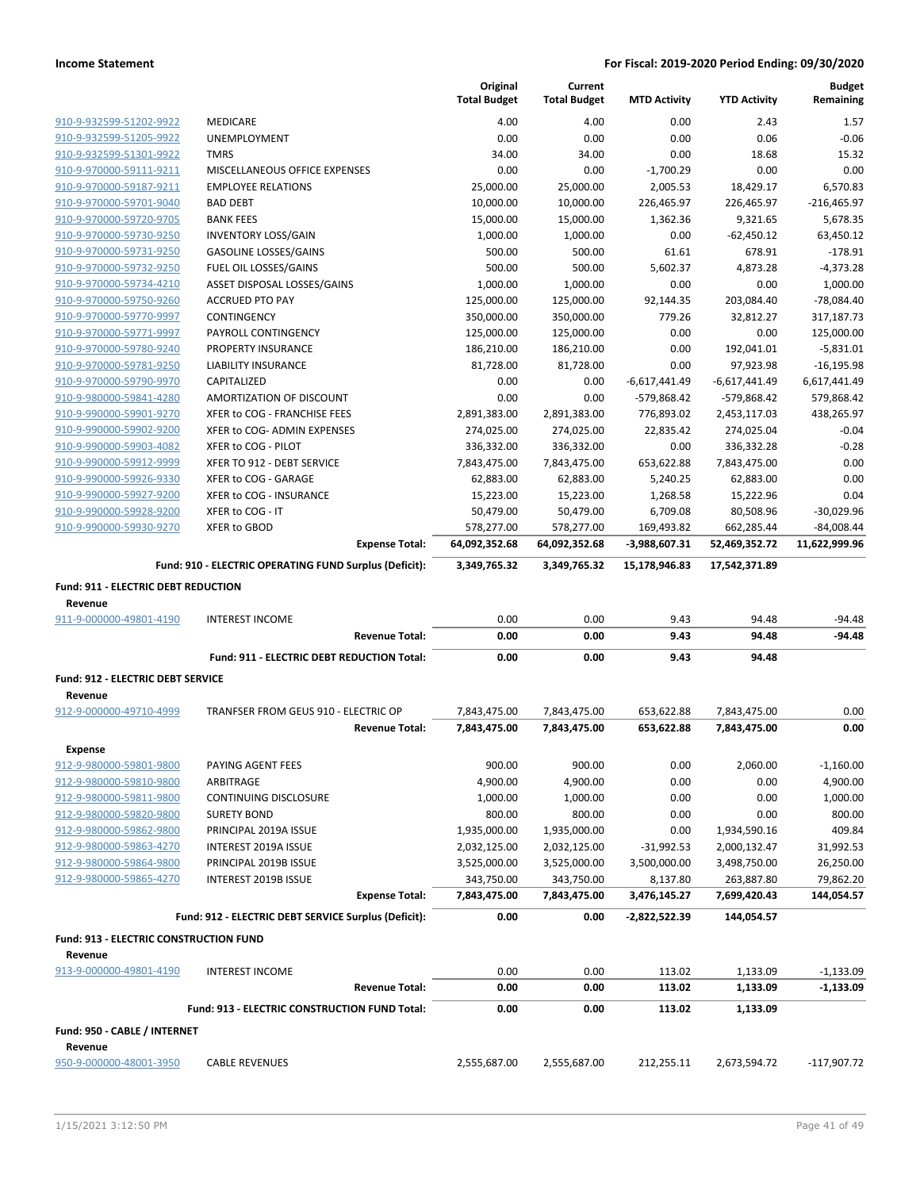|                                               |                                                        | Original<br><b>Total Budget</b> | Current<br><b>Total Budget</b> | <b>MTD Activity</b> | <b>YTD Activity</b> | <b>Budget</b><br>Remaining |
|-----------------------------------------------|--------------------------------------------------------|---------------------------------|--------------------------------|---------------------|---------------------|----------------------------|
| 910-9-932599-51202-9922                       | <b>MEDICARE</b>                                        | 4.00                            | 4.00                           | 0.00                | 2.43                | 1.57                       |
| 910-9-932599-51205-9922                       | UNEMPLOYMENT                                           | 0.00                            | 0.00                           | 0.00                | 0.06                | $-0.06$                    |
| 910-9-932599-51301-9922                       | <b>TMRS</b>                                            | 34.00                           | 34.00                          | 0.00                | 18.68               | 15.32                      |
| 910-9-970000-59111-9211                       | MISCELLANEOUS OFFICE EXPENSES                          | 0.00                            | 0.00                           | $-1,700.29$         | 0.00                | 0.00                       |
| 910-9-970000-59187-9211                       | <b>EMPLOYEE RELATIONS</b>                              | 25,000.00                       | 25,000.00                      | 2,005.53            | 18,429.17           | 6,570.83                   |
| 910-9-970000-59701-9040                       | <b>BAD DEBT</b>                                        | 10,000.00                       | 10,000.00                      | 226,465.97          | 226,465.97          | $-216,465.97$              |
| 910-9-970000-59720-9705                       | <b>BANK FEES</b>                                       | 15,000.00                       | 15,000.00                      | 1,362.36            | 9,321.65            | 5,678.35                   |
| 910-9-970000-59730-9250                       | <b>INVENTORY LOSS/GAIN</b>                             | 1,000.00                        | 1,000.00                       | 0.00                | $-62,450.12$        | 63,450.12                  |
| 910-9-970000-59731-9250                       | <b>GASOLINE LOSSES/GAINS</b>                           | 500.00                          | 500.00                         | 61.61               | 678.91              | $-178.91$                  |
| 910-9-970000-59732-9250                       | FUEL OIL LOSSES/GAINS                                  | 500.00                          | 500.00                         | 5,602.37            | 4,873.28            | $-4,373.28$                |
| 910-9-970000-59734-4210                       | ASSET DISPOSAL LOSSES/GAINS                            | 1,000.00                        | 1,000.00                       | 0.00                | 0.00                | 1,000.00                   |
| 910-9-970000-59750-9260                       | <b>ACCRUED PTO PAY</b>                                 | 125,000.00                      | 125,000.00                     | 92,144.35           | 203,084.40          | $-78,084.40$               |
| 910-9-970000-59770-9997                       | CONTINGENCY                                            | 350,000.00                      | 350,000.00                     | 779.26              | 32,812.27           | 317,187.73                 |
| 910-9-970000-59771-9997                       | PAYROLL CONTINGENCY                                    | 125,000.00                      | 125,000.00                     | 0.00                | 0.00                | 125,000.00                 |
| 910-9-970000-59780-9240                       | PROPERTY INSURANCE                                     | 186,210.00                      | 186,210.00                     | 0.00                | 192,041.01          | $-5,831.01$                |
| 910-9-970000-59781-9250                       | LIABILITY INSURANCE                                    | 81,728.00                       | 81,728.00                      | 0.00                | 97,923.98           | $-16, 195.98$              |
| 910-9-970000-59790-9970                       | CAPITALIZED                                            | 0.00                            | 0.00                           | $-6,617,441.49$     | $-6,617,441.49$     | 6,617,441.49               |
| 910-9-980000-59841-4280                       | AMORTIZATION OF DISCOUNT                               | 0.00                            | 0.00                           | -579,868.42         | -579,868.42         | 579,868.42                 |
| 910-9-990000-59901-9270                       | XFER to COG - FRANCHISE FEES                           | 2,891,383.00                    | 2,891,383.00                   | 776,893.02          | 2,453,117.03        | 438,265.97                 |
| 910-9-990000-59902-9200                       | XFER to COG- ADMIN EXPENSES                            | 274,025.00                      | 274,025.00                     | 22,835.42           | 274,025.04          | $-0.04$                    |
| 910-9-990000-59903-4082                       | XFER to COG - PILOT                                    | 336,332.00                      | 336,332.00                     | 0.00                | 336,332.28          | $-0.28$                    |
| 910-9-990000-59912-9999                       | XFER TO 912 - DEBT SERVICE                             | 7,843,475.00                    | 7,843,475.00                   | 653,622.88          | 7,843,475.00        | 0.00                       |
| 910-9-990000-59926-9330                       | XFER to COG - GARAGE                                   | 62,883.00                       | 62,883.00                      | 5,240.25            | 62,883.00           | 0.00                       |
| 910-9-990000-59927-9200                       | XFER to COG - INSURANCE                                | 15,223.00                       | 15,223.00                      | 1,268.58            | 15,222.96           | 0.04                       |
| 910-9-990000-59928-9200                       | XFER to COG - IT                                       | 50,479.00                       | 50,479.00                      | 6,709.08            | 80,508.96           | $-30,029.96$               |
| 910-9-990000-59930-9270                       | XFER to GBOD                                           | 578,277.00                      | 578,277.00                     | 169,493.82          | 662,285.44          | $-84,008.44$               |
|                                               | <b>Expense Total:</b>                                  | 64,092,352.68                   | 64,092,352.68                  | $-3,988,607.31$     | 52,469,352.72       | 11,622,999.96              |
|                                               | Fund: 910 - ELECTRIC OPERATING FUND Surplus (Deficit): | 3,349,765.32                    | 3,349,765.32                   | 15,178,946.83       | 17,542,371.89       |                            |
| Fund: 911 - ELECTRIC DEBT REDUCTION           |                                                        |                                 |                                |                     |                     |                            |
| Revenue<br>911-9-000000-49801-4190            | <b>INTEREST INCOME</b>                                 | 0.00                            | 0.00                           | 9.43                | 94.48               | $-94.48$                   |
|                                               | <b>Revenue Total:</b>                                  | 0.00                            | 0.00                           | 9.43                | 94.48               | $-94.48$                   |
|                                               | Fund: 911 - ELECTRIC DEBT REDUCTION Total:             | 0.00                            | 0.00                           | 9.43                | 94.48               |                            |
|                                               |                                                        |                                 |                                |                     |                     |                            |
| Fund: 912 - ELECTRIC DEBT SERVICE<br>Revenue  |                                                        |                                 |                                |                     |                     |                            |
| 912-9-000000-49710-4999                       | TRANFSER FROM GEUS 910 - ELECTRIC OP                   | 7,843,475.00                    | 7,843,475.00                   | 653,622.88          | 7,843,475.00        | 0.00                       |
|                                               | <b>Revenue Total:</b>                                  | 7,843,475.00                    | 7,843,475.00                   | 653,622.88          | 7,843,475.00        | 0.00                       |
|                                               |                                                        |                                 |                                |                     |                     |                            |
| <b>Expense</b>                                |                                                        |                                 |                                |                     |                     |                            |
| 912-9-980000-59801-9800                       | PAYING AGENT FEES                                      | 900.00                          | 900.00                         | 0.00                | 2,060.00            | $-1,160.00$                |
| 912-9-980000-59810-9800                       | ARBITRAGE                                              | 4,900.00                        | 4,900.00                       | 0.00                | 0.00                | 4,900.00                   |
| 912-9-980000-59811-9800                       | CONTINUING DISCLOSURE                                  | 1,000.00                        | 1,000.00                       | 0.00                | 0.00                | 1,000.00                   |
| 912-9-980000-59820-9800                       | <b>SURETY BOND</b>                                     | 800.00                          | 800.00                         | 0.00                | 0.00                | 800.00                     |
| 912-9-980000-59862-9800                       | PRINCIPAL 2019A ISSUE                                  | 1,935,000.00                    | 1,935,000.00                   | 0.00                | 1,934,590.16        | 409.84                     |
| 912-9-980000-59863-4270                       | INTEREST 2019A ISSUE                                   | 2,032,125.00                    | 2,032,125.00                   | -31,992.53          | 2,000,132.47        | 31,992.53                  |
| 912-9-980000-59864-9800                       | PRINCIPAL 2019B ISSUE                                  | 3,525,000.00                    | 3,525,000.00                   | 3,500,000.00        | 3,498,750.00        | 26,250.00                  |
| 912-9-980000-59865-4270                       | INTEREST 2019B ISSUE                                   | 343,750.00                      | 343,750.00                     | 8,137.80            | 263,887.80          | 79,862.20                  |
|                                               | <b>Expense Total:</b>                                  | 7,843,475.00                    | 7,843,475.00                   | 3,476,145.27        | 7,699,420.43        | 144,054.57                 |
|                                               | Fund: 912 - ELECTRIC DEBT SERVICE Surplus (Deficit):   | 0.00                            | 0.00                           | -2,822,522.39       | 144,054.57          |                            |
| <b>Fund: 913 - ELECTRIC CONSTRUCTION FUND</b> |                                                        |                                 |                                |                     |                     |                            |
| Revenue                                       |                                                        |                                 |                                |                     |                     |                            |
| 913-9-000000-49801-4190                       | <b>INTEREST INCOME</b>                                 | 0.00                            | 0.00                           | 113.02              | 1,133.09            | $-1,133.09$                |
|                                               | <b>Revenue Total:</b>                                  | 0.00                            | 0.00                           | 113.02              | 1,133.09            | $-1,133.09$                |
|                                               | Fund: 913 - ELECTRIC CONSTRUCTION FUND Total:          | 0.00                            | 0.00                           | 113.02              | 1,133.09            |                            |
| Fund: 950 - CABLE / INTERNET                  |                                                        |                                 |                                |                     |                     |                            |
|                                               |                                                        |                                 |                                |                     |                     |                            |
| Revenue<br>950-9-000000-48001-3950            | <b>CABLE REVENUES</b>                                  | 2,555,687.00                    | 2,555,687.00                   | 212,255.11          | 2,673,594.72        | $-117,907.72$              |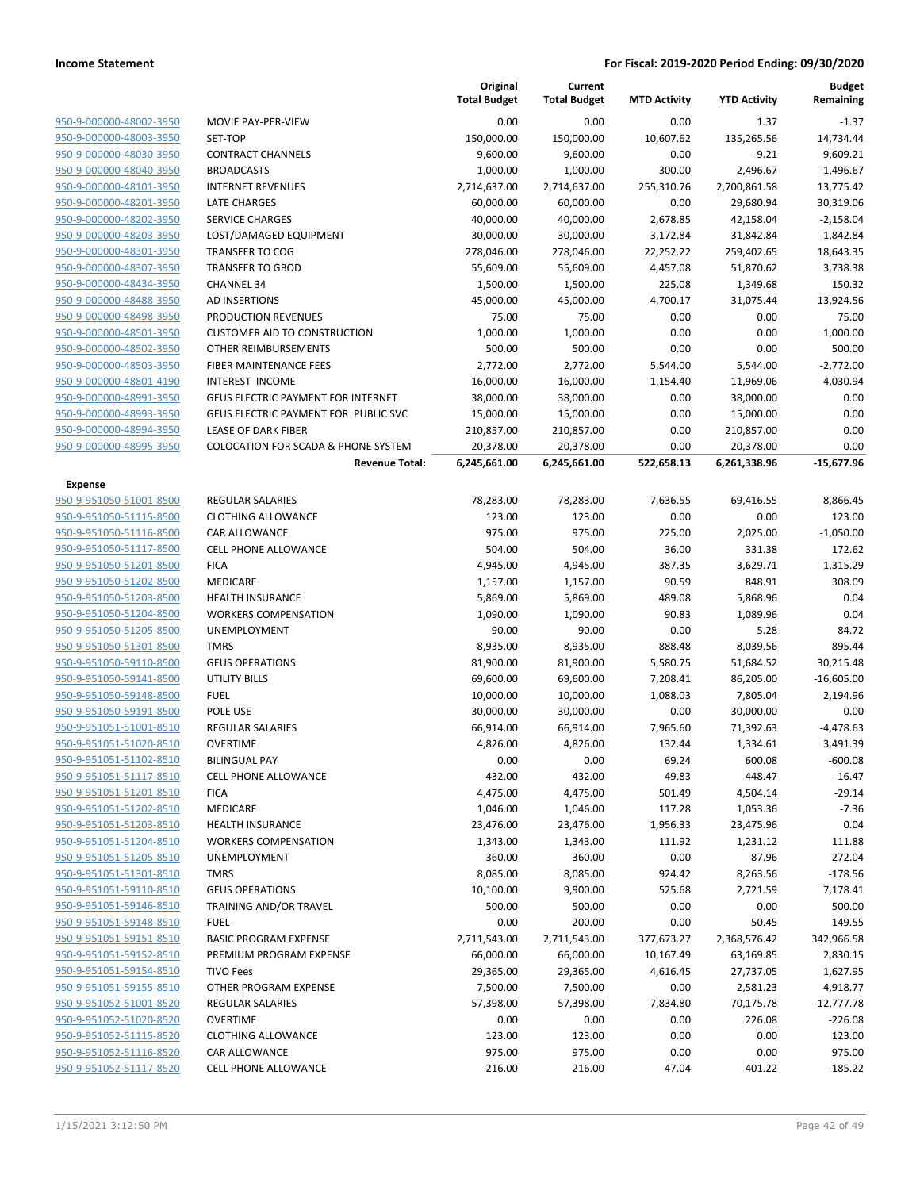**Budget Remaining**

**MTD Activity YTD Activity**

**Current Total Budget**

**Original Total Budget**

| 950-9-000000-48002-3950 |
|-------------------------|
| 950-9-000000-48003-3950 |
| 950-9-000000-48030-3950 |
| 950-9-000000-48040-3950 |
| 950-9-000000-48101-3950 |
| 950-9-000000-48201-3950 |
| 950-9-000000-48202-3950 |
| 950-9-000000-48203-3950 |
| 950-9-000000-48301-3950 |
| 950-9-000000-48307-3950 |
| 950-9-000000-48434-3950 |
| 950-9-000000-48488-3950 |
| 950-9-000000-48498-3950 |
| 950-9-000000-48501-3950 |
| 950-9-000000-48502-3950 |
| 950-9-000000-48503-3950 |
| 950-9-000000-48801-4190 |
| 950-9-000000-48991-3950 |
| 950-9-000000-48993-3950 |
| 950-9-000000-48994-3950 |
| 950-9-000000-48995-3950 |

| 950-9-000000-48002-3950 | MOVIE PAY-PER-VIEW                             | 0.00         | 0.00         | 0.00       | 1.37         | $-1.37$      |
|-------------------------|------------------------------------------------|--------------|--------------|------------|--------------|--------------|
| 950-9-000000-48003-3950 | SET-TOP                                        | 150,000.00   | 150,000.00   | 10,607.62  | 135,265.56   | 14,734.44    |
| 950-9-000000-48030-3950 | <b>CONTRACT CHANNELS</b>                       | 9,600.00     | 9,600.00     | 0.00       | $-9.21$      | 9,609.21     |
| 950-9-000000-48040-3950 | <b>BROADCASTS</b>                              | 1,000.00     | 1,000.00     | 300.00     | 2,496.67     | $-1,496.67$  |
| 950-9-000000-48101-3950 | <b>INTERNET REVENUES</b>                       | 2,714,637.00 | 2,714,637.00 | 255,310.76 | 2,700,861.58 | 13,775.42    |
| 950-9-000000-48201-3950 | <b>LATE CHARGES</b>                            | 60,000.00    | 60,000.00    | 0.00       | 29,680.94    | 30,319.06    |
| 950-9-000000-48202-3950 | <b>SERVICE CHARGES</b>                         | 40,000.00    | 40,000.00    | 2,678.85   | 42,158.04    | $-2,158.04$  |
| 950-9-000000-48203-3950 | LOST/DAMAGED EQUIPMENT                         | 30,000.00    | 30,000.00    | 3,172.84   | 31,842.84    | $-1,842.84$  |
| 950-9-000000-48301-3950 | <b>TRANSFER TO COG</b>                         | 278,046.00   | 278,046.00   | 22,252.22  | 259,402.65   | 18,643.35    |
| 950-9-000000-48307-3950 | <b>TRANSFER TO GBOD</b>                        | 55,609.00    | 55,609.00    | 4,457.08   | 51,870.62    | 3,738.38     |
| 950-9-000000-48434-3950 | <b>CHANNEL 34</b>                              | 1,500.00     | 1,500.00     | 225.08     | 1,349.68     | 150.32       |
| 950-9-000000-48488-3950 | AD INSERTIONS                                  | 45,000.00    | 45,000.00    | 4,700.17   | 31,075.44    | 13,924.56    |
| 950-9-000000-48498-3950 | PRODUCTION REVENUES                            | 75.00        | 75.00        | 0.00       | 0.00         | 75.00        |
| 950-9-000000-48501-3950 | <b>CUSTOMER AID TO CONSTRUCTION</b>            | 1,000.00     | 1,000.00     | 0.00       | 0.00         | 1,000.00     |
| 950-9-000000-48502-3950 | OTHER REIMBURSEMENTS                           | 500.00       | 500.00       | 0.00       | 0.00         | 500.00       |
| 950-9-000000-48503-3950 | FIBER MAINTENANCE FEES                         | 2,772.00     | 2,772.00     | 5,544.00   | 5,544.00     | $-2,772.00$  |
| 950-9-000000-48801-4190 | INTEREST INCOME                                | 16,000.00    | 16,000.00    | 1,154.40   | 11,969.06    | 4,030.94     |
| 950-9-000000-48991-3950 | <b>GEUS ELECTRIC PAYMENT FOR INTERNET</b>      | 38,000.00    | 38,000.00    | 0.00       | 38,000.00    | 0.00         |
| 950-9-000000-48993-3950 | GEUS ELECTRIC PAYMENT FOR PUBLIC SVC           | 15,000.00    | 15,000.00    | 0.00       | 15,000.00    | 0.00         |
| 950-9-000000-48994-3950 | LEASE OF DARK FIBER                            | 210,857.00   | 210,857.00   | 0.00       | 210,857.00   | 0.00         |
| 950-9-000000-48995-3950 | <b>COLOCATION FOR SCADA &amp; PHONE SYSTEM</b> | 20,378.00    | 20,378.00    | 0.00       | 20,378.00    | 0.00         |
|                         | <b>Revenue Total:</b>                          | 6,245,661.00 | 6,245,661.00 | 522,658.13 | 6,261,338.96 | $-15,677.96$ |
|                         |                                                |              |              |            |              |              |
| <b>Expense</b>          |                                                |              |              |            |              |              |
| 950-9-951050-51001-8500 | REGULAR SALARIES                               | 78,283.00    | 78,283.00    | 7,636.55   | 69,416.55    | 8,866.45     |
| 950-9-951050-51115-8500 | <b>CLOTHING ALLOWANCE</b>                      | 123.00       | 123.00       | 0.00       | 0.00         | 123.00       |
| 950-9-951050-51116-8500 | <b>CAR ALLOWANCE</b>                           | 975.00       | 975.00       | 225.00     | 2,025.00     | $-1,050.00$  |
| 950-9-951050-51117-8500 | <b>CELL PHONE ALLOWANCE</b>                    | 504.00       | 504.00       | 36.00      | 331.38       | 172.62       |
| 950-9-951050-51201-8500 | <b>FICA</b>                                    | 4,945.00     | 4,945.00     | 387.35     | 3,629.71     | 1,315.29     |
| 950-9-951050-51202-8500 | MEDICARE                                       | 1,157.00     | 1,157.00     | 90.59      | 848.91       | 308.09       |
| 950-9-951050-51203-8500 | HEALTH INSURANCE                               | 5,869.00     | 5,869.00     | 489.08     | 5,868.96     | 0.04         |
| 950-9-951050-51204-8500 | <b>WORKERS COMPENSATION</b>                    | 1,090.00     | 1,090.00     | 90.83      | 1,089.96     | 0.04         |
| 950-9-951050-51205-8500 | UNEMPLOYMENT                                   | 90.00        | 90.00        | 0.00       | 5.28         | 84.72        |
| 950-9-951050-51301-8500 | <b>TMRS</b>                                    | 8,935.00     | 8,935.00     | 888.48     | 8,039.56     | 895.44       |
| 950-9-951050-59110-8500 | <b>GEUS OPERATIONS</b>                         | 81,900.00    | 81,900.00    | 5,580.75   | 51,684.52    | 30,215.48    |
| 950-9-951050-59141-8500 | <b>UTILITY BILLS</b>                           | 69,600.00    | 69,600.00    | 7,208.41   | 86,205.00    | $-16,605.00$ |
| 950-9-951050-59148-8500 | <b>FUEL</b>                                    | 10,000.00    | 10,000.00    | 1,088.03   | 7,805.04     | 2,194.96     |
| 950-9-951050-59191-8500 | POLE USE                                       | 30,000.00    | 30,000.00    | 0.00       | 30,000.00    | 0.00         |
| 950-9-951051-51001-8510 | <b>REGULAR SALARIES</b>                        | 66,914.00    | 66,914.00    | 7,965.60   | 71,392.63    | $-4,478.63$  |
| 950-9-951051-51020-8510 | <b>OVERTIME</b>                                | 4,826.00     | 4,826.00     | 132.44     | 1,334.61     | 3,491.39     |
| 950-9-951051-51102-8510 | <b>BILINGUAL PAY</b>                           | 0.00         | 0.00         | 69.24      | 600.08       | $-600.08$    |
| 950-9-951051-51117-8510 | <b>CELL PHONE ALLOWANCE</b>                    | 432.00       | 432.00       | 49.83      | 448.47       | $-16.47$     |
| 950-9-951051-51201-8510 | <b>FICA</b>                                    | 4,475.00     | 4,475.00     | 501.49     | 4,504.14     | $-29.14$     |
| 950-9-951051-51202-8510 | MEDICARE                                       | 1,046.00     | 1,046.00     | 117.28     | 1,053.36     | -7.36        |
| 950-9-951051-51203-8510 | <b>HEALTH INSURANCE</b>                        | 23,476.00    | 23,476.00    | 1,956.33   | 23,475.96    | 0.04         |
| 950-9-951051-51204-8510 | <b>WORKERS COMPENSATION</b>                    | 1,343.00     | 1,343.00     | 111.92     | 1,231.12     | 111.88       |
| 950-9-951051-51205-8510 | <b>UNEMPLOYMENT</b>                            | 360.00       | 360.00       | 0.00       | 87.96        | 272.04       |
| 950-9-951051-51301-8510 | <b>TMRS</b>                                    | 8,085.00     | 8,085.00     | 924.42     | 8,263.56     | $-178.56$    |
| 950-9-951051-59110-8510 | <b>GEUS OPERATIONS</b>                         | 10,100.00    | 9,900.00     | 525.68     | 2,721.59     | 7,178.41     |
| 950-9-951051-59146-8510 | TRAINING AND/OR TRAVEL                         | 500.00       | 500.00       | 0.00       | 0.00         | 500.00       |
| 950-9-951051-59148-8510 | <b>FUEL</b>                                    | 0.00         | 200.00       | 0.00       | 50.45        | 149.55       |
| 950-9-951051-59151-8510 | <b>BASIC PROGRAM EXPENSE</b>                   | 2,711,543.00 | 2,711,543.00 | 377,673.27 | 2,368,576.42 | 342,966.58   |
| 950-9-951051-59152-8510 | PREMIUM PROGRAM EXPENSE                        | 66,000.00    | 66,000.00    | 10,167.49  | 63,169.85    | 2,830.15     |
| 950-9-951051-59154-8510 | <b>TIVO Fees</b>                               | 29,365.00    | 29,365.00    | 4,616.45   | 27,737.05    | 1,627.95     |
| 950-9-951051-59155-8510 | OTHER PROGRAM EXPENSE                          | 7,500.00     | 7,500.00     | 0.00       | 2,581.23     | 4,918.77     |
| 950-9-951052-51001-8520 | REGULAR SALARIES                               | 57,398.00    | 57,398.00    | 7,834.80   | 70,175.78    | $-12,777.78$ |
| 950-9-951052-51020-8520 | <b>OVERTIME</b>                                | 0.00         | 0.00         | 0.00       | 226.08       | $-226.08$    |
| 950-9-951052-51115-8520 | <b>CLOTHING ALLOWANCE</b>                      | 123.00       | 123.00       | 0.00       | 0.00         | 123.00       |
| 950-9-951052-51116-8520 | <b>CAR ALLOWANCE</b>                           | 975.00       | 975.00       | 0.00       | 0.00         | 975.00       |
|                         |                                                |              |              |            |              |              |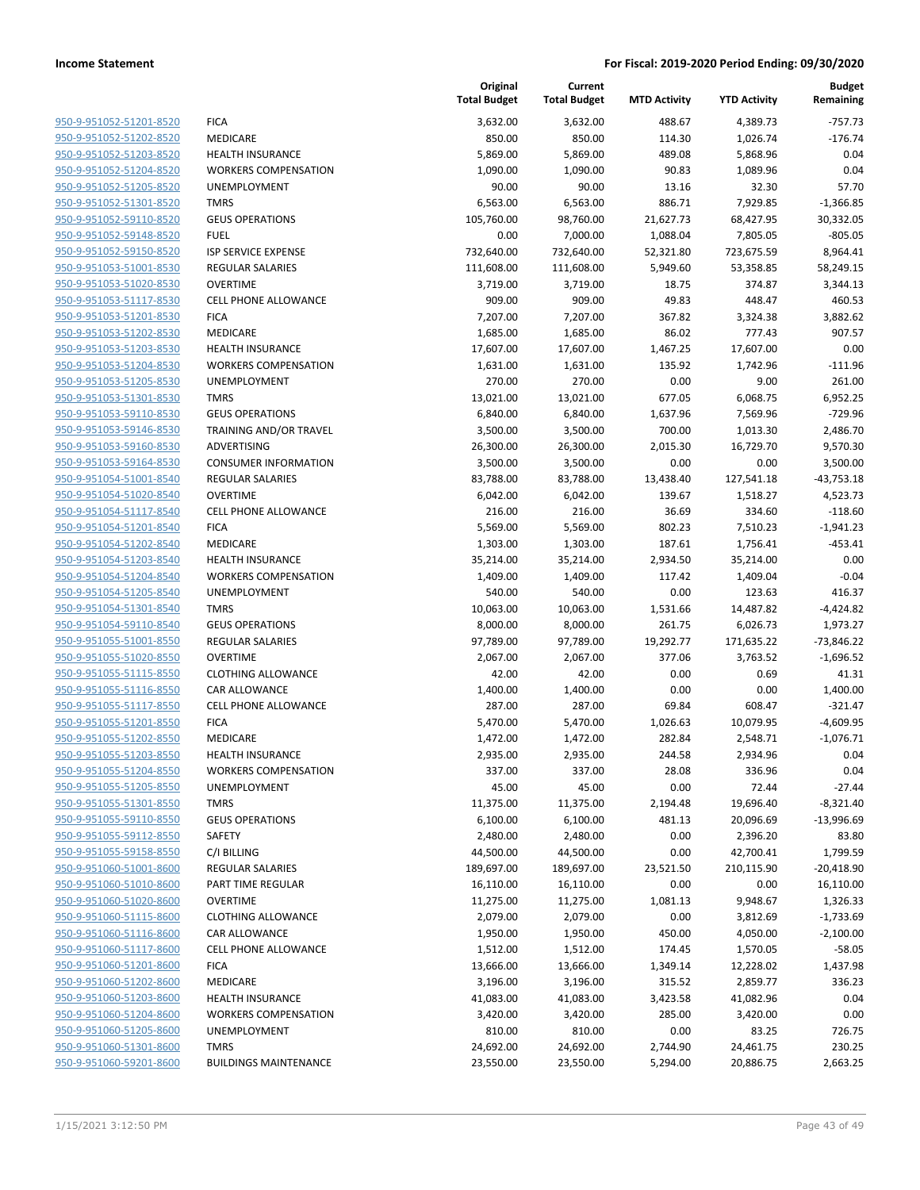|                         |                              | Original<br><b>Total Budget</b> | Current<br><b>Total Budget</b> | <b>MTD Activity</b> | <b>YTD Activity</b> | <b>Budget</b><br>Remaining |
|-------------------------|------------------------------|---------------------------------|--------------------------------|---------------------|---------------------|----------------------------|
| 950-9-951052-51201-8520 | <b>FICA</b>                  | 3,632.00                        | 3,632.00                       | 488.67              | 4,389.73            | $-757.73$                  |
| 950-9-951052-51202-8520 | <b>MEDICARE</b>              | 850.00                          | 850.00                         | 114.30              | 1,026.74            | $-176.74$                  |
| 950-9-951052-51203-8520 | <b>HEALTH INSURANCE</b>      | 5,869.00                        | 5,869.00                       | 489.08              | 5,868.96            | 0.04                       |
| 950-9-951052-51204-8520 | <b>WORKERS COMPENSATION</b>  | 1,090.00                        | 1,090.00                       | 90.83               | 1,089.96            | 0.04                       |
| 950-9-951052-51205-8520 | UNEMPLOYMENT                 | 90.00                           | 90.00                          | 13.16               | 32.30               | 57.70                      |
| 950-9-951052-51301-8520 | <b>TMRS</b>                  | 6,563.00                        | 6,563.00                       | 886.71              | 7,929.85            | $-1,366.85$                |
| 950-9-951052-59110-8520 | <b>GEUS OPERATIONS</b>       | 105,760.00                      | 98,760.00                      | 21,627.73           | 68,427.95           | 30,332.05                  |
| 950-9-951052-59148-8520 | <b>FUEL</b>                  | 0.00                            | 7,000.00                       | 1,088.04            | 7,805.05            | $-805.05$                  |
| 950-9-951052-59150-8520 | <b>ISP SERVICE EXPENSE</b>   | 732,640.00                      | 732,640.00                     | 52,321.80           | 723,675.59          | 8,964.41                   |
| 950-9-951053-51001-8530 | <b>REGULAR SALARIES</b>      | 111,608.00                      | 111,608.00                     | 5,949.60            | 53,358.85           | 58,249.15                  |
| 950-9-951053-51020-8530 | <b>OVERTIME</b>              | 3,719.00                        | 3,719.00                       | 18.75               | 374.87              | 3,344.13                   |
| 950-9-951053-51117-8530 | <b>CELL PHONE ALLOWANCE</b>  | 909.00                          | 909.00                         | 49.83               | 448.47              | 460.53                     |
| 950-9-951053-51201-8530 | <b>FICA</b>                  | 7,207.00                        | 7,207.00                       | 367.82              | 3,324.38            | 3,882.62                   |
| 950-9-951053-51202-8530 | MEDICARE                     | 1,685.00                        | 1,685.00                       | 86.02               | 777.43              | 907.57                     |
| 950-9-951053-51203-8530 | <b>HEALTH INSURANCE</b>      | 17,607.00                       | 17,607.00                      | 1,467.25            | 17,607.00           | 0.00                       |
| 950-9-951053-51204-8530 | <b>WORKERS COMPENSATION</b>  | 1,631.00                        | 1,631.00                       | 135.92              | 1,742.96            | $-111.96$                  |
| 950-9-951053-51205-8530 | <b>UNEMPLOYMENT</b>          | 270.00                          | 270.00                         | 0.00                | 9.00                | 261.00                     |
| 950-9-951053-51301-8530 | <b>TMRS</b>                  | 13,021.00                       | 13,021.00                      | 677.05              | 6,068.75            | 6,952.25                   |
| 950-9-951053-59110-8530 | <b>GEUS OPERATIONS</b>       | 6,840.00                        | 6,840.00                       | 1,637.96            | 7,569.96            | $-729.96$                  |
| 950-9-951053-59146-8530 | TRAINING AND/OR TRAVEL       | 3,500.00                        | 3,500.00                       | 700.00              |                     | 2,486.70                   |
|                         | <b>ADVERTISING</b>           | 26,300.00                       |                                |                     | 1,013.30            |                            |
| 950-9-951053-59160-8530 |                              |                                 | 26,300.00                      | 2,015.30            | 16,729.70           | 9,570.30                   |
| 950-9-951053-59164-8530 | <b>CONSUMER INFORMATION</b>  | 3,500.00                        | 3,500.00                       | 0.00                | 0.00                | 3,500.00                   |
| 950-9-951054-51001-8540 | <b>REGULAR SALARIES</b>      | 83,788.00                       | 83,788.00                      | 13,438.40           | 127,541.18          | $-43,753.18$               |
| 950-9-951054-51020-8540 | <b>OVERTIME</b>              | 6,042.00                        | 6,042.00                       | 139.67              | 1,518.27            | 4,523.73                   |
| 950-9-951054-51117-8540 | <b>CELL PHONE ALLOWANCE</b>  | 216.00                          | 216.00                         | 36.69               | 334.60              | $-118.60$                  |
| 950-9-951054-51201-8540 | <b>FICA</b>                  | 5,569.00                        | 5,569.00                       | 802.23              | 7,510.23            | $-1,941.23$                |
| 950-9-951054-51202-8540 | MEDICARE                     | 1,303.00                        | 1,303.00                       | 187.61              | 1,756.41            | $-453.41$                  |
| 950-9-951054-51203-8540 | <b>HEALTH INSURANCE</b>      | 35,214.00                       | 35,214.00                      | 2,934.50            | 35,214.00           | 0.00                       |
| 950-9-951054-51204-8540 | <b>WORKERS COMPENSATION</b>  | 1,409.00                        | 1,409.00                       | 117.42              | 1,409.04            | $-0.04$                    |
| 950-9-951054-51205-8540 | UNEMPLOYMENT                 | 540.00                          | 540.00                         | 0.00                | 123.63              | 416.37                     |
| 950-9-951054-51301-8540 | <b>TMRS</b>                  | 10,063.00                       | 10,063.00                      | 1,531.66            | 14,487.82           | $-4,424.82$                |
| 950-9-951054-59110-8540 | <b>GEUS OPERATIONS</b>       | 8,000.00                        | 8,000.00                       | 261.75              | 6,026.73            | 1,973.27                   |
| 950-9-951055-51001-8550 | REGULAR SALARIES             | 97,789.00                       | 97,789.00                      | 19,292.77           | 171,635.22          | $-73,846.22$               |
| 950-9-951055-51020-8550 | <b>OVERTIME</b>              | 2,067.00                        | 2,067.00                       | 377.06              | 3,763.52            | $-1,696.52$                |
| 950-9-951055-51115-8550 | <b>CLOTHING ALLOWANCE</b>    | 42.00                           | 42.00                          | 0.00                | 0.69                | 41.31                      |
| 950-9-951055-51116-8550 | <b>CAR ALLOWANCE</b>         | 1,400.00                        | 1,400.00                       | 0.00                | 0.00                | 1,400.00                   |
| 950-9-951055-51117-8550 | <b>CELL PHONE ALLOWANCE</b>  | 287.00                          | 287.00                         | 69.84               | 608.47              | $-321.47$                  |
| 950-9-951055-51201-8550 | <b>FICA</b>                  | 5,470.00                        | 5,470.00                       | 1,026.63            | 10,079.95           | -4,609.95                  |
| 950-9-951055-51202-8550 | MEDICARE                     | 1,472.00                        | 1,472.00                       | 282.84              | 2,548.71            | $-1,076.71$                |
| 950-9-951055-51203-8550 | <b>HEALTH INSURANCE</b>      | 2,935.00                        | 2,935.00                       | 244.58              | 2,934.96            | 0.04                       |
| 950-9-951055-51204-8550 | <b>WORKERS COMPENSATION</b>  | 337.00                          | 337.00                         | 28.08               | 336.96              | 0.04                       |
| 950-9-951055-51205-8550 | UNEMPLOYMENT                 | 45.00                           | 45.00                          | 0.00                | 72.44               | $-27.44$                   |
| 950-9-951055-51301-8550 | <b>TMRS</b>                  | 11,375.00                       | 11,375.00                      | 2,194.48            | 19,696.40           | -8,321.40                  |
| 950-9-951055-59110-8550 | <b>GEUS OPERATIONS</b>       | 6,100.00                        | 6,100.00                       | 481.13              | 20,096.69           | $-13,996.69$               |
| 950-9-951055-59112-8550 | SAFETY                       | 2,480.00                        | 2,480.00                       | 0.00                | 2,396.20            | 83.80                      |
| 950-9-951055-59158-8550 | C/I BILLING                  | 44,500.00                       | 44,500.00                      | 0.00                | 42,700.41           | 1,799.59                   |
| 950-9-951060-51001-8600 | <b>REGULAR SALARIES</b>      | 189,697.00                      | 189,697.00                     | 23,521.50           | 210,115.90          | $-20,418.90$               |
| 950-9-951060-51010-8600 | PART TIME REGULAR            | 16,110.00                       | 16,110.00                      | 0.00                | 0.00                | 16,110.00                  |
| 950-9-951060-51020-8600 | <b>OVERTIME</b>              | 11,275.00                       | 11,275.00                      | 1,081.13            | 9,948.67            | 1,326.33                   |
| 950-9-951060-51115-8600 | <b>CLOTHING ALLOWANCE</b>    | 2,079.00                        | 2,079.00                       | 0.00                | 3,812.69            | $-1,733.69$                |
| 950-9-951060-51116-8600 | <b>CAR ALLOWANCE</b>         | 1,950.00                        | 1,950.00                       | 450.00              | 4,050.00            | $-2,100.00$                |
| 950-9-951060-51117-8600 | <b>CELL PHONE ALLOWANCE</b>  | 1,512.00                        | 1,512.00                       | 174.45              | 1,570.05            | $-58.05$                   |
| 950-9-951060-51201-8600 | <b>FICA</b>                  | 13,666.00                       | 13,666.00                      | 1,349.14            | 12,228.02           | 1,437.98                   |
|                         |                              |                                 |                                |                     |                     |                            |
| 950-9-951060-51202-8600 | MEDICARE                     | 3,196.00                        | 3,196.00                       | 315.52              | 2,859.77            | 336.23                     |
| 950-9-951060-51203-8600 | <b>HEALTH INSURANCE</b>      | 41,083.00                       | 41,083.00                      | 3,423.58            | 41,082.96           | 0.04                       |
| 950-9-951060-51204-8600 | <b>WORKERS COMPENSATION</b>  | 3,420.00                        | 3,420.00                       | 285.00              | 3,420.00            | 0.00                       |
| 950-9-951060-51205-8600 | UNEMPLOYMENT                 | 810.00                          | 810.00                         | 0.00                | 83.25               | 726.75                     |
| 950-9-951060-51301-8600 | <b>TMRS</b>                  | 24,692.00                       | 24,692.00                      | 2,744.90            | 24,461.75           | 230.25                     |
| 950-9-951060-59201-8600 | <b>BUILDINGS MAINTENANCE</b> | 23,550.00                       | 23,550.00                      | 5,294.00            | 20,886.75           | 2,663.25                   |
|                         |                              |                                 |                                |                     |                     |                            |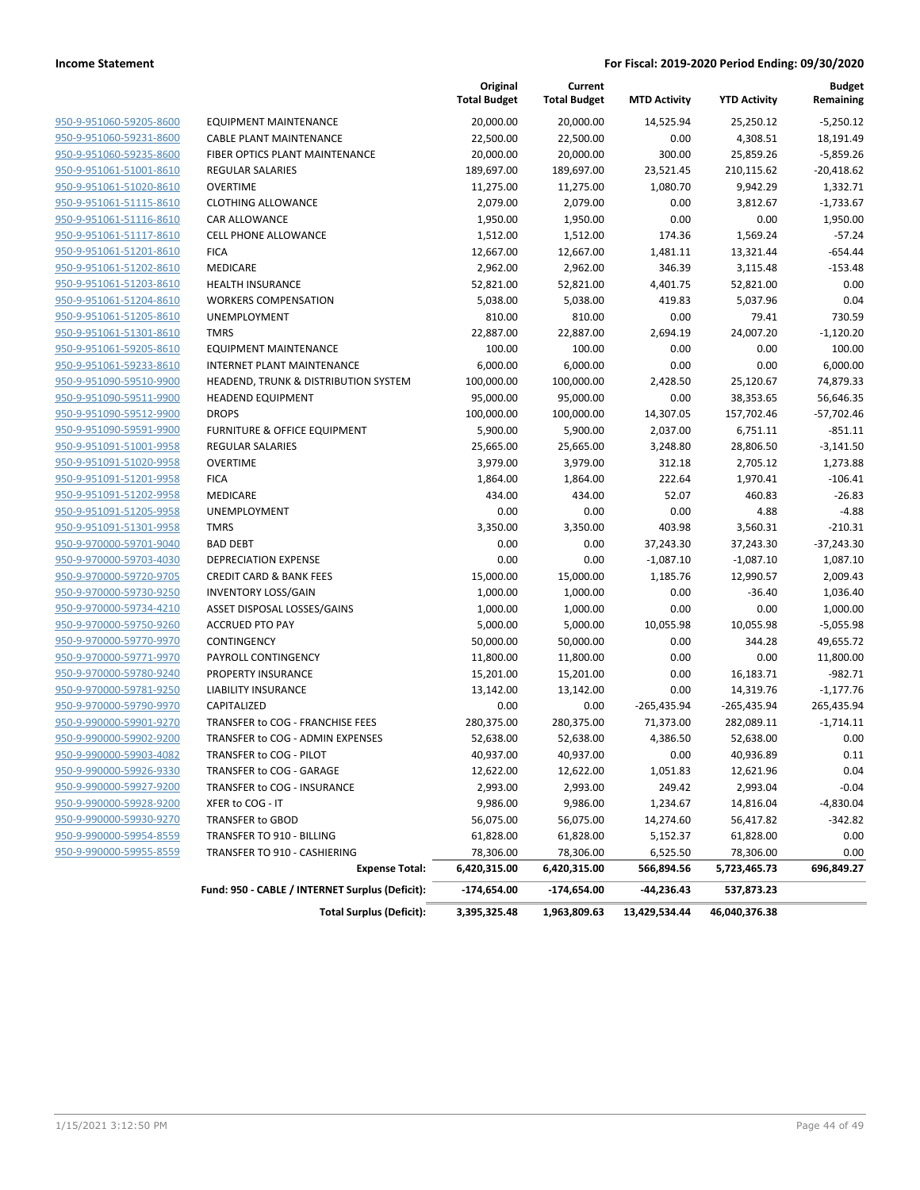|                         |                                                       | Original<br><b>Total Budget</b> | Current<br><b>Total Budget</b> | <b>MTD Activity</b>    | <b>YTD Activity</b>       | <b>Budget</b><br>Remaining |
|-------------------------|-------------------------------------------------------|---------------------------------|--------------------------------|------------------------|---------------------------|----------------------------|
| 950-9-951060-59205-8600 | <b>EQUIPMENT MAINTENANCE</b>                          | 20,000.00                       | 20,000.00                      | 14,525.94              | 25,250.12                 | $-5,250.12$                |
| 950-9-951060-59231-8600 | <b>CABLE PLANT MAINTENANCE</b>                        | 22,500.00                       | 22,500.00                      | 0.00                   | 4,308.51                  | 18,191.49                  |
| 950-9-951060-59235-8600 | FIBER OPTICS PLANT MAINTENANCE                        | 20,000.00                       | 20,000.00                      | 300.00                 | 25,859.26                 | $-5,859.26$                |
| 950-9-951061-51001-8610 | <b>REGULAR SALARIES</b>                               | 189,697.00                      | 189,697.00                     | 23,521.45              | 210,115.62                | $-20,418.62$               |
| 950-9-951061-51020-8610 | <b>OVERTIME</b>                                       | 11,275.00                       | 11,275.00                      | 1,080.70               | 9,942.29                  | 1,332.71                   |
| 950-9-951061-51115-8610 | <b>CLOTHING ALLOWANCE</b>                             | 2,079.00                        | 2,079.00                       | 0.00                   | 3,812.67                  | $-1,733.67$                |
| 950-9-951061-51116-8610 | CAR ALLOWANCE                                         | 1,950.00                        | 1,950.00                       | 0.00                   | 0.00                      | 1,950.00                   |
| 950-9-951061-51117-8610 | <b>CELL PHONE ALLOWANCE</b>                           | 1,512.00                        | 1,512.00                       | 174.36                 | 1,569.24                  | $-57.24$                   |
| 950-9-951061-51201-8610 | <b>FICA</b>                                           | 12,667.00                       | 12,667.00                      | 1,481.11               | 13,321.44                 | $-654.44$                  |
| 950-9-951061-51202-8610 | MEDICARE                                              | 2,962.00                        | 2,962.00                       | 346.39                 | 3,115.48                  | $-153.48$                  |
| 950-9-951061-51203-8610 | <b>HEALTH INSURANCE</b>                               | 52,821.00                       | 52,821.00                      | 4,401.75               | 52,821.00                 | 0.00                       |
| 950-9-951061-51204-8610 | <b>WORKERS COMPENSATION</b>                           | 5,038.00                        | 5,038.00                       | 419.83                 | 5,037.96                  | 0.04                       |
| 950-9-951061-51205-8610 | UNEMPLOYMENT                                          | 810.00                          | 810.00                         | 0.00                   | 79.41                     | 730.59                     |
| 950-9-951061-51301-8610 | <b>TMRS</b>                                           | 22,887.00                       | 22,887.00                      | 2,694.19               | 24,007.20                 | $-1,120.20$                |
| 950-9-951061-59205-8610 | <b>EQUIPMENT MAINTENANCE</b>                          | 100.00                          | 100.00                         | 0.00                   | 0.00                      | 100.00                     |
| 950-9-951061-59233-8610 | <b>INTERNET PLANT MAINTENANCE</b>                     | 6,000.00                        | 6,000.00                       | 0.00                   | 0.00                      | 6,000.00                   |
| 950-9-951090-59510-9900 | HEADEND, TRUNK & DISTRIBUTION SYSTEM                  | 100,000.00                      | 100,000.00                     | 2,428.50               | 25,120.67                 | 74,879.33                  |
| 950-9-951090-59511-9900 | <b>HEADEND EQUIPMENT</b>                              | 95,000.00                       | 95,000.00                      | 0.00                   | 38,353.65                 | 56,646.35                  |
| 950-9-951090-59512-9900 | <b>DROPS</b>                                          | 100,000.00                      | 100,000.00                     | 14,307.05              | 157,702.46                | $-57,702.46$               |
| 950-9-951090-59591-9900 | <b>FURNITURE &amp; OFFICE EQUIPMENT</b>               | 5,900.00                        | 5,900.00                       | 2,037.00               | 6,751.11                  | $-851.11$                  |
| 950-9-951091-51001-9958 | <b>REGULAR SALARIES</b>                               | 25,665.00                       | 25,665.00                      | 3,248.80               | 28,806.50                 | $-3,141.50$                |
| 950-9-951091-51020-9958 | <b>OVERTIME</b>                                       | 3,979.00                        | 3,979.00                       | 312.18                 | 2,705.12                  | 1,273.88                   |
| 950-9-951091-51201-9958 | <b>FICA</b>                                           | 1,864.00                        | 1,864.00                       | 222.64                 | 1,970.41                  | $-106.41$                  |
| 950-9-951091-51202-9958 | MEDICARE                                              | 434.00                          | 434.00                         | 52.07                  | 460.83                    | $-26.83$                   |
| 950-9-951091-51205-9958 | UNEMPLOYMENT                                          | 0.00                            | 0.00                           | 0.00                   | 4.88                      | $-4.88$                    |
| 950-9-951091-51301-9958 | <b>TMRS</b>                                           | 3,350.00                        | 3,350.00                       | 403.98                 | 3,560.31                  | $-210.31$                  |
| 950-9-970000-59701-9040 | <b>BAD DEBT</b>                                       | 0.00                            | 0.00                           | 37,243.30              | 37,243.30                 | $-37,243.30$               |
| 950-9-970000-59703-4030 | <b>DEPRECIATION EXPENSE</b>                           | 0.00                            | 0.00                           | $-1,087.10$            | $-1,087.10$               | 1,087.10                   |
| 950-9-970000-59720-9705 | <b>CREDIT CARD &amp; BANK FEES</b>                    | 15,000.00                       | 15,000.00                      | 1,185.76               | 12,990.57                 | 2,009.43                   |
| 950-9-970000-59730-9250 | <b>INVENTORY LOSS/GAIN</b>                            | 1,000.00                        | 1,000.00                       | 0.00                   | $-36.40$                  | 1,036.40                   |
| 950-9-970000-59734-4210 | ASSET DISPOSAL LOSSES/GAINS                           | 1,000.00                        | 1,000.00                       | 0.00                   | 0.00                      | 1,000.00                   |
| 950-9-970000-59750-9260 | <b>ACCRUED PTO PAY</b>                                | 5,000.00                        | 5,000.00                       | 10,055.98              | 10,055.98                 | $-5,055.98$                |
| 950-9-970000-59770-9970 | CONTINGENCY                                           | 50,000.00                       | 50,000.00                      | 0.00                   | 344.28                    | 49,655.72                  |
| 950-9-970000-59771-9970 | PAYROLL CONTINGENCY                                   | 11,800.00                       | 11,800.00                      | 0.00                   | 0.00                      | 11,800.00                  |
| 950-9-970000-59780-9240 | PROPERTY INSURANCE                                    | 15,201.00                       | 15,201.00                      | 0.00                   | 16,183.71                 | $-982.71$                  |
| 950-9-970000-59781-9250 | <b>LIABILITY INSURANCE</b>                            | 13,142.00                       | 13,142.00                      | 0.00                   | 14,319.76                 | $-1,177.76$                |
| 950-9-970000-59790-9970 | CAPITALIZED                                           | 0.00                            | 0.00                           | $-265,435.94$          | $-265,435.94$             | 265,435.94                 |
| 950-9-990000-59901-9270 | TRANSFER to COG - FRANCHISE FEES                      | 280,375.00                      | 280,375.00                     | 71,373.00              | 282,089.11                | $-1,714.11$                |
| 950-9-990000-59902-9200 | TRANSFER to COG - ADMIN EXPENSES                      | 52,638.00                       | 52,638.00                      | 4,386.50               | 52,638.00                 | 0.00                       |
| 950-9-990000-59903-4082 | TRANSFER to COG - PILOT                               | 40,937.00                       | 40,937.00                      | 0.00                   | 40,936.89                 | 0.11                       |
| 950-9-990000-59926-9330 | TRANSFER to COG - GARAGE                              | 12,622.00                       | 12,622.00                      | 1,051.83               | 12,621.96                 | 0.04                       |
| 950-9-990000-59927-9200 | TRANSFER to COG - INSURANCE                           | 2,993.00                        | 2,993.00                       | 249.42                 | 2,993.04                  | $-0.04$                    |
| 950-9-990000-59928-9200 | XFER to COG - IT                                      | 9,986.00                        |                                |                        |                           |                            |
| 950-9-990000-59930-9270 | TRANSFER to GBOD                                      |                                 | 9,986.00                       | 1,234.67               | 14,816.04                 | $-4,830.04$<br>$-342.82$   |
| 950-9-990000-59954-8559 | TRANSFER TO 910 - BILLING                             | 56,075.00<br>61,828.00          | 56,075.00                      | 14,274.60              | 56,417.82<br>61,828.00    |                            |
| 950-9-990000-59955-8559 |                                                       |                                 | 61,828.00                      | 5,152.37               |                           | 0.00                       |
|                         | TRANSFER TO 910 - CASHIERING<br><b>Expense Total:</b> | 78,306.00<br>6,420,315.00       | 78,306.00<br>6,420,315.00      | 6,525.50<br>566,894.56 | 78,306.00<br>5,723,465.73 | 0.00<br>696,849.27         |
|                         | Fund: 950 - CABLE / INTERNET Surplus (Deficit):       | -174,654.00                     | $-174,654.00$                  | -44,236.43             | 537,873.23                |                            |
|                         |                                                       |                                 |                                |                        |                           |                            |
|                         | <b>Total Surplus (Deficit):</b>                       | 3,395,325.48                    | 1,963,809.63                   | 13,429,534.44          | 46,040,376.38             |                            |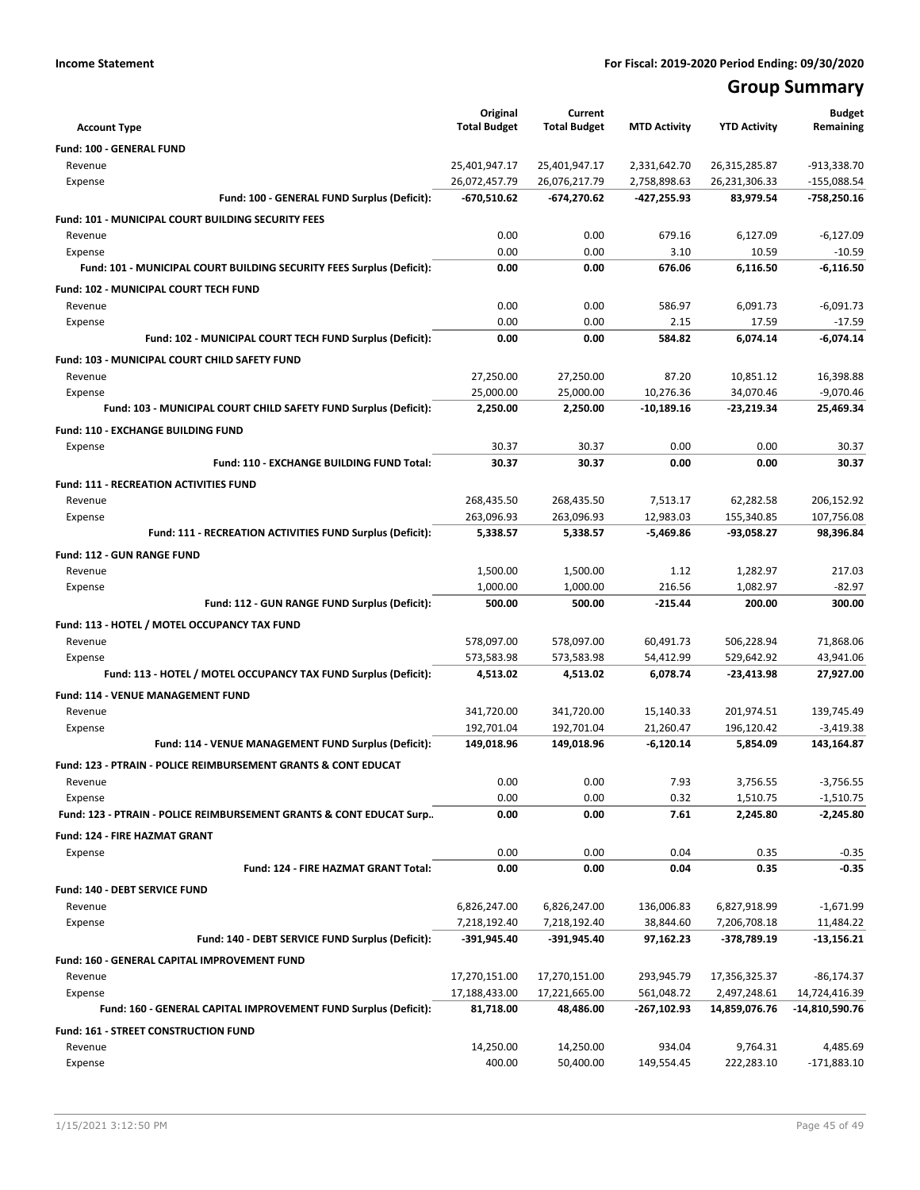# **Group Summary**

|                                                                                      | Original                 | Current                  |                          |                          | <b>Budget</b>             |
|--------------------------------------------------------------------------------------|--------------------------|--------------------------|--------------------------|--------------------------|---------------------------|
| <b>Account Type</b>                                                                  | <b>Total Budget</b>      | <b>Total Budget</b>      | <b>MTD Activity</b>      | <b>YTD Activity</b>      | Remaining                 |
| Fund: 100 - GENERAL FUND                                                             |                          |                          |                          |                          |                           |
| Revenue                                                                              | 25,401,947.17            | 25,401,947.17            | 2,331,642.70             | 26,315,285.87            | -913,338.70               |
| Expense                                                                              | 26,072,457.79            | 26,076,217.79            | 2,758,898.63             | 26,231,306.33            | $-155,088.54$             |
| Fund: 100 - GENERAL FUND Surplus (Deficit):                                          | -670,510.62              | -674,270.62              | -427,255.93              | 83,979.54                | -758,250.16               |
| <b>Fund: 101 - MUNICIPAL COURT BUILDING SECURITY FEES</b>                            |                          |                          |                          |                          |                           |
| Revenue                                                                              | 0.00                     | 0.00                     | 679.16                   | 6,127.09                 | $-6,127.09$               |
| Expense<br>Fund: 101 - MUNICIPAL COURT BUILDING SECURITY FEES Surplus (Deficit):     | 0.00<br>0.00             | 0.00<br>0.00             | 3.10<br>676.06           | 10.59<br>6,116.50        | $-10.59$<br>$-6,116.50$   |
|                                                                                      |                          |                          |                          |                          |                           |
| Fund: 102 - MUNICIPAL COURT TECH FUND                                                |                          |                          |                          |                          |                           |
| Revenue<br>Expense                                                                   | 0.00<br>0.00             | 0.00<br>0.00             | 586.97<br>2.15           | 6,091.73<br>17.59        | $-6,091.73$<br>$-17.59$   |
| Fund: 102 - MUNICIPAL COURT TECH FUND Surplus (Deficit):                             | 0.00                     | 0.00                     | 584.82                   | 6,074.14                 | $-6,074.14$               |
|                                                                                      |                          |                          |                          |                          |                           |
| Fund: 103 - MUNICIPAL COURT CHILD SAFETY FUND                                        |                          |                          | 87.20                    |                          |                           |
| Revenue<br>Expense                                                                   | 27,250.00<br>25,000.00   | 27,250.00<br>25,000.00   | 10,276.36                | 10,851.12<br>34,070.46   | 16,398.88<br>$-9,070.46$  |
| Fund: 103 - MUNICIPAL COURT CHILD SAFETY FUND Surplus (Deficit):                     | 2,250.00                 | 2,250.00                 | $-10,189.16$             | $-23,219.34$             | 25,469.34                 |
|                                                                                      |                          |                          |                          |                          |                           |
| <b>Fund: 110 - EXCHANGE BUILDING FUND</b>                                            |                          |                          |                          |                          |                           |
| Expense<br>Fund: 110 - EXCHANGE BUILDING FUND Total:                                 | 30.37<br>30.37           | 30.37<br>30.37           | 0.00<br>0.00             | 0.00<br>0.00             | 30.37<br>30.37            |
|                                                                                      |                          |                          |                          |                          |                           |
| <b>Fund: 111 - RECREATION ACTIVITIES FUND</b>                                        |                          |                          |                          |                          |                           |
| Revenue                                                                              | 268,435.50               | 268,435.50               | 7,513.17                 | 62,282.58                | 206,152.92                |
| Expense<br>Fund: 111 - RECREATION ACTIVITIES FUND Surplus (Deficit):                 | 263,096.93<br>5,338.57   | 263,096.93<br>5,338.57   | 12,983.03<br>$-5,469.86$ | 155,340.85<br>-93,058.27 | 107,756.08<br>98,396.84   |
|                                                                                      |                          |                          |                          |                          |                           |
| Fund: 112 - GUN RANGE FUND                                                           |                          |                          |                          |                          |                           |
| Revenue                                                                              | 1,500.00<br>1,000.00     | 1,500.00                 | 1.12<br>216.56           | 1,282.97                 | 217.03<br>$-82.97$        |
| Expense<br>Fund: 112 - GUN RANGE FUND Surplus (Deficit):                             | 500.00                   | 1,000.00<br>500.00       | $-215.44$                | 1,082.97<br>200.00       | 300.00                    |
|                                                                                      |                          |                          |                          |                          |                           |
| Fund: 113 - HOTEL / MOTEL OCCUPANCY TAX FUND                                         |                          |                          |                          |                          |                           |
| Revenue                                                                              | 578,097.00<br>573,583.98 | 578,097.00<br>573,583.98 | 60,491.73<br>54,412.99   | 506,228.94<br>529,642.92 | 71,868.06                 |
| Expense<br>Fund: 113 - HOTEL / MOTEL OCCUPANCY TAX FUND Surplus (Deficit):           | 4,513.02                 | 4,513.02                 | 6,078.74                 | -23,413.98               | 43,941.06<br>27,927.00    |
|                                                                                      |                          |                          |                          |                          |                           |
| Fund: 114 - VENUE MANAGEMENT FUND                                                    |                          |                          |                          |                          |                           |
| Revenue<br>Expense                                                                   | 341,720.00<br>192,701.04 | 341,720.00<br>192,701.04 | 15,140.33<br>21,260.47   | 201,974.51<br>196,120.42 | 139,745.49<br>$-3,419.38$ |
| Fund: 114 - VENUE MANAGEMENT FUND Surplus (Deficit):                                 | 149,018.96               | 149,018.96               | $-6,120.14$              | 5,854.09                 | 143,164.87                |
|                                                                                      |                          |                          |                          |                          |                           |
| <b>Fund: 123 - PTRAIN - POLICE REIMBURSEMENT GRANTS &amp; CONT EDUCAT</b><br>Revenue | 0.00                     | 0.00                     | 7.93                     | 3,756.55                 | $-3,756.55$               |
| Expense                                                                              | 0.00                     | 0.00                     | 0.32                     | 1,510.75                 | $-1,510.75$               |
| Fund: 123 - PTRAIN - POLICE REIMBURSEMENT GRANTS & CONT EDUCAT Surp                  | 0.00                     | 0.00                     | 7.61                     | 2,245.80                 | $-2,245.80$               |
| <b>Fund: 124 - FIRE HAZMAT GRANT</b>                                                 |                          |                          |                          |                          |                           |
| Expense                                                                              | 0.00                     | 0.00                     | 0.04                     | 0.35                     | $-0.35$                   |
| Fund: 124 - FIRE HAZMAT GRANT Total:                                                 | 0.00                     | 0.00                     | 0.04                     | 0.35                     | $-0.35$                   |
| Fund: 140 - DEBT SERVICE FUND                                                        |                          |                          |                          |                          |                           |
| Revenue                                                                              | 6,826,247.00             | 6,826,247.00             | 136,006.83               | 6,827,918.99             | $-1,671.99$               |
| Expense                                                                              | 7,218,192.40             | 7,218,192.40             | 38,844.60                | 7,206,708.18             | 11,484.22                 |
| Fund: 140 - DEBT SERVICE FUND Surplus (Deficit):                                     | -391,945.40              | -391,945.40              | 97,162.23                | -378,789.19              | $-13,156.21$              |
|                                                                                      |                          |                          |                          |                          |                           |
| Fund: 160 - GENERAL CAPITAL IMPROVEMENT FUND<br>Revenue                              | 17,270,151.00            | 17,270,151.00            | 293,945.79               | 17,356,325.37            | $-86, 174.37$             |
| Expense                                                                              | 17,188,433.00            | 17,221,665.00            | 561,048.72               | 2,497,248.61             | 14,724,416.39             |
| Fund: 160 - GENERAL CAPITAL IMPROVEMENT FUND Surplus (Deficit):                      | 81,718.00                | 48,486.00                | -267,102.93              | 14,859,076.76            | -14,810,590.76            |
| Fund: 161 - STREET CONSTRUCTION FUND                                                 |                          |                          |                          |                          |                           |
| Revenue                                                                              | 14,250.00                | 14,250.00                | 934.04                   | 9,764.31                 | 4,485.69                  |
| Expense                                                                              | 400.00                   | 50,400.00                | 149,554.45               | 222,283.10               | $-171,883.10$             |
|                                                                                      |                          |                          |                          |                          |                           |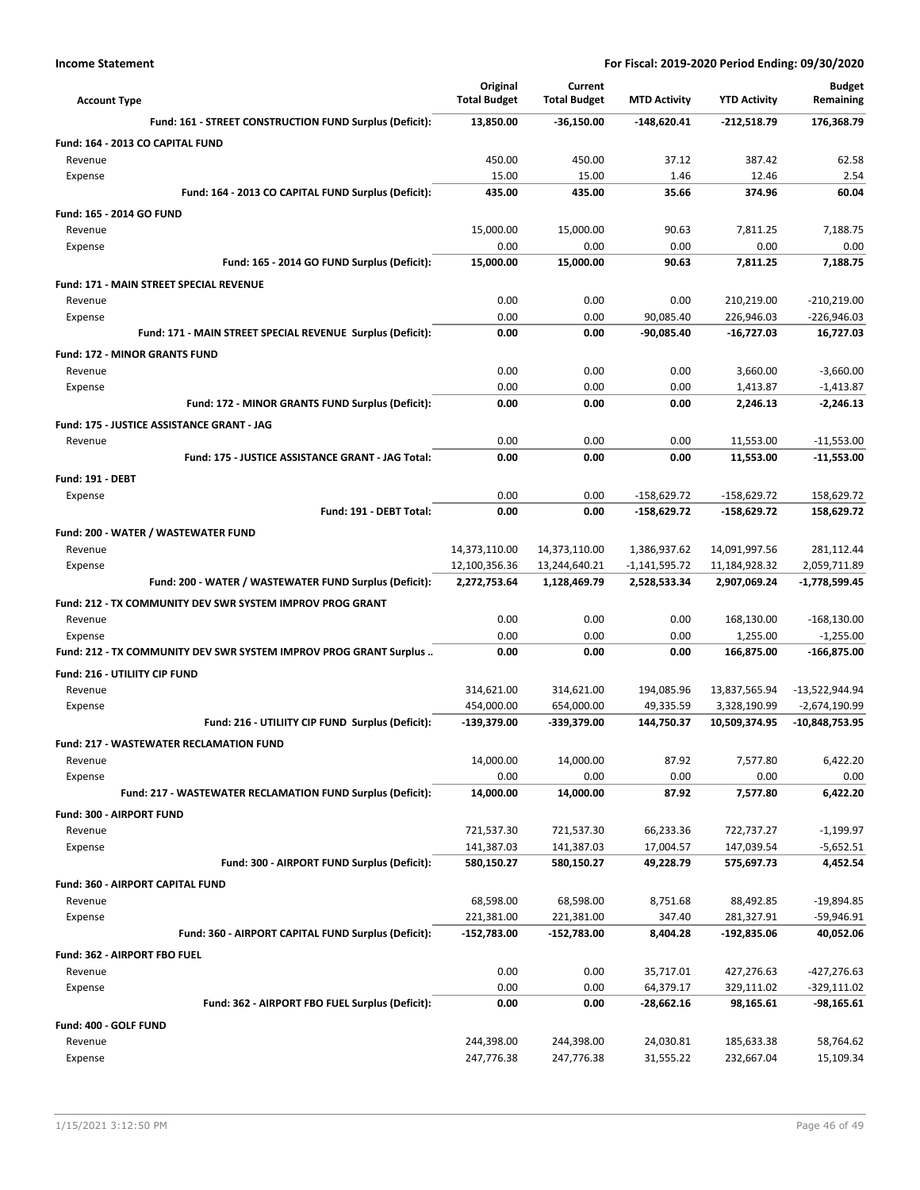| <b>Account Type</b>                                               | Original<br><b>Total Budget</b> | Current<br><b>Total Budget</b> | <b>MTD Activity</b>             | <b>YTD Activity</b>            | <b>Budget</b><br>Remaining   |
|-------------------------------------------------------------------|---------------------------------|--------------------------------|---------------------------------|--------------------------------|------------------------------|
| Fund: 161 - STREET CONSTRUCTION FUND Surplus (Deficit):           | 13,850.00                       | $-36,150.00$                   | $-148,620.41$                   | $-212,518.79$                  | 176,368.79                   |
| Fund: 164 - 2013 CO CAPITAL FUND                                  |                                 |                                |                                 |                                |                              |
| Revenue                                                           | 450.00                          | 450.00                         | 37.12                           | 387.42                         | 62.58                        |
| Expense                                                           | 15.00                           | 15.00                          | 1.46                            | 12.46                          | 2.54                         |
| Fund: 164 - 2013 CO CAPITAL FUND Surplus (Deficit):               | 435.00                          | 435.00                         | 35.66                           | 374.96                         | 60.04                        |
| Fund: 165 - 2014 GO FUND                                          |                                 |                                |                                 |                                |                              |
| Revenue                                                           | 15,000.00                       | 15,000.00                      | 90.63                           | 7,811.25                       | 7,188.75                     |
| Expense                                                           | 0.00                            | 0.00                           | 0.00                            | 0.00                           | 0.00                         |
| Fund: 165 - 2014 GO FUND Surplus (Deficit):                       | 15.000.00                       | 15,000.00                      | 90.63                           | 7,811.25                       | 7,188.75                     |
| <b>Fund: 171 - MAIN STREET SPECIAL REVENUE</b>                    |                                 |                                |                                 |                                |                              |
| Revenue                                                           | 0.00                            | 0.00                           | 0.00                            | 210,219.00                     | $-210,219.00$                |
| Expense                                                           | 0.00<br>0.00                    | 0.00<br>0.00                   | 90,085.40<br>$-90,085.40$       | 226,946.03<br>$-16,727.03$     | -226,946.03<br>16,727.03     |
| Fund: 171 - MAIN STREET SPECIAL REVENUE Surplus (Deficit):        |                                 |                                |                                 |                                |                              |
| <b>Fund: 172 - MINOR GRANTS FUND</b>                              |                                 |                                |                                 |                                |                              |
| Revenue                                                           | 0.00<br>0.00                    | 0.00<br>0.00                   | 0.00<br>0.00                    | 3,660.00<br>1,413.87           | $-3,660.00$<br>$-1,413.87$   |
| Expense<br>Fund: 172 - MINOR GRANTS FUND Surplus (Deficit):       | 0.00                            | 0.00                           | 0.00                            | 2,246.13                       | $-2,246.13$                  |
|                                                                   |                                 |                                |                                 |                                |                              |
| Fund: 175 - JUSTICE ASSISTANCE GRANT - JAG<br>Revenue             | 0.00                            | 0.00                           | 0.00                            |                                |                              |
| Fund: 175 - JUSTICE ASSISTANCE GRANT - JAG Total:                 | 0.00                            | 0.00                           | 0.00                            | 11,553.00<br>11,553.00         | $-11,553.00$<br>$-11,553.00$ |
|                                                                   |                                 |                                |                                 |                                |                              |
| <b>Fund: 191 - DEBT</b>                                           |                                 |                                |                                 |                                |                              |
| Expense<br>Fund: 191 - DEBT Total:                                | 0.00<br>0.00                    | 0.00<br>0.00                   | $-158,629.72$<br>$-158,629.72$  | $-158,629.72$<br>$-158,629.72$ | 158,629.72<br>158,629.72     |
|                                                                   |                                 |                                |                                 |                                |                              |
| Fund: 200 - WATER / WASTEWATER FUND                               |                                 |                                |                                 |                                |                              |
| Revenue<br>Expense                                                | 14,373,110.00<br>12,100,356.36  | 14,373,110.00<br>13,244,640.21 | 1,386,937.62<br>$-1,141,595.72$ | 14,091,997.56<br>11,184,928.32 | 281,112.44<br>2,059,711.89   |
| Fund: 200 - WATER / WASTEWATER FUND Surplus (Deficit):            | 2,272,753.64                    | 1,128,469.79                   | 2,528,533.34                    | 2,907,069.24                   | -1,778,599.45                |
| Fund: 212 - TX COMMUNITY DEV SWR SYSTEM IMPROV PROG GRANT         |                                 |                                |                                 |                                |                              |
| Revenue                                                           | 0.00                            | 0.00                           | 0.00                            | 168,130.00                     | $-168,130.00$                |
| Expense                                                           | 0.00                            | 0.00                           | 0.00                            | 1,255.00                       | $-1,255.00$                  |
| Fund: 212 - TX COMMUNITY DEV SWR SYSTEM IMPROV PROG GRANT Surplus | 0.00                            | 0.00                           | 0.00                            | 166,875.00                     | -166,875.00                  |
| Fund: 216 - UTILIITY CIP FUND                                     |                                 |                                |                                 |                                |                              |
| Revenue                                                           | 314,621.00                      | 314,621.00                     | 194,085.96                      | 13,837,565.94                  | -13,522,944.94               |
| Expense                                                           | 454,000.00                      | 654,000.00                     | 49,335.59                       | 3,328,190.99                   | $-2,674,190.99$              |
| Fund: 216 - UTILIITY CIP FUND Surplus (Deficit):                  | -139,379.00                     | -339,379.00                    | 144,750.37                      | 10,509,374.95                  | -10,848,753.95               |
| <b>Fund: 217 - WASTEWATER RECLAMATION FUND</b>                    |                                 |                                |                                 |                                |                              |
| Revenue                                                           | 14,000.00                       | 14,000.00                      | 87.92                           | 7,577.80                       | 6,422.20                     |
| Expense                                                           | 0.00                            | 0.00                           | 0.00                            | 0.00                           | 0.00                         |
| Fund: 217 - WASTEWATER RECLAMATION FUND Surplus (Deficit):        | 14,000.00                       | 14,000.00                      | 87.92                           | 7,577.80                       | 6,422.20                     |
| Fund: 300 - AIRPORT FUND                                          |                                 |                                |                                 |                                |                              |
| Revenue                                                           | 721,537.30                      | 721,537.30                     | 66,233.36                       | 722,737.27                     | $-1,199.97$                  |
| Expense                                                           | 141,387.03                      | 141,387.03                     | 17,004.57                       | 147,039.54                     | $-5,652.51$                  |
| Fund: 300 - AIRPORT FUND Surplus (Deficit):                       | 580,150.27                      | 580,150.27                     | 49,228.79                       | 575,697.73                     | 4,452.54                     |
| Fund: 360 - AIRPORT CAPITAL FUND                                  |                                 |                                |                                 |                                |                              |
| Revenue                                                           | 68,598.00                       | 68,598.00                      | 8,751.68                        | 88,492.85                      | $-19,894.85$                 |
| Expense                                                           | 221,381.00                      | 221,381.00                     | 347.40                          | 281,327.91                     | -59,946.91                   |
| Fund: 360 - AIRPORT CAPITAL FUND Surplus (Deficit):               | -152,783.00                     | -152,783.00                    | 8,404.28                        | $-192,835.06$                  | 40,052.06                    |
| Fund: 362 - AIRPORT FBO FUEL                                      |                                 |                                |                                 |                                |                              |
| Revenue                                                           | 0.00                            | 0.00                           | 35,717.01                       | 427,276.63                     | -427,276.63                  |
| Expense                                                           | 0.00                            | 0.00                           | 64,379.17                       | 329,111.02                     | $-329,111.02$                |
| Fund: 362 - AIRPORT FBO FUEL Surplus (Deficit):                   | 0.00                            | 0.00                           | -28,662.16                      | 98,165.61                      | -98,165.61                   |
| Fund: 400 - GOLF FUND                                             |                                 |                                |                                 |                                |                              |
| Revenue                                                           | 244,398.00<br>247,776.38        | 244,398.00<br>247,776.38       | 24,030.81                       | 185,633.38<br>232,667.04       | 58,764.62<br>15,109.34       |
| Expense                                                           |                                 |                                | 31,555.22                       |                                |                              |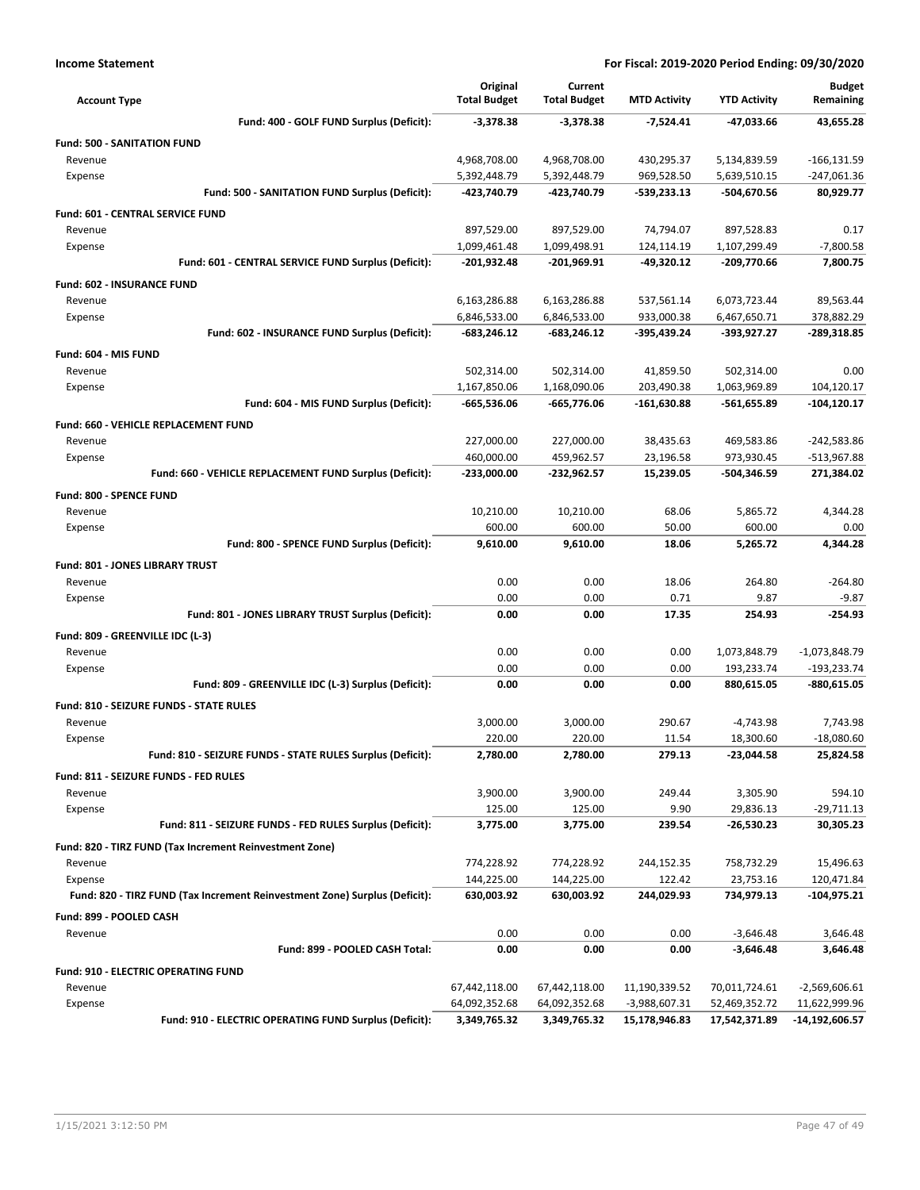| <b>Account Type</b>                                                        | Original<br><b>Total Budget</b> | Current<br><b>Total Budget</b> | <b>MTD Activity</b> | <b>YTD Activity</b> | <b>Budget</b><br>Remaining |
|----------------------------------------------------------------------------|---------------------------------|--------------------------------|---------------------|---------------------|----------------------------|
| Fund: 400 - GOLF FUND Surplus (Deficit):                                   | $-3,378.38$                     | $-3,378.38$                    | $-7,524.41$         | -47,033.66          | 43,655.28                  |
| <b>Fund: 500 - SANITATION FUND</b>                                         |                                 |                                |                     |                     |                            |
| Revenue                                                                    | 4,968,708.00                    | 4,968,708.00                   | 430,295.37          | 5,134,839.59        | $-166, 131.59$             |
| Expense                                                                    | 5,392,448.79                    | 5,392,448.79                   | 969,528.50          | 5,639,510.15        | $-247,061.36$              |
| Fund: 500 - SANITATION FUND Surplus (Deficit):                             | -423,740.79                     | -423,740.79                    | -539,233.13         | -504,670.56         | 80,929.77                  |
| Fund: 601 - CENTRAL SERVICE FUND                                           |                                 |                                |                     |                     |                            |
| Revenue                                                                    | 897,529.00                      | 897,529.00                     | 74,794.07           | 897,528.83          | 0.17                       |
| Expense                                                                    | 1,099,461.48                    | 1,099,498.91                   | 124,114.19          | 1,107,299.49        | $-7,800.58$                |
| Fund: 601 - CENTRAL SERVICE FUND Surplus (Deficit):                        | $-201,932.48$                   | -201,969.91                    | -49,320.12          | -209,770.66         | 7.800.75                   |
| Fund: 602 - INSURANCE FUND                                                 |                                 |                                |                     |                     |                            |
| Revenue                                                                    | 6,163,286.88                    | 6,163,286.88                   | 537,561.14          | 6,073,723.44        | 89,563.44                  |
| Expense                                                                    | 6,846,533.00                    | 6,846,533.00                   | 933,000.38          | 6,467,650.71        | 378,882.29                 |
| Fund: 602 - INSURANCE FUND Surplus (Deficit):                              | -683,246.12                     | $-683,246.12$                  | -395,439.24         | -393,927.27         | -289,318.85                |
| Fund: 604 - MIS FUND                                                       |                                 |                                |                     |                     |                            |
| Revenue                                                                    | 502,314.00                      | 502,314.00                     | 41,859.50           | 502,314.00          | 0.00                       |
| Expense                                                                    | 1,167,850.06                    | 1,168,090.06                   | 203,490.38          | 1,063,969.89        | 104,120.17                 |
| Fund: 604 - MIS FUND Surplus (Deficit):                                    | -665,536.06                     | -665,776.06                    | $-161,630.88$       | -561,655.89         | $-104, 120.17$             |
| Fund: 660 - VEHICLE REPLACEMENT FUND                                       |                                 |                                |                     |                     |                            |
| Revenue                                                                    | 227,000.00                      | 227,000.00                     | 38,435.63           | 469,583.86          | -242,583.86                |
| Expense                                                                    | 460,000.00                      | 459,962.57                     | 23,196.58           | 973,930.45          | -513,967.88                |
| Fund: 660 - VEHICLE REPLACEMENT FUND Surplus (Deficit):                    | $-233,000.00$                   | -232,962.57                    | 15,239.05           | -504,346.59         | 271,384.02                 |
| Fund: 800 - SPENCE FUND                                                    |                                 |                                |                     |                     |                            |
| Revenue                                                                    | 10,210.00                       | 10,210.00                      | 68.06               | 5,865.72            | 4,344.28                   |
| Expense                                                                    | 600.00                          | 600.00                         | 50.00               | 600.00              | 0.00                       |
| Fund: 800 - SPENCE FUND Surplus (Deficit):                                 | 9,610.00                        | 9,610.00                       | 18.06               | 5,265.72            | 4,344.28                   |
| Fund: 801 - JONES LIBRARY TRUST                                            |                                 |                                |                     |                     |                            |
| Revenue                                                                    | 0.00                            | 0.00                           | 18.06               | 264.80              | $-264.80$                  |
| Expense                                                                    | 0.00                            | 0.00                           | 0.71                | 9.87                | $-9.87$                    |
| Fund: 801 - JONES LIBRARY TRUST Surplus (Deficit):                         | 0.00                            | 0.00                           | 17.35               | 254.93              | $-254.93$                  |
| Fund: 809 - GREENVILLE IDC (L-3)                                           |                                 |                                |                     |                     |                            |
| Revenue                                                                    | 0.00                            | 0.00                           | 0.00                | 1,073,848.79        | $-1,073,848.79$            |
| Expense                                                                    | 0.00                            | 0.00                           | 0.00                | 193,233.74          | -193,233.74                |
| Fund: 809 - GREENVILLE IDC (L-3) Surplus (Deficit):                        | 0.00                            | 0.00                           | 0.00                | 880,615.05          | $-880,615.05$              |
| Fund: 810 - SEIZURE FUNDS - STATE RULES                                    |                                 |                                |                     |                     |                            |
| Revenue                                                                    | 3,000.00                        | 3,000.00                       | 290.67              | $-4,743.98$         | 7,743.98                   |
| Expense                                                                    | 220.00                          | 220.00                         | 11.54               | 18,300.60           | $-18,080.60$               |
| Fund: 810 - SEIZURE FUNDS - STATE RULES Surplus (Deficit):                 | 2,780.00                        | 2,780.00                       | 279.13              | -23,044.58          | 25,824.58                  |
| Fund: 811 - SEIZURE FUNDS - FED RULES                                      |                                 |                                |                     |                     |                            |
| Revenue                                                                    | 3,900.00                        | 3,900.00                       | 249.44              | 3,305.90            | 594.10                     |
| Expense                                                                    | 125.00                          | 125.00                         | 9.90                | 29,836.13           | $-29,711.13$               |
| Fund: 811 - SEIZURE FUNDS - FED RULES Surplus (Deficit):                   | 3,775.00                        | 3,775.00                       | 239.54              | -26,530.23          | 30,305.23                  |
| Fund: 820 - TIRZ FUND (Tax Increment Reinvestment Zone)                    |                                 |                                |                     |                     |                            |
| Revenue                                                                    | 774,228.92                      | 774,228.92                     | 244,152.35          | 758,732.29          | 15,496.63                  |
| Expense                                                                    | 144,225.00                      | 144,225.00                     | 122.42              | 23,753.16           | 120,471.84                 |
| Fund: 820 - TIRZ FUND (Tax Increment Reinvestment Zone) Surplus (Deficit): | 630,003.92                      | 630,003.92                     | 244,029.93          | 734,979.13          | -104,975.21                |
| Fund: 899 - POOLED CASH                                                    |                                 |                                |                     |                     |                            |
| Revenue                                                                    | 0.00                            | 0.00                           | 0.00                | $-3,646.48$         | 3,646.48                   |
| Fund: 899 - POOLED CASH Total:                                             | 0.00                            | 0.00                           | 0.00                | $-3,646.48$         | 3,646.48                   |
| Fund: 910 - ELECTRIC OPERATING FUND                                        |                                 |                                |                     |                     |                            |
| Revenue                                                                    | 67,442,118.00                   | 67,442,118.00                  | 11,190,339.52       | 70,011,724.61       | $-2,569,606.61$            |
| Expense                                                                    | 64,092,352.68                   | 64,092,352.68                  | -3,988,607.31       | 52,469,352.72       | 11,622,999.96              |
| Fund: 910 - ELECTRIC OPERATING FUND Surplus (Deficit):                     | 3,349,765.32                    | 3,349,765.32                   | 15,178,946.83       | 17,542,371.89       | -14,192,606.57             |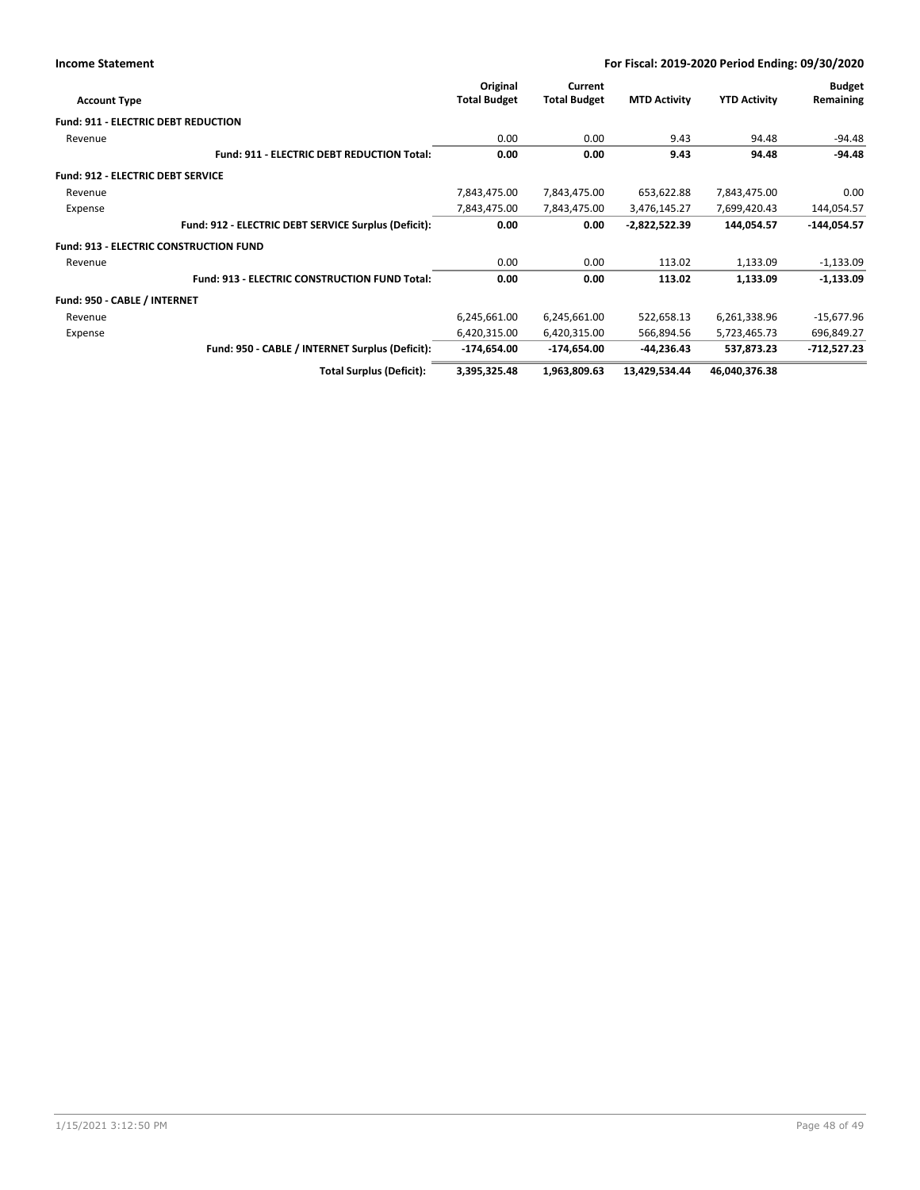| For Fiscal: 2019-2020 Period Ending: 09/30/2020 |
|-------------------------------------------------|
|-------------------------------------------------|

| <b>Account Type</b>                           |                                                      | Original<br><b>Total Budget</b> | Current<br><b>Total Budget</b> | <b>MTD Activity</b> | <b>YTD Activity</b> | <b>Budget</b><br>Remaining |
|-----------------------------------------------|------------------------------------------------------|---------------------------------|--------------------------------|---------------------|---------------------|----------------------------|
| <b>Fund: 911 - ELECTRIC DEBT REDUCTION</b>    |                                                      |                                 |                                |                     |                     |                            |
| Revenue                                       |                                                      | 0.00                            | 0.00                           | 9.43                | 94.48               | $-94.48$                   |
|                                               | Fund: 911 - ELECTRIC DEBT REDUCTION Total:           | 0.00                            | 0.00                           | 9.43                | 94.48               | $-94.48$                   |
| Fund: 912 - ELECTRIC DEBT SERVICE             |                                                      |                                 |                                |                     |                     |                            |
| Revenue                                       |                                                      | 7,843,475.00                    | 7,843,475.00                   | 653,622.88          | 7,843,475.00        | 0.00                       |
| Expense                                       |                                                      | 7,843,475.00                    | 7,843,475.00                   | 3,476,145.27        | 7,699,420.43        | 144,054.57                 |
|                                               | Fund: 912 - ELECTRIC DEBT SERVICE Surplus (Deficit): | 0.00                            | 0.00                           | $-2,822,522.39$     | 144,054.57          | $-144,054.57$              |
| <b>Fund: 913 - ELECTRIC CONSTRUCTION FUND</b> |                                                      |                                 |                                |                     |                     |                            |
| Revenue                                       |                                                      | 0.00                            | 0.00                           | 113.02              | 1,133.09            | $-1,133.09$                |
|                                               | Fund: 913 - ELECTRIC CONSTRUCTION FUND Total:        | 0.00                            | 0.00                           | 113.02              | 1,133.09            | $-1,133.09$                |
| Fund: 950 - CABLE / INTERNET                  |                                                      |                                 |                                |                     |                     |                            |
| Revenue                                       |                                                      | 6,245,661.00                    | 6,245,661.00                   | 522,658.13          | 6,261,338.96        | $-15,677.96$               |
| Expense                                       |                                                      | 6,420,315.00                    | 6,420,315.00                   | 566,894.56          | 5,723,465.73        | 696,849.27                 |
|                                               | Fund: 950 - CABLE / INTERNET Surplus (Deficit):      | $-174,654.00$                   | $-174,654.00$                  | $-44,236.43$        | 537,873.23          | -712,527.23                |
|                                               | <b>Total Surplus (Deficit):</b>                      | 3,395,325.48                    | 1,963,809.63                   | 13,429,534.44       | 46,040,376.38       |                            |

**Income Statement**